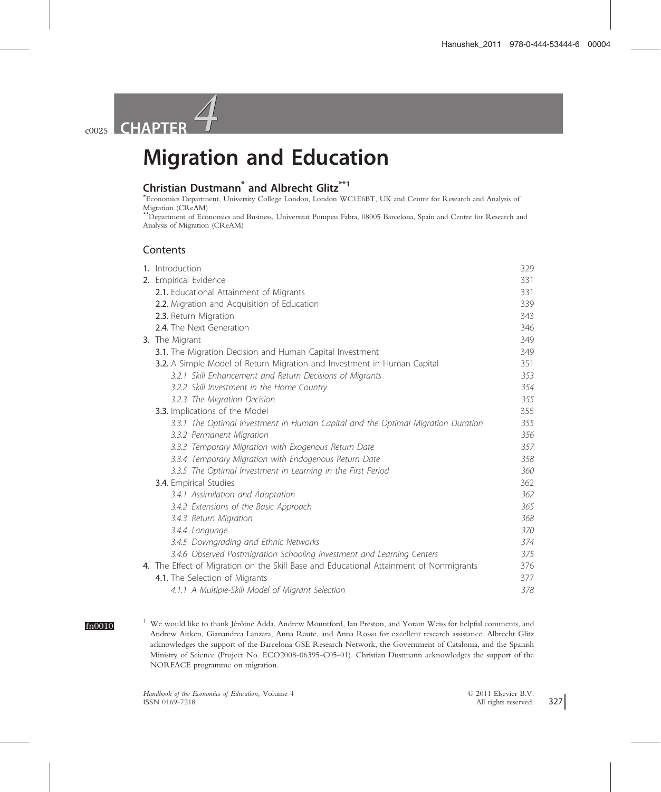# c0025 CHAPTER4

## Migration and Education

### Christian Dustmann<sup>\*</sup> and Albrecht Glitz<sup>\*\*1</sup>

\* Economics Department, University College London, London WC1E6BT, UK and Centre for Research and Analysis of

Migration (CReAM) \*\*Department of Economics and Business, Universitat Pompeu Fabra, 08005 Barcelona, Spain and Centre for Research and Analysis of Migration (CReAM)

#### Contents

| 1. Introduction                                                                        | 329 |
|----------------------------------------------------------------------------------------|-----|
| 2. Empirical Evidence                                                                  | 331 |
| 2.1. Educational Attainment of Migrants                                                | 331 |
| 2.2. Migration and Acquisition of Education                                            | 339 |
| 2.3. Return Migration                                                                  | 343 |
| 2.4. The Next Generation                                                               | 346 |
| 3. The Migrant                                                                         | 349 |
| <b>3.1.</b> The Migration Decision and Human Capital Investment                        | 349 |
| <b>3.2.</b> A Simple Model of Return Migration and Investment in Human Capital         | 351 |
| 3.2.1 Skill Enhancement and Return Decisions of Migrants                               | 353 |
| 3.2.2 Skill Investment in the Home Country                                             | 354 |
| 3.2.3 The Migration Decision                                                           | 355 |
| 3.3. Implications of the Model                                                         | 355 |
| 3.3.1 The Optimal Investment in Human Capital and the Optimal Migration Duration       | 355 |
| 3.3.2 Permanent Migration                                                              | 356 |
| 3.3.3 Temporary Migration with Exogenous Return Date                                   | 357 |
| 3.3.4 Temporary Migration with Endogenous Return Date                                  | 358 |
| 3.3.5 The Optimal Investment in Learning in the First Period                           | 360 |
| 3.4. Empirical Studies                                                                 | 362 |
| 3.4.1 Assimilation and Adaptation                                                      | 362 |
| 3.4.2 Extensions of the Basic Approach                                                 | 365 |
| 3.4.3 Return Migration                                                                 | 368 |
| 3.4.4 Language                                                                         | 370 |
| 3.4.5 Downgrading and Ethnic Networks                                                  | 374 |
| 3.4.6 Observed Postmigration Schooling Investment and Learning Centers                 | 375 |
| 4. The Effect of Migration on the Skill Base and Educational Attainment of Nonmigrants | 376 |
| 4.1. The Selection of Migrants                                                         | 377 |
| 4.1.1 A Multiple-Skill Model of Migrant Selection                                      | 378 |

fn0010<sup>1</sup> We would like to thank Jérôme Adda, Andrew Mountford, Ian Preston, and Yoram Weiss for helpful comments, and Andrew Aitken, Gianandrea Lanzara, Anna Raute, and Anna Rosso for excellent research assistance. Albrecht Glitz acknowledges the support of the Barcelona GSE Research Network, the Government of Catalonia, and the Spanish Ministry of Science (Project No. ECO2008-06395-C05-01). Christian Dustmann acknowledges the support of the NORFACE programme on migration.

Handbook of the Economics of Education, Volume 4 © 2011 Elsevier B.V.<br>ISSN 0169-7218 All rights reserved.

All rights reserved. 327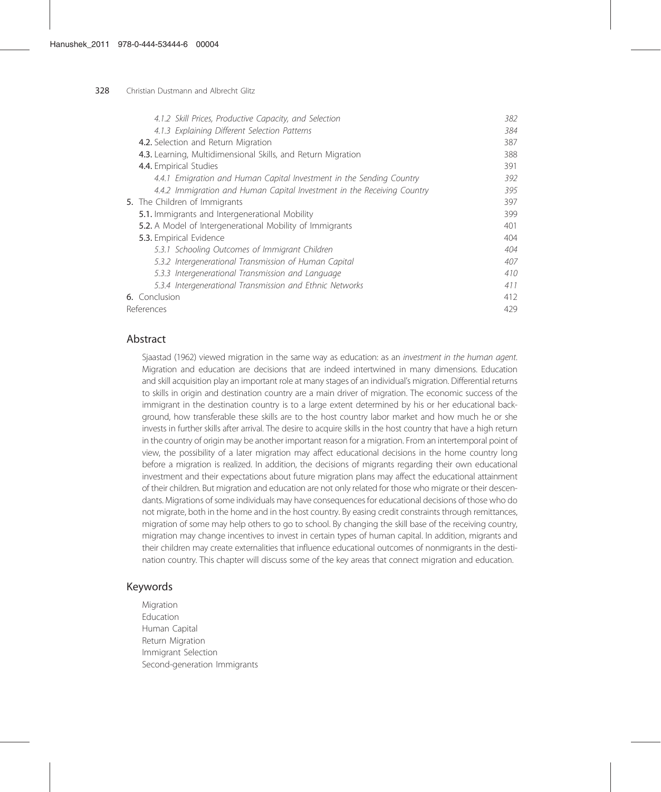| 4.1.2 Skill Prices, Productive Capacity, and Selection                  | 382 |
|-------------------------------------------------------------------------|-----|
| 4.1.3 Explaining Different Selection Patterns                           | 384 |
| 4.2. Selection and Return Migration                                     | 387 |
| 4.3. Learning, Multidimensional Skills, and Return Migration            | 388 |
| 4.4. Empirical Studies                                                  | 391 |
| 4.4.1 Emigration and Human Capital Investment in the Sending Country    | 392 |
| 4.4.2 Immigration and Human Capital Investment in the Receiving Country | 395 |
| <b>5.</b> The Children of Immigrants                                    | 397 |
| 5.1. Immigrants and Intergenerational Mobility                          | 399 |
| <b>5.2.</b> A Model of Intergenerational Mobility of Immigrants         | 401 |
| 5.3. Empirical Evidence                                                 | 404 |
| 5.3.1 Schooling Outcomes of Immigrant Children                          | 404 |
| 5.3.2 Intergenerational Transmission of Human Capital                   | 407 |
| 5.3.3 Intergenerational Transmission and Language                       | 410 |
| 5.3.4 Intergenerational Transmission and Ethnic Networks                | 411 |
| 6. Conclusion                                                           | 412 |
| References                                                              | 429 |

#### Abstract

Sjaastad (1962) viewed migration in the same way as education: as an investment in the human agent. Migration and education are decisions that are indeed intertwined in many dimensions. Education and skill acquisition play an important role at many stages of an individual's migration. Differential returns to skills in origin and destination country are a main driver of migration. The economic success of the immigrant in the destination country is to a large extent determined by his or her educational background, how transferable these skills are to the host country labor market and how much he or she invests in further skills after arrival. The desire to acquire skills in the host country that have a high return in the country of origin may be another important reason for a migration. From an intertemporal point of view, the possibility of a later migration may affect educational decisions in the home country long before a migration is realized. In addition, the decisions of migrants regarding their own educational investment and their expectations about future migration plans may affect the educational attainment of their children. But migration and education are not only related for those who migrate or their descendants. Migrations of some individuals may have consequences for educational decisions of those who do not migrate, both in the home and in the host country. By easing credit constraints through remittances, migration of some may help others to go to school. By changing the skill base of the receiving country, migration may change incentives to invest in certain types of human capital. In addition, migrants and their children may create externalities that influence educational outcomes of nonmigrants in the destination country. This chapter will discuss some of the key areas that connect migration and education.

#### Keywords

Migration Education Human Capital Return Migration Immigrant Selection Second-generation Immigrants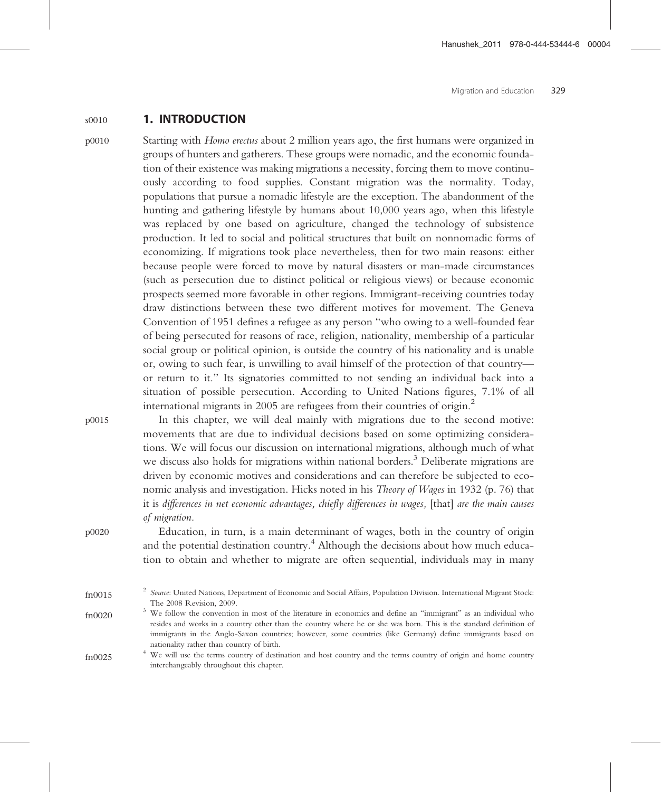#### s0010 1. INTRODUCTION

p0010 Starting with Homo erectus about 2 million years ago, the first humans were organized in groups of hunters and gatherers. These groups were nomadic, and the economic foundation of their existence was making migrations a necessity, forcing them to move continuously according to food supplies. Constant migration was the normality. Today, populations that pursue a nomadic lifestyle are the exception. The abandonment of the hunting and gathering lifestyle by humans about 10,000 years ago, when this lifestyle was replaced by one based on agriculture, changed the technology of subsistence production. It led to social and political structures that built on nonnomadic forms of economizing. If migrations took place nevertheless, then for two main reasons: either because people were forced to move by natural disasters or man-made circumstances (such as persecution due to distinct political or religious views) or because economic prospects seemed more favorable in other regions. Immigrant-receiving countries today draw distinctions between these two different motives for movement. The Geneva Convention of 1951 defines a refugee as any person "who owing to a well-founded fear of being persecuted for reasons of race, religion, nationality, membership of a particular social group or political opinion, is outside the country of his nationality and is unable or, owing to such fear, is unwilling to avail himself of the protection of that country or return to it." Its signatories committed to not sending an individual back into a situation of possible persecution. According to United Nations figures, 7.1% of all international migrants in 2005 are refugees from their countries of origin.<sup>2</sup>

p0015 In this chapter, we will deal mainly with migrations due to the second motive: movements that are due to individual decisions based on some optimizing considerations. We will focus our discussion on international migrations, although much of what we discuss also holds for migrations within national borders.<sup>3</sup> Deliberate migrations are driven by economic motives and considerations and can therefore be subjected to economic analysis and investigation. Hicks noted in his *Theory of Wages* in 1932 (p. 76) that it is differences in net economic advantages, chiefly differences in wages, [that] are the main causes of migration.

p0020 Education, in turn, is a main determinant of wages, both in the country of origin and the potential destination country.<sup>4</sup> Although the decisions about how much education to obtain and whether to migrate are often sequential, individuals may in many

fn0015 <sup>2</sup> Source: United Nations, Department of Economic and Social Affairs, Population Division. International Migrant Stock: The 2008 Revision, 2009.

fn0020<sup>3</sup> We follow the convention in most of the literature in economics and define an "immigrant" as an individual who resides and works in a country other than the country where he or she was born. This is the standard definition of immigrants in the Anglo-Saxon countries; however, some countries (like Germany) define immigrants based on nationality rather than country of birth.

fn0025 <sup>4</sup> We will use the terms country of destination and host country and the terms country of origin and home country interchangeably throughout this chapter.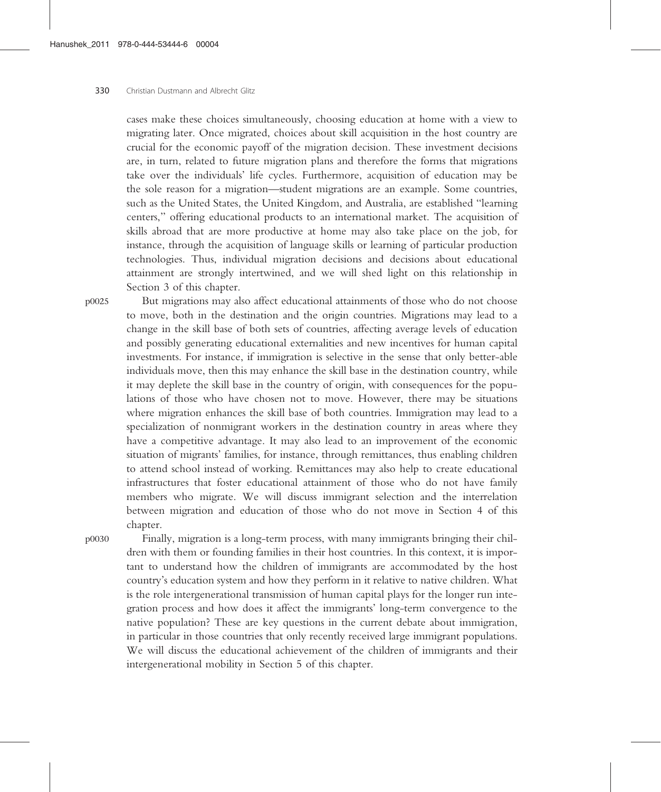cases make these choices simultaneously, choosing education at home with a view to migrating later. Once migrated, choices about skill acquisition in the host country are crucial for the economic payoff of the migration decision. These investment decisions are, in turn, related to future migration plans and therefore the forms that migrations take over the individuals' life cycles. Furthermore, acquisition of education may be the sole reason for a migration—student migrations are an example. Some countries, such as the United States, the United Kingdom, and Australia, are established "learning centers," offering educational products to an international market. The acquisition of skills abroad that are more productive at home may also take place on the job, for instance, through the acquisition of language skills or learning of particular production technologies. Thus, individual migration decisions and decisions about educational attainment are strongly intertwined, and we will shed light on this relationship in Section 3 of this chapter.

p0025 But migrations may also affect educational attainments of those who do not choose to move, both in the destination and the origin countries. Migrations may lead to a change in the skill base of both sets of countries, affecting average levels of education and possibly generating educational externalities and new incentives for human capital investments. For instance, if immigration is selective in the sense that only better-able individuals move, then this may enhance the skill base in the destination country, while it may deplete the skill base in the country of origin, with consequences for the populations of those who have chosen not to move. However, there may be situations where migration enhances the skill base of both countries. Immigration may lead to a specialization of nonmigrant workers in the destination country in areas where they have a competitive advantage. It may also lead to an improvement of the economic situation of migrants' families, for instance, through remittances, thus enabling children to attend school instead of working. Remittances may also help to create educational infrastructures that foster educational attainment of those who do not have family members who migrate. We will discuss immigrant selection and the interrelation between migration and education of those who do not move in Section 4 of this chapter.

p0030 Finally, migration is a long-term process, with many immigrants bringing their children with them or founding families in their host countries. In this context, it is important to understand how the children of immigrants are accommodated by the host country's education system and how they perform in it relative to native children. What is the role intergenerational transmission of human capital plays for the longer run integration process and how does it affect the immigrants' long-term convergence to the native population? These are key questions in the current debate about immigration, in particular in those countries that only recently received large immigrant populations. We will discuss the educational achievement of the children of immigrants and their intergenerational mobility in Section 5 of this chapter.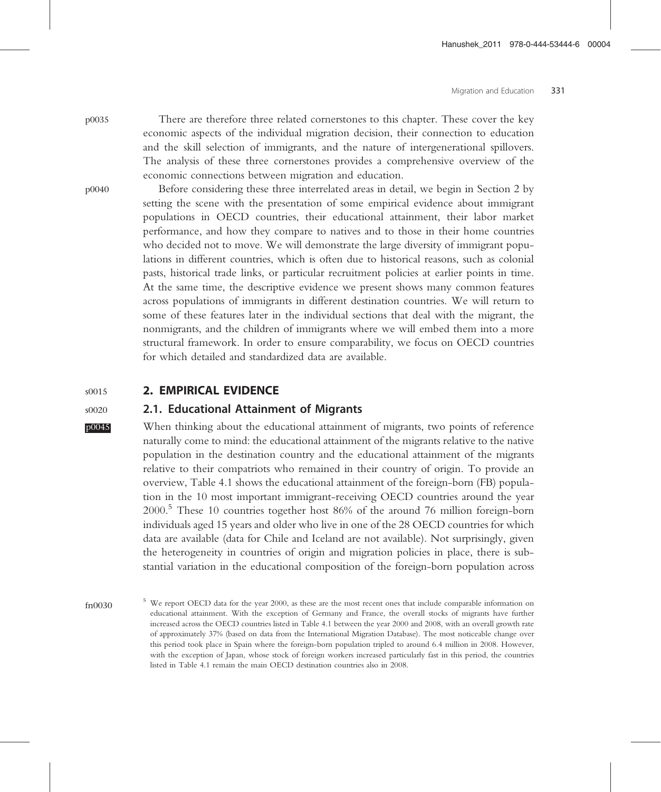p0035 There are therefore three related cornerstones to this chapter. These cover the key economic aspects of the individual migration decision, their connection to education and the skill selection of immigrants, and the nature of intergenerational spillovers. The analysis of these three cornerstones provides a comprehensive overview of the economic connections between migration and education.

p0040 Before considering these three interrelated areas in detail, we begin in Section 2 by setting the scene with the presentation of some empirical evidence about immigrant populations in OECD countries, their educational attainment, their labor market performance, and how they compare to natives and to those in their home countries who decided not to move. We will demonstrate the large diversity of immigrant populations in different countries, which is often due to historical reasons, such as colonial pasts, historical trade links, or particular recruitment policies at earlier points in time. At the same time, the descriptive evidence we present shows many common features across populations of immigrants in different destination countries. We will return to some of these features later in the individual sections that deal with the migrant, the nonmigrants, and the children of immigrants where we will embed them into a more structural framework. In order to ensure comparability, we focus on OECD countries for which detailed and standardized data are available.

#### s0015 **2. EMPIRICAL EVIDENCE**

#### s0020 2.1. Educational Attainment of Migrants

p0045 When thinking about the educational attainment of migrants, two points of reference naturally come to mind: the educational attainment of the migrants relative to the native population in the destination country and the educational attainment of the migrants relative to their compatriots who remained in their country of origin. To provide an overview, Table 4.1 shows the educational attainment of the foreign-born (FB) population in the 10 most important immigrant-receiving OECD countries around the year  $2000$ .<sup>5</sup> These 10 countries together host 86% of the around 76 million foreign-born individuals aged 15 years and older who live in one of the 28 OECD countries for which data are available (data for Chile and Iceland are not available). Not surprisingly, given the heterogeneity in countries of origin and migration policies in place, there is substantial variation in the educational composition of the foreign-born population across

fn0030 <sup>5</sup> We report OECD data for the year 2000, as these are the most recent ones that include comparable information on educational attainment. With the exception of Germany and France, the overall stocks of migrants have further increased across the OECD countries listed in Table 4.1 between the year 2000 and 2008, with an overall growth rate of approximately 37% (based on data from the International Migration Database). The most noticeable change over this period took place in Spain where the foreign-born population tripled to around 6.4 million in 2008. However, with the exception of Japan, whose stock of foreign workers increased particularly fast in this period, the countries listed in Table 4.1 remain the main OECD destination countries also in 2008.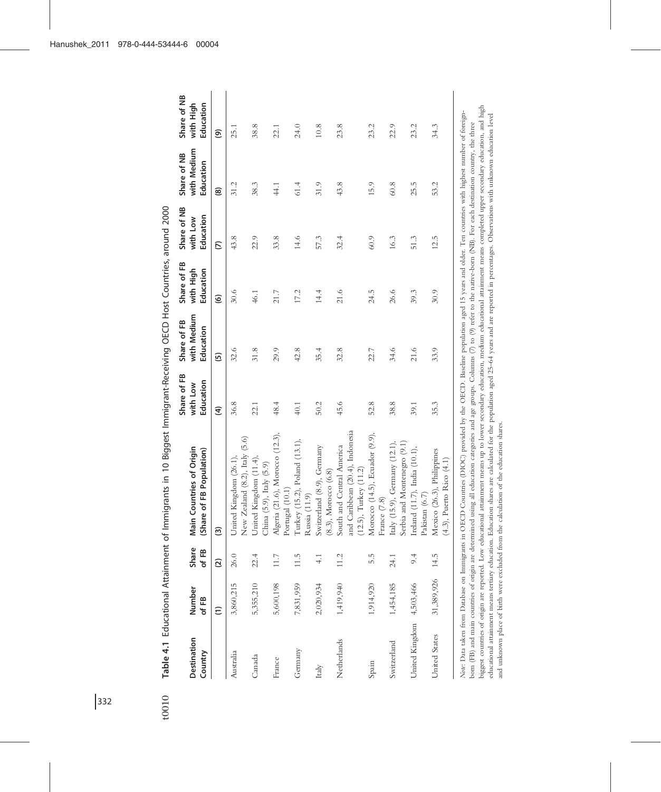| $\vdots$                 |
|--------------------------|
|                          |
|                          |
|                          |
|                          |
|                          |
| 1                        |
| $\overline{a}$           |
|                          |
|                          |
|                          |
|                          |
|                          |
|                          |
| j<br>i                   |
| ١                        |
|                          |
| j                        |
|                          |
|                          |
|                          |
|                          |
| ļ                        |
|                          |
| $\overline{\phantom{a}}$ |
| į                        |
|                          |
|                          |
| )<br>)                   |
| l                        |
|                          |
|                          |
|                          |
|                          |
|                          |
| ١                        |
| ļ                        |
|                          |
|                          |
|                          |
| ć                        |
| ׇ֚֘֡                     |
|                          |
| ֖֚֚֚֬                    |
|                          |
|                          |
|                          |
|                          |
|                          |
|                          |
| l<br>֕<br>Ĩ<br>ī         |
|                          |
|                          |
| u<br>D<br>D<br>D         |
|                          |
| l                        |
|                          |
|                          |
| ï                        |
|                          |
|                          |

| Destination<br>Country   | Number<br>of FB | Share<br>of FB | Main Countries of Origin<br>(Share of FB Population)                                                                                                                                                                                                                                                                                                                   | Share of FB<br>Education<br>with Low | with Medium<br>Share of FB<br>Education | Share of FB<br>with High<br>Education | Share of NB<br>Education<br>with Low | with Medium<br>Share of NB<br>Education | Share of NB<br>Education<br>with High |
|--------------------------|-----------------|----------------|------------------------------------------------------------------------------------------------------------------------------------------------------------------------------------------------------------------------------------------------------------------------------------------------------------------------------------------------------------------------|--------------------------------------|-----------------------------------------|---------------------------------------|--------------------------------------|-----------------------------------------|---------------------------------------|
|                          | Ξ               | $\overline{c}$ | $\widehat{\mathbf{c}}$                                                                                                                                                                                                                                                                                                                                                 | E)                                   | 6                                       | $\widehat{\mathbf{e}}$                | E                                    | @                                       | ම                                     |
| Australia                | 3,860,215       | 26.0           | New Zealand (8.2), Italy (5.6)<br>United Kingdom (26.1)                                                                                                                                                                                                                                                                                                                | 36.8                                 | 32.6                                    | 30.6                                  | 43.8                                 | 31.2                                    | 25.1                                  |
| Canada                   | 5,355,210       | 22.4           | United Kingdom (11.4),<br>China (5.9), Italy (5.9)                                                                                                                                                                                                                                                                                                                     | 22.1                                 | 31.8                                    | 46.1                                  | 22.9                                 | 38.3                                    | 38.8                                  |
| France                   | 5,600,198       | $11.7\,$       | Algeria (21.6), Morocco (12.3)<br>Portugal (10.1)                                                                                                                                                                                                                                                                                                                      | 48.4                                 | 29.9                                    | 21.7                                  | 33.8                                 | 44.1                                    | 22.1                                  |
| Germany                  | 7,831,959       | 11.5           | Turkey (15.2), Poland (13.1),<br>Russia (11.9)                                                                                                                                                                                                                                                                                                                         | 40.1                                 | 42.8                                    | 17.2                                  | 14.6                                 | 61.4                                    | 24.0                                  |
| Italy                    | 2,020,934       | $-1$           | Switzerland (8.9), Germany<br>$(8.3)$ , Morocco $(6.8)$                                                                                                                                                                                                                                                                                                                | 50.2                                 | 35.4                                    | 14.4                                  | 57.3                                 | 31.9                                    | 10.8                                  |
| Netherlands              | 1,419,940       | 11.2           | and Caribbean (20.4), Indonesia<br>South and Central America<br>$(12.5)$ , Turkey $(11.2)$                                                                                                                                                                                                                                                                             | 45.6                                 | 32.8                                    | 21.6                                  | 32.4                                 | 43.8                                    | 23.8                                  |
| Spain                    | 1,914,920       | 5.5            | Morocco (14.5), Ecuador (9.9)<br>France (7.8)                                                                                                                                                                                                                                                                                                                          | 52.8                                 | 22.7                                    | 24.5                                  | 60.9                                 | 15.9                                    | 23.2                                  |
| Switzerland              | 1,454,185       | 24.1           | Italy $(15.9)$ , Germany $(12.1)$ ,<br>Serbia and Montenegro (9.1)                                                                                                                                                                                                                                                                                                     | 38.8                                 | 34.6                                    | 26.6                                  | 16.3                                 | 60.8                                    | 22.9                                  |
| United Kingdom 4,503,466 |                 | 9.4            | Ireland (11.7), India (10.1),<br>Pakistan (6.7)                                                                                                                                                                                                                                                                                                                        | 39.1                                 | 21.6                                    | 39.3                                  | 51.3                                 | 25.5                                    | 23.2                                  |
| United States            | 31,389,926      | 14.5           | Mexico (26.3), Philippines<br>$(4.3)$ , Puerto Rico $(4.1)$                                                                                                                                                                                                                                                                                                            | 35.3                                 | 33.9                                    | 30.9                                  | 12.5                                 | 53.2                                    | 34.3                                  |
|                          |                 |                | Note: Data taken from Database on Immigrants in OECD Countries (DIOC) provided by the OECD. Baseline population aged 15 years and older. Ten countries with highest number of foreign-<br>hom (FR) and main countries of origin are determined using all education original and as comes (Columns (7) to the performation in Decision of destination country the three |                                      |                                         |                                       |                                      |                                         |                                       |

bom (FB) and main countries of origin are determined using all education categories and age groups. Columns (7) to (9) refer to the naive-bom (NB). For each destination country, the three<br>biggest countries of origin are re biggest countries of origin are reported. Low educational attainment means up to lower secondary education, medium educational attainment means completed upper secondary education, and high educational attainment means tertiary education. Education shares are calculated for the population aged 25–64 years and are reported in percentages. Observations with unknown education level born (FB) and main countries of origin are determined using all education categories and age groups. Columns (7) to (9) refer to the native-born (NB). For each destination country, the three and unknown place of birth were excluded from the calculation of the education shares.

332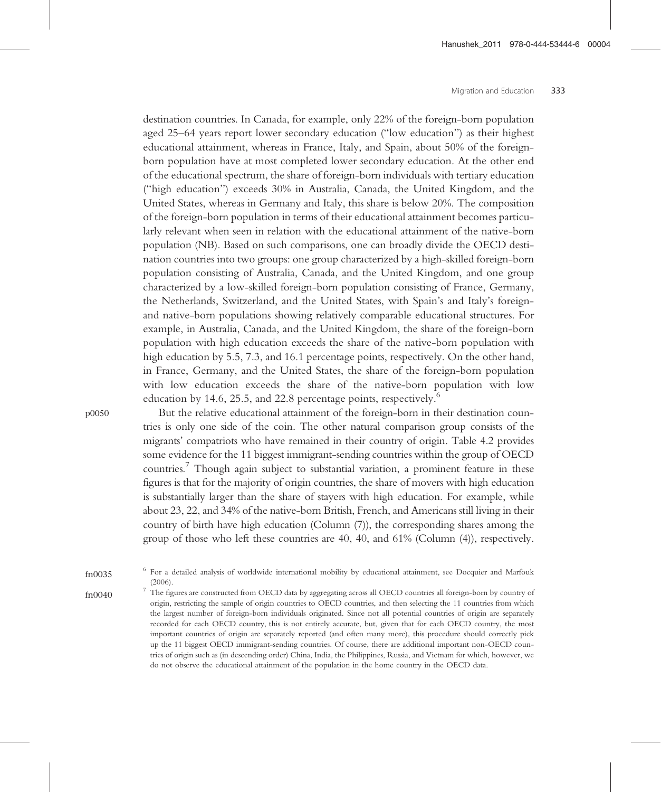destination countries. In Canada, for example, only 22% of the foreign-born population aged 25–64 years report lower secondary education ("low education") as their highest educational attainment, whereas in France, Italy, and Spain, about 50% of the foreignborn population have at most completed lower secondary education. At the other end of the educational spectrum, the share of foreign-born individuals with tertiary education ("high education") exceeds 30% in Australia, Canada, the United Kingdom, and the United States, whereas in Germany and Italy, this share is below 20%. The composition of the foreign-born population in terms of their educational attainment becomes particularly relevant when seen in relation with the educational attainment of the native-born population (NB). Based on such comparisons, one can broadly divide the OECD destination countries into two groups: one group characterized by a high-skilled foreign-born population consisting of Australia, Canada, and the United Kingdom, and one group characterized by a low-skilled foreign-born population consisting of France, Germany, the Netherlands, Switzerland, and the United States, with Spain's and Italy's foreignand native-born populations showing relatively comparable educational structures. For example, in Australia, Canada, and the United Kingdom, the share of the foreign-born population with high education exceeds the share of the native-born population with high education by 5.5, 7.3, and 16.1 percentage points, respectively. On the other hand, in France, Germany, and the United States, the share of the foreign-born population with low education exceeds the share of the native-born population with low education by 14.6, 25.5, and 22.8 percentage points, respectively. $\degree$ 

p0050 But the relative educational attainment of the foreign-born in their destination countries is only one side of the coin. The other natural comparison group consists of the migrants' compatriots who have remained in their country of origin. Table 4.2 provides some evidence for the 11 biggest immigrant-sending countries within the group of OECD countries.<sup>7</sup> Though again subject to substantial variation, a prominent feature in these figures is that for the majority of origin countries, the share of movers with high education is substantially larger than the share of stayers with high education. For example, while about 23, 22, and 34% of the native-born British, French, and Americans still living in their country of birth have high education (Column (7)), the corresponding shares among the group of those who left these countries are 40, 40, and 61% (Column (4)), respectively.

fn0035 <sup>6</sup> For a detailed analysis of worldwide international mobility by educational attainment, see Docquier and Marfouk  $(2006)$ .

fn0040 <sup>7</sup> The figures are constructed from OECD data by aggregating across all OECD countries all foreign-born by country of origin, restricting the sample of origin countries to OECD countries, and then selecting the 11 countries from which the largest number of foreign-born individuals originated. Since not all potential countries of origin are separately recorded for each OECD country, this is not entirely accurate, but, given that for each OECD country, the most important countries of origin are separately reported (and often many more), this procedure should correctly pick up the 11 biggest OECD immigrant-sending countries. Of course, there are additional important non-OECD countries of origin such as (in descending order) China, India, the Philippines, Russia, and Vietnam for which, however, we do not observe the educational attainment of the population in the home country in the OECD data.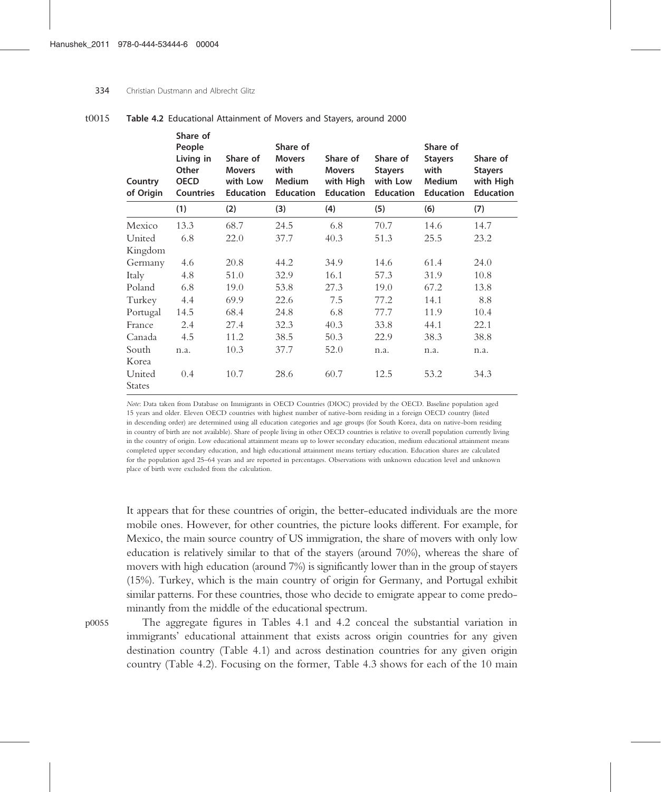| Country<br>of Origin | Share of<br>People<br>Living in<br>Other<br><b>OECD</b><br><b>Countries</b> | Share of<br><b>Movers</b><br>with Low<br><b>Education</b> | Share of<br><b>Movers</b><br>with<br><b>Medium</b><br><b>Education</b> | Share of<br><b>Movers</b><br>with High<br><b>Education</b> | Share of<br><b>Stayers</b><br>with Low<br><b>Education</b> | Share of<br><b>Stayers</b><br>with<br><b>Medium</b><br><b>Education</b> | Share of<br><b>Stayers</b><br>with High<br><b>Education</b> |
|----------------------|-----------------------------------------------------------------------------|-----------------------------------------------------------|------------------------------------------------------------------------|------------------------------------------------------------|------------------------------------------------------------|-------------------------------------------------------------------------|-------------------------------------------------------------|
|                      | (1)                                                                         | (2)                                                       | (3)                                                                    | (4)                                                        | (5)                                                        | (6)                                                                     | (7)                                                         |
| Mexico               | 13.3                                                                        | 68.7                                                      | 24.5                                                                   | 6.8                                                        | 70.7                                                       | 14.6                                                                    | 14.7                                                        |
| United               | 6.8                                                                         | 22.0                                                      | 37.7                                                                   | 40.3                                                       | 51.3                                                       | 25.5                                                                    | 23.2                                                        |
| Kingdom              |                                                                             |                                                           |                                                                        |                                                            |                                                            |                                                                         |                                                             |
| Germany              | 4.6                                                                         | 20.8                                                      | 44.2                                                                   | 34.9                                                       | 14.6                                                       | 61.4                                                                    | 24.0                                                        |
| Italy                | 4.8                                                                         | 51.0                                                      | 32.9                                                                   | 16.1                                                       | 57.3                                                       | 31.9                                                                    | 10.8                                                        |
| Poland               | 6.8                                                                         | 19.0                                                      | 53.8                                                                   | 27.3                                                       | 19.0                                                       | 67.2                                                                    | 13.8                                                        |
| Turkey               | 4.4                                                                         | 69.9                                                      | 22.6                                                                   | 7.5                                                        | 77.2                                                       | 14.1                                                                    | 8.8                                                         |
| Portugal             | 14.5                                                                        | 68.4                                                      | 24.8                                                                   | 6.8                                                        | 77.7                                                       | 11.9                                                                    | 10.4                                                        |
| France               | 2.4                                                                         | 27.4                                                      | 32.3                                                                   | 40.3                                                       | 33.8                                                       | 44.1                                                                    | 22.1                                                        |
| Canada               | 4.5                                                                         | 11.2                                                      | 38.5                                                                   | 50.3                                                       | 22.9                                                       | 38.3                                                                    | 38.8                                                        |
| South                | n.a.                                                                        | 10.3                                                      | 37.7                                                                   | 52.0                                                       | n.a.                                                       | n.a.                                                                    | n.a.                                                        |
| Korea                |                                                                             |                                                           |                                                                        |                                                            |                                                            |                                                                         |                                                             |
| United               | 0.4                                                                         | 10.7                                                      | 28.6                                                                   | 60.7                                                       | 12.5                                                       | 53.2                                                                    | 34.3                                                        |
| <b>States</b>        |                                                                             |                                                           |                                                                        |                                                            |                                                            |                                                                         |                                                             |

#### t0015 Table 4.2 Educational Attainment of Movers and Stayers, around 2000

Note: Data taken from Database on Immigrants in OECD Countries (DIOC) provided by the OECD. Baseline population aged 15 years and older. Eleven OECD countries with highest number of native-born residing in a foreign OECD country (listed in descending order) are determined using all education categories and age groups (for South Korea, data on native-born residing in country of birth are not available). Share of people living in other OECD countries is relative to overall population currently living in the country of origin. Low educational attainment means up to lower secondary education, medium educational attainment means completed upper secondary education, and high educational attainment means tertiary education. Education shares are calculated for the population aged 25–64 years and are reported in percentages. Observations with unknown education level and unknown place of birth were excluded from the calculation.

It appears that for these countries of origin, the better-educated individuals are the more mobile ones. However, for other countries, the picture looks different. For example, for Mexico, the main source country of US immigration, the share of movers with only low education is relatively similar to that of the stayers (around 70%), whereas the share of movers with high education (around 7%) is significantly lower than in the group of stayers (15%). Turkey, which is the main country of origin for Germany, and Portugal exhibit similar patterns. For these countries, those who decide to emigrate appear to come predominantly from the middle of the educational spectrum.

p0055 The aggregate figures in Tables 4.1 and 4.2 conceal the substantial variation in immigrants' educational attainment that exists across origin countries for any given destination country (Table 4.1) and across destination countries for any given origin country (Table 4.2). Focusing on the former, Table 4.3 shows for each of the 10 main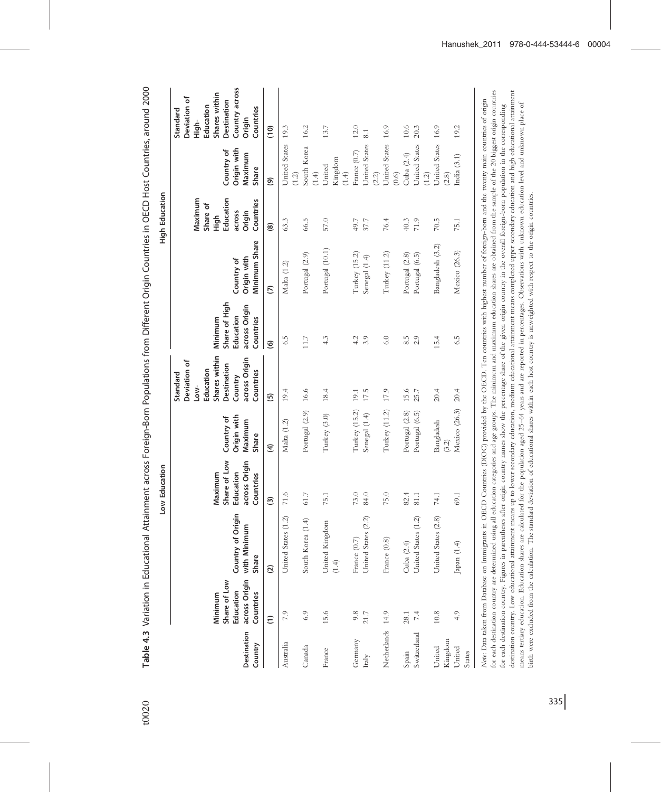|                        |                                                                           |                                                                                                                                                                                                                                                                                                                                                                                                                                                                                                                                                                                                                                                                                                                                                                                                     | Low Education                                                      |                                               |                                                                                                                        |                                                                     |                                            | High Education                                                            |                                               |                                                                                                                         |
|------------------------|---------------------------------------------------------------------------|-----------------------------------------------------------------------------------------------------------------------------------------------------------------------------------------------------------------------------------------------------------------------------------------------------------------------------------------------------------------------------------------------------------------------------------------------------------------------------------------------------------------------------------------------------------------------------------------------------------------------------------------------------------------------------------------------------------------------------------------------------------------------------------------------------|--------------------------------------------------------------------|-----------------------------------------------|------------------------------------------------------------------------------------------------------------------------|---------------------------------------------------------------------|--------------------------------------------|---------------------------------------------------------------------------|-----------------------------------------------|-------------------------------------------------------------------------------------------------------------------------|
| Destination<br>Country | across Origin with I<br>Share of Low<br>Education<br>Countries<br>Minimum | Country of Origin<br>Minimum<br>Share                                                                                                                                                                                                                                                                                                                                                                                                                                                                                                                                                                                                                                                                                                                                                               | Share of Low<br>across Origin<br>Education<br>Maximum<br>Countries | Origin with<br>Country of<br>Maximum<br>Share | Shares within<br>across Origin<br>Deviation of<br>Destination<br>Education<br>Countries<br>Standard<br>Country<br>Low- | Share of High<br>across Origin<br>Education<br>Countries<br>Minimum | Minimum Share<br>Origin with<br>Country of | Maximum<br>Education<br>Countries<br>Share of<br>across<br>Origin<br>figh | Origin with<br>Country of<br>Maximum<br>Share | Country across<br>Shares within<br>Deviation of<br>Destination<br>Education<br>Countries<br>Standard<br>Origin<br>High- |
|                        | $\widehat{z}$                                                             | $\widehat{c}$                                                                                                                                                                                                                                                                                                                                                                                                                                                                                                                                                                                                                                                                                                                                                                                       | ම                                                                  | $\widehat{f}$                                 | $\overline{5}$                                                                                                         | $\overline{6}$                                                      | E                                          | @                                                                         | ම                                             | $\overline{10}$                                                                                                         |
| Australia              | 7.9                                                                       | United States (1.2)                                                                                                                                                                                                                                                                                                                                                                                                                                                                                                                                                                                                                                                                                                                                                                                 | 71.6                                                               | Malta (1.2)                                   | 19.4                                                                                                                   | 6.5                                                                 | Malta (1.2)                                | 63.3                                                                      | United States<br>(1.2)                        | 19.3                                                                                                                    |
| Canada                 | 6.9                                                                       | Korea (1.4)<br>South                                                                                                                                                                                                                                                                                                                                                                                                                                                                                                                                                                                                                                                                                                                                                                                | 61.7                                                               | Portugal (2.9)                                | 16.6                                                                                                                   | 11.7                                                                | Portugal (2.9)                             | 66.5                                                                      | South Korea<br>(1.4)                          | 16.2                                                                                                                    |
| France                 | 15.6                                                                      | United Kingdom<br>(1.4)                                                                                                                                                                                                                                                                                                                                                                                                                                                                                                                                                                                                                                                                                                                                                                             | 75.1                                                               | Turkey (3.0)                                  | 18.4                                                                                                                   | 4.3                                                                 | Portugal (10.1)                            | 57.0                                                                      | Kingdom<br>United<br>$(1.4)$                  | 13.7                                                                                                                    |
| Germany                | 9.8                                                                       | $(0.7)$<br>France                                                                                                                                                                                                                                                                                                                                                                                                                                                                                                                                                                                                                                                                                                                                                                                   | 73.0                                                               | Turkey (15.2)                                 | 19.1                                                                                                                   | 4.2                                                                 | Turkey (15.2)                              | 49.7                                                                      | France (0.7)                                  | 12.0                                                                                                                    |
| Italy                  | 21.7                                                                      | United States (2.2)                                                                                                                                                                                                                                                                                                                                                                                                                                                                                                                                                                                                                                                                                                                                                                                 | 84.0                                                               | Senegal (1.4)                                 | 17.5                                                                                                                   | 3.9                                                                 | Senegal (1.4)                              | 37.7                                                                      | United States<br>$(2.2)$                      | 8.1                                                                                                                     |
| Netherlands 14.9       |                                                                           | $(0.8)$<br>France                                                                                                                                                                                                                                                                                                                                                                                                                                                                                                                                                                                                                                                                                                                                                                                   | 75.0                                                               | Turkey (11.2)                                 | 17.9                                                                                                                   | 6.0                                                                 | Turkey (11.2)                              | 76.4                                                                      | United States<br>$(0.6)$                      | 16.9                                                                                                                    |
| Spain                  | 28.1                                                                      | Cuba (2.4)                                                                                                                                                                                                                                                                                                                                                                                                                                                                                                                                                                                                                                                                                                                                                                                          | 82.4                                                               | Portugal (2.8)                                | 15.6                                                                                                                   | 8.5                                                                 | Portugal (2.8)                             | 40.3                                                                      | Cuba (2.4)                                    | 10.6                                                                                                                    |
| Switzerland            | 7.4                                                                       | United States (1.2)                                                                                                                                                                                                                                                                                                                                                                                                                                                                                                                                                                                                                                                                                                                                                                                 | 81.1                                                               | Portugal (6.5)                                | 25.7                                                                                                                   | 2.9                                                                 | Portugal (6.5)                             | 71.9                                                                      | United States<br>(1.2)                        | 20.3                                                                                                                    |
| Kingdom<br>United      | 10.8                                                                      | United States (2.8)                                                                                                                                                                                                                                                                                                                                                                                                                                                                                                                                                                                                                                                                                                                                                                                 | 74.1                                                               | Bangladesh<br>(3.2)                           | 20.4                                                                                                                   | 15.4                                                                | Bangladesh (3.2)                           | 70.5                                                                      | United States<br>(2.8)                        | 16.9                                                                                                                    |
| United<br>States       | 4.9                                                                       | (1.4)<br>Japan                                                                                                                                                                                                                                                                                                                                                                                                                                                                                                                                                                                                                                                                                                                                                                                      | 69.1                                                               | Mexico (26.3)                                 | 20.4                                                                                                                   | 6.5                                                                 | Mexico (26.3)                              | 75.1                                                                      | India $(3.1)$                                 | 19.2                                                                                                                    |
|                        |                                                                           | for each destination country are determined using all education categories and age groups. The minimum and maximum education shares are obtained from the sample of the 20 biggest origin countries<br>destination country. Low educational attainment means up to lower secondary education, medium educational attaimment means completed upper secondary education and high educational attainment<br>Note: Data taken from Database on Immigrants in OECD Countries (DIOC) provided by the OECD. Ten countries with highest number of foreign-born and the twenty main countries of origin<br>for each destination country. Figures in parentheses after origin country names show the percentage share of the given origin country in the overall foreign-born population in the corresponding |                                                                    |                                               |                                                                                                                        |                                                                     |                                            |                                                                           |                                               |                                                                                                                         |

Table 4.3 Variation in Educational Attainment across Foreign-Born Populations from Different Origin Countries in OECD Host Countries, around 2000 t0020 Table 4.3 Variation in Educational Attainment across Foreign-Born Populations from Different Origin Countries in OECD Host Countries, around 2000

Hanushek\_2011 978-0-444-53444-6 00004

destination country. Low educational attainment means up to lower secondary education, medium educational attainment means completed upper secondary education and high educational attainment means tertiary education. Education shares are calculated for the population aged 25–64 years and are reported in percentages. Observations with unknown education level and unknown place of

means tertiary education. Education shares are calculated for the population aged 25-64 years and are reported in percentages. Observations with unknown education level and unknown place of

birth were excluded from the calculation. The standard deviation of educational shares within each host country is unweighted with respect to the origin countries.

birth were excluded from the calculation. The standard deviation of educational shares within each host country is unweighted with respect to the origin countries.

t0020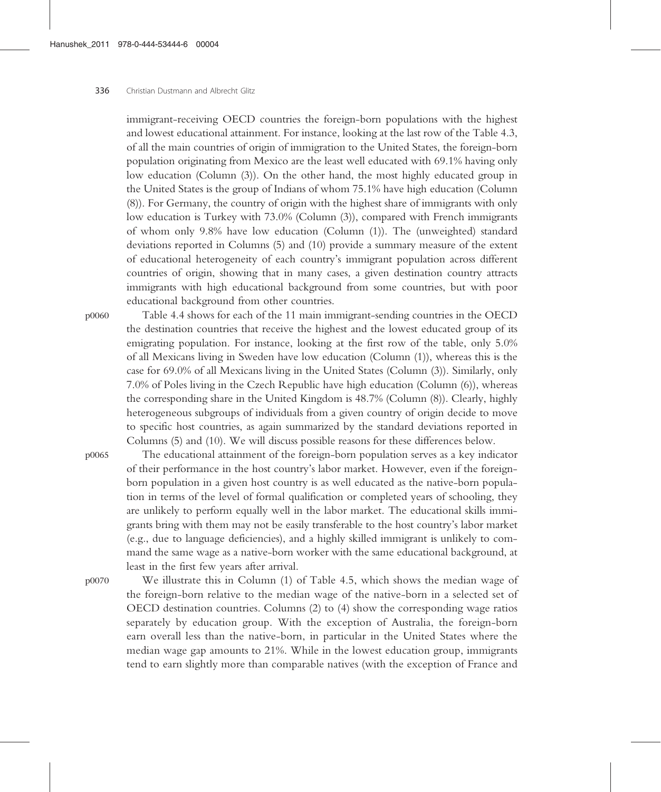immigrant-receiving OECD countries the foreign-born populations with the highest and lowest educational attainment. For instance, looking at the last row of the Table 4.3, of all the main countries of origin of immigration to the United States, the foreign-born population originating from Mexico are the least well educated with 69.1% having only low education (Column (3)). On the other hand, the most highly educated group in the United States is the group of Indians of whom 75.1% have high education (Column (8)). For Germany, the country of origin with the highest share of immigrants with only low education is Turkey with 73.0% (Column (3)), compared with French immigrants of whom only 9.8% have low education (Column (1)). The (unweighted) standard deviations reported in Columns (5) and (10) provide a summary measure of the extent of educational heterogeneity of each country's immigrant population across different countries of origin, showing that in many cases, a given destination country attracts immigrants with high educational background from some countries, but with poor educational background from other countries.

p0060 Table 4.4 shows for each of the 11 main immigrant-sending countries in the OECD the destination countries that receive the highest and the lowest educated group of its emigrating population. For instance, looking at the first row of the table, only 5.0% of all Mexicans living in Sweden have low education (Column (1)), whereas this is the case for 69.0% of all Mexicans living in the United States (Column (3)). Similarly, only 7.0% of Poles living in the Czech Republic have high education (Column (6)), whereas the corresponding share in the United Kingdom is 48.7% (Column (8)). Clearly, highly heterogeneous subgroups of individuals from a given country of origin decide to move to specific host countries, as again summarized by the standard deviations reported in Columns (5) and (10). We will discuss possible reasons for these differences below.

p0065 The educational attainment of the foreign-born population serves as a key indicator of their performance in the host country's labor market. However, even if the foreignborn population in a given host country is as well educated as the native-born population in terms of the level of formal qualification or completed years of schooling, they are unlikely to perform equally well in the labor market. The educational skills immigrants bring with them may not be easily transferable to the host country's labor market (e.g., due to language deficiencies), and a highly skilled immigrant is unlikely to command the same wage as a native-born worker with the same educational background, at least in the first few years after arrival.

p0070 We illustrate this in Column (1) of Table 4.5, which shows the median wage of the foreign-born relative to the median wage of the native-born in a selected set of OECD destination countries. Columns (2) to (4) show the corresponding wage ratios separately by education group. With the exception of Australia, the foreign-born earn overall less than the native-born, in particular in the United States where the median wage gap amounts to 21%. While in the lowest education group, immigrants tend to earn slightly more than comparable natives (with the exception of France and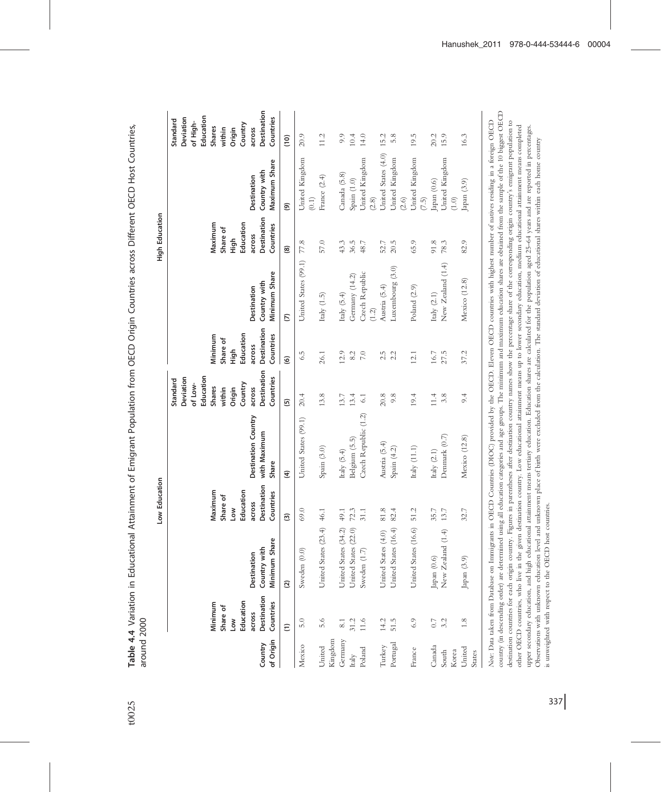t0025

|                      |                                                                               |                                                        | Low Education                                                                 |                                                                                                                                                                                                                                                                                                                                                                                                                                                                                                                                                                                                                                                                                                                                                                                                                                                                                                                                                                                                                                                                              |                                                                                                                                     |                                                                                       |                                              | High Education                                                                 |                                              |                                                                                                                                      |
|----------------------|-------------------------------------------------------------------------------|--------------------------------------------------------|-------------------------------------------------------------------------------|------------------------------------------------------------------------------------------------------------------------------------------------------------------------------------------------------------------------------------------------------------------------------------------------------------------------------------------------------------------------------------------------------------------------------------------------------------------------------------------------------------------------------------------------------------------------------------------------------------------------------------------------------------------------------------------------------------------------------------------------------------------------------------------------------------------------------------------------------------------------------------------------------------------------------------------------------------------------------------------------------------------------------------------------------------------------------|-------------------------------------------------------------------------------------------------------------------------------------|---------------------------------------------------------------------------------------|----------------------------------------------|--------------------------------------------------------------------------------|----------------------------------------------|--------------------------------------------------------------------------------------------------------------------------------------|
| of Origin<br>Country | Destination<br>Education<br>Countries<br>Minimum<br>Share of<br>across<br>Low | Minimum Share<br>Country with<br>Destination           | Destination<br>Maximum<br>Education<br>Countries<br>Share of<br>across<br>Low | Destination Country<br>with Maximum<br>Share                                                                                                                                                                                                                                                                                                                                                                                                                                                                                                                                                                                                                                                                                                                                                                                                                                                                                                                                                                                                                                 | Destination<br>Education<br>Countries<br>Deviation<br>Standard<br>Country<br>of Low-<br><b>Shares</b><br>across<br>within<br>Origin | Destination<br>Education<br>Countries<br>Minimum<br>Share of<br>across<br>も<br>上<br>エ | Minimum Share<br>Country with<br>Destination | Destination<br>Maximum<br>Education<br>Countries<br>Share of<br>across<br>figh | Maximum Share<br>Country with<br>Destination | Destination<br>Education<br>Countries<br>Deviation<br>Standard<br>of High-<br>Country<br><b>Shares</b><br>within<br>Origin<br>across |
|                      | $\widehat{c}$                                                                 | $\widehat{\boldsymbol{\omega}}$                        | $\widehat{\mathbf{c}}$                                                        | E)                                                                                                                                                                                                                                                                                                                                                                                                                                                                                                                                                                                                                                                                                                                                                                                                                                                                                                                                                                                                                                                                           | 6                                                                                                                                   | $\widehat{\mathbf{e}}$                                                                | <b>ic</b>                                    | $\widehat{\mathbf{B}}$                                                         | ම                                            | (10)                                                                                                                                 |
| Mexico               | 5.0                                                                           | Sweden (0.0)                                           | 69.0                                                                          | United States (99.1)                                                                                                                                                                                                                                                                                                                                                                                                                                                                                                                                                                                                                                                                                                                                                                                                                                                                                                                                                                                                                                                         | 20.4                                                                                                                                | $6.\overline{5}$                                                                      | United States (99.1)                         | 77.8                                                                           | United Kingdom<br>(0.1)                      | 20.9                                                                                                                                 |
| Kingdom<br>United    | 5.6                                                                           | United States (23.4)                                   | 46.1                                                                          | Spain (3.0)                                                                                                                                                                                                                                                                                                                                                                                                                                                                                                                                                                                                                                                                                                                                                                                                                                                                                                                                                                                                                                                                  | 13.8                                                                                                                                | 26.1                                                                                  | Italy $(1.5)$                                | 57.0                                                                           | France (2.4)                                 | 11.2                                                                                                                                 |
| Germany              | 8.1                                                                           | United States (34.2)                                   | 49.1                                                                          | Italy $(5.4)$                                                                                                                                                                                                                                                                                                                                                                                                                                                                                                                                                                                                                                                                                                                                                                                                                                                                                                                                                                                                                                                                | 13.7                                                                                                                                | 12.9                                                                                  | Italy $(5.4)$                                | 43.3                                                                           | Canada (5.8)                                 | 9.9                                                                                                                                  |
| Italy                | 31.2                                                                          | United States (22.0)                                   | 72.3                                                                          | Belgium (5.5)                                                                                                                                                                                                                                                                                                                                                                                                                                                                                                                                                                                                                                                                                                                                                                                                                                                                                                                                                                                                                                                                | 13.4                                                                                                                                | 8.2                                                                                   | Germany (14.2)                               | 36.5                                                                           | Spain (1.0)                                  | 10.4                                                                                                                                 |
| Poland               | 11.6                                                                          | Sweden (1.7)                                           | 31.1                                                                          | Czech Republic (1.2)                                                                                                                                                                                                                                                                                                                                                                                                                                                                                                                                                                                                                                                                                                                                                                                                                                                                                                                                                                                                                                                         | 6.1                                                                                                                                 | 7.0                                                                                   | Czech Republic                               | 48.7                                                                           | United Kingdom                               | 14.0                                                                                                                                 |
|                      |                                                                               |                                                        |                                                                               |                                                                                                                                                                                                                                                                                                                                                                                                                                                                                                                                                                                                                                                                                                                                                                                                                                                                                                                                                                                                                                                                              |                                                                                                                                     |                                                                                       | (1.2)                                        |                                                                                | (2.8)                                        |                                                                                                                                      |
| Turkey               | 14.2                                                                          | United States (4.0)                                    | 81.8                                                                          | Austria (5.4)                                                                                                                                                                                                                                                                                                                                                                                                                                                                                                                                                                                                                                                                                                                                                                                                                                                                                                                                                                                                                                                                | 20.8                                                                                                                                | 2.5                                                                                   | Austria (5.4)                                | 52.7                                                                           | United States (4.0)                          | 15.2                                                                                                                                 |
| Portugal             | 51.5                                                                          | United States (16.4)                                   | 82.4                                                                          | Spain $(4.2)$                                                                                                                                                                                                                                                                                                                                                                                                                                                                                                                                                                                                                                                                                                                                                                                                                                                                                                                                                                                                                                                                | 9.8                                                                                                                                 | 2.2                                                                                   | Luxembourg (3.0)                             | 20.5                                                                           | United Kingdom<br>(2.6)                      | 5.8                                                                                                                                  |
| France               | 6.9                                                                           | United States (16.6)                                   | 51.2                                                                          | Italy $(11.1)$                                                                                                                                                                                                                                                                                                                                                                                                                                                                                                                                                                                                                                                                                                                                                                                                                                                                                                                                                                                                                                                               | 19.4                                                                                                                                | 12.1                                                                                  | Poland (2.9)                                 | 65.9                                                                           | United Kingdom<br>(7.5)                      | 19.5                                                                                                                                 |
| Canada               | 0.7                                                                           | (0.6)<br>Japan                                         | 35.7                                                                          | Italy $(2.1)$                                                                                                                                                                                                                                                                                                                                                                                                                                                                                                                                                                                                                                                                                                                                                                                                                                                                                                                                                                                                                                                                | 11.4                                                                                                                                | 16.7                                                                                  | Italy $(2.1)$                                | 91.8                                                                           | Japan $(0.6)$                                | 20.2                                                                                                                                 |
| South<br>Korea       | 3.2                                                                           | Zealand (1.4)<br>New                                   | 13.7                                                                          | Denmark (0.7)                                                                                                                                                                                                                                                                                                                                                                                                                                                                                                                                                                                                                                                                                                                                                                                                                                                                                                                                                                                                                                                                | 3.8                                                                                                                                 | 27.5                                                                                  | New Zealand (1.4)                            | 78.3                                                                           | United Kingdom<br>(1.0)                      | 15.9                                                                                                                                 |
| United<br>States     | 1.8                                                                           | (3.9)<br>Japan                                         | 32.7                                                                          | Mexico (12.8)                                                                                                                                                                                                                                                                                                                                                                                                                                                                                                                                                                                                                                                                                                                                                                                                                                                                                                                                                                                                                                                                | 9.4                                                                                                                                 | 37.2                                                                                  | Mexico (12.8)                                | 82.9                                                                           | Japan (3.9)                                  | 16.3                                                                                                                                 |
|                      | Note: Data taken from Database<br>upper secondary education, and              | is unweighted with respect to the OECD host countries. |                                                                               | country (in descending order) are determined using all education categories and age groups. The minimum and maximum education shares are obtained from the sample of the 10 biggest OECD<br>on Immigrants in OECD Countries (DIOC) provided by the OECD. Eleven OECD countries with highest number of natives residing in a foreign OECD<br>destination countries for each origin country. Figures in parentheses after destination country names show the percentage share of the corresponding origin country's emigrant population to<br>other OECD countries, who live in the given destination country. Low educational attaimment means up to lower secondary education, medium educational attaimment means completed<br>high educational attainment means tertiary education. Education shares are calculated for the population aged 25-64 years and are reported in percentages.<br>Observations with unknown education level and unknown place of birth were excluded from the calculation. The standard deviation of educational shares within each home country |                                                                                                                                     |                                                                                       |                                              |                                                                                |                                              |                                                                                                                                      |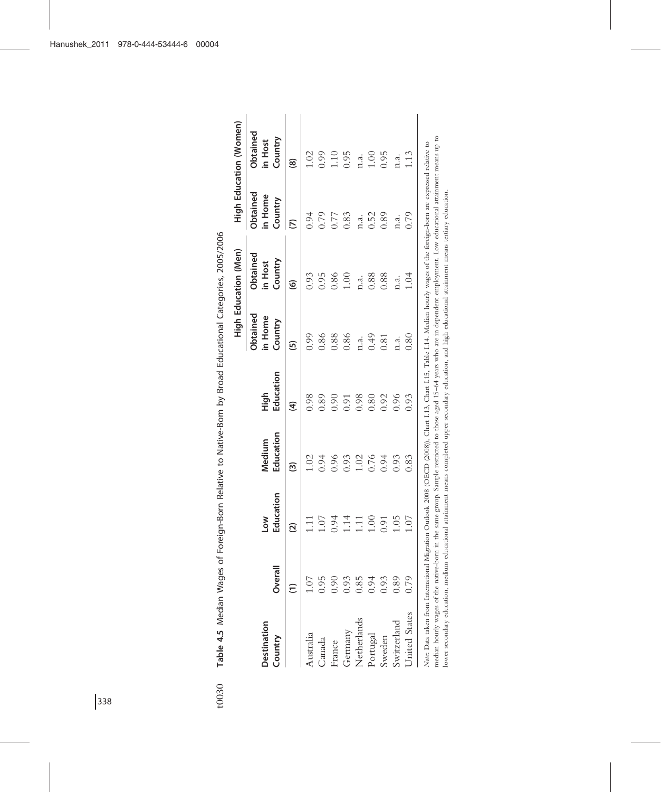|                    |            |                                                                                                                                                                                                                                                                                                                                                                  |                |                |                     | High Education (Men)       |                     | High Education (Women) |
|--------------------|------------|------------------------------------------------------------------------------------------------------------------------------------------------------------------------------------------------------------------------------------------------------------------------------------------------------------------------------------------------------------------|----------------|----------------|---------------------|----------------------------|---------------------|------------------------|
| <b>Destination</b> |            | Low                                                                                                                                                                                                                                                                                                                                                              | Medium         | High           | Obtained<br>in Home | <b>Obtained</b><br>in Host | Obtained<br>in Home | Obtained<br>in Host    |
| Country            | ≣,<br>Over | Education<br>$\widehat{\Omega}$                                                                                                                                                                                                                                                                                                                                  | Education<br>ම | Education<br>E | Country<br>ම        | Country                    | Country<br>S        | Country<br>@           |
|                    |            |                                                                                                                                                                                                                                                                                                                                                                  |                |                |                     | ত্ৰ                        |                     |                        |
| Australia          | 1.07       | $\Xi$                                                                                                                                                                                                                                                                                                                                                            | 02             | 0.98           | 0.99                | 0.93                       | 0.94                | $\frac{2}{3}$          |
| Canada             | 0.95       | 1.07                                                                                                                                                                                                                                                                                                                                                             | 0.94           | 0.89           | 0.86                | 0.95                       | 0.79                | 0.99                   |
| France             | 0.90       | 0.94                                                                                                                                                                                                                                                                                                                                                             | 0.96           | 0.90           | 0.88                | 0.86                       | 0.77                | 1.10                   |
| Germany            | 0.93       | 1.14                                                                                                                                                                                                                                                                                                                                                             | 0.93           | 0.91           | 0.86                | 00.1                       | 0.83                | 0.95                   |
| Netherlands        | 0.85       | 1.11                                                                                                                                                                                                                                                                                                                                                             | 1.02           | 0.98           | n.a.                | n.a.                       | n.a.                | n.a.                   |
| Portugal           | 0.94       | 00.1                                                                                                                                                                                                                                                                                                                                                             | 0.76           | 0.80           | 0.49                | 0.88                       | 0.52                | 00.1                   |
| Sweden             | 0.93       | 0.91                                                                                                                                                                                                                                                                                                                                                             | 0.94           | 0.92           | 0.81                | 0.88                       | 0.89                | 0.95                   |
| Switzerland        | 0.89       | 1.05                                                                                                                                                                                                                                                                                                                                                             | 0.93           | 0.96           | n.a.                | n.a.                       | n.a.                | n.a.                   |
| Jnited States      | 0.79       | 1.07                                                                                                                                                                                                                                                                                                                                                             | 0.83           | 0.93           | 0.80                | 1.04                       | 0.79                | 13                     |
|                    |            | median hourly wages of the native-born in the same group. Sample restricted to those aged 15–64 years who are in dependent employment. Low educational attainment means up to<br>Note: Data taken from International Migration Outlook 2008 (OECD (2008)), Chart I.13, Chart I.15, Table I.14. Median hourly wages of the foreign-born are expressed relative to |                |                |                     |                            |                     |                        |

Table 4.5 Median Wages of Foreign-Born Relative to Native-Born by Broad Educational Categories, 2005/2006 t0030 Table 4.5 Median Wages of Foreign-Born Relative to Native-Born by Broad Educational Categories, 2005/2006 t0030 meanan nourry wages or the narive-oorn in the same group. Sample restricted to those aged 13–0+ years who are in dependent employment. Low educational attains<br>lower secondary education, medium educational attainment means lower secondary education, medium educational attainment means completed upper secondary education, and high educational attainment means tertiary education.

338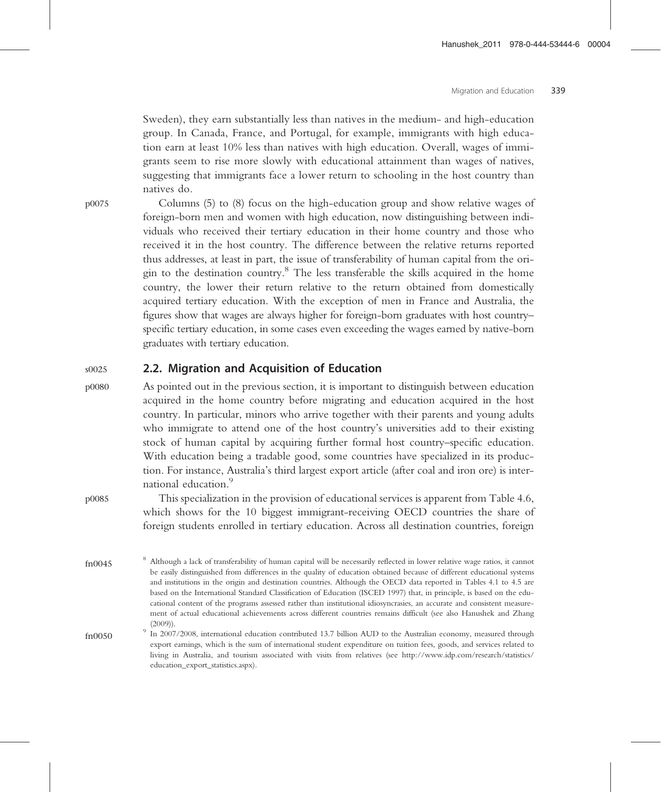Sweden), they earn substantially less than natives in the medium- and high-education group. In Canada, France, and Portugal, for example, immigrants with high education earn at least 10% less than natives with high education. Overall, wages of immigrants seem to rise more slowly with educational attainment than wages of natives, suggesting that immigrants face a lower return to schooling in the host country than natives do.

p0075 Columns (5) to (8) focus on the high-education group and show relative wages of foreign-born men and women with high education, now distinguishing between individuals who received their tertiary education in their home country and those who received it in the host country. The difference between the relative returns reported thus addresses, at least in part, the issue of transferability of human capital from the origin to the destination country.<sup>8</sup> The less transferable the skills acquired in the home country, the lower their return relative to the return obtained from domestically acquired tertiary education. With the exception of men in France and Australia, the figures show that wages are always higher for foreign-born graduates with host country– specific tertiary education, in some cases even exceeding the wages earned by native-born graduates with tertiary education.

### s0025 2.2. Migration and Acquisition of Education

- p0080 As pointed out in the previous section, it is important to distinguish between education acquired in the home country before migrating and education acquired in the host country. In particular, minors who arrive together with their parents and young adults who immigrate to attend one of the host country's universities add to their existing stock of human capital by acquiring further formal host country–specific education. With education being a tradable good, some countries have specialized in its production. For instance, Australia's third largest export article (after coal and iron ore) is international education.<sup>9</sup>
- p0085 This specialization in the provision of educational services is apparent from Table 4.6, which shows for the 10 biggest immigrant-receiving OECD countries the share of foreign students enrolled in tertiary education. Across all destination countries, foreign
- fn0045 <sup>8</sup> Although a lack of transferability of human capital will be necessarily reflected in lower relative wage ratios, it cannot be easily distinguished from differences in the quality of education obtained because of different educational systems and institutions in the origin and destination countries. Although the OECD data reported in Tables 4.1 to 4.5 are based on the International Standard Classification of Education (ISCED 1997) that, in principle, is based on the educational content of the programs assessed rather than institutional idiosyncrasies, an accurate and consistent measurement of actual educational achievements across different countries remains difficult (see also Hanushek and Zhang  $(2009)$ ).
- fn0050 <sup>9</sup> In 2007/2008, international education contributed 13.7 billion AUD to the Australian economy, measured through export earnings, which is the sum of international student expenditure on tuition fees, goods, and services related to living in Australia, and tourism associated with visits from relatives (see http://www.idp.com/research/statistics/ education\_export\_statistics.aspx).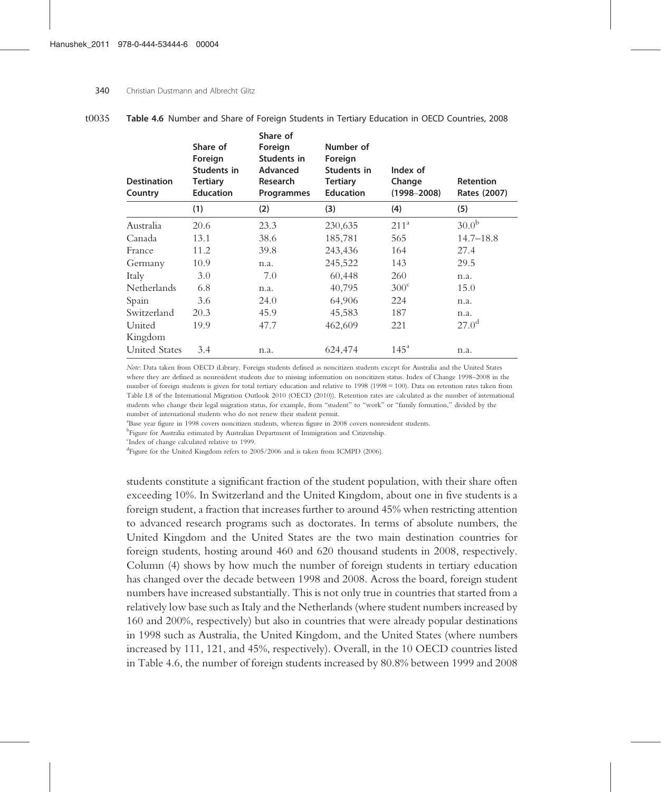| <b>Destination</b><br>Country | Share of<br>Foreign<br>Students in<br><b>Tertiary</b><br><b>Education</b> | Share of<br>Foreign<br>Students in<br>Advanced<br><b>Research</b><br>Programmes | Number of<br>Foreign<br>Students in<br><b>Tertiary</b><br><b>Education</b> | Index of<br>Change<br>$(1998 - 2008)$ | <b>Retention</b><br>Rates (2007) |
|-------------------------------|---------------------------------------------------------------------------|---------------------------------------------------------------------------------|----------------------------------------------------------------------------|---------------------------------------|----------------------------------|
|                               | (1)                                                                       | (2)                                                                             | (3)                                                                        | (4)                                   | (5)                              |
| Australia                     | 20.6                                                                      | 23.3                                                                            | 230,635                                                                    | 211 <sup>a</sup>                      | $30.0^{b}$                       |
| Canada                        | 13.1                                                                      | 38.6                                                                            | 185,781                                                                    | 565                                   | $14.7 - 18.8$                    |
| France                        | 11.2                                                                      | 39.8                                                                            | 243,436                                                                    | 164                                   | 27.4                             |
| Germany                       | 10.9                                                                      | n.a.                                                                            | 245,522                                                                    | 143                                   | 29.5                             |
| Italy                         | 3.0                                                                       | 7.0                                                                             | 60,448                                                                     | 260                                   | n.a.                             |
| Netherlands                   | 6.8                                                                       | n.a.                                                                            | 40,795                                                                     | $300^{\circ}$                         | 15.0                             |
| Spain                         | 3.6                                                                       | 24.0                                                                            | 64,906                                                                     | 224                                   | n.a.                             |
| Switzerland                   | 20.3                                                                      | 45.9                                                                            | 45,583                                                                     | 187                                   | n.a.                             |
| United                        | 19.9                                                                      | 47.7                                                                            | 462,609                                                                    | 221                                   | $27.0^{\rm d}$                   |
| Kingdom                       |                                                                           |                                                                                 |                                                                            |                                       |                                  |
| <b>United States</b>          | 3.4                                                                       | n.a.                                                                            | 624,474                                                                    | 145 <sup>a</sup>                      | n.a.                             |

#### t0035 Table 4.6 Number and Share of Foreign Students in Tertiary Education in OECD Countries, 2008

Note: Data taken from OECD iLibrary. Foreign students defined as noncitizen students except for Australia and the United States where they are defined as nonresident students due to missing information on noncitizen status. Index of Change 1998–2008 in the number of foreign students is given for total tertiary education and relative to 1998 (1998 = 100). Data on retention rates taken from Table I.8 of the International Migration Outlook 2010 (OECD (2010)). Retention rates are calculated as the number of international students who change their legal migration status, for example, from "student" to "work" or "family formation," divided by the number of international students who do not renew their student permit.

a Base year figure in 1998 covers noncitizen students, whereas figure in 2008 covers nonresident students.

<sup>b</sup>Figure for Australia estimated by Australian Department of Immigration and Citizenship.

c Index of change calculated relative to 1999.

d Figure for the United Kingdom refers to 2005/2006 and is taken from ICMPD (2006).

students constitute a significant fraction of the student population, with their share often exceeding 10%. In Switzerland and the United Kingdom, about one in five students is a foreign student, a fraction that increases further to around 45% when restricting attention to advanced research programs such as doctorates. In terms of absolute numbers, the United Kingdom and the United States are the two main destination countries for foreign students, hosting around 460 and 620 thousand students in 2008, respectively. Column (4) shows by how much the number of foreign students in tertiary education has changed over the decade between 1998 and 2008. Across the board, foreign student numbers have increased substantially. This is not only true in countries that started from a relatively low base such as Italy and the Netherlands (where student numbers increased by 160 and 200%, respectively) but also in countries that were already popular destinations in 1998 such as Australia, the United Kingdom, and the United States (where numbers increased by 111, 121, and 45%, respectively). Overall, in the 10 OECD countries listed in Table 4.6, the number of foreign students increased by 80.8% between 1999 and 2008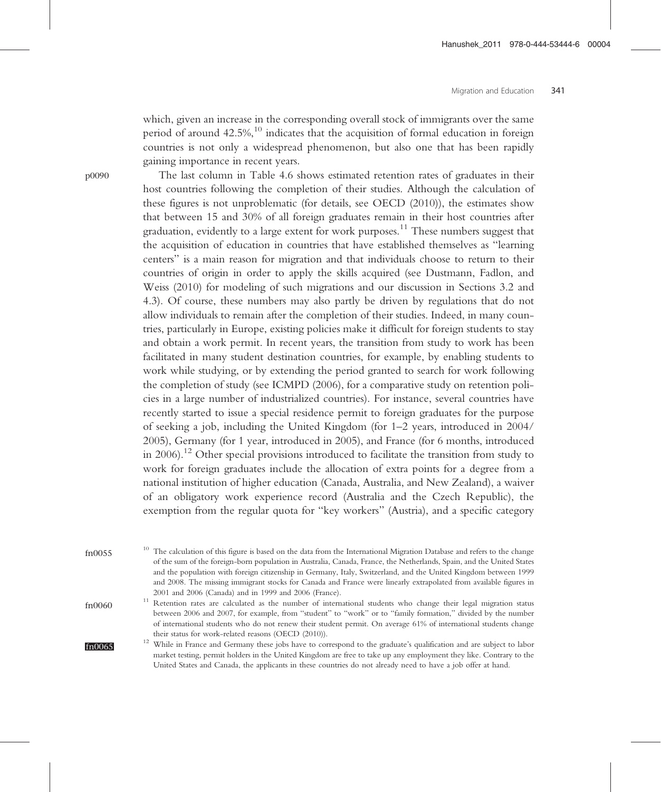which, given an increase in the corresponding overall stock of immigrants over the same period of around  $42.5\%$ ,<sup>10</sup> indicates that the acquisition of formal education in foreign countries is not only a widespread phenomenon, but also one that has been rapidly gaining importance in recent years.

p0090 The last column in Table 4.6 shows estimated retention rates of graduates in their host countries following the completion of their studies. Although the calculation of these figures is not unproblematic (for details, see OECD (2010)), the estimates show that between 15 and 30% of all foreign graduates remain in their host countries after graduation, evidently to a large extent for work purposes.<sup>11</sup> These numbers suggest that the acquisition of education in countries that have established themselves as "learning centers" is a main reason for migration and that individuals choose to return to their countries of origin in order to apply the skills acquired (see Dustmann, Fadlon, and Weiss (2010) for modeling of such migrations and our discussion in Sections 3.2 and 4.3). Of course, these numbers may also partly be driven by regulations that do not allow individuals to remain after the completion of their studies. Indeed, in many countries, particularly in Europe, existing policies make it difficult for foreign students to stay and obtain a work permit. In recent years, the transition from study to work has been facilitated in many student destination countries, for example, by enabling students to work while studying, or by extending the period granted to search for work following the completion of study (see ICMPD (2006), for a comparative study on retention policies in a large number of industrialized countries). For instance, several countries have recently started to issue a special residence permit to foreign graduates for the purpose of seeking a job, including the United Kingdom (for 1–2 years, introduced in 2004/ 2005), Germany (for 1 year, introduced in 2005), and France (for 6 months, introduced in 2006).<sup>12</sup> Other special provisions introduced to facilitate the transition from study to work for foreign graduates include the allocation of extra points for a degree from a national institution of higher education (Canada, Australia, and New Zealand), a waiver of an obligatory work experience record (Australia and the Czech Republic), the exemption from the regular quota for "key workers" (Austria), and a specific category

fn0055<sup>10</sup> The calculation of this figure is based on the data from the International Migration Database and refers to the change of the sum of the foreign-born population in Australia, Canada, France, the Netherlands, Spain, and the United States and the population with foreign citizenship in Germany, Italy, Switzerland, and the United Kingdom between 1999 and 2008. The missing immigrant stocks for Canada and France were linearly extrapolated from available figures in 2001 and 2006 (Canada) and in 1999 and 2006 (France).

fn0065 <sup>12</sup> While in France and Germany these jobs have to correspond to the graduate's qualification and are subject to labor market testing, permit holders in the United Kingdom are free to take up any employment they like. Contrary to the United States and Canada, the applicants in these countries do not already need to have a job offer at hand.

fn0060<sup>11</sup> Retention rates are calculated as the number of international students who change their legal migration status between 2006 and 2007, for example, from "student" to "work" or to "family formation," divided by the number of international students who do not renew their student permit. On average 61% of international students change their status for work-related reasons (OECD (2010)).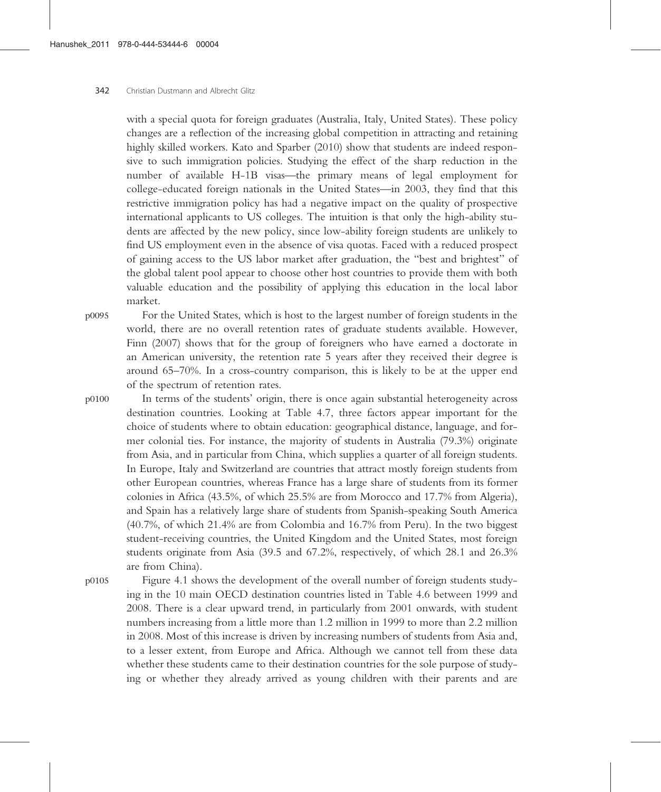with a special quota for foreign graduates (Australia, Italy, United States). These policy changes are a reflection of the increasing global competition in attracting and retaining highly skilled workers. Kato and Sparber (2010) show that students are indeed responsive to such immigration policies. Studying the effect of the sharp reduction in the number of available H-1B visas—the primary means of legal employment for college-educated foreign nationals in the United States—in 2003, they find that this restrictive immigration policy has had a negative impact on the quality of prospective international applicants to US colleges. The intuition is that only the high-ability students are affected by the new policy, since low-ability foreign students are unlikely to find US employment even in the absence of visa quotas. Faced with a reduced prospect of gaining access to the US labor market after graduation, the "best and brightest" of the global talent pool appear to choose other host countries to provide them with both valuable education and the possibility of applying this education in the local labor market.

- p0095 For the United States, which is host to the largest number of foreign students in the world, there are no overall retention rates of graduate students available. However, Finn (2007) shows that for the group of foreigners who have earned a doctorate in an American university, the retention rate 5 years after they received their degree is around 65–70%. In a cross-country comparison, this is likely to be at the upper end of the spectrum of retention rates.
- 
- p0100 In terms of the students' origin, there is once again substantial heterogeneity across destination countries. Looking at Table 4.7, three factors appear important for the choice of students where to obtain education: geographical distance, language, and former colonial ties. For instance, the majority of students in Australia (79.3%) originate from Asia, and in particular from China, which supplies a quarter of all foreign students. In Europe, Italy and Switzerland are countries that attract mostly foreign students from other European countries, whereas France has a large share of students from its former colonies in Africa (43.5%, of which 25.5% are from Morocco and 17.7% from Algeria), and Spain has a relatively large share of students from Spanish-speaking South America (40.7%, of which 21.4% are from Colombia and 16.7% from Peru). In the two biggest student-receiving countries, the United Kingdom and the United States, most foreign students originate from Asia (39.5 and 67.2%, respectively, of which 28.1 and 26.3% are from China).
- p0105 Figure 4.1 shows the development of the overall number of foreign students studying in the 10 main OECD destination countries listed in Table 4.6 between 1999 and 2008. There is a clear upward trend, in particularly from 2001 onwards, with student numbers increasing from a little more than 1.2 million in 1999 to more than 2.2 million in 2008. Most of this increase is driven by increasing numbers of students from Asia and, to a lesser extent, from Europe and Africa. Although we cannot tell from these data whether these students came to their destination countries for the sole purpose of studying or whether they already arrived as young children with their parents and are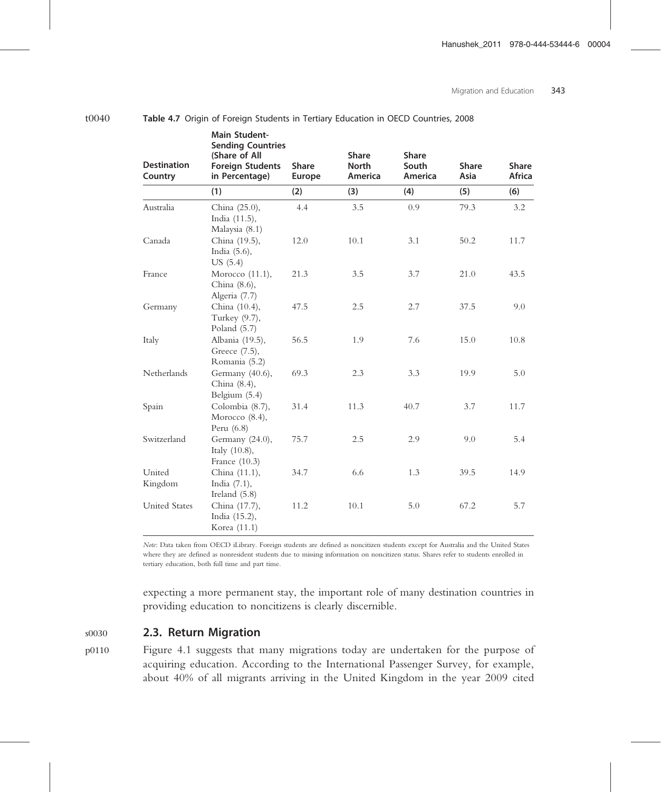| <b>Destination</b><br>Country | <b>Main Student-</b><br><b>Sending Countries</b><br>(Share of All<br><b>Foreign Students</b><br>in Percentage) | <b>Share</b><br><b>Europe</b> | Share<br><b>North</b><br>America | Share<br>South<br>America | Share<br>Asia | Share<br>Africa |
|-------------------------------|----------------------------------------------------------------------------------------------------------------|-------------------------------|----------------------------------|---------------------------|---------------|-----------------|
|                               | (1)                                                                                                            | (2)                           | (3)                              | (4)                       | (5)           | (6)             |
| Australia                     | China (25.0),<br>India (11.5),<br>Malaysia (8.1)                                                               | 4.4                           | 3.5                              | 0.9                       | 79.3          | 3.2             |
| Canada                        | China (19.5),<br>India (5.6),<br>US(5.4)                                                                       | 12.0                          | 10.1                             | 3.1                       | 50.2          | 11.7            |
| France                        | Morocco (11.1),<br>China (8.6),<br>Algeria (7.7)                                                               | 21.3                          | 3.5                              | 3.7                       | 21.0          | 43.5            |
| Germany                       | China (10.4),<br>Turkey (9.7),<br>Poland $(5.7)$                                                               | 47.5                          | 2.5                              | 2.7                       | 37.5          | 9.0             |
| Italy                         | Albania (19.5),<br>Greece (7.5),<br>Romania (5.2)                                                              | 56.5                          | 1.9                              | 7.6                       | 15.0          | 10.8            |
| Netherlands                   | Germany (40.6),<br>China (8.4),<br>Belgium (5.4)                                                               | 69.3                          | 2.3                              | 3.3                       | 19.9          | 5.0             |
| Spain                         | Colombia (8.7),<br>Morocco (8.4),<br>Peru $(6.8)$                                                              | 31.4                          | 11.3                             | 40.7                      | 3.7           | 11.7            |
| Switzerland                   | Germany (24.0),<br>Italy (10.8),<br>France $(10.3)$                                                            | 75.7                          | 2.5                              | 2.9                       | 9.0           | 5.4             |
| United<br>Kingdom             | China (11.1),<br>India $(7.1)$ ,<br>Ireland $(5.8)$                                                            | 34.7                          | 6.6                              | 1.3                       | 39.5          | 14.9            |
| <b>United States</b>          | China (17.7),<br>India (15.2),<br>Korea (11.1)                                                                 | 11.2                          | 10.1                             | 5.0                       | 67.2          | 5.7             |

#### t0040 Table 4.7 Origin of Foreign Students in Tertiary Education in OECD Countries, 2008

Note: Data taken from OECD iLibrary. Foreign students are defined as noncitizen students except for Australia and the United States where they are defined as nonresident students due to missing information on noncitizen status. Shares refer to students enrolled in tertiary education, both full time and part time.

expecting a more permanent stay, the important role of many destination countries in providing education to noncitizens is clearly discernible.

# s0030 **2.3. Return Migration**<br>p0110 **Figure 4.1** suggests that 1

Figure 4.1 suggests that many migrations today are undertaken for the purpose of acquiring education. According to the International Passenger Survey, for example, about 40% of all migrants arriving in the United Kingdom in the year 2009 cited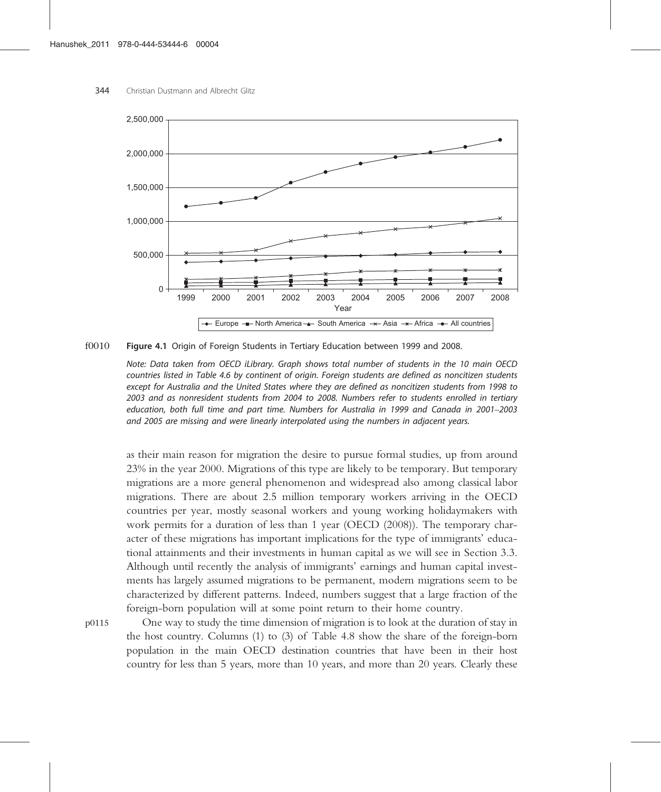

#### f0010 Figure 4.1 Origin of Foreign Students in Tertiary Education between 1999 and 2008.

Note: Data taken from OECD iLibrary. Graph shows total number of students in the 10 main OECD countries listed in Table 4.6 by continent of origin. Foreign students are defined as noncitizen students except for Australia and the United States where they are defined as noncitizen students from 1998 to 2003 and as nonresident students from 2004 to 2008. Numbers refer to students enrolled in tertiary education, both full time and part time. Numbers for Australia in 1999 and Canada in 2001–2003 and 2005 are missing and were linearly interpolated using the numbers in adjacent years.

as their main reason for migration the desire to pursue formal studies, up from around 23% in the year 2000. Migrations of this type are likely to be temporary. But temporary migrations are a more general phenomenon and widespread also among classical labor migrations. There are about 2.5 million temporary workers arriving in the OECD countries per year, mostly seasonal workers and young working holidaymakers with work permits for a duration of less than 1 year (OECD (2008)). The temporary character of these migrations has important implications for the type of immigrants' educational attainments and their investments in human capital as we will see in Section 3.3. Although until recently the analysis of immigrants' earnings and human capital investments has largely assumed migrations to be permanent, modern migrations seem to be characterized by different patterns. Indeed, numbers suggest that a large fraction of the foreign-born population will at some point return to their home country.

p0115 One way to study the time dimension of migration is to look at the duration of stay in the host country. Columns (1) to (3) of Table 4.8 show the share of the foreign-born population in the main OECD destination countries that have been in their host country for less than 5 years, more than 10 years, and more than 20 years. Clearly these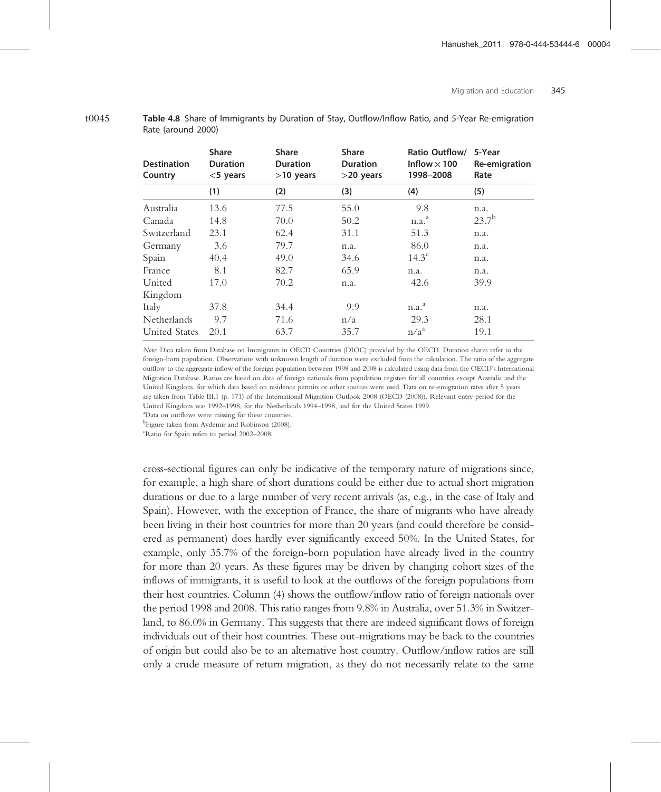| <b>Destination</b><br>Country | Share<br><b>Duration</b><br>$<$ 5 years | Share<br><b>Duration</b><br>$>10$ years | <b>Share</b><br><b>Duration</b><br>$>$ 20 years | Ratio Outflow/ 5-Year<br>Inflow $\times$ 100<br>1998-2008 | Re-emigration<br>Rate |
|-------------------------------|-----------------------------------------|-----------------------------------------|-------------------------------------------------|-----------------------------------------------------------|-----------------------|
|                               | (1)                                     | (2)                                     | (3)                                             | (4)                                                       | (5)                   |
| Australia                     | 13.6                                    | 77.5                                    | 55.0                                            | 9.8                                                       | n.a.                  |
| Canada                        | 14.8                                    | 70.0                                    | 50.2                                            | n.a. <sup>a</sup>                                         | $23.7^{b}$            |
| Switzerland                   | 23.1                                    | 62.4                                    | 31.1                                            | 51.3                                                      | n.a.                  |
| Germany                       | 3.6                                     | 79.7                                    | n.a.                                            | 86.0                                                      | n.a.                  |
| Spain                         | 40.4                                    | 49.0                                    | 34.6                                            | $14.3^{\circ}$                                            | n.a.                  |
| France                        | 8.1                                     | 82.7                                    | 65.9                                            | n.a.                                                      | n.a.                  |
| United                        | 17.0                                    | 70.2                                    | n.a.                                            | 42.6                                                      | 39.9                  |
| Kingdom                       |                                         |                                         |                                                 |                                                           |                       |
| Italy                         | 37.8                                    | 34.4                                    | 9.9                                             | n.a. <sup>a</sup>                                         | n.a.                  |
| <b>Netherlands</b>            | 9.7                                     | 71.6                                    | n/a                                             | 29.3                                                      | 28.1                  |
| United States                 | 20.1                                    | 63.7                                    | 35.7                                            | n/a <sup>a</sup>                                          | 19.1                  |

| t0045 | Table 4.8 Share of Immigrants by Duration of Stay, Outflow/Inflow Ratio, and 5-Year Re-emigration |
|-------|---------------------------------------------------------------------------------------------------|
|       | Rate (around 2000)                                                                                |

Note: Data taken from Database on Immigrants in OECD Countries (DIOC) provided by the OECD. Duration shares refer to the foreign-born population. Observations with unknown length of duration were excluded from the calculation. The ratio of the aggregate outflow to the aggregate inflow of the foreign population between 1998 and 2008 is calculated using data from the OECD's International Migration Database. Ratios are based on data of foreign nationals from population registers for all countries except Australia and the United Kingdom, for which data based on residence permits or other sources were used. Data on re-emigration rates after 5 years are taken from Table III.1 (p. 171) of the International Migration Outlook 2008 (OECD (2008)). Relevant entry period for the United Kingdom was 1992–1998, for the Netherlands 1994–1998, and for the United States 1999.

a Data on outflows were missing for these countries.

b Figure taken from Aydemir and Robinson (2008).

c Ratio for Spain refers to period 2002–2008.

cross-sectional figures can only be indicative of the temporary nature of migrations since, for example, a high share of short durations could be either due to actual short migration durations or due to a large number of very recent arrivals (as, e.g., in the case of Italy and Spain). However, with the exception of France, the share of migrants who have already been living in their host countries for more than 20 years (and could therefore be considered as permanent) does hardly ever significantly exceed 50%. In the United States, for example, only 35.7% of the foreign-born population have already lived in the country for more than 20 years. As these figures may be driven by changing cohort sizes of the inflows of immigrants, it is useful to look at the outflows of the foreign populations from their host countries. Column (4) shows the outflow/inflow ratio of foreign nationals over the period 1998 and 2008. This ratio ranges from 9.8% in Australia, over 51.3% in Switzerland, to 86.0% in Germany. This suggests that there are indeed significant flows of foreign individuals out of their host countries. These out-migrations may be back to the countries of origin but could also be to an alternative host country. Outflow/inflow ratios are still only a crude measure of return migration, as they do not necessarily relate to the same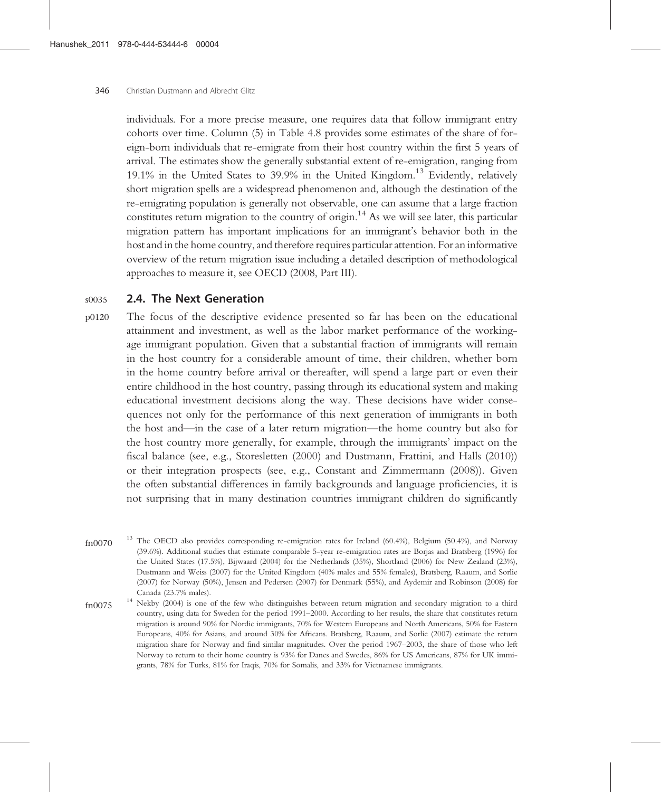individuals. For a more precise measure, one requires data that follow immigrant entry cohorts over time. Column (5) in Table 4.8 provides some estimates of the share of foreign-born individuals that re-emigrate from their host country within the first 5 years of arrival. The estimates show the generally substantial extent of re-emigration, ranging from 19.1% in the United States to 39.9% in the United Kingdom.13 Evidently, relatively short migration spells are a widespread phenomenon and, although the destination of the re-emigrating population is generally not observable, one can assume that a large fraction constitutes return migration to the country of origin.<sup>14</sup> As we will see later, this particular migration pattern has important implications for an immigrant's behavior both in the host and in the home country, and therefore requires particular attention. For an informative overview of the return migration issue including a detailed description of methodological approaches to measure it, see OECD (2008, Part III).

#### s0035 2.4. The Next Generation

- p0120 The focus of the descriptive evidence presented so far has been on the educational attainment and investment, as well as the labor market performance of the workingage immigrant population. Given that a substantial fraction of immigrants will remain in the host country for a considerable amount of time, their children, whether born in the home country before arrival or thereafter, will spend a large part or even their entire childhood in the host country, passing through its educational system and making educational investment decisions along the way. These decisions have wider consequences not only for the performance of this next generation of immigrants in both the host and—in the case of a later return migration—the home country but also for the host country more generally, for example, through the immigrants' impact on the fiscal balance (see, e.g., Storesletten (2000) and Dustmann, Frattini, and Halls (2010)) or their integration prospects (see, e.g., Constant and Zimmermann (2008)). Given the often substantial differences in family backgrounds and language proficiencies, it is not surprising that in many destination countries immigrant children do significantly
- fn0070 <sup>13</sup> The OECD also provides corresponding re-emigration rates for Ireland (60.4%), Belgium (50.4%), and Norway (39.6%). Additional studies that estimate comparable 5-year re-emigration rates are Borjas and Bratsberg (1996) for the United States (17.5%), Bijwaard (2004) for the Netherlands (35%), Shortland (2006) for New Zealand (23%), Dustmann and Weiss (2007) for the United Kingdom (40% males and 55% females), Bratsberg, Raaum, and Sorlie (2007) for Norway (50%), Jensen and Pedersen (2007) for Denmark (55%), and Aydemir and Robinson (2008) for Canada (23.7% males).
- fn0075 <sup>14</sup> Nekby (2004) is one of the few who distinguishes between return migration and secondary migration to a third country, using data for Sweden for the period 1991–2000. According to her results, the share that constitutes return migration is around 90% for Nordic immigrants, 70% for Western Europeans and North Americans, 50% for Eastern Europeans, 40% for Asians, and around 30% for Africans. Bratsberg, Raaum, and Sorlie (2007) estimate the return migration share for Norway and find similar magnitudes. Over the period 1967–2003, the share of those who left Norway to return to their home country is 93% for Danes and Swedes, 86% for US Americans, 87% for UK immigrants, 78% for Turks, 81% for Iraqis, 70% for Somalis, and 33% for Vietnamese immigrants.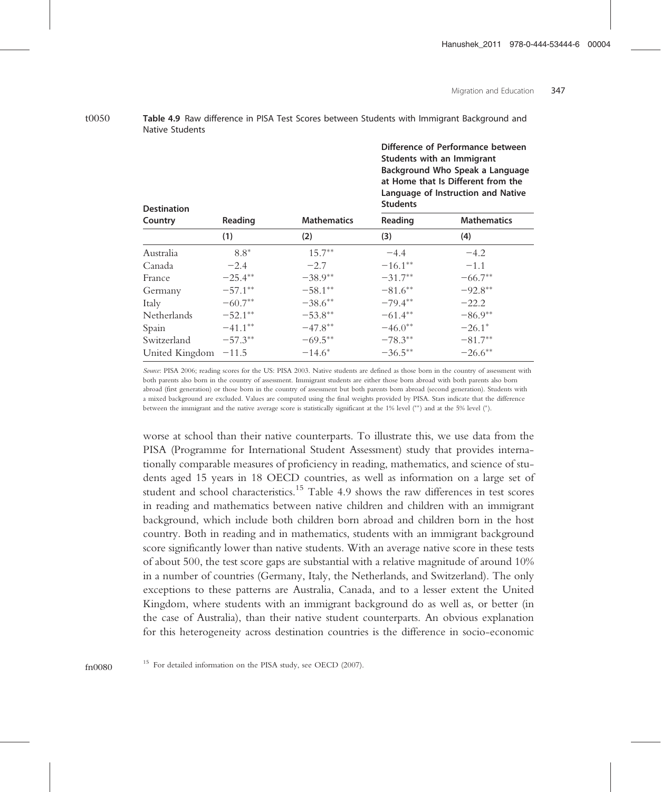#### Migration and Education 347

| <b>Destination</b>       |            |                    | Difference of Performance between<br>Students with an Immigrant<br>Background Who Speak a Language<br>at Home that Is Different from the<br>Language of Instruction and Native<br><b>Students</b> |                    |
|--------------------------|------------|--------------------|---------------------------------------------------------------------------------------------------------------------------------------------------------------------------------------------------|--------------------|
| Country                  | Reading    | <b>Mathematics</b> | Reading                                                                                                                                                                                           | <b>Mathematics</b> |
|                          | (1)        | (2)                | (3)                                                                                                                                                                                               | (4)                |
| Australia                | $8.8*$     | $15.7***$          | $-4.4$                                                                                                                                                                                            | $-4.2$             |
| Canada                   | $-2.4$     | $-2.7$             | $-16.1**$                                                                                                                                                                                         | $-1.1$             |
| France                   | $-25.4**$  | $-38.9**$          | $-31.7**$                                                                                                                                                                                         | $-66.7**$          |
| Germany                  | $-57.1**$  | $-58.1**$          | $-81.6**$                                                                                                                                                                                         | $-92.8**$          |
| Italy                    | $-60.7**$  | $-38.6**$          | $-79.4**$                                                                                                                                                                                         | $-22.2$            |
| Netherlands              | $-52.1***$ | $-53.8**$          | $-61.4**$                                                                                                                                                                                         | $-86.9**$          |
| Spain                    | $-41.1***$ | $-47.8**$          | $-46.0**$                                                                                                                                                                                         | $-26.1*$           |
| $-57.3**$<br>Switzerland |            | $-69.5**$          | $-78.3**$                                                                                                                                                                                         | $-81.7**$          |
| United Kingdom           | $-11.5$    | $-14.6*$           | $-36.5**$                                                                                                                                                                                         | $-26.6**$          |

t0050 Table 4.9 Raw difference in PISA Test Scores between Students with Immigrant Background and Native Students

> Source: PISA 2006; reading scores for the US: PISA 2003. Native students are defined as those born in the country of assessment with both parents also born in the country of assessment. Immigrant students are either those born abroad with both parents also born abroad (first generation) or those born in the country of assessment but both parents born abroad (second generation). Students with a mixed background are excluded. Values are computed using the final weights provided by PISA. Stars indicate that the difference between the immigrant and the native average score is statistically significant at the 1% level (\*) and at the 5% level (\*).

> worse at school than their native counterparts. To illustrate this, we use data from the PISA (Programme for International Student Assessment) study that provides internationally comparable measures of proficiency in reading, mathematics, and science of students aged 15 years in 18 OECD countries, as well as information on a large set of student and school characteristics.<sup>15</sup> Table 4.9 shows the raw differences in test scores in reading and mathematics between native children and children with an immigrant background, which include both children born abroad and children born in the host country. Both in reading and in mathematics, students with an immigrant background score significantly lower than native students. With an average native score in these tests of about 500, the test score gaps are substantial with a relative magnitude of around 10% in a number of countries (Germany, Italy, the Netherlands, and Switzerland). The only exceptions to these patterns are Australia, Canada, and to a lesser extent the United Kingdom, where students with an immigrant background do as well as, or better (in the case of Australia), than their native student counterparts. An obvious explanation for this heterogeneity across destination countries is the difference in socio-economic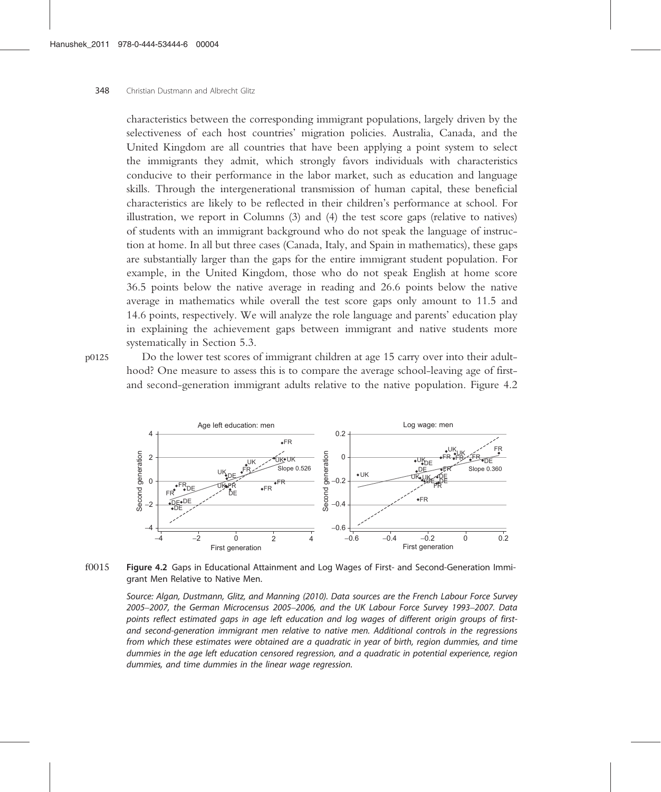characteristics between the corresponding immigrant populations, largely driven by the selectiveness of each host countries' migration policies. Australia, Canada, and the United Kingdom are all countries that have been applying a point system to select the immigrants they admit, which strongly favors individuals with characteristics conducive to their performance in the labor market, such as education and language skills. Through the intergenerational transmission of human capital, these beneficial characteristics are likely to be reflected in their children's performance at school. For illustration, we report in Columns (3) and (4) the test score gaps (relative to natives) of students with an immigrant background who do not speak the language of instruction at home. In all but three cases (Canada, Italy, and Spain in mathematics), these gaps are substantially larger than the gaps for the entire immigrant student population. For example, in the United Kingdom, those who do not speak English at home score 36.5 points below the native average in reading and 26.6 points below the native average in mathematics while overall the test score gaps only amount to 11.5 and 14.6 points, respectively. We will analyze the role language and parents' education play in explaining the achievement gaps between immigrant and native students more systematically in Section 5.3.

p0125 Do the lower test scores of immigrant children at age 15 carry over into their adulthood? One measure to assess this is to compare the average school-leaving age of firstand second-generation immigrant adults relative to the native population. Figure 4.2



f0015 Figure 4.2 Gaps in Educational Attainment and Log Wages of First- and Second-Generation Immigrant Men Relative to Native Men.

Source: Algan, Dustmann, Glitz, and Manning (2010). Data sources are the French Labour Force Survey 2005–2007, the German Microcensus 2005–2006, and the UK Labour Force Survey 1993–2007. Data points reflect estimated gaps in age left education and log wages of different origin groups of firstand second-generation immigrant men relative to native men. Additional controls in the regressions from which these estimates were obtained are a quadratic in year of birth, region dummies, and time dummies in the age left education censored regression, and a quadratic in potential experience, region dummies, and time dummies in the linear wage regression.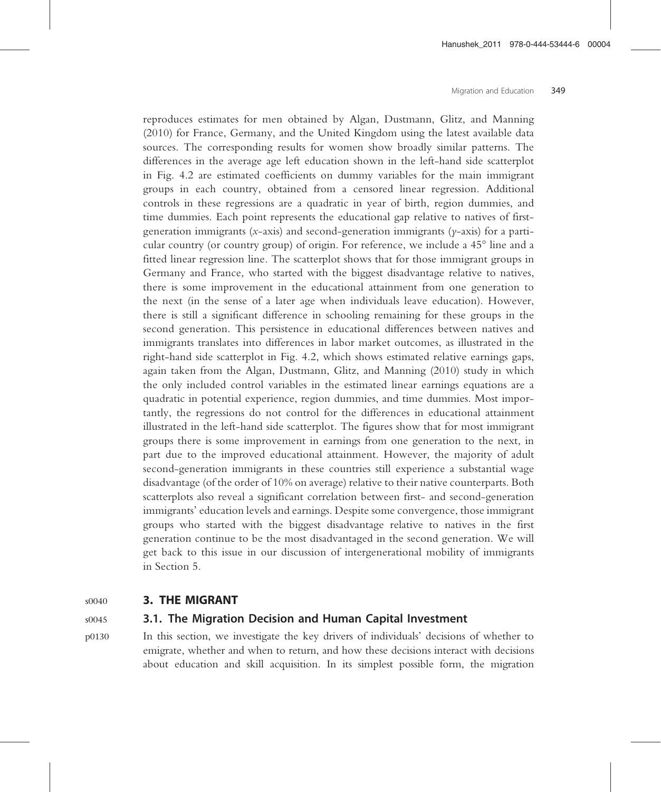reproduces estimates for men obtained by Algan, Dustmann, Glitz, and Manning (2010) for France, Germany, and the United Kingdom using the latest available data sources. The corresponding results for women show broadly similar patterns. The differences in the average age left education shown in the left-hand side scatterplot in Fig. 4.2 are estimated coefficients on dummy variables for the main immigrant groups in each country, obtained from a censored linear regression. Additional controls in these regressions are a quadratic in year of birth, region dummies, and time dummies. Each point represents the educational gap relative to natives of firstgeneration immigrants (x-axis) and second-generation immigrants (y-axis) for a particular country (or country group) of origin. For reference, we include a 45° line and a fitted linear regression line. The scatterplot shows that for those immigrant groups in Germany and France, who started with the biggest disadvantage relative to natives, there is some improvement in the educational attainment from one generation to the next (in the sense of a later age when individuals leave education). However, there is still a significant difference in schooling remaining for these groups in the second generation. This persistence in educational differences between natives and immigrants translates into differences in labor market outcomes, as illustrated in the right-hand side scatterplot in Fig. 4.2, which shows estimated relative earnings gaps, again taken from the Algan, Dustmann, Glitz, and Manning (2010) study in which the only included control variables in the estimated linear earnings equations are a quadratic in potential experience, region dummies, and time dummies. Most importantly, the regressions do not control for the differences in educational attainment illustrated in the left-hand side scatterplot. The figures show that for most immigrant groups there is some improvement in earnings from one generation to the next, in part due to the improved educational attainment. However, the majority of adult second-generation immigrants in these countries still experience a substantial wage disadvantage (of the order of 10% on average) relative to their native counterparts. Both scatterplots also reveal a significant correlation between first- and second-generation immigrants' education levels and earnings. Despite some convergence, those immigrant groups who started with the biggest disadvantage relative to natives in the first generation continue to be the most disadvantaged in the second generation. We will get back to this issue in our discussion of intergenerational mobility of immigrants in Section 5.

#### s0040 **3. THE MIGRANT**

### s0045 3.1. The Migration Decision and Human Capital Investment

p0130 In this section, we investigate the key drivers of individuals' decisions of whether to emigrate, whether and when to return, and how these decisions interact with decisions about education and skill acquisition. In its simplest possible form, the migration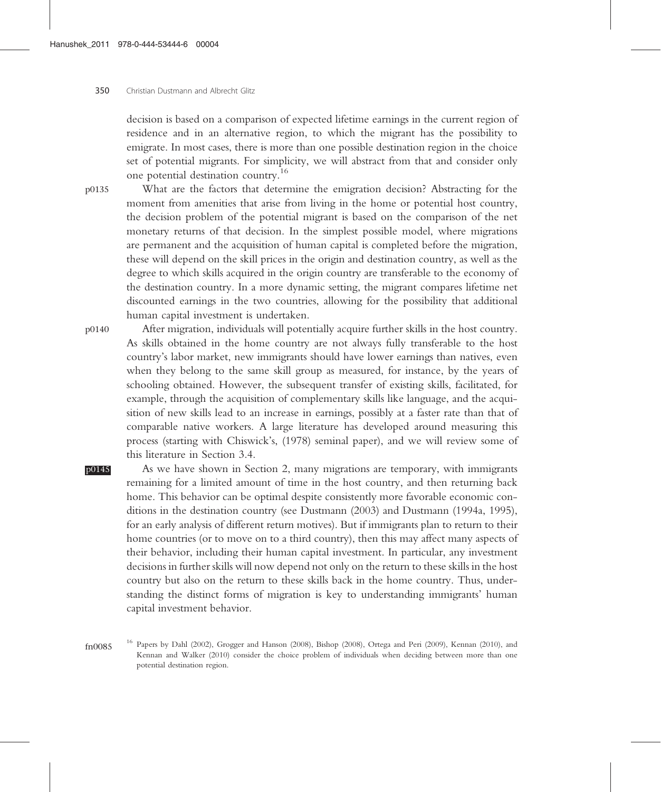decision is based on a comparison of expected lifetime earnings in the current region of residence and in an alternative region, to which the migrant has the possibility to emigrate. In most cases, there is more than one possible destination region in the choice set of potential migrants. For simplicity, we will abstract from that and consider only one potential destination country.16

- p0135 What are the factors that determine the emigration decision? Abstracting for the moment from amenities that arise from living in the home or potential host country, the decision problem of the potential migrant is based on the comparison of the net monetary returns of that decision. In the simplest possible model, where migrations are permanent and the acquisition of human capital is completed before the migration, these will depend on the skill prices in the origin and destination country, as well as the degree to which skills acquired in the origin country are transferable to the economy of the destination country. In a more dynamic setting, the migrant compares lifetime net discounted earnings in the two countries, allowing for the possibility that additional human capital investment is undertaken.
- p0140 After migration, individuals will potentially acquire further skills in the host country. As skills obtained in the home country are not always fully transferable to the host country's labor market, new immigrants should have lower earnings than natives, even when they belong to the same skill group as measured, for instance, by the years of schooling obtained. However, the subsequent transfer of existing skills, facilitated, for example, through the acquisition of complementary skills like language, and the acquisition of new skills lead to an increase in earnings, possibly at a faster rate than that of comparable native workers. A large literature has developed around measuring this process (starting with Chiswick's, (1978) seminal paper), and we will review some of this literature in Section 3.4.
- 

p0145 As we have shown in Section 2, many migrations are temporary, with immigrants remaining for a limited amount of time in the host country, and then returning back home. This behavior can be optimal despite consistently more favorable economic conditions in the destination country (see Dustmann (2003) and Dustmann (1994a, 1995), for an early analysis of different return motives). But if immigrants plan to return to their home countries (or to move on to a third country), then this may affect many aspects of their behavior, including their human capital investment. In particular, any investment decisions in further skills will now depend not only on the return to these skills in the host country but also on the return to these skills back in the home country. Thus, understanding the distinct forms of migration is key to understanding immigrants' human capital investment behavior.

fn0085 <sup>16</sup> Papers by Dahl (2002), Grogger and Hanson (2008), Bishop (2008), Ortega and Peri (2009), Kennan (2010), and Kennan and Walker (2010) consider the choice problem of individuals when deciding between more than one potential destination region.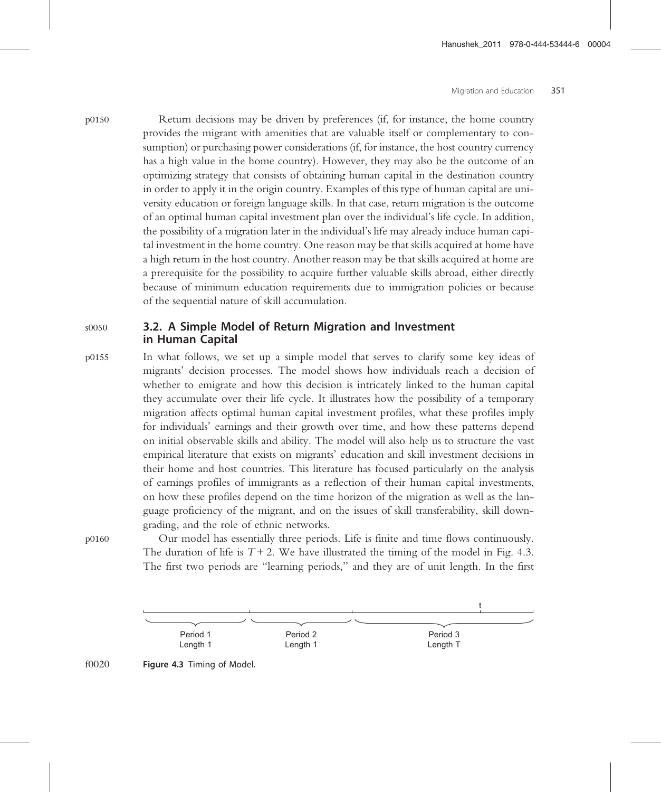p0150 Return decisions may be driven by preferences (if, for instance, the home country provides the migrant with amenities that are valuable itself or complementary to consumption) or purchasing power considerations (if, for instance, the host country currency has a high value in the home country). However, they may also be the outcome of an optimizing strategy that consists of obtaining human capital in the destination country in order to apply it in the origin country. Examples of this type of human capital are university education or foreign language skills. In that case, return migration is the outcome of an optimal human capital investment plan over the individual's life cycle. In addition, the possibility of a migration later in the individual's life may already induce human capital investment in the home country. One reason may be that skills acquired at home have a high return in the host country. Another reason may be that skills acquired at home are a prerequisite for the possibility to acquire further valuable skills abroad, either directly because of minimum education requirements due to immigration policies or because of the sequential nature of skill accumulation.

### s0050 3.2. A Simple Model of Return Migration and Investment in Human Capital

p0155 In what follows, we set up a simple model that serves to clarify some key ideas of migrants' decision processes. The model shows how individuals reach a decision of whether to emigrate and how this decision is intricately linked to the human capital they accumulate over their life cycle. It illustrates how the possibility of a temporary migration affects optimal human capital investment profiles, what these profiles imply for individuals' earnings and their growth over time, and how these patterns depend on initial observable skills and ability. The model will also help us to structure the vast empirical literature that exists on migrants' education and skill investment decisions in their home and host countries. This literature has focused particularly on the analysis of earnings profiles of immigrants as a reflection of their human capital investments, on how these profiles depend on the time horizon of the migration as well as the language proficiency of the migrant, and on the issues of skill transferability, skill downgrading, and the role of ethnic networks.

p0160 Our model has essentially three periods. Life is finite and time flows continuously. The duration of life is  $T + 2$ . We have illustrated the timing of the model in Fig. 4.3. The first two periods are "learning periods," and they are of unit length. In the first

> Period 1 Length 1 Period 2 Length 1 Period 3 Length T t

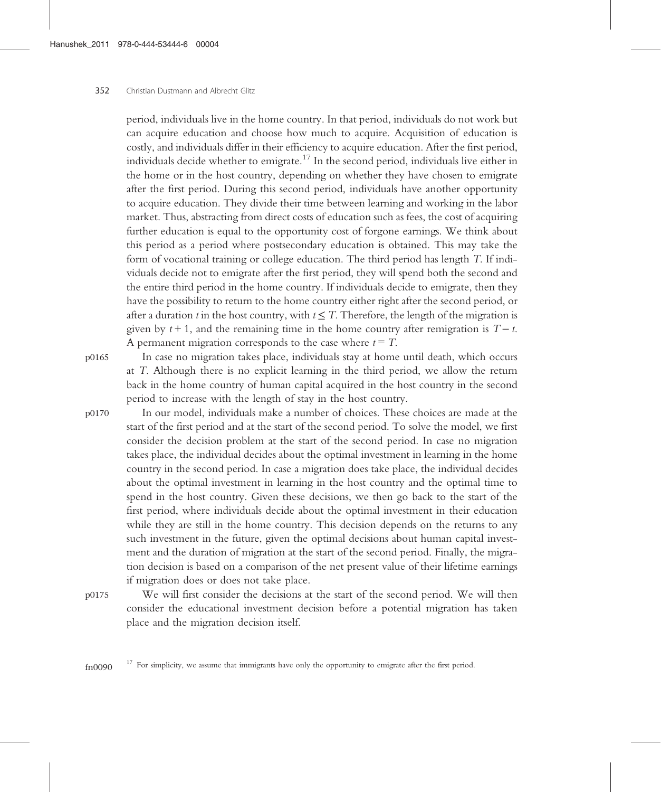period, individuals live in the home country. In that period, individuals do not work but can acquire education and choose how much to acquire. Acquisition of education is costly, and individuals differ in their efficiency to acquire education. After the first period, individuals decide whether to emigrate.<sup>17</sup> In the second period, individuals live either in the home or in the host country, depending on whether they have chosen to emigrate after the first period. During this second period, individuals have another opportunity to acquire education. They divide their time between learning and working in the labor market. Thus, abstracting from direct costs of education such as fees, the cost of acquiring further education is equal to the opportunity cost of forgone earnings. We think about this period as a period where postsecondary education is obtained. This may take the form of vocational training or college education. The third period has length T. If individuals decide not to emigrate after the first period, they will spend both the second and the entire third period in the home country. If individuals decide to emigrate, then they have the possibility to return to the home country either right after the second period, or after a duration t in the host country, with  $t \leq T$ . Therefore, the length of the migration is given by  $t + 1$ , and the remaining time in the home country after remigration is  $T - t$ . A permanent migration corresponds to the case where  $t = T$ .

p0165 In case no migration takes place, individuals stay at home until death, which occurs at T. Although there is no explicit learning in the third period, we allow the return back in the home country of human capital acquired in the host country in the second period to increase with the length of stay in the host country.

- p0170 In our model, individuals make a number of choices. These choices are made at the start of the first period and at the start of the second period. To solve the model, we first consider the decision problem at the start of the second period. In case no migration takes place, the individual decides about the optimal investment in learning in the home country in the second period. In case a migration does take place, the individual decides about the optimal investment in learning in the host country and the optimal time to spend in the host country. Given these decisions, we then go back to the start of the first period, where individuals decide about the optimal investment in their education while they are still in the home country. This decision depends on the returns to any such investment in the future, given the optimal decisions about human capital investment and the duration of migration at the start of the second period. Finally, the migration decision is based on a comparison of the net present value of their lifetime earnings if migration does or does not take place.
- p0175 We will first consider the decisions at the start of the second period. We will then consider the educational investment decision before a potential migration has taken place and the migration decision itself.

fn0090<sup>17</sup> For simplicity, we assume that immigrants have only the opportunity to emigrate after the first period.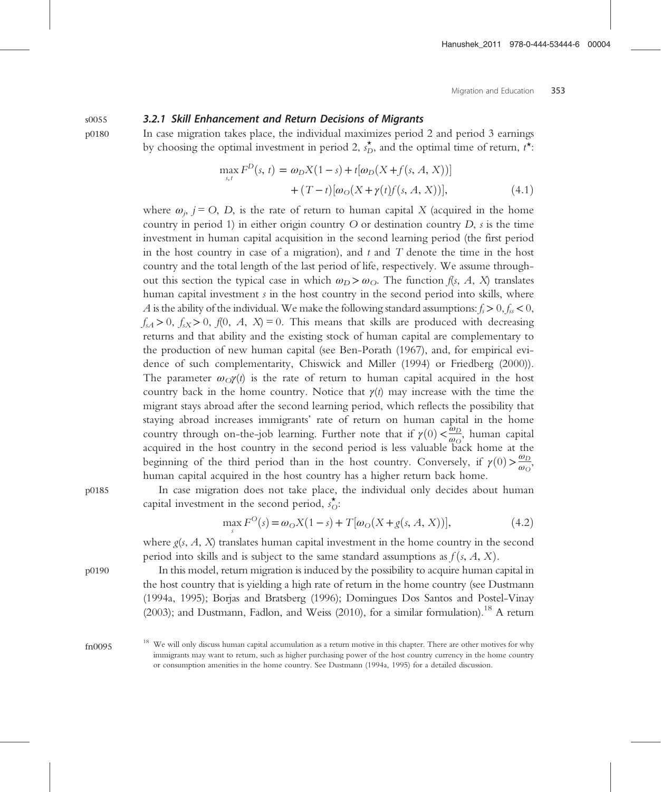### s0055 **3.2.1 Skill Enhancement and Return Decisions of Migrants** p0180 **In case migration takes place**, the individual maximizes period

In case migration takes place, the individual maximizes period 2 and period 3 earnings by choosing the optimal investment in period 2,  $\zeta$ , and the optimal time of return,  $t^*$ :

$$
\max_{s,t} F^{D}(s,t) = \omega_{D} X(1-s) + t[\omega_{D}(X+f(s, A, X))]
$$

$$
+ (T-t)[\omega_{O}(X+\gamma(t)f(s, A, X))], \qquad (4.1)
$$

where  $\omega_j$ ,  $j = O$ , D, is the rate of return to human capital X (acquired in the home country in period 1) in either origin country O or destination country  $D$ , s is the time investment in human capital acquisition in the second learning period (the first period in the host country in case of a migration), and  $t$  and  $T$  denote the time in the host country and the total length of the last period of life, respectively. We assume throughout this section the typical case in which  $\omega_D > \omega_O$ . The function f(s, A, X) translates human capital investment s in the host country in the second period into skills, where A is the ability of the individual. We make the following standard assumptions:  $f_s > 0$ ,  $f_s < 0$ ,  $f_{sA} > 0$ ,  $f_{sX} > 0$ ,  $f(0, A, X) = 0$ . This means that skills are produced with decreasing returns and that ability and the existing stock of human capital are complementary to the production of new human capital (see Ben-Porath (1967), and, for empirical evidence of such complementarity, Chiswick and Miller (1994) or Friedberg (2000)). The parameter  $\omega_{\Omega}y(t)$  is the rate of return to human capital acquired in the host country back in the home country. Notice that  $\gamma(t)$  may increase with the time the migrant stays abroad after the second learning period, which reflects the possibility that staying abroad increases immigrants' rate of return on human capital in the home country through on-the-job learning. Further note that if  $\gamma(0) < \frac{\omega_D}{\omega_O}$ , human capital acquired in the host country in the second period is less valuable back home at the beginning of the third period than in the host country. Conversely, if  $\gamma(0) > \frac{\omega_D}{\omega_O}$ human capital acquired in the host country has a higher return back home.

p0185 In case migration does not take place, the individual only decides about human capital investment in the second period,  $s_{\text{o}}^{\star}$ :

$$
\max_{s} F^{O}(s) = \omega_{O} X(1-s) + T[\omega_{O}(X + g(s, A, X))],
$$
\n(4.2)

where  $g(s, A, X)$  translates human capital investment in the home country in the second period into skills and is subject to the same standard assumptions as  $f(s, A, X)$ .

p0190 In this model, return migration is induced by the possibility to acquire human capital in the host country that is yielding a high rate of return in the home country (see Dustmann (1994a, 1995); Borjas and Bratsberg (1996); Domingues Dos Santos and Postel-Vinay (2003); and Dustmann, Fadlon, and Weiss (2010), for a similar formulation).<sup>18</sup> A return

fn0095<sup>18</sup> We will only discuss human capital accumulation as a return motive in this chapter. There are other motives for why immigrants may want to return, such as higher purchasing power of the host country currency in the home country or consumption amenities in the home country. See Dustmann (1994a, 1995) for a detailed discussion.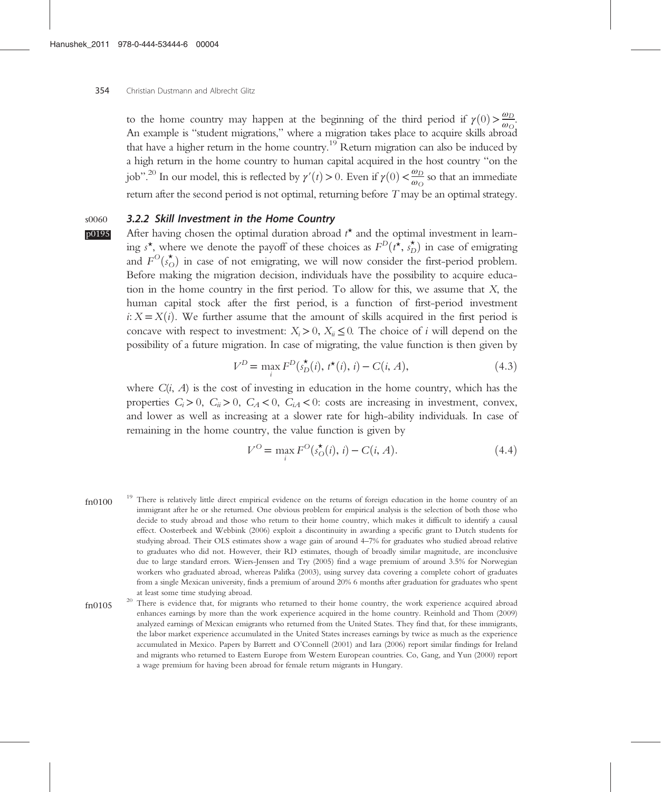to the home country may happen at the beginning of the third period if  $\gamma(0) > \frac{\omega_D}{\omega_O}$ An example is "student migrations," where a migration takes place to acquire skills abroad that have a higher return in the home country.19 Return migration can also be induced by a high return in the home country to human capital acquired in the host country "on the job".<sup>20</sup> In our model, this is reflected by  $\gamma'(t) > 0$ . Even if  $\gamma(0) < \frac{\omega_D}{\omega_O}$  so that an immediate return after the second period is not optimal, returning before T may be an optimal strategy.

### s0060 **3.2.2 Skill Investment in the Home Country**<br>**p0195** After having chosen the optimal duration abroa

After having chosen the optimal duration abroad  $t^*$  and the optimal investment in learning  $s^*$ , where we denote the payoff of these choices as  $F^D(t^*, s_D^*)$  in case of emigrating and  $F^{\text{O}}(\xi_{\text{O}}^{\star})$  in case of not emigrating, we will now consider the first-period problem. Before making the migration decision, individuals have the possibility to acquire education in the home country in the first period. To allow for this, we assume that  $X$ , the human capital stock after the first period, is a function of first-period investment i:  $X = X(i)$ . We further assume that the amount of skills acquired in the first period is concave with respect to investment:  $X_i > 0$ ,  $X_{ii} \leq 0$ . The choice of i will depend on the possibility of a future migration. In case of migrating, the value function is then given by

$$
V^{D} = \max_{i} F^{D}(\zeta_{D}^{\star}(i), t^{\star}(i), i) - C(i, A), \qquad (4.3)
$$

where  $C(i, A)$  is the cost of investing in education in the home country, which has the properties  $C_i > 0$ ,  $C_{ii} > 0$ ,  $C_A < 0$ ,  $C_A < 0$ : costs are increasing in investment, convex, and lower as well as increasing at a slower rate for high-ability individuals. In case of remaining in the home country, the value function is given by

$$
V^{O} = \max_{i} F^{O}(\zeta_{O}^{*}(i), i) - C(i, A).
$$
 (4.4)

fn0100<sup>19</sup> There is relatively little direct empirical evidence on the returns of foreign education in the home country of an immigrant after he or she returned. One obvious problem for empirical analysis is the selection of both those who decide to study abroad and those who return to their home country, which makes it difficult to identify a causal effect. Oosterbeek and Webbink (2006) exploit a discontinuity in awarding a specific grant to Dutch students for studying abroad. Their OLS estimates show a wage gain of around 4–7% for graduates who studied abroad relative to graduates who did not. However, their RD estimates, though of broadly similar magnitude, are inconclusive due to large standard errors. Wiers-Jenssen and Try (2005) find a wage premium of around 3.5% for Norwegian workers who graduated abroad, whereas Palifka (2003), using survey data covering a complete cohort of graduates from a single Mexican university, finds a premium of around 20% 6 months after graduation for graduates who spent at least some time studying abroad.

fn0105<sup>20</sup> There is evidence that, for migrants who returned to their home country, the work experience acquired abroad enhances earnings by more than the work experience acquired in the home country. Reinhold and Thom (2009) analyzed earnings of Mexican emigrants who returned from the United States. They find that, for these immigrants, the labor market experience accumulated in the United States increases earnings by twice as much as the experience accumulated in Mexico. Papers by Barrett and O'Connell (2001) and Iara (2006) report similar findings for Ireland and migrants who returned to Eastern Europe from Western European countries. Co, Gang, and Yun (2000) report a wage premium for having been abroad for female return migrants in Hungary.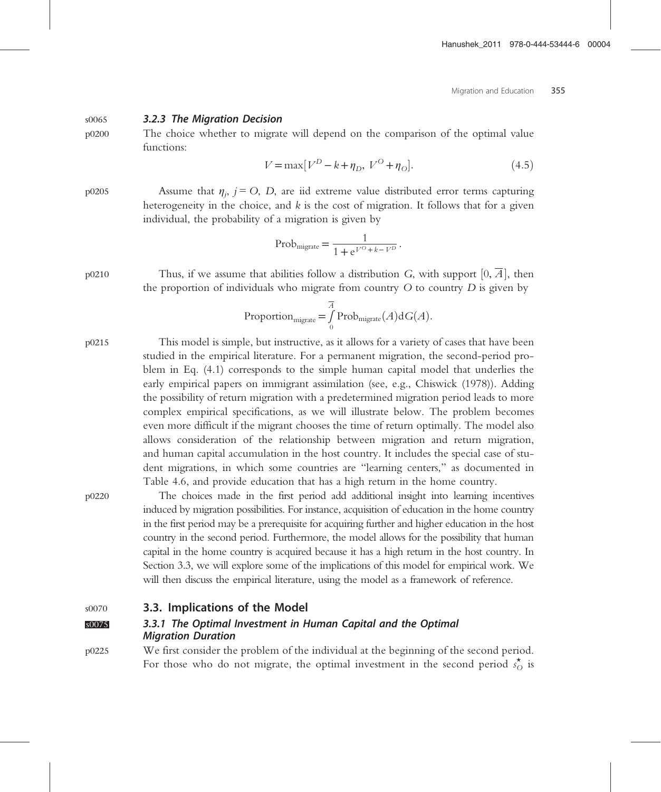### s0065 **3.2.3 The Migration Decision**<br>p0200 **11** The choice whether to migrat

The choice whether to migrate will depend on the comparison of the optimal value functions:

$$
V = \max[V^{D} - k + \eta_{D}, V^{O} + \eta_{O}].
$$
\n(4.5)

p0205 Assume that  $\eta_j$ ,  $j = O$ ,  $D$ , are iid extreme value distributed error terms capturing heterogeneity in the choice, and  $k$  is the cost of migration. It follows that for a given individual, the probability of a migration is given by

$$
\text{Prob}_{\text{migrate}} = \frac{1}{1 + e^{V^0 + k - V^D}}.
$$

p0210 Thus, if we assume that abilities follow a distribution G, with support  $[0, \overline{A}]$ , then the proportion of individuals who migrate from country  $O$  to country  $D$  is given by

$$
\text{Proportion}_{\text{migrate}} = \int_{0}^{\overline{A}} \text{Prob}_{\text{migrate}}(A) \text{d}G(A).
$$

- p0215 This model is simple, but instructive, as it allows for a variety of cases that have been studied in the empirical literature. For a permanent migration, the second-period problem in Eq. (4.1) corresponds to the simple human capital model that underlies the early empirical papers on immigrant assimilation (see, e.g., Chiswick (1978)). Adding the possibility of return migration with a predetermined migration period leads to more complex empirical specifications, as we will illustrate below. The problem becomes even more difficult if the migrant chooses the time of return optimally. The model also allows consideration of the relationship between migration and return migration, and human capital accumulation in the host country. It includes the special case of student migrations, in which some countries are "learning centers," as documented in Table 4.6, and provide education that has a high return in the home country.
- p0220 The choices made in the first period add additional insight into learning incentives induced by migration possibilities. For instance, acquisition of education in the home country in the first period may be a prerequisite for acquiring further and higher education in the host country in the second period. Furthermore, the model allows for the possibility that human capital in the home country is acquired because it has a high return in the host country. In Section 3.3, we will explore some of the implications of this model for empirical work. We will then discuss the empirical literature, using the model as a framework of reference.

## $\frac{1}{50070}$  3.3. Implications of the Model<br> $\frac{1}{50075}$  3.3.1 The Optimal Investment in H

### 3.3.1 The Optimal Investment in Human Capital and the Optimal Migration Duration

p0225 We first consider the problem of the individual at the beginning of the second period. For those who do not migrate, the optimal investment in the second period  $s_O^{\star}$  is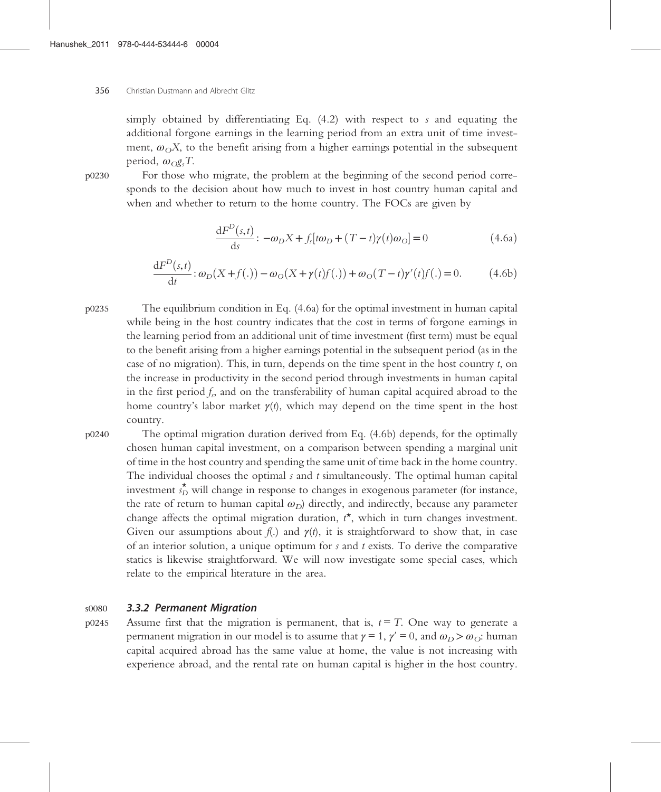simply obtained by differentiating Eq. (4.2) with respect to s and equating the additional forgone earnings in the learning period from an extra unit of time investment,  $\omega_0 X$ , to the benefit arising from a higher earnings potential in the subsequent period,  $\omega_{\Omega}q_{s}T$ .

p0230 For those who migrate, the problem at the beginning of the second period corresponds to the decision about how much to invest in host country human capital and when and whether to return to the home country. The FOCs are given by

$$
\frac{\mathrm{d}F^D(s,t)}{\mathrm{d}s} : -\omega_D X + f_s[t\omega_D + (T-t)\gamma(t)\omega_O] = 0 \tag{4.6a}
$$

$$
\frac{\mathrm{d}F^D(s,t)}{\mathrm{d}t} : \omega_D(X+f(.)) - \omega_O(X+\gamma(t)f(.)) + \omega_O(T-t)\gamma'(t)f(.) = 0.
$$
 (4.6b)

- p0235 The equilibrium condition in Eq. (4.6a) for the optimal investment in human capital while being in the host country indicates that the cost in terms of forgone earnings in the learning period from an additional unit of time investment (first term) must be equal to the benefit arising from a higher earnings potential in the subsequent period (as in the case of no migration). This, in turn, depends on the time spent in the host country t, on the increase in productivity in the second period through investments in human capital in the first period  $f_s$ , and on the transferability of human capital acquired abroad to the home country's labor market  $\gamma(t)$ , which may depend on the time spent in the host country.
- p0240 The optimal migration duration derived from Eq. (4.6b) depends, for the optimally chosen human capital investment, on a comparison between spending a marginal unit of time in the host country and spending the same unit of time back in the home country. The individual chooses the optimal  $s$  and  $t$  simultaneously. The optimal human capital investment  $s_D^{\star}$  will change in response to changes in exogenous parameter (for instance, the rate of return to human capital  $\omega_D$ ) directly, and indirectly, because any parameter change affects the optimal migration duration,  $t^*$ , which in turn changes investment. Given our assumptions about  $f(x)$  and  $\gamma(t)$ , it is straightforward to show that, in case of an interior solution, a unique optimum for  $s$  and  $t$  exists. To derive the comparative statics is likewise straightforward. We will now investigate some special cases, which relate to the empirical literature in the area.

### s0080 **3.3.2 Permanent Migration**<br> $p0245$  **Assume first that the migration**

Assume first that the migration is permanent, that is,  $t = T$ . One way to generate a permanent migration in our model is to assume that  $\gamma = 1$ ,  $\gamma' = 0$ , and  $\omega_D > \omega_O$ : human capital acquired abroad has the same value at home, the value is not increasing with experience abroad, and the rental rate on human capital is higher in the host country.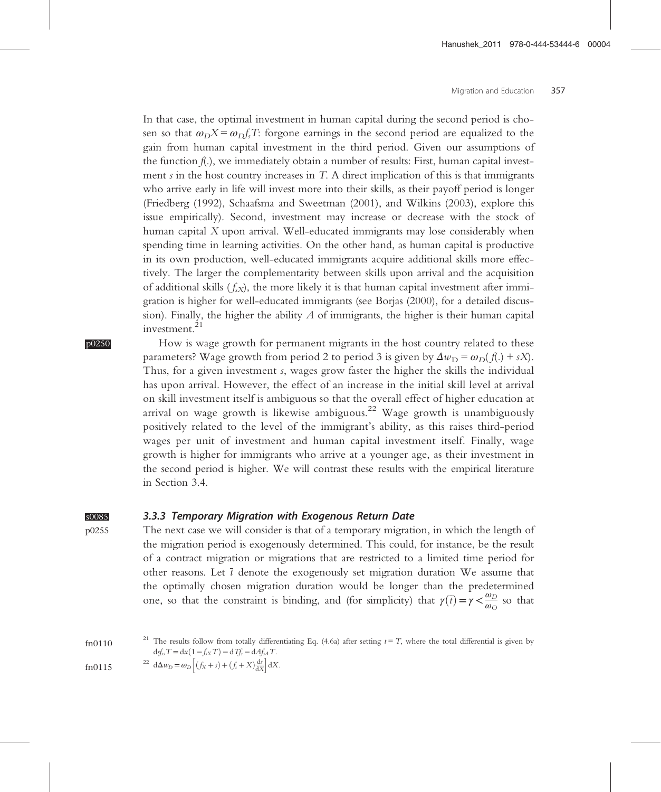In that case, the optimal investment in human capital during the second period is chosen so that  $\omega_D X = \omega_D f_s T$ : forgone earnings in the second period are equalized to the gain from human capital investment in the third period. Given our assumptions of the function  $f(.)$ , we immediately obtain a number of results: First, human capital investment s in the host country increases in T. A direct implication of this is that immigrants who arrive early in life will invest more into their skills, as their payoff period is longer (Friedberg (1992), Schaafsma and Sweetman (2001), and Wilkins (2003), explore this issue empirically). Second, investment may increase or decrease with the stock of human capital X upon arrival. Well-educated immigrants may lose considerably when spending time in learning activities. On the other hand, as human capital is productive in its own production, well-educated immigrants acquire additional skills more effectively. The larger the complementarity between skills upon arrival and the acquisition of additional skills  $(f<sub>x</sub>)$ , the more likely it is that human capital investment after immigration is higher for well-educated immigrants (see Borjas (2000), for a detailed discussion). Finally, the higher the ability  $A$  of immigrants, the higher is their human capital investment. $21$ 

p0250 How is wage growth for permanent migrants in the host country related to these parameters? Wage growth from period 2 to period 3 is given by  $\Delta w_{\rm D} = \omega_D(f) + sX$ . Thus, for a given investment s, wages grow faster the higher the skills the individual has upon arrival. However, the effect of an increase in the initial skill level at arrival on skill investment itself is ambiguous so that the overall effect of higher education at arrival on wage growth is likewise ambiguous.<sup>22</sup> Wage growth is unambiguously positively related to the level of the immigrant's ability, as this raises third-period wages per unit of investment and human capital investment itself. Finally, wage growth is higher for immigrants who arrive at a younger age, as their investment in the second period is higher. We will contrast these results with the empirical literature in Section 3.4.

### **sooss 3.3.3 Temporary Migration with Exogenous Return Date**<br>p0255 The next case we will consider is that of a temporary migration

The next case we will consider is that of a temporary migration, in which the length of the migration period is exogenously determined. This could, for instance, be the result of a contract migration or migrations that are restricted to a limited time period for other reasons. Let  $\bar{t}$  denote the exogenously set migration duration We assume that the optimally chosen migration duration would be longer than the predetermined one, so that the constraint is binding, and (for simplicity) that  $\gamma(\bar{t}) = \gamma < \frac{\omega_D}{\omega_O}$  so that

fn0115 <sup>22</sup> d $\Delta w_D = \omega_D \left[ (f_X + s) + (f_s + X) \frac{ds}{dX} \right] dX.$ 

fn0110 <sup>21</sup> The results follow from totally differentiating Eq. (4.6a) after setting  $t = T$ , where the total differential is given by  $\mathrm{d} s f_s T = \mathrm{d} x (1 - f_{sX} T) - \mathrm{d} T f_s - \mathrm{d} A f_{sA} T.$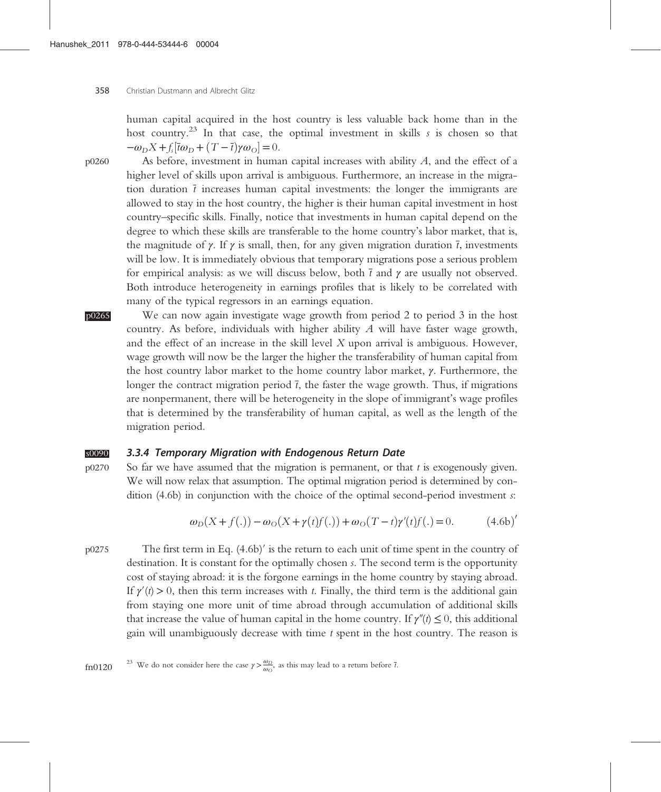human capital acquired in the host country is less valuable back home than in the host country.<sup>23</sup> In that case, the optimal investment in skills  $s$  is chosen so that  $-\omega_D X + f_s[\tau \omega_D + (T - \overline{\tau})\gamma \omega_O] = 0.$ 

 $p0260$  As before, investment in human capital increases with ability A, and the effect of a higher level of skills upon arrival is ambiguous. Furthermore, an increase in the migration duration  $\bar{t}$  increases human capital investments: the longer the immigrants are allowed to stay in the host country, the higher is their human capital investment in host country–specific skills. Finally, notice that investments in human capital depend on the degree to which these skills are transferable to the home country's labor market, that is, the magnitude of  $\gamma$ . If  $\gamma$  is small, then, for any given migration duration  $\bar{t}$ , investments will be low. It is immediately obvious that temporary migrations pose a serious problem for empirical analysis: as we will discuss below, both  $\bar{t}$  and  $\gamma$  are usually not observed. Both introduce heterogeneity in earnings profiles that is likely to be correlated with many of the typical regressors in an earnings equation.

p0265 We can now again investigate wage growth from period 2 to period 3 in the host country. As before, individuals with higher ability  $A$  will have faster wage growth, and the effect of an increase in the skill level X upon arrival is ambiguous. However, wage growth will now be the larger the higher the transferability of human capital from the host country labor market to the home country labor market, γ. Furthermore, the longer the contract migration period  $\bar{t}$ , the faster the wage growth. Thus, if migrations are nonpermanent, there will be heterogeneity in the slope of immigrant's wage profiles that is determined by the transferability of human capital, as well as the length of the migration period.

### **S0090 3.3.4 Temporary Migration with Endogenous Return Date** p0270 So far we have assumed that the migration is permanent, or the

So far we have assumed that the migration is permanent, or that t is exogenously given. We will now relax that assumption. The optimal migration period is determined by condition (4.6b) in conjunction with the choice of the optimal second-period investment s:

$$
\omega_D(X + f(.)) - \omega_O(X + \gamma(t)f(.)) + \omega_O(T - t)\gamma'(t)f(.) = 0.
$$
\n(4.6b)

- p0275 The first term in Eq. (4.6b)′ is the return to each unit of time spent in the country of destination. It is constant for the optimally chosen s. The second term is the opportunity cost of staying abroad: it is the forgone earnings in the home country by staying abroad. If  $\gamma'(t) > 0$ , then this term increases with t. Finally, the third term is the additional gain from staying one more unit of time abroad through accumulation of additional skills that increase the value of human capital in the home country. If  $\gamma''(t) \leq 0$ , this additional gain will unambiguously decrease with time t spent in the host country. The reason is
- fn0120 <sup>23</sup> We do not consider here the case  $\gamma > \frac{\omega_D}{\omega_O}$ , as this may lead to a return before  $\bar{t}$ .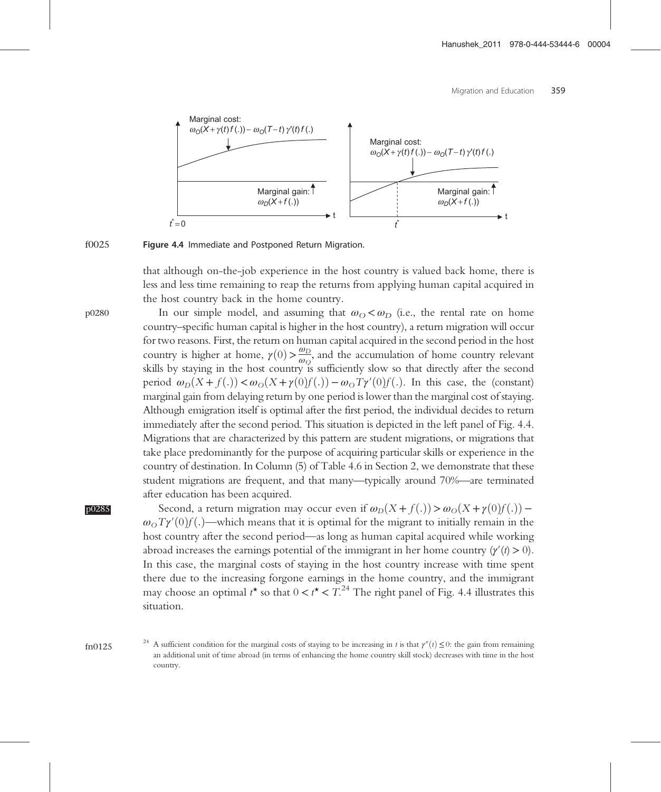

f0025 Figure 4.4 Immediate and Postponed Return Migration.

that although on-the-job experience in the host country is valued back home, there is less and less time remaining to reap the returns from applying human capital acquired in the host country back in the home country.

p0280 In our simple model, and assuming that  $\omega_{\text{O}} < \omega_{\text{D}}$  (i.e., the rental rate on home country–specific human capital is higher in the host country), a return migration will occur for two reasons. First, the return on human capital acquired in the second period in the host country is higher at home,  $\gamma(0) > \frac{\omega_D}{\omega_Q}$ , and the accumulation of home country relevant skills by staying in the host country is sufficiently slow so that directly after the second period  $\omega_D(X + f(.)) < \omega_O(X + \gamma(0)f(.) - \omega_O T\gamma'(0)f(.)$ . In this case, the (constant) marginal gain from delaying return by one period is lower than the marginal cost of staying. Although emigration itself is optimal after the first period, the individual decides to return immediately after the second period. This situation is depicted in the left panel of Fig. 4.4. Migrations that are characterized by this pattern are student migrations, or migrations that take place predominantly for the purpose of acquiring particular skills or experience in the country of destination. In Column (5) of Table 4.6 in Section 2, we demonstrate that these student migrations are frequent, and that many—typically around 70%—are terminated after education has been acquired.

**p0285** Second, a return migration may occur even if  $\omega_D(X + f(.)) > \omega_O(X + \gamma(0)f(.)$  –  $\omega_0 T\gamma'(0)f(.)$ —which means that it is optimal for the migrant to initially remain in the host country after the second period—as long as human capital acquired while working abroad increases the earnings potential of the immigrant in her home country  $(\gamma'(t) > 0)$ . In this case, the marginal costs of staying in the host country increase with time spent there due to the increasing forgone earnings in the home country, and the immigrant may choose an optimal  $t^*$  so that  $0 < t^* < T^{24}$  The right panel of Fig. 4.4 illustrates this situation.

fn0125 <sup>24</sup> A sufficient condition for the marginal costs of staying to be increasing in t is that  $\gamma''(t) \leq 0$ : the gain from remaining an additional unit of time abroad (in terms of enhancing the home country skill stock) decreases with time in the host country.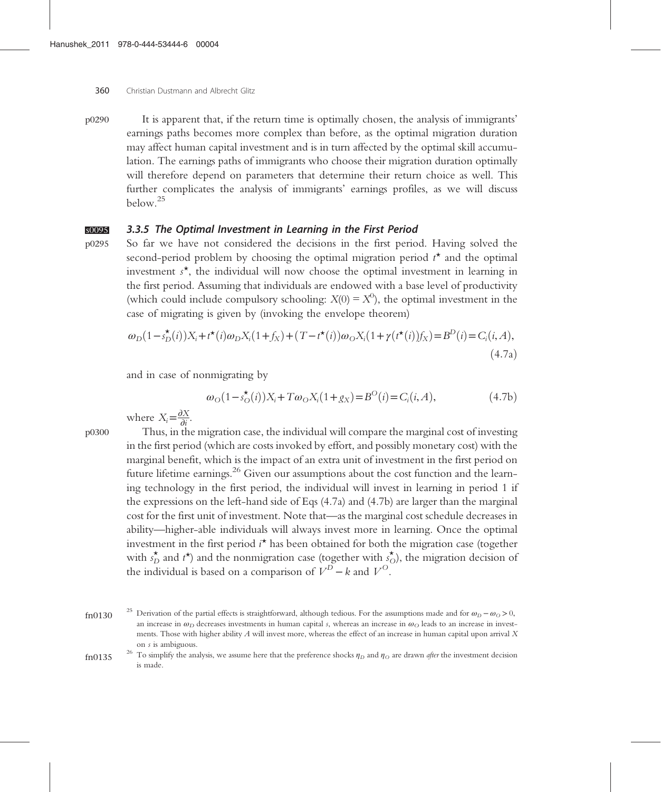p0290 It is apparent that, if the return time is optimally chosen, the analysis of immigrants' earnings paths becomes more complex than before, as the optimal migration duration may affect human capital investment and is in turn affected by the optimal skill accumulation. The earnings paths of immigrants who choose their migration duration optimally will therefore depend on parameters that determine their return choice as well. This further complicates the analysis of immigrants' earnings profiles, as we will discuss below.25

### **s0095 3.3.5 The Optimal Investment in Learning in the First Period** p0295 So far we have not considered the decisions in the first period

So far we have not considered the decisions in the first period. Having solved the second-period problem by choosing the optimal migration period  $t^*$  and the optimal investment  $s^*$ , the individual will now choose the optimal investment in learning in the first period. Assuming that individuals are endowed with a base level of productivity (which could include compulsory schooling:  $X(0) = X^0$ ), the optimal investment in the case of migrating is given by (invoking the envelope theorem)

$$
\omega_D(1 - s_D^*(i))X_i + t^*(i)\omega_D X_i(1 + f_X) + (T - t^*(i))\omega_D X_i(1 + \gamma(t^*(i))f_X) = B^D(i) = C_i(i, A),
$$
\n(4.7a)

and in case of nonmigrating by

$$
\omega_{\text{O}}(1 - s_{\text{O}}^{\star}(i))X_i + T\omega_{\text{O}}X_i(1 + g_X) = B^{\text{O}}(i) = C_i(i, A),\tag{4.7b}
$$

where  $X_i = \frac{\partial X}{\partial i}$ .

p0300 Thus, in the migration case, the individual will compare the marginal cost of investing in the first period (which are costs invoked by effort, and possibly monetary cost) with the marginal benefit, which is the impact of an extra unit of investment in the first period on future lifetime earnings.<sup>26</sup> Given our assumptions about the cost function and the learning technology in the first period, the individual will invest in learning in period 1 if the expressions on the left-hand side of Eqs (4.7a) and (4.7b) are larger than the marginal cost for the first unit of investment. Note that—as the marginal cost schedule decreases in ability—higher-able individuals will always invest more in learning. Once the optimal investment in the first period  $i^*$  has been obtained for both the migration case (together with  $s_D^{\star}$  and  $t^{\star}$ ) and the nonmigration case (together with  $s_O^{\star}$ ), the migration decision of the individual is based on a comparison of  $V^D - k$  and  $V^O$ .

fn0130 <sup>25</sup> Derivation of the partial effects is straightforward, although tedious. For the assumptions made and for  $\omega_D - \omega_O > 0$ , an increase in  $\omega_D$  decreases investments in human capital s, whereas an increase in  $\omega_O$  leads to an increase in investments. Those with higher ability A will invest more, whereas the effect of an increase in human capital upon arrival X on s is ambiguous.

fn0135<sup>26</sup> To simplify the analysis, we assume here that the preference shocks  $\eta_D$  and  $\eta_O$  are drawn *after* the investment decision is made.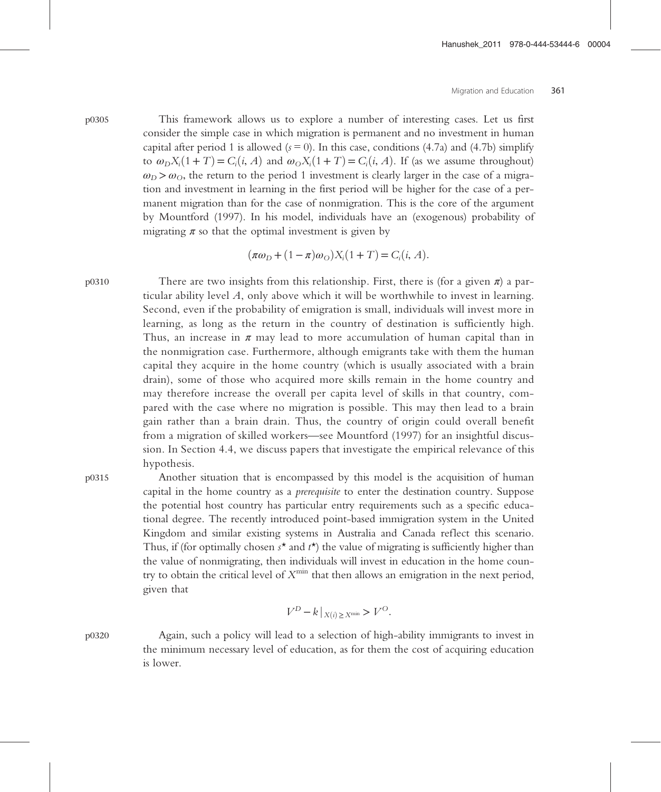p0305 This framework allows us to explore a number of interesting cases. Let us first consider the simple case in which migration is permanent and no investment in human capital after period 1 is allowed  $(s = 0)$ . In this case, conditions (4.7a) and (4.7b) simplify to  $\omega_D X_i(1+T) = C_i(i, A)$  and  $\omega_O X_i(1+T) = C_i(i, A)$ . If (as we assume throughout)  $\omega_D > \omega_O$ , the return to the period 1 investment is clearly larger in the case of a migration and investment in learning in the first period will be higher for the case of a permanent migration than for the case of nonmigration. This is the core of the argument by Mountford (1997). In his model, individuals have an (exogenous) probability of migrating  $\pi$  so that the optimal investment is given by

$$
(\pi\omega_D + (1-\pi)\omega_O)X_i(1+T) = C_i(i, A).
$$

- p0310 There are two insights from this relationship. First, there is (for a given  $\pi$ ) a particular ability level A, only above which it will be worthwhile to invest in learning. Second, even if the probability of emigration is small, individuals will invest more in learning, as long as the return in the country of destination is sufficiently high. Thus, an increase in  $\pi$  may lead to more accumulation of human capital than in the nonmigration case. Furthermore, although emigrants take with them the human capital they acquire in the home country (which is usually associated with a brain drain), some of those who acquired more skills remain in the home country and may therefore increase the overall per capita level of skills in that country, compared with the case where no migration is possible. This may then lead to a brain gain rather than a brain drain. Thus, the country of origin could overall benefit from a migration of skilled workers—see Mountford (1997) for an insightful discussion. In Section 4.4, we discuss papers that investigate the empirical relevance of this hypothesis.
- p0315 Another situation that is encompassed by this model is the acquisition of human capital in the home country as a prerequisite to enter the destination country. Suppose the potential host country has particular entry requirements such as a specific educational degree. The recently introduced point-based immigration system in the United Kingdom and similar existing systems in Australia and Canada reflect this scenario. Thus, if (for optimally chosen  $s^*$  and  $t^*$ ) the value of migrating is sufficiently higher than the value of nonmigrating, then individuals will invest in education in the home country to obtain the critical level of  $X^{\text{min}}$  that then allows an emigration in the next period, given that

$$
V^D - k \mid_{X(i) \ge X^{\min}} > V^O.
$$

p0320 Again, such a policy will lead to a selection of high-ability immigrants to invest in the minimum necessary level of education, as for them the cost of acquiring education is lower.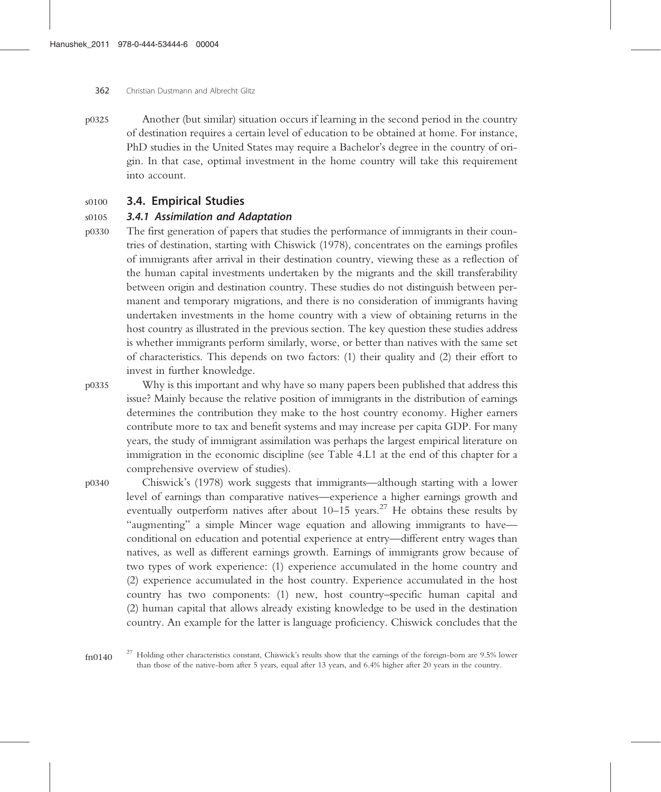p0325 Another (but similar) situation occurs if learning in the second period in the country of destination requires a certain level of education to be obtained at home. For instance, PhD studies in the United States may require a Bachelor's degree in the country of origin. In that case, optimal investment in the home country will take this requirement into account.

## $\frac{1}{1000}$  3.4. Empirical Studies<br> $\frac{1}{10000}$  3.4.1 Assimilation and A

## s0105 **3.4.1 Assimilation and Adaptation**  $p$ 0330 The first generation of papers that stu

The first generation of papers that studies the performance of immigrants in their countries of destination, starting with Chiswick (1978), concentrates on the earnings profiles of immigrants after arrival in their destination country, viewing these as a reflection of the human capital investments undertaken by the migrants and the skill transferability between origin and destination country. These studies do not distinguish between permanent and temporary migrations, and there is no consideration of immigrants having undertaken investments in the home country with a view of obtaining returns in the host country as illustrated in the previous section. The key question these studies address is whether immigrants perform similarly, worse, or better than natives with the same set of characteristics. This depends on two factors: (1) their quality and (2) their effort to invest in further knowledge.

p0335 Why is this important and why have so many papers been published that address this issue? Mainly because the relative position of immigrants in the distribution of earnings determines the contribution they make to the host country economy. Higher earners contribute more to tax and benefit systems and may increase per capita GDP. For many years, the study of immigrant assimilation was perhaps the largest empirical literature on immigration in the economic discipline (see Table 4.L1 at the end of this chapter for a comprehensive overview of studies).

p0340 Chiswick's (1978) work suggests that immigrants—although starting with a lower level of earnings than comparative natives—experience a higher earnings growth and eventually outperform natives after about  $10-15$  years.<sup>27</sup> He obtains these results by "augmenting" a simple Mincer wage equation and allowing immigrants to have conditional on education and potential experience at entry—different entry wages than natives, as well as different earnings growth. Earnings of immigrants grow because of two types of work experience: (1) experience accumulated in the home country and (2) experience accumulated in the host country. Experience accumulated in the host country has two components: (1) new, host country–specific human capital and (2) human capital that allows already existing knowledge to be used in the destination country. An example for the latter is language proficiency. Chiswick concludes that the

fn0140 <sup>27</sup> Holding other characteristics constant, Chiswick's results show that the earnings of the foreign-born are 9.5% lower than those of the native-born after 5 years, equal after 13 years, and 6.4% higher after 20 years in the country.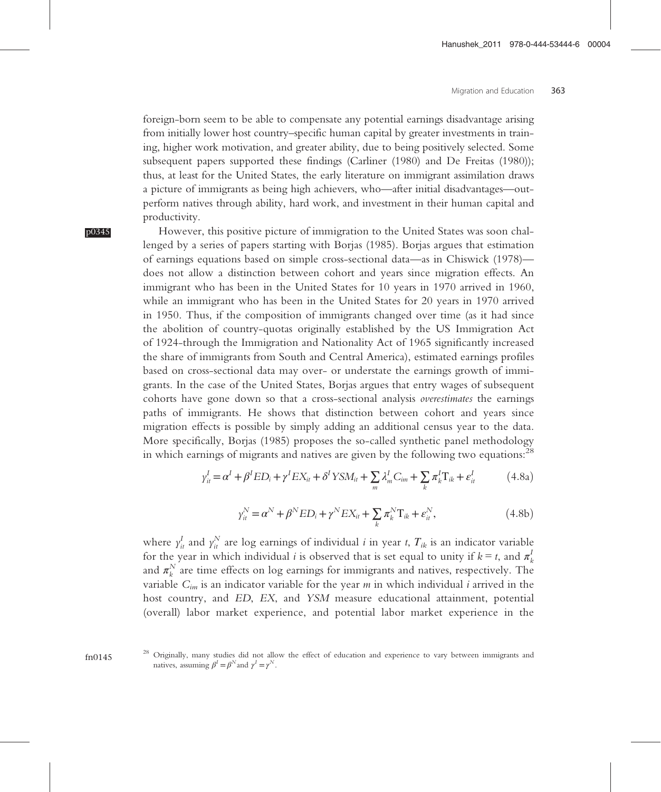foreign-born seem to be able to compensate any potential earnings disadvantage arising from initially lower host country–specific human capital by greater investments in training, higher work motivation, and greater ability, due to being positively selected. Some subsequent papers supported these findings (Carliner (1980) and De Freitas (1980)); thus, at least for the United States, the early literature on immigrant assimilation draws a picture of immigrants as being high achievers, who—after initial disadvantages—outperform natives through ability, hard work, and investment in their human capital and productivity.

p0345 However, this positive picture of immigration to the United States was soon challenged by a series of papers starting with Borjas (1985). Borjas argues that estimation of earnings equations based on simple cross-sectional data—as in Chiswick (1978) does not allow a distinction between cohort and years since migration effects. An immigrant who has been in the United States for 10 years in 1970 arrived in 1960, while an immigrant who has been in the United States for 20 years in 1970 arrived in 1950. Thus, if the composition of immigrants changed over time (as it had since the abolition of country-quotas originally established by the US Immigration Act of 1924-through the Immigration and Nationality Act of 1965 significantly increased the share of immigrants from South and Central America), estimated earnings profiles based on cross-sectional data may over- or understate the earnings growth of immigrants. In the case of the United States, Borjas argues that entry wages of subsequent cohorts have gone down so that a cross-sectional analysis overestimates the earnings paths of immigrants. He shows that distinction between cohort and years since migration effects is possible by simply adding an additional census year to the data. More specifically, Borjas (1985) proposes the so-called synthetic panel methodology in which earnings of migrants and natives are given by the following two equations:<sup>28</sup>

$$
\gamma_{it}^I = \alpha^I + \beta^I ED_i + \gamma^I EX_{it} + \delta^I YSM_{it} + \sum_m \lambda_m^I C_{im} + \sum_k \pi_k^I T_{ik} + \varepsilon_{it}^I
$$
\n(4.8a)

$$
\gamma_{it}^{N} = \alpha^{N} + \beta^{N} ED_{i} + \gamma^{N} EX_{it} + \sum_{k} \pi_{k}^{N} T_{ik} + \varepsilon_{it}^{N},
$$
\n(4.8b)

where  $\gamma_{it}^I$  and  $\gamma_{it}^N$  are log earnings of individual *i* in year *t*,  $T_{ik}$  is an indicator variable for the year in which individual *i* is observed that is set equal to unity if  $k = t$ , and  $\pi_k^I$ and  $\pi_k^N$  are time effects on log earnings for immigrants and natives, respectively. The variable  $C_{im}$  is an indicator variable for the year m in which individual *i* arrived in the host country, and ED, EX, and YSM measure educational attainment, potential (overall) labor market experience, and potential labor market experience in the

fn0145 <sup>28</sup> Originally, many studies did not allow the effect of education and experience to vary between immigrants and natives, assuming  $\beta^I = \beta^N$  and  $\gamma^I = \gamma^N$ .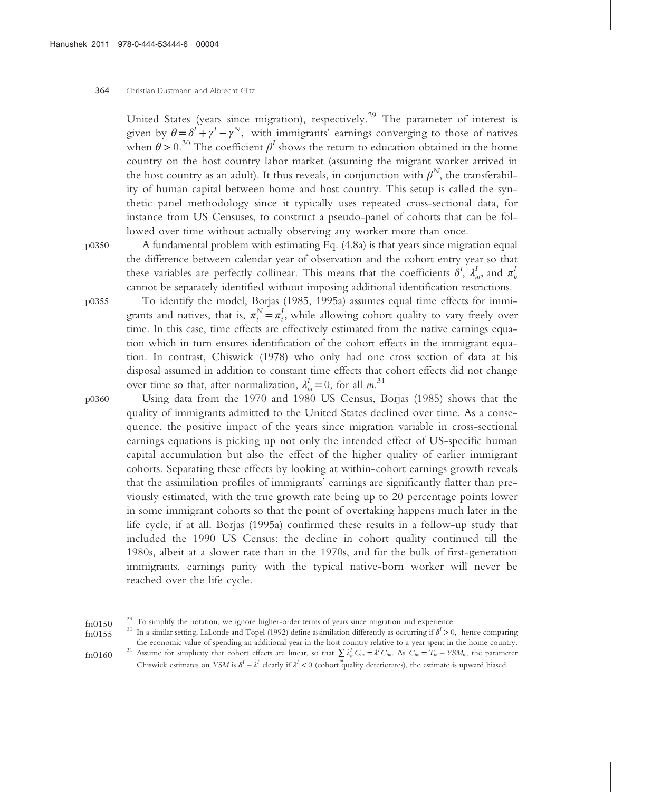United States (years since migration), respectively.<sup>29</sup> The parameter of interest is given by  $\theta = \delta^I + \gamma^I - \gamma^N$ , with immigrants' earnings converging to those of natives when  $\theta > 0^{30}$  The coefficient  $\beta^I$  shows the return to education obtained in the home country on the host country labor market (assuming the migrant worker arrived in the host country as an adult). It thus reveals, in conjunction with  $\beta^N$ , the transferability of human capital between home and host country. This setup is called the synthetic panel methodology since it typically uses repeated cross-sectional data, for instance from US Censuses, to construct a pseudo-panel of cohorts that can be followed over time without actually observing any worker more than once.

- p0350 A fundamental problem with estimating Eq. (4.8a) is that years since migration equal the difference between calendar year of observation and the cohort entry year so that these variables are perfectly collinear. This means that the coefficients  $\delta^I$ ,  $\lambda^I_m$ , and  $\pi^I_k$ cannot be separately identified without imposing additional identification restrictions.
- p0355 To identify the model, Borjas (1985, 1995a) assumes equal time effects for immigrants and natives, that is,  $\pi_t^N = \pi_t^I$ , while allowing cohort quality to vary freely over time. In this case, time effects are effectively estimated from the native earnings equation which in turn ensures identification of the cohort effects in the immigrant equation. In contrast, Chiswick (1978) who only had one cross section of data at his disposal assumed in addition to constant time effects that cohort effects did not change over time so that, after normalization,  $\lambda_m^I = 0$ , for all  $m^{31}$
- p0360 Using data from the 1970 and 1980 US Census, Borjas (1985) shows that the quality of immigrants admitted to the United States declined over time. As a consequence, the positive impact of the years since migration variable in cross-sectional earnings equations is picking up not only the intended effect of US-specific human capital accumulation but also the effect of the higher quality of earlier immigrant cohorts. Separating these effects by looking at within-cohort earnings growth reveals that the assimilation profiles of immigrants' earnings are significantly flatter than previously estimated, with the true growth rate being up to 20 percentage points lower in some immigrant cohorts so that the point of overtaking happens much later in the life cycle, if at all. Borjas (1995a) confirmed these results in a follow-up study that included the 1990 US Census: the decline in cohort quality continued till the 1980s, albeit at a slower rate than in the 1970s, and for the bulk of first-generation immigrants, earnings parity with the typical native-born worker will never be reached over the life cycle.

fn0150 <sup>29</sup> To simplify the notation, we ignore higher-order terms of years since migration and experience.<br>fn0155 <sup>30</sup> In a similar setting, LaLonde and Topel (1992) define assimilation differently as occurring if  $\delta^l >$ 

<sup>&</sup>lt;sup>30</sup> In a similar setting, LaLonde and Topel (1992) define assimilation differently as occurring if  $\delta^1 > 0$ , hence comparing the economic value of spending an additional year in the host country relative to a year spent the economic value of spending an additional year in the host country relative to a year spent in the home country. fn0160 <sup>31</sup> Assume for simplicity that cohort effects are linear, so that  $\sum \lambda_m^I C_{im} = \lambda^I C_{im}$ . As  $C_{im} = T_{ik} - YSM_{ii}$ , the parameter Chiswick estimates on VSM is  $\delta^I - \lambda^I C_{ij}$  cohort quality deteriorates) the estimate Chiswick estimates on YSM is  $\delta^I - \lambda^I$  clearly if  $\lambda^I < 0$  (cohort quality deteriorates), the estimate is upward biased.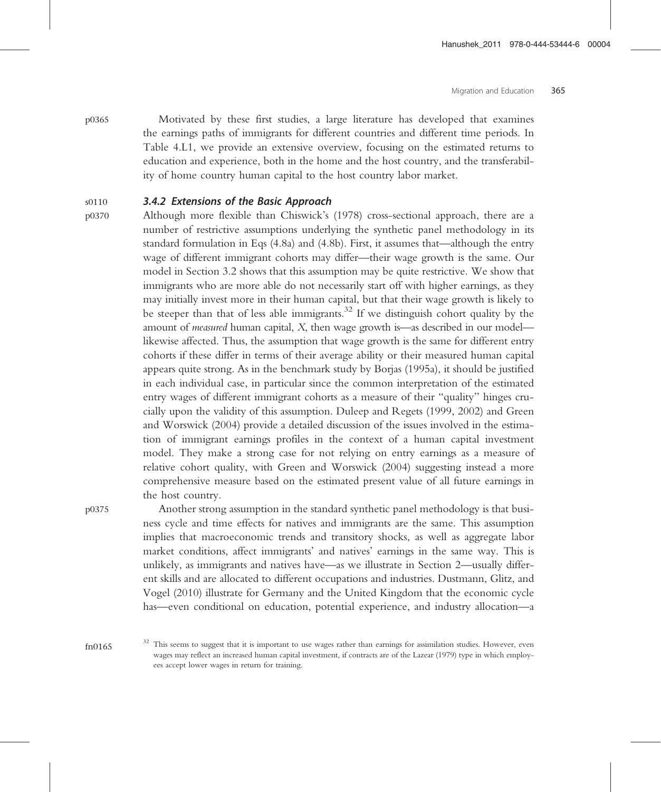p0365 Motivated by these first studies, a large literature has developed that examines the earnings paths of immigrants for different countries and different time periods. In Table 4.L1, we provide an extensive overview, focusing on the estimated returns to education and experience, both in the home and the host country, and the transferability of home country human capital to the host country labor market.

# s0110 **3.4.2 Extensions of the Basic Approach**<br>p0370 **Although more flexible than Chiswick's**

Although more flexible than Chiswick's (1978) cross-sectional approach, there are a number of restrictive assumptions underlying the synthetic panel methodology in its standard formulation in Eqs (4.8a) and (4.8b). First, it assumes that—although the entry wage of different immigrant cohorts may differ—their wage growth is the same. Our model in Section 3.2 shows that this assumption may be quite restrictive. We show that immigrants who are more able do not necessarily start off with higher earnings, as they may initially invest more in their human capital, but that their wage growth is likely to be steeper than that of less able immigrants.<sup>32</sup> If we distinguish cohort quality by the amount of *measured* human capital, X, then wage growth is—as described in our model likewise affected. Thus, the assumption that wage growth is the same for different entry cohorts if these differ in terms of their average ability or their measured human capital appears quite strong. As in the benchmark study by Borjas (1995a), it should be justified in each individual case, in particular since the common interpretation of the estimated entry wages of different immigrant cohorts as a measure of their "quality" hinges crucially upon the validity of this assumption. Duleep and Regets (1999, 2002) and Green and Worswick (2004) provide a detailed discussion of the issues involved in the estimation of immigrant earnings profiles in the context of a human capital investment model. They make a strong case for not relying on entry earnings as a measure of relative cohort quality, with Green and Worswick (2004) suggesting instead a more comprehensive measure based on the estimated present value of all future earnings in the host country.

p0375 Another strong assumption in the standard synthetic panel methodology is that business cycle and time effects for natives and immigrants are the same. This assumption implies that macroeconomic trends and transitory shocks, as well as aggregate labor market conditions, affect immigrants' and natives' earnings in the same way. This is unlikely, as immigrants and natives have—as we illustrate in Section 2—usually different skills and are allocated to different occupations and industries. Dustmann, Glitz, and Vogel (2010) illustrate for Germany and the United Kingdom that the economic cycle has—even conditional on education, potential experience, and industry allocation—a

fn0165<sup>32</sup> This seems to suggest that it is important to use wages rather than earnings for assimilation studies. However, even wages may reflect an increased human capital investment, if contracts are of the Lazear (1979) type in which employees accept lower wages in return for training.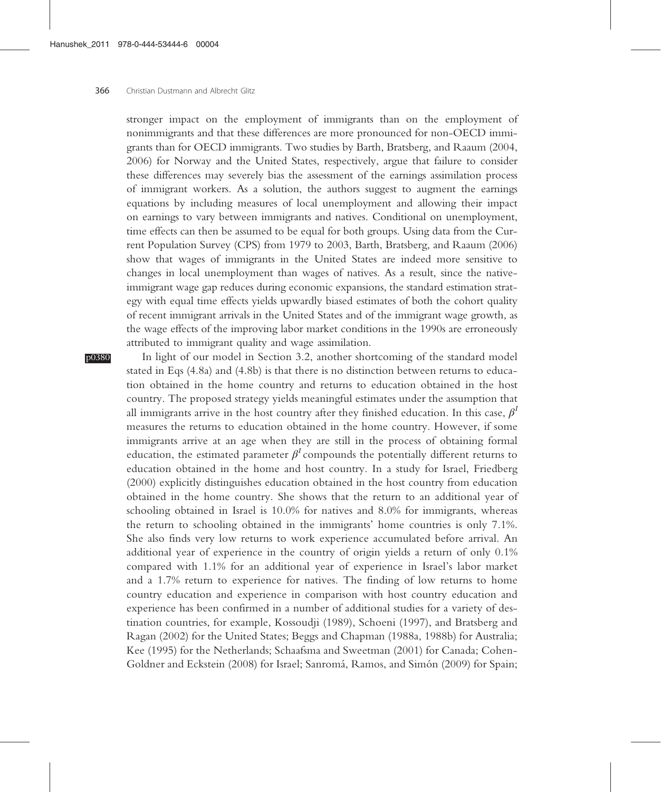stronger impact on the employment of immigrants than on the employment of nonimmigrants and that these differences are more pronounced for non-OECD immigrants than for OECD immigrants. Two studies by Barth, Bratsberg, and Raaum (2004, 2006) for Norway and the United States, respectively, argue that failure to consider these differences may severely bias the assessment of the earnings assimilation process of immigrant workers. As a solution, the authors suggest to augment the earnings equations by including measures of local unemployment and allowing their impact on earnings to vary between immigrants and natives. Conditional on unemployment, time effects can then be assumed to be equal for both groups. Using data from the Current Population Survey (CPS) from 1979 to 2003, Barth, Bratsberg, and Raaum (2006) show that wages of immigrants in the United States are indeed more sensitive to changes in local unemployment than wages of natives. As a result, since the nativeimmigrant wage gap reduces during economic expansions, the standard estimation strategy with equal time effects yields upwardly biased estimates of both the cohort quality of recent immigrant arrivals in the United States and of the immigrant wage growth, as the wage effects of the improving labor market conditions in the 1990s are erroneously attributed to immigrant quality and wage assimilation.

p0380 In light of our model in Section 3.2, another shortcoming of the standard model stated in Eqs (4.8a) and (4.8b) is that there is no distinction between returns to education obtained in the home country and returns to education obtained in the host country. The proposed strategy yields meaningful estimates under the assumption that all immigrants arrive in the host country after they finished education. In this case,  $\beta^1$ measures the returns to education obtained in the home country. However, if some immigrants arrive at an age when they are still in the process of obtaining formal education, the estimated parameter  $\beta^I$  compounds the potentially different returns to education obtained in the home and host country. In a study for Israel, Friedberg (2000) explicitly distinguishes education obtained in the host country from education obtained in the home country. She shows that the return to an additional year of schooling obtained in Israel is 10.0% for natives and 8.0% for immigrants, whereas the return to schooling obtained in the immigrants' home countries is only 7.1%. She also finds very low returns to work experience accumulated before arrival. An additional year of experience in the country of origin yields a return of only 0.1% compared with 1.1% for an additional year of experience in Israel's labor market and a 1.7% return to experience for natives. The finding of low returns to home country education and experience in comparison with host country education and experience has been confirmed in a number of additional studies for a variety of destination countries, for example, Kossoudji (1989), Schoeni (1997), and Bratsberg and Ragan (2002) for the United States; Beggs and Chapman (1988a, 1988b) for Australia; Kee (1995) for the Netherlands; Schaafsma and Sweetman (2001) for Canada; Cohen-Goldner and Eckstein (2008) for Israel; Sanromá, Ramos, and Simón (2009) for Spain;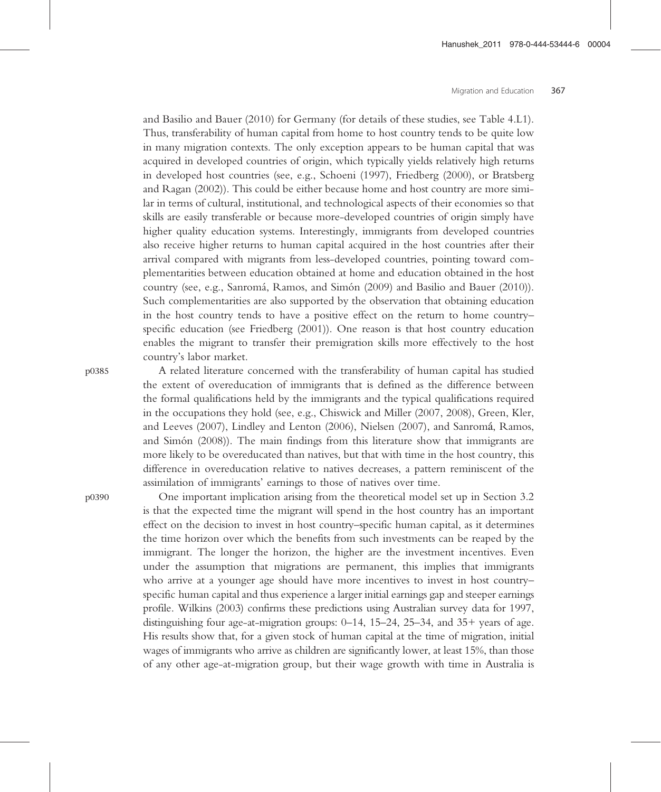and Basilio and Bauer (2010) for Germany (for details of these studies, see Table 4.L1). Thus, transferability of human capital from home to host country tends to be quite low in many migration contexts. The only exception appears to be human capital that was acquired in developed countries of origin, which typically yields relatively high returns in developed host countries (see, e.g., Schoeni (1997), Friedberg (2000), or Bratsberg and Ragan (2002)). This could be either because home and host country are more similar in terms of cultural, institutional, and technological aspects of their economies so that skills are easily transferable or because more-developed countries of origin simply have higher quality education systems. Interestingly, immigrants from developed countries also receive higher returns to human capital acquired in the host countries after their arrival compared with migrants from less-developed countries, pointing toward complementarities between education obtained at home and education obtained in the host country (see, e.g., Sanromá, Ramos, and Simón (2009) and Basilio and Bauer (2010)). Such complementarities are also supported by the observation that obtaining education in the host country tends to have a positive effect on the return to home country– specific education (see Friedberg (2001)). One reason is that host country education enables the migrant to transfer their premigration skills more effectively to the host country's labor market.

p0385 A related literature concerned with the transferability of human capital has studied the extent of overeducation of immigrants that is defined as the difference between the formal qualifications held by the immigrants and the typical qualifications required in the occupations they hold (see, e.g., Chiswick and Miller (2007, 2008), Green, Kler, and Leeves (2007), Lindley and Lenton (2006), Nielsen (2007), and Sanromá, Ramos, and Simón (2008)). The main findings from this literature show that immigrants are more likely to be overeducated than natives, but that with time in the host country, this difference in overeducation relative to natives decreases, a pattern reminiscent of the assimilation of immigrants' earnings to those of natives over time.

p0390 One important implication arising from the theoretical model set up in Section 3.2 is that the expected time the migrant will spend in the host country has an important effect on the decision to invest in host country–specific human capital, as it determines the time horizon over which the benefits from such investments can be reaped by the immigrant. The longer the horizon, the higher are the investment incentives. Even under the assumption that migrations are permanent, this implies that immigrants who arrive at a younger age should have more incentives to invest in host country– specific human capital and thus experience a larger initial earnings gap and steeper earnings profile. Wilkins (2003) confirms these predictions using Australian survey data for 1997, distinguishing four age-at-migration groups:  $0-14$ ,  $15-24$ ,  $25-34$ , and  $35+$  years of age. His results show that, for a given stock of human capital at the time of migration, initial wages of immigrants who arrive as children are significantly lower, at least 15%, than those of any other age-at-migration group, but their wage growth with time in Australia is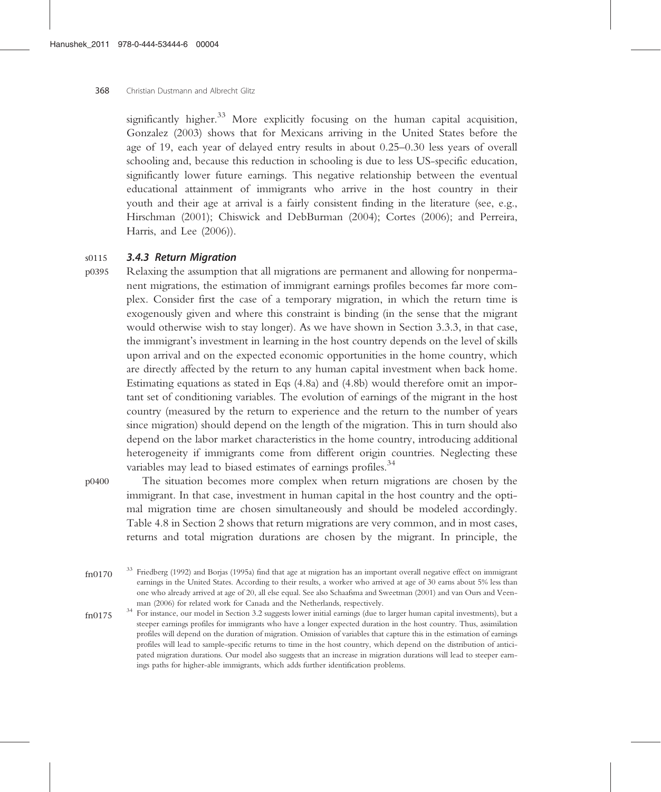significantly higher. $33$  More explicitly focusing on the human capital acquisition, Gonzalez (2003) shows that for Mexicans arriving in the United States before the age of 19, each year of delayed entry results in about 0.25–0.30 less years of overall schooling and, because this reduction in schooling is due to less US-specific education, significantly lower future earnings. This negative relationship between the eventual educational attainment of immigrants who arrive in the host country in their youth and their age at arrival is a fairly consistent finding in the literature (see, e.g., Hirschman (2001); Chiswick and DebBurman (2004); Cortes (2006); and Perreira, Harris, and Lee (2006)).

# s0115 **3.4.3 Return Migration**<br>p0395 Relaxing the assumption

- Relaxing the assumption that all migrations are permanent and allowing for nonpermanent migrations, the estimation of immigrant earnings profiles becomes far more complex. Consider first the case of a temporary migration, in which the return time is exogenously given and where this constraint is binding (in the sense that the migrant would otherwise wish to stay longer). As we have shown in Section 3.3.3, in that case, the immigrant's investment in learning in the host country depends on the level of skills upon arrival and on the expected economic opportunities in the home country, which are directly affected by the return to any human capital investment when back home. Estimating equations as stated in Eqs (4.8a) and (4.8b) would therefore omit an important set of conditioning variables. The evolution of earnings of the migrant in the host country (measured by the return to experience and the return to the number of years since migration) should depend on the length of the migration. This in turn should also depend on the labor market characteristics in the home country, introducing additional heterogeneity if immigrants come from different origin countries. Neglecting these variables may lead to biased estimates of earnings profiles.<sup>34</sup>
- p0400 The situation becomes more complex when return migrations are chosen by the immigrant. In that case, investment in human capital in the host country and the optimal migration time are chosen simultaneously and should be modeled accordingly. Table 4.8 in Section 2 shows that return migrations are very common, and in most cases, returns and total migration durations are chosen by the migrant. In principle, the
- fn0170 <sup>33</sup> Friedberg (1992) and Borjas (1995a) find that age at migration has an important overall negative effect on immigrant earnings in the United States. According to their results, a worker who arrived at age of 30 earns about 5% less than one who already arrived at age of 20, all else equal. See also Schaafsma and Sweetman (2001) and van Ours and Veenman (2006) for related work for Canada and the Netherlands, respectively.
- fn0175 <sup>34</sup> For instance, our model in Section 3.2 suggests lower initial earnings (due to larger human capital investments), but a steeper earnings profiles for immigrants who have a longer expected duration in the host country. Thus, assimilation profiles will depend on the duration of migration. Omission of variables that capture this in the estimation of earnings profiles will lead to sample-specific returns to time in the host country, which depend on the distribution of anticipated migration durations. Our model also suggests that an increase in migration durations will lead to steeper earnings paths for higher-able immigrants, which adds further identification problems.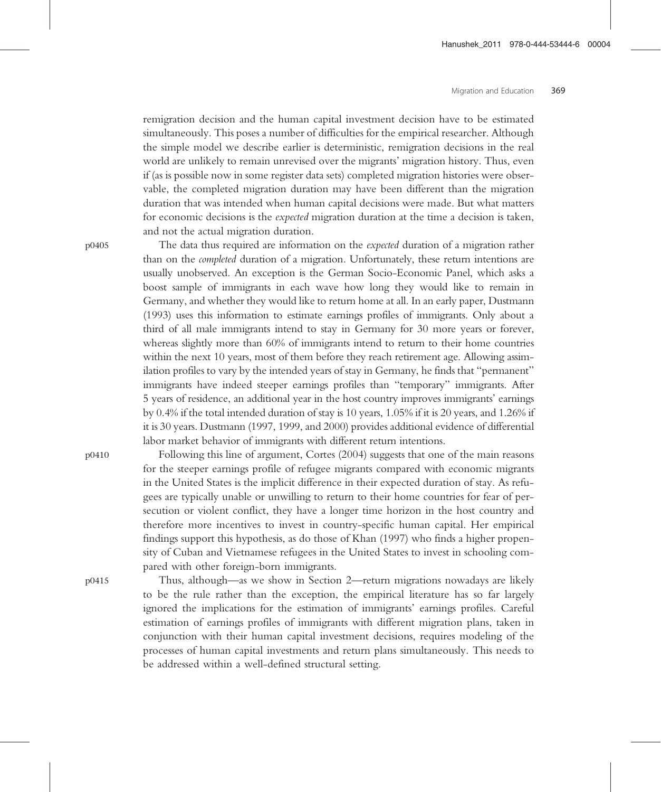remigration decision and the human capital investment decision have to be estimated simultaneously. This poses a number of difficulties for the empirical researcher. Although the simple model we describe earlier is deterministic, remigration decisions in the real world are unlikely to remain unrevised over the migrants' migration history. Thus, even if (as is possible now in some register data sets) completed migration histories were observable, the completed migration duration may have been different than the migration duration that was intended when human capital decisions were made. But what matters for economic decisions is the expected migration duration at the time a decision is taken, and not the actual migration duration.

p0405 The data thus required are information on the expected duration of a migration rather than on the completed duration of a migration. Unfortunately, these return intentions are usually unobserved. An exception is the German Socio-Economic Panel, which asks a boost sample of immigrants in each wave how long they would like to remain in Germany, and whether they would like to return home at all. In an early paper, Dustmann (1993) uses this information to estimate earnings profiles of immigrants. Only about a third of all male immigrants intend to stay in Germany for 30 more years or forever, whereas slightly more than 60% of immigrants intend to return to their home countries within the next 10 years, most of them before they reach retirement age. Allowing assimilation profiles to vary by the intended years of stay in Germany, he finds that "permanent" immigrants have indeed steeper earnings profiles than "temporary" immigrants. After 5 years of residence, an additional year in the host country improves immigrants' earnings by 0.4% if the total intended duration of stay is 10 years, 1.05% if it is 20 years, and 1.26% if it is 30 years. Dustmann (1997, 1999, and 2000) provides additional evidence of differential labor market behavior of immigrants with different return intentions.

p0410 Following this line of argument, Cortes (2004) suggests that one of the main reasons for the steeper earnings profile of refugee migrants compared with economic migrants in the United States is the implicit difference in their expected duration of stay. As refugees are typically unable or unwilling to return to their home countries for fear of persecution or violent conflict, they have a longer time horizon in the host country and therefore more incentives to invest in country-specific human capital. Her empirical findings support this hypothesis, as do those of Khan (1997) who finds a higher propensity of Cuban and Vietnamese refugees in the United States to invest in schooling compared with other foreign-born immigrants.

p0415 Thus, although—as we show in Section 2—return migrations nowadays are likely to be the rule rather than the exception, the empirical literature has so far largely ignored the implications for the estimation of immigrants' earnings profiles. Careful estimation of earnings profiles of immigrants with different migration plans, taken in conjunction with their human capital investment decisions, requires modeling of the processes of human capital investments and return plans simultaneously. This needs to be addressed within a well-defined structural setting.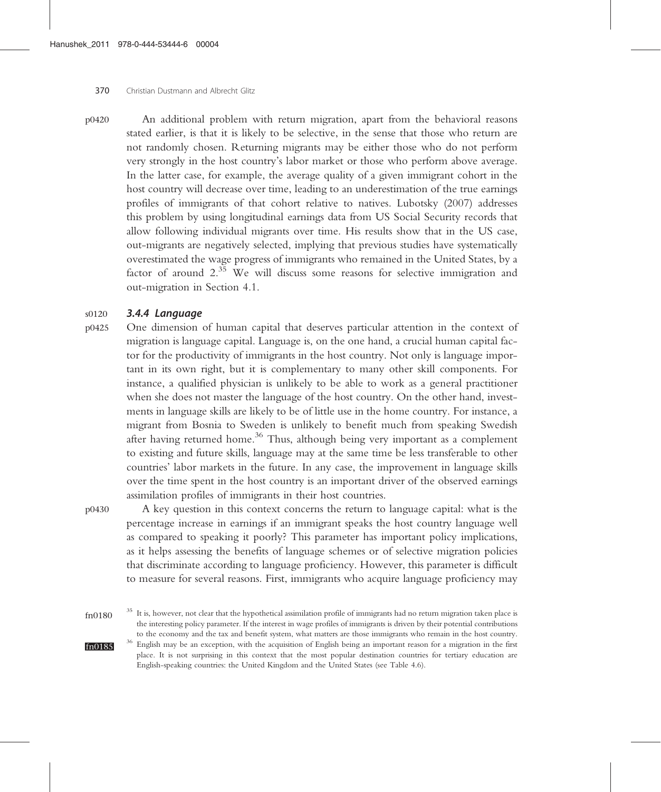p0420 An additional problem with return migration, apart from the behavioral reasons stated earlier, is that it is likely to be selective, in the sense that those who return are not randomly chosen. Returning migrants may be either those who do not perform very strongly in the host country's labor market or those who perform above average. In the latter case, for example, the average quality of a given immigrant cohort in the host country will decrease over time, leading to an underestimation of the true earnings profiles of immigrants of that cohort relative to natives. Lubotsky (2007) addresses this problem by using longitudinal earnings data from US Social Security records that allow following individual migrants over time. His results show that in the US case, out-migrants are negatively selected, implying that previous studies have systematically overestimated the wage progress of immigrants who remained in the United States, by a factor of around  $2^{35}$  We will discuss some reasons for selective immigration and out-migration in Section 4.1.

## s0120 **3.4.4 Language**<br> $p0425$  One dimension

One dimension of human capital that deserves particular attention in the context of migration is language capital. Language is, on the one hand, a crucial human capital factor for the productivity of immigrants in the host country. Not only is language important in its own right, but it is complementary to many other skill components. For instance, a qualified physician is unlikely to be able to work as a general practitioner when she does not master the language of the host country. On the other hand, investments in language skills are likely to be of little use in the home country. For instance, a migrant from Bosnia to Sweden is unlikely to benefit much from speaking Swedish after having returned home.<sup>36</sup> Thus, although being very important as a complement to existing and future skills, language may at the same time be less transferable to other countries' labor markets in the future. In any case, the improvement in language skills over the time spent in the host country is an important driver of the observed earnings assimilation profiles of immigrants in their host countries.

p0430 A key question in this context concerns the return to language capital: what is the percentage increase in earnings if an immigrant speaks the host country language well as compared to speaking it poorly? This parameter has important policy implications, as it helps assessing the benefits of language schemes or of selective migration policies that discriminate according to language proficiency. However, this parameter is difficult to measure for several reasons. First, immigrants who acquire language proficiency may

fn0180<sup>35</sup> It is, however, not clear that the hypothetical assimilation profile of immigrants had no return migration taken place is the interesting policy parameter. If the interest in wage profiles of immigrants is driven by their potential contributions to the economy and the tax and benefit system, what matters are those immigrants who remain in the host country. fn0185<sup>36</sup> English may be an exception, with the acquisition of English being an important reason for a migration in the first place. It is not surprising in this context that the most popular destination countries for tertiary education are English-speaking countries: the United Kingdom and the United States (see Table 4.6).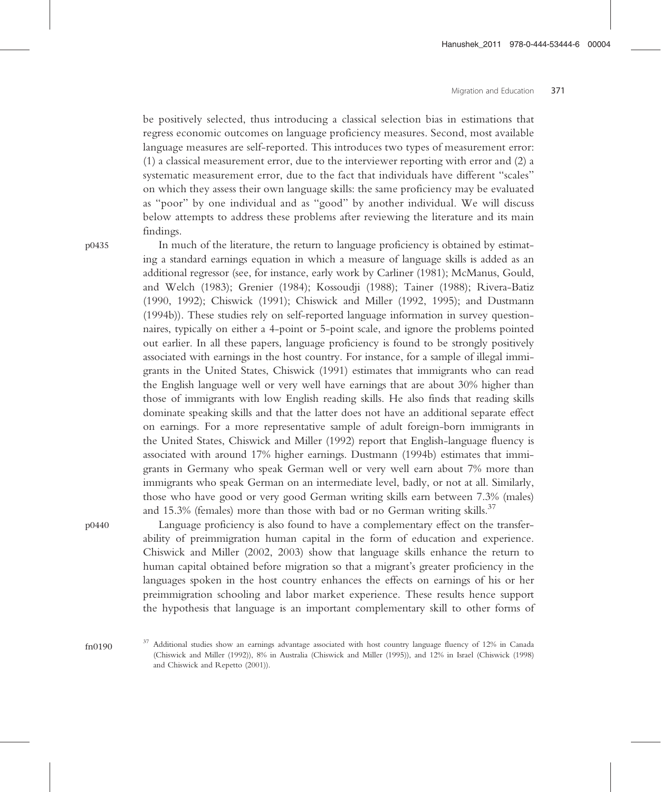be positively selected, thus introducing a classical selection bias in estimations that regress economic outcomes on language proficiency measures. Second, most available language measures are self-reported. This introduces two types of measurement error: (1) a classical measurement error, due to the interviewer reporting with error and (2) a systematic measurement error, due to the fact that individuals have different "scales" on which they assess their own language skills: the same proficiency may be evaluated as "poor" by one individual and as "good" by another individual. We will discuss below attempts to address these problems after reviewing the literature and its main findings.

p0435 In much of the literature, the return to language proficiency is obtained by estimating a standard earnings equation in which a measure of language skills is added as an additional regressor (see, for instance, early work by Carliner (1981); McManus, Gould, and Welch (1983); Grenier (1984); Kossoudji (1988); Tainer (1988); Rivera-Batiz (1990, 1992); Chiswick (1991); Chiswick and Miller (1992, 1995); and Dustmann (1994b)). These studies rely on self-reported language information in survey questionnaires, typically on either a 4-point or 5-point scale, and ignore the problems pointed out earlier. In all these papers, language proficiency is found to be strongly positively associated with earnings in the host country. For instance, for a sample of illegal immigrants in the United States, Chiswick (1991) estimates that immigrants who can read the English language well or very well have earnings that are about 30% higher than those of immigrants with low English reading skills. He also finds that reading skills dominate speaking skills and that the latter does not have an additional separate effect on earnings. For a more representative sample of adult foreign-born immigrants in the United States, Chiswick and Miller (1992) report that English-language fluency is associated with around 17% higher earnings. Dustmann (1994b) estimates that immigrants in Germany who speak German well or very well earn about 7% more than immigrants who speak German on an intermediate level, badly, or not at all. Similarly, those who have good or very good German writing skills earn between 7.3% (males) and 15.3% (females) more than those with bad or no German writing skills.<sup>37</sup>

p0440 Language proficiency is also found to have a complementary effect on the transferability of preimmigration human capital in the form of education and experience. Chiswick and Miller (2002, 2003) show that language skills enhance the return to human capital obtained before migration so that a migrant's greater proficiency in the languages spoken in the host country enhances the effects on earnings of his or her preimmigration schooling and labor market experience. These results hence support the hypothesis that language is an important complementary skill to other forms of

fn0190 <sup>37</sup> Additional studies show an earnings advantage associated with host country language fluency of 12% in Canada (Chiswick and Miller (1992)), 8% in Australia (Chiswick and Miller (1995)), and 12% in Israel (Chiswick (1998) and Chiswick and Repetto (2001)).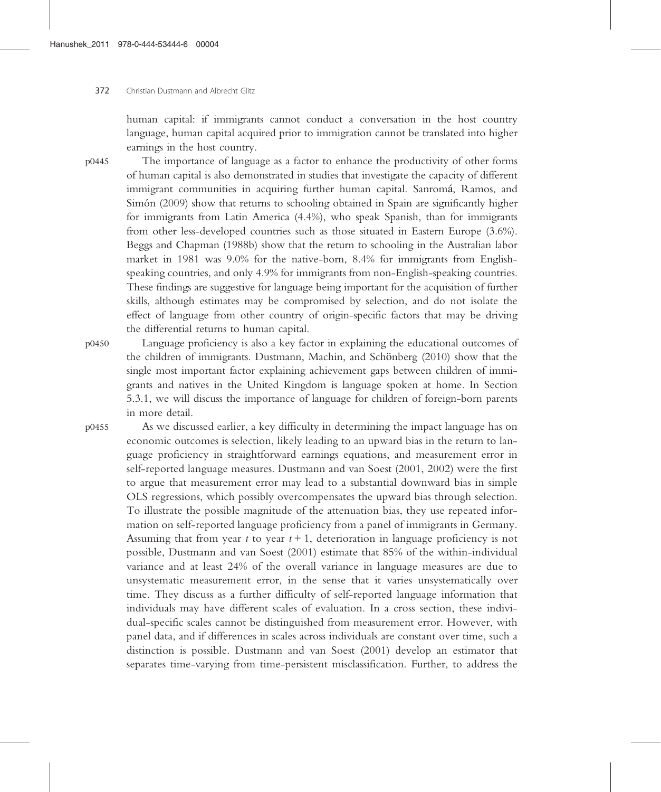human capital: if immigrants cannot conduct a conversation in the host country language, human capital acquired prior to immigration cannot be translated into higher earnings in the host country.

- 
- p0445 The importance of language as a factor to enhance the productivity of other forms of human capital is also demonstrated in studies that investigate the capacity of different immigrant communities in acquiring further human capital. Sanromá, Ramos, and Simón (2009) show that returns to schooling obtained in Spain are significantly higher for immigrants from Latin America (4.4%), who speak Spanish, than for immigrants from other less-developed countries such as those situated in Eastern Europe (3.6%). Beggs and Chapman (1988b) show that the return to schooling in the Australian labor market in 1981 was 9.0% for the native-born, 8.4% for immigrants from Englishspeaking countries, and only 4.9% for immigrants from non-English-speaking countries. These findings are suggestive for language being important for the acquisition of further skills, although estimates may be compromised by selection, and do not isolate the effect of language from other country of origin-specific factors that may be driving the differential returns to human capital.
- p0450 Language proficiency is also a key factor in explaining the educational outcomes of the children of immigrants. Dustmann, Machin, and Schönberg (2010) show that the single most important factor explaining achievement gaps between children of immigrants and natives in the United Kingdom is language spoken at home. In Section 5.3.1, we will discuss the importance of language for children of foreign-born parents in more detail.
- 

p0455 As we discussed earlier, a key difficulty in determining the impact language has on economic outcomes is selection, likely leading to an upward bias in the return to language proficiency in straightforward earnings equations, and measurement error in self-reported language measures. Dustmann and van Soest (2001, 2002) were the first to argue that measurement error may lead to a substantial downward bias in simple OLS regressions, which possibly overcompensates the upward bias through selection. To illustrate the possible magnitude of the attenuation bias, they use repeated information on self-reported language proficiency from a panel of immigrants in Germany. Assuming that from year t to year  $t + 1$ , deterioration in language proficiency is not possible, Dustmann and van Soest (2001) estimate that 85% of the within-individual variance and at least 24% of the overall variance in language measures are due to unsystematic measurement error, in the sense that it varies unsystematically over time. They discuss as a further difficulty of self-reported language information that individuals may have different scales of evaluation. In a cross section, these individual-specific scales cannot be distinguished from measurement error. However, with panel data, and if differences in scales across individuals are constant over time, such a distinction is possible. Dustmann and van Soest (2001) develop an estimator that separates time-varying from time-persistent misclassification. Further, to address the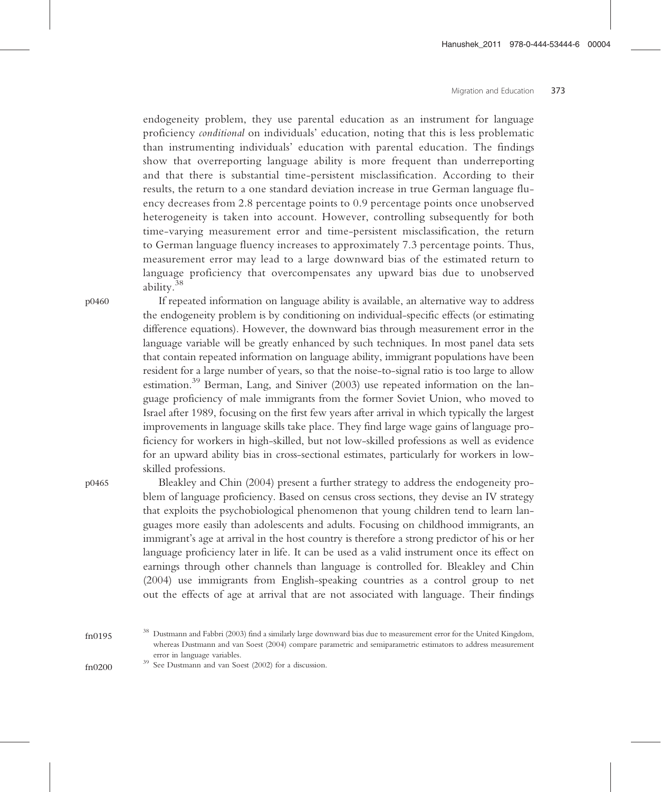endogeneity problem, they use parental education as an instrument for language proficiency conditional on individuals' education, noting that this is less problematic than instrumenting individuals' education with parental education. The findings show that overreporting language ability is more frequent than underreporting and that there is substantial time-persistent misclassification. According to their results, the return to a one standard deviation increase in true German language fluency decreases from 2.8 percentage points to 0.9 percentage points once unobserved heterogeneity is taken into account. However, controlling subsequently for both time-varying measurement error and time-persistent misclassification, the return to German language fluency increases to approximately 7.3 percentage points. Thus, measurement error may lead to a large downward bias of the estimated return to language proficiency that overcompensates any upward bias due to unobserved ability.<sup>38</sup>

p0460 If repeated information on language ability is available, an alternative way to address the endogeneity problem is by conditioning on individual-specific effects (or estimating difference equations). However, the downward bias through measurement error in the language variable will be greatly enhanced by such techniques. In most panel data sets that contain repeated information on language ability, immigrant populations have been resident for a large number of years, so that the noise-to-signal ratio is too large to allow estimation.<sup>39</sup> Berman, Lang, and Siniver  $(2003)$  use repeated information on the language proficiency of male immigrants from the former Soviet Union, who moved to Israel after 1989, focusing on the first few years after arrival in which typically the largest improvements in language skills take place. They find large wage gains of language proficiency for workers in high-skilled, but not low-skilled professions as well as evidence for an upward ability bias in cross-sectional estimates, particularly for workers in lowskilled professions.

p0465 Bleakley and Chin (2004) present a further strategy to address the endogeneity problem of language proficiency. Based on census cross sections, they devise an IV strategy that exploits the psychobiological phenomenon that young children tend to learn languages more easily than adolescents and adults. Focusing on childhood immigrants, an immigrant's age at arrival in the host country is therefore a strong predictor of his or her language proficiency later in life. It can be used as a valid instrument once its effect on earnings through other channels than language is controlled for. Bleakley and Chin (2004) use immigrants from English-speaking countries as a control group to net out the effects of age at arrival that are not associated with language. Their findings

fn0195<sup>38</sup> Dustmann and Fabbri (2003) find a similarly large downward bias due to measurement error for the United Kingdom, whereas Dustmann and van Soest (2004) compare parametric and semiparametric estimators to address measurement error in language variables.

fn0200 <sup>39</sup> See Dustmann and van Soest (2002) for a discussion.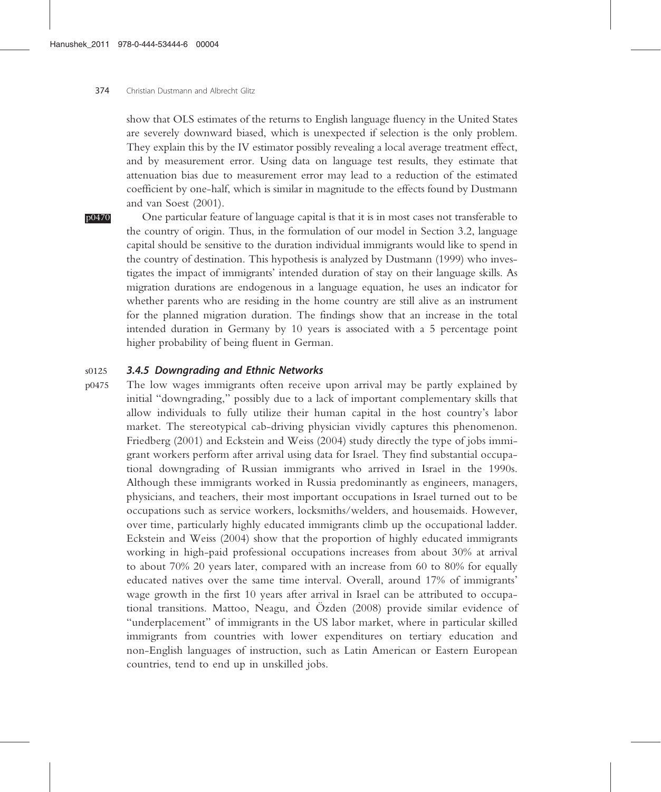show that OLS estimates of the returns to English language fluency in the United States are severely downward biased, which is unexpected if selection is the only problem. They explain this by the IV estimator possibly revealing a local average treatment effect, and by measurement error. Using data on language test results, they estimate that attenuation bias due to measurement error may lead to a reduction of the estimated coefficient by one-half, which is similar in magnitude to the effects found by Dustmann and van Soest (2001).

p0470 One particular feature of language capital is that it is in most cases not transferable to the country of origin. Thus, in the formulation of our model in Section 3.2, language capital should be sensitive to the duration individual immigrants would like to spend in the country of destination. This hypothesis is analyzed by Dustmann (1999) who investigates the impact of immigrants' intended duration of stay on their language skills. As migration durations are endogenous in a language equation, he uses an indicator for whether parents who are residing in the home country are still alive as an instrument for the planned migration duration. The findings show that an increase in the total intended duration in Germany by 10 years is associated with a 5 percentage point higher probability of being fluent in German.

# $s0125$  **3.4.5 Downgrading and Ethnic Networks**  $p0475$  The low wages immigrants often receive

The low wages immigrants often receive upon arrival may be partly explained by initial "downgrading," possibly due to a lack of important complementary skills that allow individuals to fully utilize their human capital in the host country's labor market. The stereotypical cab-driving physician vividly captures this phenomenon. Friedberg (2001) and Eckstein and Weiss (2004) study directly the type of jobs immigrant workers perform after arrival using data for Israel. They find substantial occupational downgrading of Russian immigrants who arrived in Israel in the 1990s. Although these immigrants worked in Russia predominantly as engineers, managers, physicians, and teachers, their most important occupations in Israel turned out to be occupations such as service workers, locksmiths/welders, and housemaids. However, over time, particularly highly educated immigrants climb up the occupational ladder. Eckstein and Weiss (2004) show that the proportion of highly educated immigrants working in high-paid professional occupations increases from about 30% at arrival to about 70% 20 years later, compared with an increase from 60 to 80% for equally educated natives over the same time interval. Overall, around 17% of immigrants' wage growth in the first 10 years after arrival in Israel can be attributed to occupational transitions. Mattoo, Neagu, and Özden (2008) provide similar evidence of "underplacement" of immigrants in the US labor market, where in particular skilled immigrants from countries with lower expenditures on tertiary education and non-English languages of instruction, such as Latin American or Eastern European countries, tend to end up in unskilled jobs.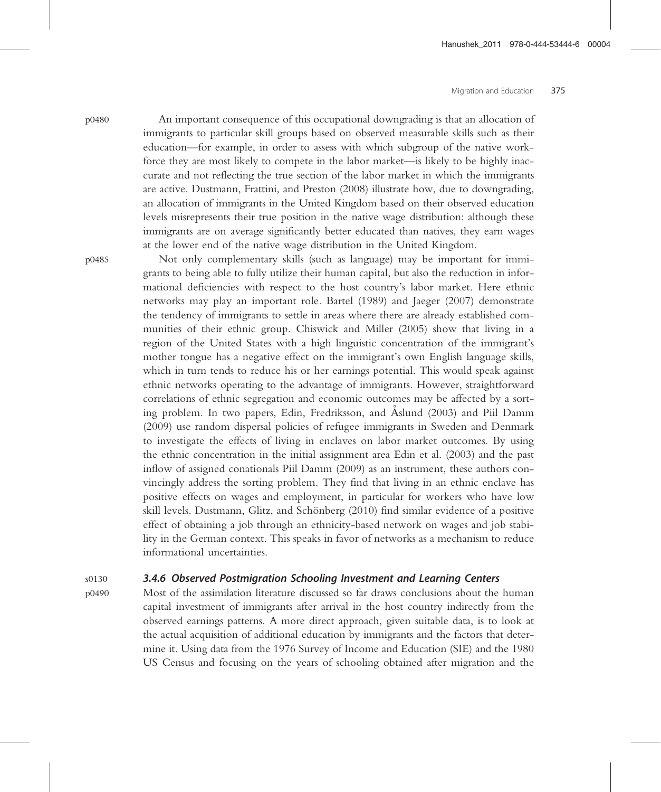p0480 An important consequence of this occupational downgrading is that an allocation of immigrants to particular skill groups based on observed measurable skills such as their education—for example, in order to assess with which subgroup of the native workforce they are most likely to compete in the labor market—is likely to be highly inaccurate and not reflecting the true section of the labor market in which the immigrants are active. Dustmann, Frattini, and Preston (2008) illustrate how, due to downgrading, an allocation of immigrants in the United Kingdom based on their observed education levels misrepresents their true position in the native wage distribution: although these immigrants are on average significantly better educated than natives, they earn wages at the lower end of the native wage distribution in the United Kingdom.

p0485 Not only complementary skills (such as language) may be important for immigrants to being able to fully utilize their human capital, but also the reduction in informational deficiencies with respect to the host country's labor market. Here ethnic networks may play an important role. Bartel (1989) and Jaeger (2007) demonstrate the tendency of immigrants to settle in areas where there are already established communities of their ethnic group. Chiswick and Miller (2005) show that living in a region of the United States with a high linguistic concentration of the immigrant's mother tongue has a negative effect on the immigrant's own English language skills, which in turn tends to reduce his or her earnings potential. This would speak against ethnic networks operating to the advantage of immigrants. However, straightforward correlations of ethnic segregation and economic outcomes may be affected by a sorting problem. In two papers, Edin, Fredriksson, and Åslund (2003) and Piil Damm (2009) use random dispersal policies of refugee immigrants in Sweden and Denmark to investigate the effects of living in enclaves on labor market outcomes. By using the ethnic concentration in the initial assignment area Edin et al. (2003) and the past inflow of assigned conationals Piil Damm (2009) as an instrument, these authors convincingly address the sorting problem. They find that living in an ethnic enclave has positive effects on wages and employment, in particular for workers who have low skill levels. Dustmann, Glitz, and Schönberg (2010) find similar evidence of a positive effect of obtaining a job through an ethnicity-based network on wages and job stability in the German context. This speaks in favor of networks as a mechanism to reduce informational uncertainties.

# s0130 **3.4.6 Observed Postmigration Schooling Investment and Learning Centers**<br>p0490 Most of the assimilation literature discussed so far draws conclusions about the

Most of the assimilation literature discussed so far draws conclusions about the human capital investment of immigrants after arrival in the host country indirectly from the observed earnings patterns. A more direct approach, given suitable data, is to look at the actual acquisition of additional education by immigrants and the factors that determine it. Using data from the 1976 Survey of Income and Education (SIE) and the 1980 US Census and focusing on the years of schooling obtained after migration and the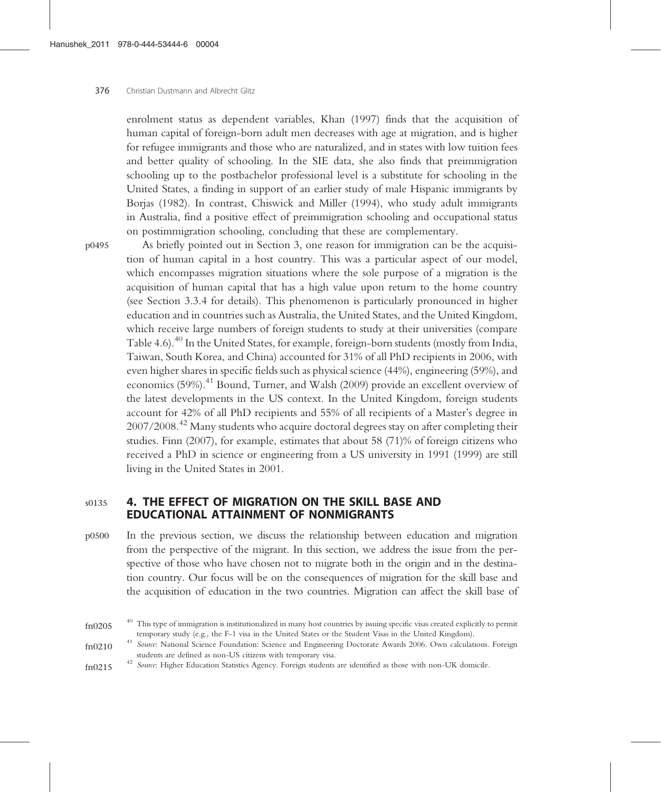enrolment status as dependent variables, Khan (1997) finds that the acquisition of human capital of foreign-born adult men decreases with age at migration, and is higher for refugee immigrants and those who are naturalized, and in states with low tuition fees and better quality of schooling. In the SIE data, she also finds that preimmigration schooling up to the postbachelor professional level is a substitute for schooling in the United States, a finding in support of an earlier study of male Hispanic immigrants by Borjas (1982). In contrast, Chiswick and Miller (1994), who study adult immigrants in Australia, find a positive effect of preimmigration schooling and occupational status on postimmigration schooling, concluding that these are complementary.

p0495 As briefly pointed out in Section 3, one reason for immigration can be the acquisition of human capital in a host country. This was a particular aspect of our model, which encompasses migration situations where the sole purpose of a migration is the acquisition of human capital that has a high value upon return to the home country (see Section 3.3.4 for details). This phenomenon is particularly pronounced in higher education and in countries such as Australia, the United States, and the United Kingdom, which receive large numbers of foreign students to study at their universities (compare Table 4.6).<sup>40</sup> In the United States, for example, foreign-born students (mostly from India, Taiwan, South Korea, and China) accounted for 31% of all PhD recipients in 2006, with even higher shares in specific fields such as physical science (44%), engineering (59%), and economics  $(59\%)$ <sup>41</sup> Bound, Turner, and Walsh (2009) provide an excellent overview of the latest developments in the US context. In the United Kingdom, foreign students account for 42% of all PhD recipients and 55% of all recipients of a Master's degree in  $2007/2008.<sup>42</sup>$  Many students who acquire doctoral degrees stay on after completing their studies. Finn (2007), for example, estimates that about 58 (71)% of foreign citizens who received a PhD in science or engineering from a US university in 1991 (1999) are still living in the United States in 2001.

### s0135 4. THE EFFECT OF MIGRATION ON THE SKILL BASE AND EDUCATIONAL ATTAINMENT OF NONMIGRANTS

p0500 In the previous section, we discuss the relationship between education and migration from the perspective of the migrant. In this section, we address the issue from the perspective of those who have chosen not to migrate both in the origin and in the destination country. Our focus will be on the consequences of migration for the skill base and the acquisition of education in the two countries. Migration can affect the skill base of

fn0215<sup>42</sup> Source: Higher Education Statistics Agency. Foreign students are identified as those with non-UK domicile.

fn0205 <sup>40</sup> This type of immigration is institutionalized in many host countries by issuing specific visas created explicitly to permit temporary study (e.g., the F-1 visa in the United States or the Student Visas in the United Kingdom).

fn0210<sup>41</sup> Source: National Science Foundation: Science and Engineering Doctorate Awards 2006. Own calculations. Foreign students are defined as non-US citizens with temporary visa.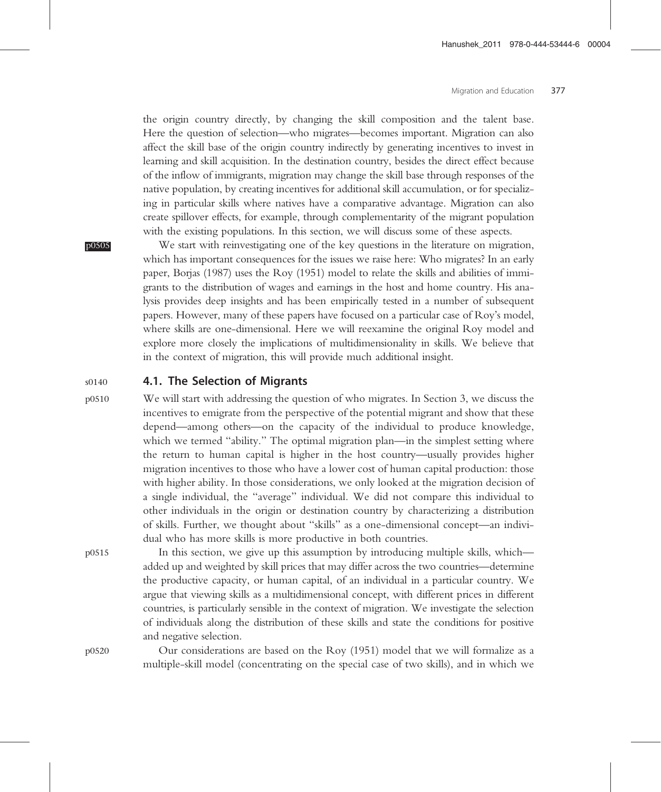the origin country directly, by changing the skill composition and the talent base. Here the question of selection—who migrates—becomes important. Migration can also affect the skill base of the origin country indirectly by generating incentives to invest in learning and skill acquisition. In the destination country, besides the direct effect because of the inflow of immigrants, migration may change the skill base through responses of the native population, by creating incentives for additional skill accumulation, or for specializing in particular skills where natives have a comparative advantage. Migration can also create spillover effects, for example, through complementarity of the migrant population with the existing populations. In this section, we will discuss some of these aspects.

p0505 We start with reinvestigating one of the key questions in the literature on migration, which has important consequences for the issues we raise here: Who migrates? In an early paper, Borjas (1987) uses the Roy (1951) model to relate the skills and abilities of immigrants to the distribution of wages and earnings in the host and home country. His analysis provides deep insights and has been empirically tested in a number of subsequent papers. However, many of these papers have focused on a particular case of Roy's model, where skills are one-dimensional. Here we will reexamine the original Roy model and explore more closely the implications of multidimensionality in skills. We believe that in the context of migration, this will provide much additional insight.

### s0140 4.1. The Selection of Migrants

p0510 We will start with addressing the question of who migrates. In Section 3, we discuss the incentives to emigrate from the perspective of the potential migrant and show that these depend—among others—on the capacity of the individual to produce knowledge, which we termed "ability." The optimal migration plan—in the simplest setting where the return to human capital is higher in the host country—usually provides higher migration incentives to those who have a lower cost of human capital production: those with higher ability. In those considerations, we only looked at the migration decision of a single individual, the "average" individual. We did not compare this individual to other individuals in the origin or destination country by characterizing a distribution of skills. Further, we thought about "skills" as a one-dimensional concept—an individual who has more skills is more productive in both countries.

p0515 In this section, we give up this assumption by introducing multiple skills, which added up and weighted by skill prices that may differ across the two countries—determine the productive capacity, or human capital, of an individual in a particular country. We argue that viewing skills as a multidimensional concept, with different prices in different countries, is particularly sensible in the context of migration. We investigate the selection of individuals along the distribution of these skills and state the conditions for positive and negative selection.

p0520 Our considerations are based on the Roy (1951) model that we will formalize as a multiple-skill model (concentrating on the special case of two skills), and in which we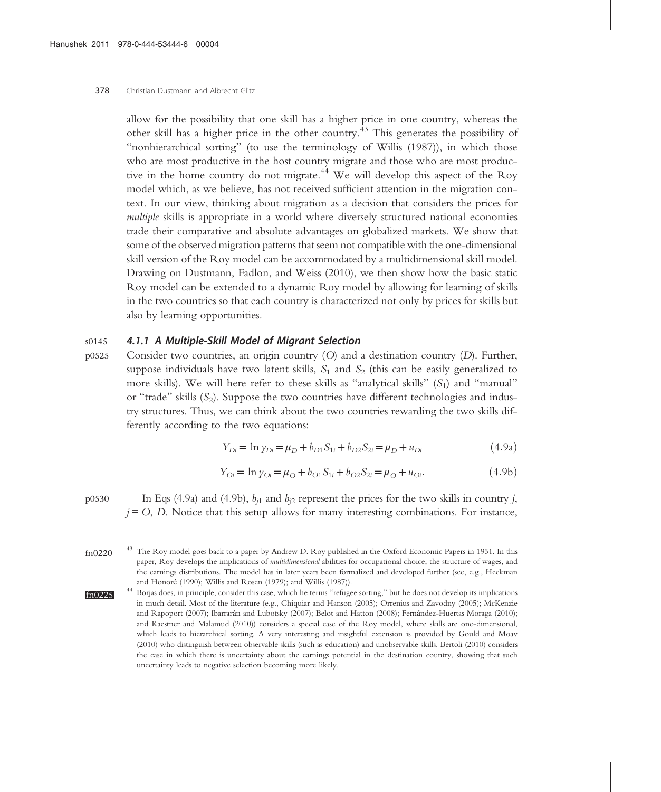allow for the possibility that one skill has a higher price in one country, whereas the other skill has a higher price in the other country.<sup>43</sup> This generates the possibility of "nonhierarchical sorting" (to use the terminology of Willis (1987)), in which those who are most productive in the host country migrate and those who are most productive in the home country do not migrate.<sup>44</sup> We will develop this aspect of the Roy model which, as we believe, has not received sufficient attention in the migration context. In our view, thinking about migration as a decision that considers the prices for multiple skills is appropriate in a world where diversely structured national economies trade their comparative and absolute advantages on globalized markets. We show that some of the observed migration patterns that seem not compatible with the one-dimensional skill version of the Roy model can be accommodated by a multidimensional skill model. Drawing on Dustmann, Fadlon, and Weiss (2010), we then show how the basic static Roy model can be extended to a dynamic Roy model by allowing for learning of skills in the two countries so that each country is characterized not only by prices for skills but also by learning opportunities.

# s0145 **4.1.1 A Multiple-Skill Model of Migrant Selection**<br>p0525 Consider two countries, an origin country (O) and

Consider two countries, an origin country (O) and a destination country  $(D)$ . Further, suppose individuals have two latent skills,  $S_1$  and  $S_2$  (this can be easily generalized to more skills). We will here refer to these skills as "analytical skills"  $(S_1)$  and "manual" or "trade" skills  $(S_2)$ . Suppose the two countries have different technologies and industry structures. Thus, we can think about the two countries rewarding the two skills differently according to the two equations:

$$
Y_{Di} = \ln \gamma_{Di} = \mu_D + b_{D1} S_{1i} + b_{D2} S_{2i} = \mu_D + u_{Di}
$$
(4.9a)

$$
Y_{\text{O}i} = \ln \gamma_{\text{O}i} = \mu_{\text{O}} + b_{\text{O}1} S_{1i} + b_{\text{O}2} S_{2i} = \mu_{\text{O}} + u_{\text{O}i}.
$$
 (4.9b)

p0530 In Eqs (4.9a) and (4.9b),  $b_{i1}$  and  $b_{i2}$  represent the prices for the two skills in country j,  $j = O$ , D. Notice that this setup allows for many interesting combinations. For instance,

- fn0220 <sup>43</sup> The Roy model goes back to a paper by Andrew D. Roy published in the Oxford Economic Papers in 1951. In this paper, Roy develops the implications of multidimensional abilities for occupational choice, the structure of wages, and the earnings distributions. The model has in later years been formalized and developed further (see, e.g., Heckman and Honoré (1990); Willis and Rosen (1979); and Willis (1987)).
- **fn0225**<sup>44</sup> Borjas does, in principle, consider this case, which he terms "refugee sorting," but he does not develop its implications in much detail. Most of the literature (e.g., Chiquiar and Hanson (2005); Orrenius and Zavodny (2005); McKenzie and Rapoport (2007); Ibarrarán and Lubotsky (2007); Belot and Hatton (2008); Fernández-Huertas Moraga (2010); and Kaestner and Malamud (2010)) considers a special case of the Roy model, where skills are one-dimensional, which leads to hierarchical sorting. A very interesting and insightful extension is provided by Gould and Moav (2010) who distinguish between observable skills (such as education) and unobservable skills. Bertoli (2010) considers the case in which there is uncertainty about the earnings potential in the destination country, showing that such uncertainty leads to negative selection becoming more likely.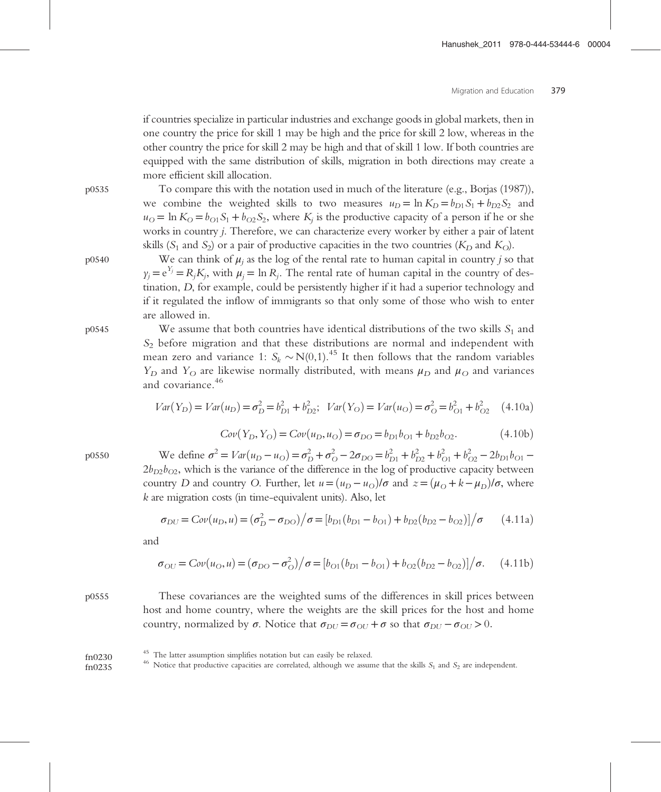if countries specialize in particular industries and exchange goods in global markets, then in one country the price for skill 1 may be high and the price for skill 2 low, whereas in the other country the price for skill 2 may be high and that of skill 1 low. If both countries are equipped with the same distribution of skills, migration in both directions may create a more efficient skill allocation.

p0535 To compare this with the notation used in much of the literature (e.g., Borjas (1987)), we combine the weighted skills to two measures  $u_D = \ln K_D = b_{D1}S_1 + b_{D2}S_2$  and  $u<sub>O</sub> = \ln K<sub>O</sub> = b<sub>O1</sub>S<sub>1</sub> + b<sub>O2</sub>S<sub>2</sub>$ , where  $K<sub>i</sub>$  is the productive capacity of a person if he or she works in country j. Therefore, we can characterize every worker by either a pair of latent skills ( $S_1$  and  $S_2$ ) or a pair of productive capacities in the two countries ( $K_D$  and  $K_O$ ).

p0540 We can think of  $\mu_i$  as the log of the rental rate to human capital in country *j* so that  $\gamma_j = e^{Y_j} = R_j K_j$ , with  $\mu_j = \ln R_j$ . The rental rate of human capital in the country of destination, D, for example, could be persistently higher if it had a superior technology and if it regulated the inflow of immigrants so that only some of those who wish to enter are allowed in.

p0545 We assume that both countries have identical distributions of the two skills  $S_1$  and  $S<sub>2</sub>$  before migration and that these distributions are normal and independent with mean zero and variance 1:  $S_k \sim N(0,1)$ .<sup>45</sup> It then follows that the random variables  $Y_D$  and  $Y_O$  are likewise normally distributed, with means  $\mu_D$  and  $\mu_O$  and variances and covariance.<sup>46</sup>

$$
Var(Y_D) = Var(u_D) = \sigma_D^2 = b_{D1}^2 + b_{D2}^2; \quad Var(Y_O) = Var(u_O) = \sigma_O^2 = b_{O1}^2 + b_{O2}^2 \tag{4.10a}
$$

$$
Cov(Y_D, Y_O) = Cov(u_D, u_O) = \sigma_{DO} = b_{D1}b_{O1} + b_{D2}b_{O2}.
$$
 (4.10b)

p0550 We define  $\sigma^2 = Var(u_D - u_O) = \sigma_D^2 + \sigma_O^2 - 2\sigma_{DO} = b_{D1}^2 + b_{D2}^2 + b_{O1}^2 + b_{O2}^2 - 2b_{D1}b_{O1} 2b_{D2}b_{O2}$ , which is the variance of the difference in the log of productive capacity between country D and country O. Further, let  $u=(u_D-u_O)/\sigma$  and  $z=(\mu_O+k-\mu_D)/\sigma$ , where k are migration costs (in time-equivalent units). Also, let

$$
\sigma_{DU} = Cov(u_D, u) = (\sigma_D^2 - \sigma_{DO})/\sigma = [b_{D1}(b_{D1} - b_{O1}) + b_{D2}(b_{D2} - b_{O2})]/\sigma \qquad (4.11a)
$$

and

$$
\sigma_{OU} = Cov(u_O, u) = (\sigma_{DO} - \sigma_O^2) / \sigma = [b_{O1}(b_{D1} - b_{O1}) + b_{O2}(b_{D2} - b_{O2})] / \sigma. \tag{4.11b}
$$

p0555 These covariances are the weighted sums of the differences in skill prices between host and home country, where the weights are the skill prices for the host and home country, normalized by  $\sigma$ . Notice that  $\sigma_{DU} = \sigma_{OU} + \sigma$  so that  $\sigma_{DU} - \sigma_{OU} > 0$ .

 $f_{\text{m0235}}$   $^{45}$  The latter assumption simplifies notation but can easily be relaxed.<br> $f_{\text{m0235}}$   $^{46}$  Notice that productive capacities are correlated, although we assure <sup>46</sup> Notice that productive capacities are correlated, although we assume that the skills  $S_1$  and  $S_2$  are independent.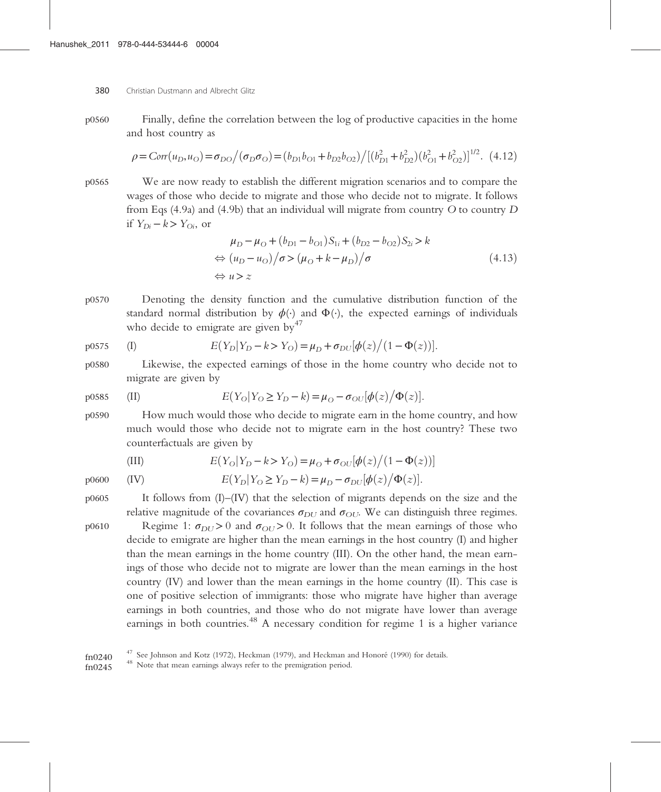p0560 Finally, define the correlation between the log of productive capacities in the home and host country as

$$
\rho = Corr(u_D, u_O) = \frac{\sigma_{DO}}{(\sigma_D \sigma_O)} = \frac{(b_{D1}b_{O1} + b_{D2}b_{O2})}{(b_{D1}^2 + b_{D2}^2)(b_{O1}^2 + b_{O2}^2)}^{1/2}.
$$
 (4.12)

p0565 We are now ready to establish the different migration scenarios and to compare the wages of those who decide to migrate and those who decide not to migrate. It follows from Eqs (4.9a) and (4.9b) that an individual will migrate from country O to country D if  $Y_{Di} - k > Y_{Oi}$ , or

$$
\mu_D - \mu_O + (b_{D1} - b_{O1})S_{1i} + (b_{D2} - b_{O2})S_{2i} > k
$$
  
\n
$$
\Leftrightarrow (\mu_D - \mu_O) / \sigma > (\mu_O + k - \mu_D) / \sigma
$$
  
\n
$$
\Leftrightarrow u > z
$$
\n(4.13)

p0570 Denoting the density function and the cumulative distribution function of the standard normal distribution by  $\phi(\cdot)$  and  $\Phi(\cdot)$ , the expected earnings of individuals who decide to emigrate are given by  $47$ 

p0575 (I) 
$$
E(Y_D|Y_D - k > Y_O) = \mu_D + \sigma_{DU}[\phi(z)/(1 - \Phi(z))].
$$

p0580 Likewise, the expected earnings of those in the home country who decide not to migrate are given by

\n
$$
E(Y_O | Y_O \geq Y_D - k) = \mu_O - \sigma_{OU}[\phi(z) / \Phi(z)].
$$
\n

p0590 How much would those who decide to migrate earn in the home country, and how much would those who decide not to migrate earn in the host country? These two counterfactuals are given by

(III) 
$$
E(Y_O|Y_D - k > Y_O) = \mu_O + \sigma_{OU}[\phi(z)/(1 - \Phi(z))]
$$

$$
p0600 \t(IV) \tE(Y_D|Y_O \ge Y_D - k) = \mu_D - \sigma_{DU}[\phi(z)/\Phi(z)].
$$

p0605 It follows from (I)–(IV) that the selection of migrants depends on the size and the relative magnitude of the covariances  $\sigma_{DU}$  and  $\sigma_{OU}$ . We can distinguish three regimes.

p0610 Regime 1:  $\sigma_{DU} > 0$  and  $\sigma_{OU} > 0$ . It follows that the mean earnings of those who decide to emigrate are higher than the mean earnings in the host country (I) and higher than the mean earnings in the home country (III). On the other hand, the mean earnings of those who decide not to migrate are lower than the mean earnings in the host country (IV) and lower than the mean earnings in the home country (II). This case is one of positive selection of immigrants: those who migrate have higher than average earnings in both countries, and those who do not migrate have lower than average earnings in both countries.<sup>48</sup> A necessary condition for regime 1 is a higher variance

<sup>48</sup> Note that mean earnings always refer to the premigration period.

fn0240<sup>47</sup> See Johnson and Kotz (1972), Heckman (1979), and Heckman and Honoré (1990) for details.<br>fn0245<sup>48</sup> Note that mean earnings always refer to the premigration period.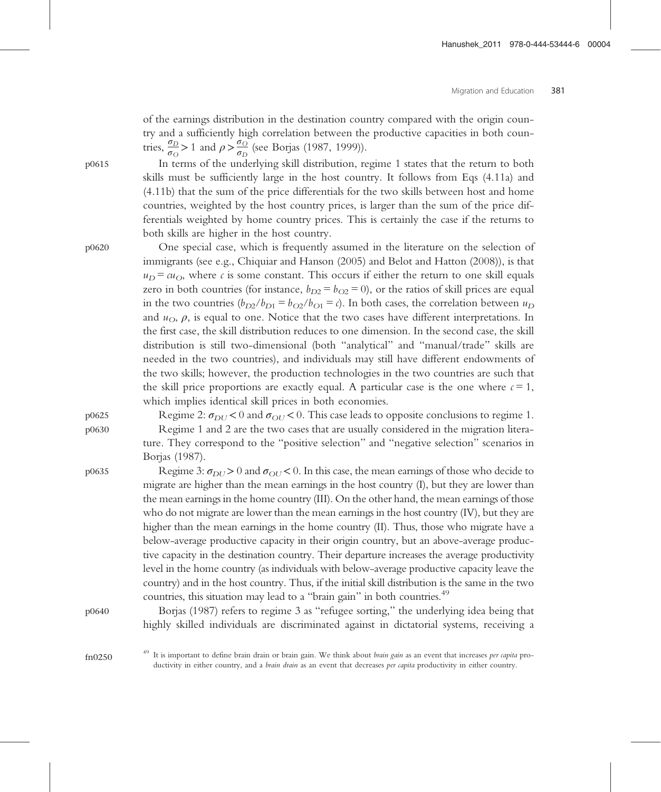of the earnings distribution in the destination country compared with the origin country and a sufficiently high correlation between the productive capacities in both countries,  $\frac{\sigma_D}{\sigma_O}$  > 1 and  $\rho > \frac{\sigma_O}{\sigma_D}$  (see Borjas (1987, 1999)).

p0615 In terms of the underlying skill distribution, regime 1 states that the return to both skills must be sufficiently large in the host country. It follows from Eqs (4.11a) and (4.11b) that the sum of the price differentials for the two skills between host and home countries, weighted by the host country prices, is larger than the sum of the price differentials weighted by home country prices. This is certainly the case if the returns to both skills are higher in the host country.

p0620 One special case, which is frequently assumed in the literature on the selection of immigrants (see e.g., Chiquiar and Hanson (2005) and Belot and Hatton (2008)), is that  $u_D = cu_O$ , where c is some constant. This occurs if either the return to one skill equals zero in both countries (for instance,  $b_{D2} = b_{O2} = 0$ ), or the ratios of skill prices are equal in the two countries  $(b_{D2}/b_{D1} = b_{O2}/b_{O1} = c)$ . In both cases, the correlation between  $u_D$ and  $u<sub>O</sub>$ ,  $\rho$ , is equal to one. Notice that the two cases have different interpretations. In the first case, the skill distribution reduces to one dimension. In the second case, the skill distribution is still two-dimensional (both "analytical" and "manual/trade" skills are needed in the two countries), and individuals may still have different endowments of the two skills; however, the production technologies in the two countries are such that the skill price proportions are exactly equal. A particular case is the one where  $c = 1$ , which implies identical skill prices in both economies.

- p0625 Regime 2:  $\sigma_{DU}$  < 0 and  $\sigma_{OU}$  < 0. This case leads to opposite conclusions to regime 1.<br>p0630 Regime 1 and 2 are the two cases that are usually considered in the migration litera-Regime 1 and 2 are the two cases that are usually considered in the migration literature. They correspond to the "positive selection" and "negative selection" scenarios in Borjas (1987).
- p0635 Regime 3:  $\sigma_{DI} > 0$  and  $\sigma_{OI} < 0$ . In this case, the mean earnings of those who decide to migrate are higher than the mean earnings in the host country (I), but they are lower than the mean earnings in the home country (III). On the other hand, the mean earnings of those who do not migrate are lower than the mean earnings in the host country (IV), but they are higher than the mean earnings in the home country (II). Thus, those who migrate have a below-average productive capacity in their origin country, but an above-average productive capacity in the destination country. Their departure increases the average productivity level in the home country (as individuals with below-average productive capacity leave the country) and in the host country. Thus, if the initial skill distribution is the same in the two countries, this situation may lead to a "brain gain" in both countries.<sup>49</sup>
- p0640 Borjas (1987) refers to regime 3 as "refugee sorting," the underlying idea being that highly skilled individuals are discriminated against in dictatorial systems, receiving a
- 
- fn0250<sup>49</sup> It is important to define brain drain or brain gain. We think about brain gain as an event that increases per capita productivity in either country, and a *brain drain* as an event that decreases per capita productivity in either country.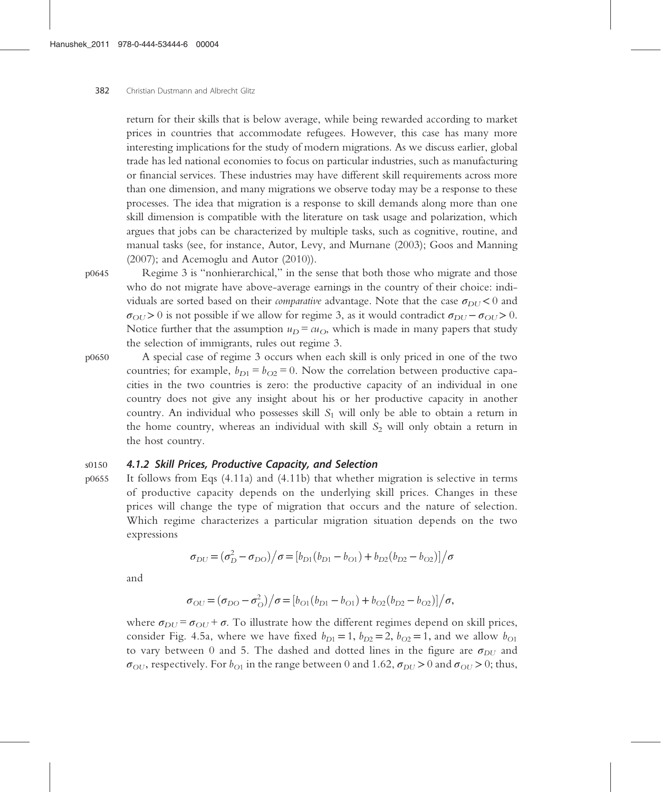return for their skills that is below average, while being rewarded according to market prices in countries that accommodate refugees. However, this case has many more interesting implications for the study of modern migrations. As we discuss earlier, global trade has led national economies to focus on particular industries, such as manufacturing or financial services. These industries may have different skill requirements across more than one dimension, and many migrations we observe today may be a response to these processes. The idea that migration is a response to skill demands along more than one skill dimension is compatible with the literature on task usage and polarization, which argues that jobs can be characterized by multiple tasks, such as cognitive, routine, and manual tasks (see, for instance, Autor, Levy, and Murnane (2003); Goos and Manning (2007); and Acemoglu and Autor (2010)).

p0645 Regime 3 is "nonhierarchical," in the sense that both those who migrate and those who do not migrate have above-average earnings in the country of their choice: individuals are sorted based on their *comparative* advantage. Note that the case  $\sigma_{DU}$  < 0 and  $\sigma_{OU} > 0$  is not possible if we allow for regime 3, as it would contradict  $\sigma_{DU} - \sigma_{OU} > 0$ . Notice further that the assumption  $u_D = \alpha_O$ , which is made in many papers that study the selection of immigrants, rules out regime 3.

p0650 A special case of regime 3 occurs when each skill is only priced in one of the two countries; for example,  $b_{D1} = b_{O2} = 0$ . Now the correlation between productive capacities in the two countries is zero: the productive capacity of an individual in one country does not give any insight about his or her productive capacity in another country. An individual who possesses skill  $S<sub>1</sub>$  will only be able to obtain a return in the home country, whereas an individual with skill  $S_2$  will only obtain a return in the host country.

# s0150 **4.1.2 Skill Prices, Productive Capacity, and Selection** p0655 It follows from Eqs  $(4.11a)$  and  $(4.11b)$  that whether

It follows from Eqs  $(4.11a)$  and  $(4.11b)$  that whether migration is selective in terms of productive capacity depends on the underlying skill prices. Changes in these prices will change the type of migration that occurs and the nature of selection. Which regime characterizes a particular migration situation depends on the two expressions

$$
\sigma_{DU} = (\sigma_D^2 - \sigma_{DO})/\sigma = [b_{D1}(b_{D1} - b_{O1}) + b_{D2}(b_{D2} - b_{O2})]/\sigma
$$

and

$$
\sigma_{OU} = (\sigma_{DO} - \sigma_O^2) / \sigma = [b_{O1}(b_{D1} - b_{O1}) + b_{O2}(b_{D2} - b_{O2})] / \sigma,
$$

where  $\sigma_{DU} = \sigma_{OU} + \sigma$ . To illustrate how the different regimes depend on skill prices, consider Fig. 4.5a, where we have fixed  $b_{D1} = 1$ ,  $b_{D2} = 2$ ,  $b_{O2} = 1$ , and we allow  $b_{O1}$ to vary between 0 and 5. The dashed and dotted lines in the figure are  $\sigma_{DU}$  and  $\sigma_{OU}$ , respectively. For  $b_{O1}$  in the range between 0 and 1.62,  $\sigma_{DU} > 0$  and  $\sigma_{OU} > 0$ ; thus,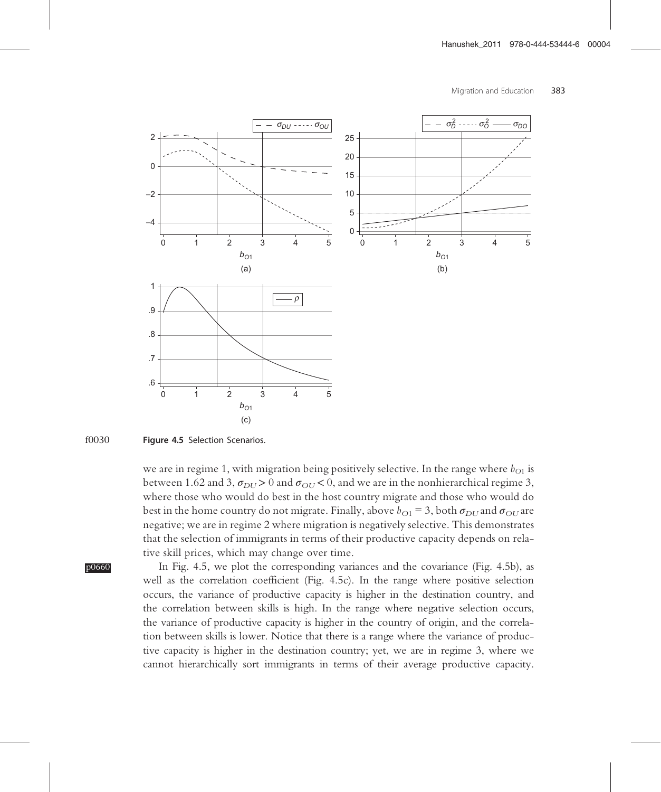#### Migration and Education 383





we are in regime 1, with migration being positively selective. In the range where  $b_{O1}$  is between 1.62 and 3,  $\sigma_{DU} > 0$  and  $\sigma_{OU} < 0$ , and we are in the nonhierarchical regime 3, where those who would do best in the host country migrate and those who would do best in the home country do not migrate. Finally, above  $b_{O1} = 3$ , both  $\sigma_{DU}$  and  $\sigma_{OU}$  are negative; we are in regime 2 where migration is negatively selective. This demonstrates that the selection of immigrants in terms of their productive capacity depends on relative skill prices, which may change over time.

p0660 In Fig. 4.5, we plot the corresponding variances and the covariance (Fig. 4.5b), as well as the correlation coefficient (Fig. 4.5c). In the range where positive selection occurs, the variance of productive capacity is higher in the destination country, and the correlation between skills is high. In the range where negative selection occurs, the variance of productive capacity is higher in the country of origin, and the correlation between skills is lower. Notice that there is a range where the variance of productive capacity is higher in the destination country; yet, we are in regime 3, where we cannot hierarchically sort immigrants in terms of their average productive capacity.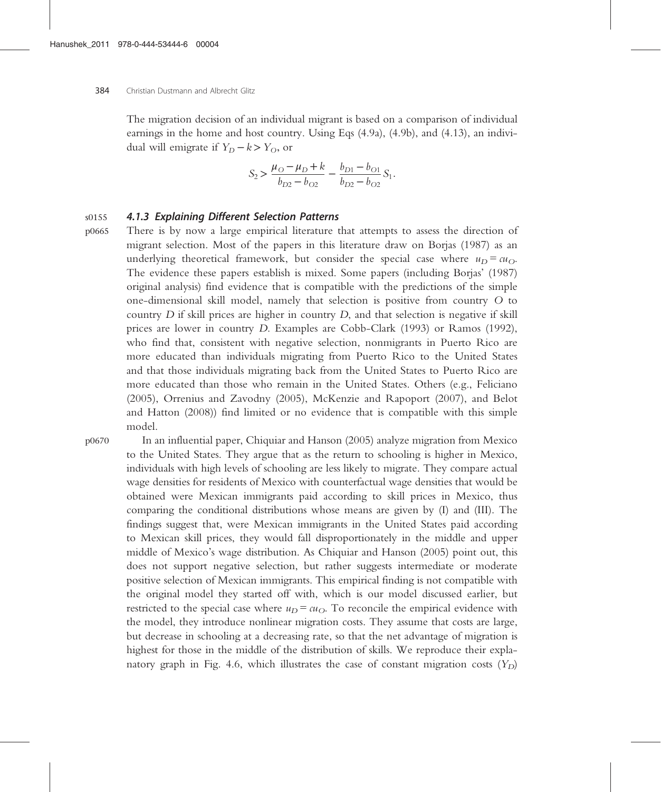The migration decision of an individual migrant is based on a comparison of individual earnings in the home and host country. Using Eqs (4.9a), (4.9b), and (4.13), an individual will emigrate if  $Y_D - k > Y_O$ , or

$$
S_2 > \frac{\mu_O - \mu_D + k}{b_{D2} - b_{O2}} - \frac{b_{D1} - b_{O1}}{b_{D2} - b_{O2}} S_1.
$$

# s0155 **4.1.3 Explaining Different Selection Patterns** p0665 There is by now a large empirical literature to

- There is by now a large empirical literature that attempts to assess the direction of migrant selection. Most of the papers in this literature draw on Borjas (1987) as an underlying theoretical framework, but consider the special case where  $u_D = cu_O$ . The evidence these papers establish is mixed. Some papers (including Borjas' (1987) original analysis) find evidence that is compatible with the predictions of the simple one-dimensional skill model, namely that selection is positive from country O to country D if skill prices are higher in country D, and that selection is negative if skill prices are lower in country D. Examples are Cobb-Clark (1993) or Ramos (1992), who find that, consistent with negative selection, nonmigrants in Puerto Rico are more educated than individuals migrating from Puerto Rico to the United States and that those individuals migrating back from the United States to Puerto Rico are more educated than those who remain in the United States. Others (e.g., Feliciano (2005), Orrenius and Zavodny (2005), McKenzie and Rapoport (2007), and Belot and Hatton (2008)) find limited or no evidence that is compatible with this simple model.
- 

p0670 In an influential paper, Chiquiar and Hanson (2005) analyze migration from Mexico to the United States. They argue that as the return to schooling is higher in Mexico, individuals with high levels of schooling are less likely to migrate. They compare actual wage densities for residents of Mexico with counterfactual wage densities that would be obtained were Mexican immigrants paid according to skill prices in Mexico, thus comparing the conditional distributions whose means are given by (I) and (III). The findings suggest that, were Mexican immigrants in the United States paid according to Mexican skill prices, they would fall disproportionately in the middle and upper middle of Mexico's wage distribution. As Chiquiar and Hanson (2005) point out, this does not support negative selection, but rather suggests intermediate or moderate positive selection of Mexican immigrants. This empirical finding is not compatible with the original model they started off with, which is our model discussed earlier, but restricted to the special case where  $u_D = \alpha_{\rm O}$ . To reconcile the empirical evidence with the model, they introduce nonlinear migration costs. They assume that costs are large, but decrease in schooling at a decreasing rate, so that the net advantage of migration is highest for those in the middle of the distribution of skills. We reproduce their explanatory graph in Fig. 4.6, which illustrates the case of constant migration costs  $(Y_D)$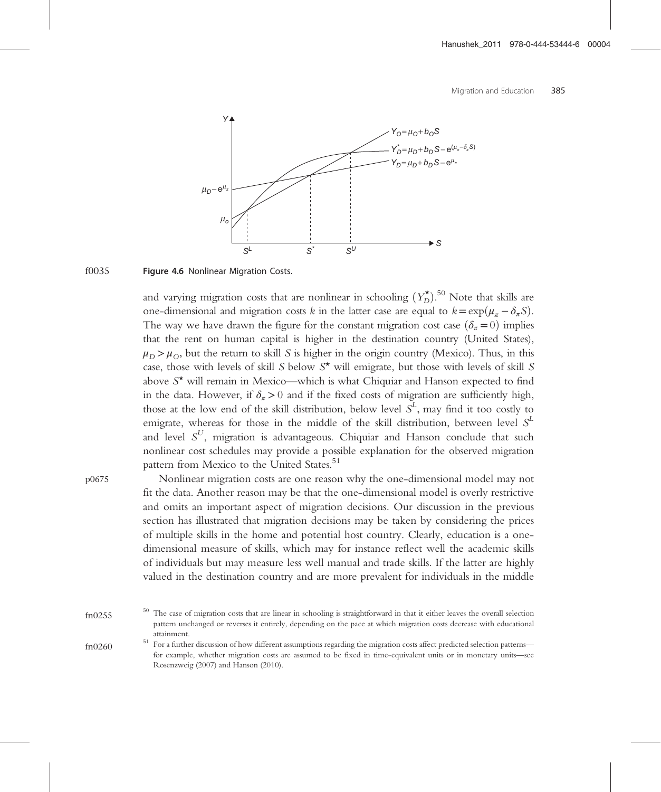#### Migration and Education 385



### f0035 Figure 4.6 Nonlinear Migration Costs.

and varying migration costs that are nonlinear in schooling  $(Y_D^{\star})$ .<sup>50</sup> Note that skills are one-dimensional and migration costs k in the latter case are equal to  $k = \exp(\mu_\pi - \delta_\pi S)$ . The way we have drawn the figure for the constant migration cost case  $(\delta_{\pi} = 0)$  implies that the rent on human capital is higher in the destination country (United States),  $\mu_D > \mu_O$ , but the return to skill S is higher in the origin country (Mexico). Thus, in this case, those with levels of skill S below  $S^*$  will emigrate, but those with levels of skill S above  $S^*$  will remain in Mexico—which is what Chiquiar and Hanson expected to find in the data. However, if  $\delta_{\pi} > 0$  and if the fixed costs of migration are sufficiently high, those at the low end of the skill distribution, below level  $S<sup>L</sup>$ , may find it too costly to emigrate, whereas for those in the middle of the skill distribution, between level  $S<sup>L</sup>$ and level  $S^{U}$ , migration is advantageous. Chiquiar and Hanson conclude that such nonlinear cost schedules may provide a possible explanation for the observed migration pattern from Mexico to the United States.<sup>51</sup>

p0675 Nonlinear migration costs are one reason why the one-dimensional model may not fit the data. Another reason may be that the one-dimensional model is overly restrictive and omits an important aspect of migration decisions. Our discussion in the previous section has illustrated that migration decisions may be taken by considering the prices of multiple skills in the home and potential host country. Clearly, education is a onedimensional measure of skills, which may for instance reflect well the academic skills of individuals but may measure less well manual and trade skills. If the latter are highly valued in the destination country and are more prevalent for individuals in the middle

- fn0255 <sup>50</sup> The case of migration costs that are linear in schooling is straightforward in that it either leaves the overall selection pattern unchanged or reverses it entirely, depending on the pace at which migration costs decrease with educational attainment.
- 

fn0260 <sup>51</sup> For a further discussion of how different assumptions regarding the migration costs affect predicted selection patterns for example, whether migration costs are assumed to be fixed in time-equivalent units or in monetary units—see Rosenzweig (2007) and Hanson (2010).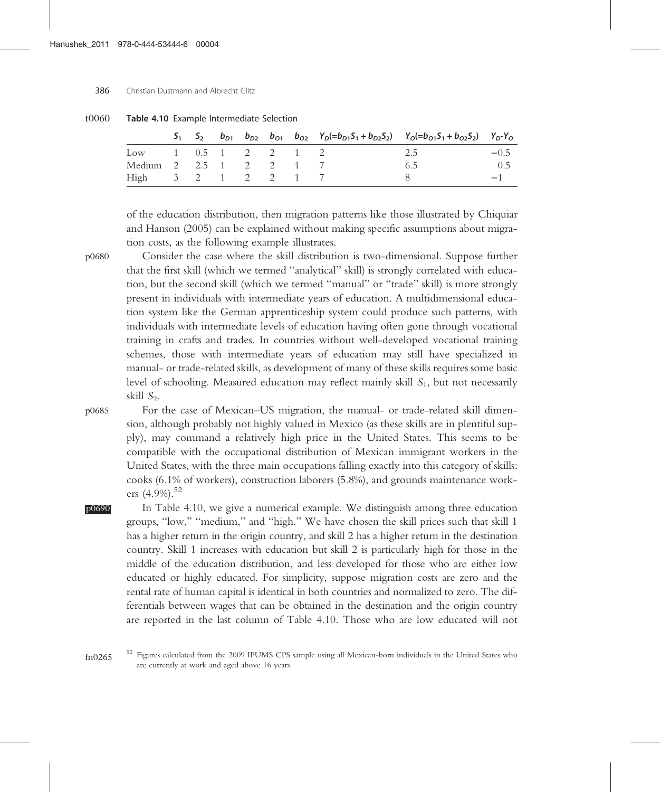|                                  |                 |  |  | $S_1$ $S_2$ $b_{D1}$ $b_{D2}$ $b_{O1}$ $b_{O2}$ $Y_D(=b_{D1}S_1+b_{D2}S_2)$ $Y_O(=b_{O1}S_1+b_{O2}S_2)$ $Y_DY_O$ |         |
|----------------------------------|-----------------|--|--|------------------------------------------------------------------------------------------------------------------|---------|
| Low                              | 1 0.5 1 2 2 1 2 |  |  | 2.5                                                                                                              | $-()$ . |
| Medium 2 2.5 1 2 2 1 7           |                 |  |  | 6.5                                                                                                              |         |
| High $3 \t2 \t1 \t2 \t2 \t1 \t7$ |                 |  |  |                                                                                                                  |         |

#### t0060 Table 4.10 Example Intermediate Selection

of the education distribution, then migration patterns like those illustrated by Chiquiar and Hanson (2005) can be explained without making specific assumptions about migration costs, as the following example illustrates.

p0680 Consider the case where the skill distribution is two-dimensional. Suppose further that the first skill (which we termed "analytical" skill) is strongly correlated with education, but the second skill (which we termed "manual" or "trade" skill) is more strongly present in individuals with intermediate years of education. A multidimensional education system like the German apprenticeship system could produce such patterns, with individuals with intermediate levels of education having often gone through vocational training in crafts and trades. In countries without well-developed vocational training schemes, those with intermediate years of education may still have specialized in manual- or trade-related skills, as development of many of these skills requires some basic level of schooling. Measured education may reflect mainly skill  $S_1$ , but not necessarily skill  $S<sub>2</sub>$ .

- p0685 For the case of Mexican–US migration, the manual- or trade-related skill dimension, although probably not highly valued in Mexico (as these skills are in plentiful supply), may command a relatively high price in the United States. This seems to be compatible with the occupational distribution of Mexican immigrant workers in the United States, with the three main occupations falling exactly into this category of skills: cooks (6.1% of workers), construction laborers (5.8%), and grounds maintenance workers (4.9%).<sup>52</sup>
- p0690 In Table 4.10, we give a numerical example. We distinguish among three education groups, "low," "medium," and "high." We have chosen the skill prices such that skill 1 has a higher return in the origin country, and skill 2 has a higher return in the destination country. Skill 1 increases with education but skill 2 is particularly high for those in the middle of the education distribution, and less developed for those who are either low educated or highly educated. For simplicity, suppose migration costs are zero and the rental rate of human capital is identical in both countries and normalized to zero. The differentials between wages that can be obtained in the destination and the origin country are reported in the last column of Table 4.10. Those who are low educated will not

fn0265 <sup>52</sup> Figures calculated from the 2009 IPUMS CPS sample using all Mexican-born individuals in the United States who are currently at work and aged above 16 years.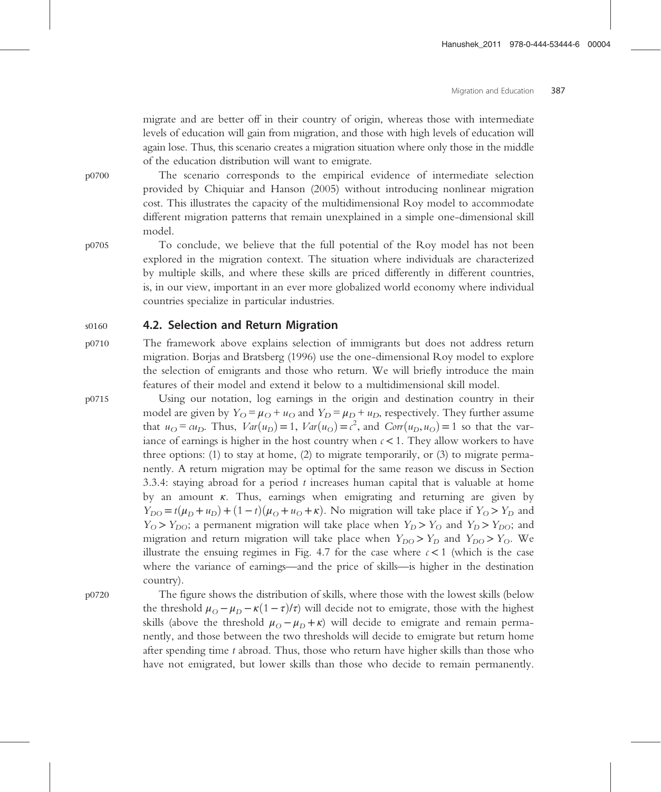migrate and are better off in their country of origin, whereas those with intermediate levels of education will gain from migration, and those with high levels of education will again lose. Thus, this scenario creates a migration situation where only those in the middle of the education distribution will want to emigrate.

p0700 The scenario corresponds to the empirical evidence of intermediate selection provided by Chiquiar and Hanson (2005) without introducing nonlinear migration cost. This illustrates the capacity of the multidimensional Roy model to accommodate different migration patterns that remain unexplained in a simple one-dimensional skill model.

p0705 To conclude, we believe that the full potential of the Roy model has not been explored in the migration context. The situation where individuals are characterized by multiple skills, and where these skills are priced differently in different countries, is, in our view, important in an ever more globalized world economy where individual countries specialize in particular industries.

### s0160 **4.2. Selection and Return Migration**

- p0710 The framework above explains selection of immigrants but does not address return migration. Borjas and Bratsberg (1996) use the one-dimensional Roy model to explore the selection of emigrants and those who return. We will briefly introduce the main features of their model and extend it below to a multidimensional skill model.
- p0715 Using our notation, log earnings in the origin and destination country in their model are given by  $Y_{O} = \mu_{O} + \mu_{O}$  and  $Y_{D} = \mu_{D} + \mu_{D}$ , respectively. They further assume that  $u_O = cu_D$ . Thus,  $Var(u_D) = 1$ ,  $Var(u_O) = c^2$ , and  $Corr(u_D, u_O) = 1$  so that the variance of earnings is higher in the host country when  $c < 1$ . They allow workers to have three options: (1) to stay at home, (2) to migrate temporarily, or (3) to migrate permanently. A return migration may be optimal for the same reason we discuss in Section 3.3.4: staying abroad for a period  $t$  increases human capital that is valuable at home by an amount κ. Thus, earnings when emigrating and returning are given by  $Y_{DO} = t(\mu_D + \mu_D) + (1-t)(\mu_O + \mu_O + \kappa)$ . No migration will take place if  $Y_O > Y_D$  and  $Y_{\text{O}}$  >  $Y_{\text{DO}}$ ; a permanent migration will take place when  $Y_{\text{D}}$  >  $Y_{\text{O}}$  and  $Y_{\text{DO}}$ ; and migration and return migration will take place when  $Y_{DO} > Y_D$  and  $Y_{DO} > Y_O$ . We illustrate the ensuing regimes in Fig. 4.7 for the case where  $c < 1$  (which is the case where the variance of earnings—and the price of skills—is higher in the destination country).
- 

p0720 The figure shows the distribution of skills, where those with the lowest skills (below the threshold  $\mu_{\rm O} - \mu_{\rm D} - \kappa (1-\tau)/\tau$ ) will decide not to emigrate, those with the highest skills (above the threshold  $\mu_{\text{O}} - \mu_{\text{D}} + \kappa$ ) will decide to emigrate and remain permanently, and those between the two thresholds will decide to emigrate but return home after spending time t abroad. Thus, those who return have higher skills than those who have not emigrated, but lower skills than those who decide to remain permanently.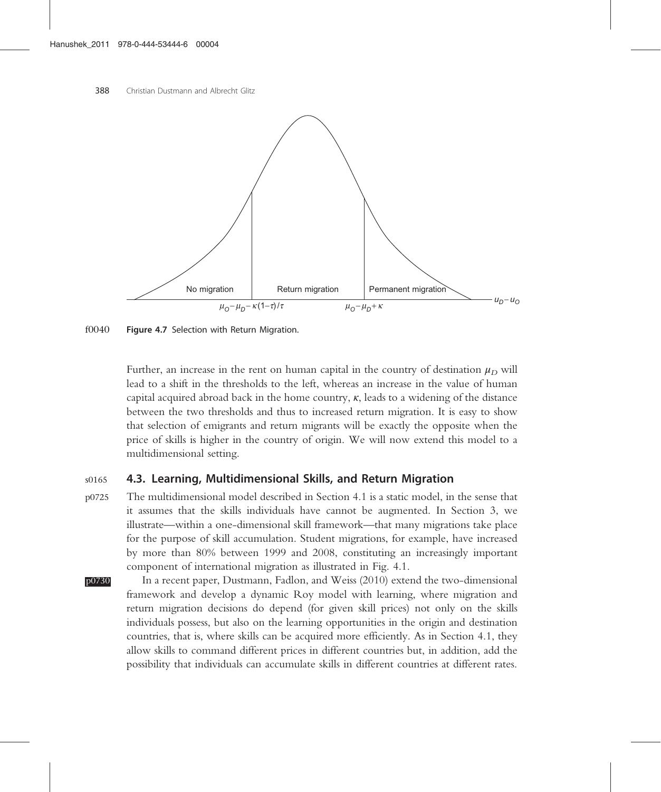

f0040 Figure 4.7 Selection with Return Migration.

Further, an increase in the rent on human capital in the country of destination  $\mu_D$  will lead to a shift in the thresholds to the left, whereas an increase in the value of human capital acquired abroad back in the home country,  $\kappa$ , leads to a widening of the distance between the two thresholds and thus to increased return migration. It is easy to show that selection of emigrants and return migrants will be exactly the opposite when the price of skills is higher in the country of origin. We will now extend this model to a multidimensional setting.

### s0165 4.3. Learning, Multidimensional Skills, and Return Migration

- p0725 The multidimensional model described in Section 4.1 is a static model, in the sense that it assumes that the skills individuals have cannot be augmented. In Section 3, we illustrate—within a one-dimensional skill framework—that many migrations take place for the purpose of skill accumulation. Student migrations, for example, have increased by more than 80% between 1999 and 2008, constituting an increasingly important component of international migration as illustrated in Fig. 4.1.
- p0730 In a recent paper, Dustmann, Fadlon, and Weiss (2010) extend the two-dimensional framework and develop a dynamic Roy model with learning, where migration and return migration decisions do depend (for given skill prices) not only on the skills individuals possess, but also on the learning opportunities in the origin and destination countries, that is, where skills can be acquired more efficiently. As in Section 4.1, they allow skills to command different prices in different countries but, in addition, add the possibility that individuals can accumulate skills in different countries at different rates.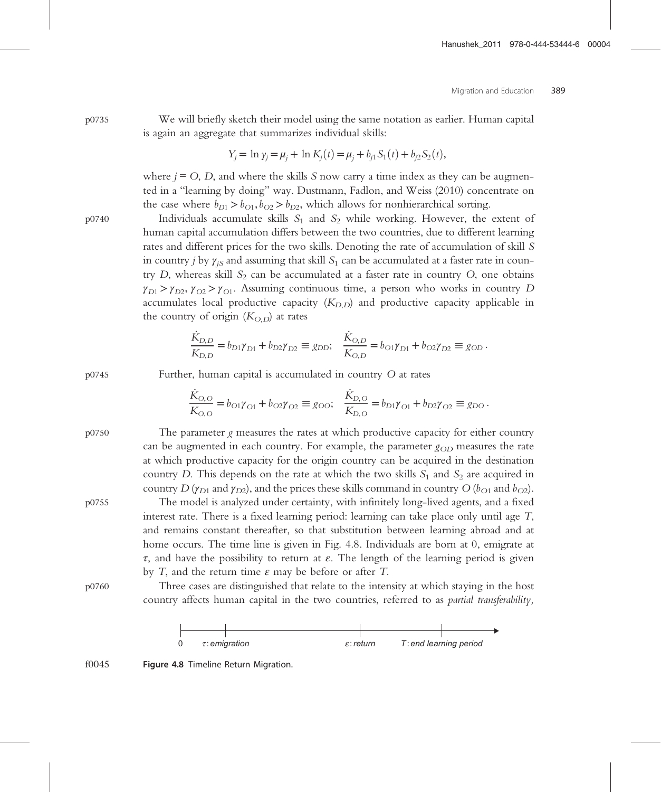p0735 We will briefly sketch their model using the same notation as earlier. Human capital is again an aggregate that summarizes individual skills:

$$
Y_j = \ln \gamma_j = \mu_j + \ln K_j(t) = \mu_j + b_{j1} S_1(t) + b_{j2} S_2(t),
$$

where  $j = O$ , D, and where the skills S now carry a time index as they can be augmented in a "learning by doing" way. Dustmann, Fadlon, and Weiss (2010) concentrate on the case where  $b_{D1} > b_{O1}, b_{O2} > b_{D2}$ , which allows for nonhierarchical sorting.

p0740 Individuals accumulate skills  $S_1$  and  $S_2$  while working. However, the extent of human capital accumulation differs between the two countries, due to different learning rates and different prices for the two skills. Denoting the rate of accumulation of skill S in country j by  $\gamma_{iS}$  and assuming that skill  $S_1$  can be accumulated at a faster rate in country  $D$ , whereas skill  $S_2$  can be accumulated at a faster rate in country  $O$ , one obtains  $\gamma_{D1}$  >  $\gamma_{D2}$ ,  $\gamma_{O2}$  >  $\gamma_{O1}$ . Assuming continuous time, a person who works in country D accumulates local productive capacity  $(K_{D,D})$  and productive capacity applicable in the country of origin  $(K_{\text{O},D})$  at rates

$$
\frac{\dot{K}_{D,D}}{K_{D,D}} = b_{D1}\gamma_{D1} + b_{D2}\gamma_{D2} \equiv g_{DD}; \quad \frac{\dot{K}_{O,D}}{K_{O,D}} = b_{O1}\gamma_{D1} + b_{O2}\gamma_{D2} \equiv g_{OD}.
$$

p0745 Further, human capital is accumulated in country <sup>O</sup> at rates

$$
\frac{\dot{K}_{\text{O,O}}}{K_{\text{O,O}}} = b_{\text{O1}} \gamma_{\text{O1}} + b_{\text{O2}} \gamma_{\text{O2}} \equiv g_{\text{OO}}; \quad \frac{\dot{K}_{\text{D,O}}}{K_{\text{D,O}}} = b_{\text{D1}} \gamma_{\text{O1}} + b_{\text{D2}} \gamma_{\text{O2}} \equiv g_{\text{DO}}.
$$

p0750 The parameter <sup>g</sup> measures the rates at which productive capacity for either country can be augmented in each country. For example, the parameter  $g_{OD}$  measures the rate at which productive capacity for the origin country can be acquired in the destination country D. This depends on the rate at which the two skills  $S_1$  and  $S_2$  are acquired in country D ( $\gamma_{D1}$  and  $\gamma_{D2}$ ), and the prices these skills command in country O ( $b_{O1}$  and  $b_{O2}$ ). p0755 The model is analyzed under certainty, with infinitely long-lived agents, and a fixed interest rate. There is a fixed learning period: learning can take place only until age T, and remains constant thereafter, so that substitution between learning abroad and at home occurs. The time line is given in Fig. 4.8. Individuals are born at 0, emigrate at  $\tau$ , and have the possibility to return at  $\varepsilon$ . The length of the learning period is given

by T, and the return time  $\varepsilon$  may be before or after T.

p0760 Three cases are distinguished that relate to the intensity at which staying in the host country affects human capital in the two countries, referred to as partial transferability,



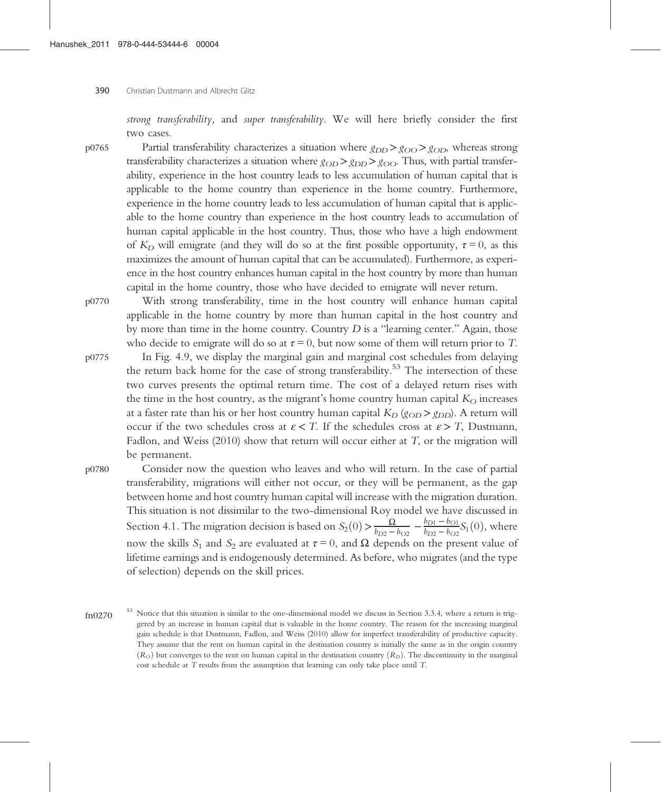strong transferability, and super transferability. We will here briefly consider the first two cases.

- p0765 Partial transferability characterizes a situation where  $g_{DD} > g_{OO} > g_{OD}$ , whereas strong transferability characterizes a situation where  $g_{OD} > g_{DD} > g_{OO}$ . Thus, with partial transferability, experience in the host country leads to less accumulation of human capital that is applicable to the home country than experience in the home country. Furthermore, experience in the home country leads to less accumulation of human capital that is applicable to the home country than experience in the host country leads to accumulation of human capital applicable in the host country. Thus, those who have a high endowment of  $K<sub>D</sub>$  will emigrate (and they will do so at the first possible opportunity,  $\tau = 0$ , as this maximizes the amount of human capital that can be accumulated). Furthermore, as experience in the host country enhances human capital in the host country by more than human capital in the home country, those who have decided to emigrate will never return.
- p0770 With strong transferability, time in the host country will enhance human capital applicable in the home country by more than human capital in the host country and by more than time in the home country. Country  $D$  is a "learning center." Again, those who decide to emigrate will do so at  $\tau = 0$ , but now some of them will return prior to T.
- p0775 In Fig. 4.9, we display the marginal gain and marginal cost schedules from delaying the return back home for the case of strong transferability.<sup>53</sup> The intersection of these two curves presents the optimal return time. The cost of a delayed return rises with the time in the host country, as the migrant's home country human capital  $K_O$  increases at a faster rate than his or her host country human capital  $K_D$  (g<sub>OD</sub> > g<sub>DD</sub>). A return will occur if the two schedules cross at  $\varepsilon < T$ . If the schedules cross at  $\varepsilon > T$ , Dustmann, Fadlon, and Weiss (2010) show that return will occur either at T, or the migration will be permanent.

p0780 Consider now the question who leaves and who will return. In the case of partial transferability, migrations will either not occur, or they will be permanent, as the gap between home and host country human capital will increase with the migration duration. This situation is not dissimilar to the two-dimensional Roy model we have discussed in Section 4.1. The migration decision is based on  $S_2(0) > \frac{\Omega}{b_{D2} - b_{O2}} - \frac{b_{D1} - b_{O1}}{b_{D2} - b_{O2}} S_1(0)$ , where now the skills S<sub>1</sub> and S<sub>2</sub> are evaluated at  $τ = 0$ , and Ω depends on the present value of lifetime earnings and is endogenously determined. As before, who migrates (and the type of selection) depends on the skill prices.

fn0270 <sup>53</sup> Notice that this situation is similar to the one-dimensional model we discuss in Section 3.3.4, where a return is triggered by an increase in human capital that is valuable in the home country. The reason for the increasing marginal gain schedule is that Dustmann, Fadlon, and Weiss (2010) allow for imperfect transferability of productive capacity. They assume that the rent on human capital in the destination country is initially the same as in the origin country  $(R<sub>O</sub>)$  but converges to the rent on human capital in the destination country  $(R<sub>D</sub>)$ . The discontinuity in the marginal cost schedule at T results from the assumption that learning can only take place until T.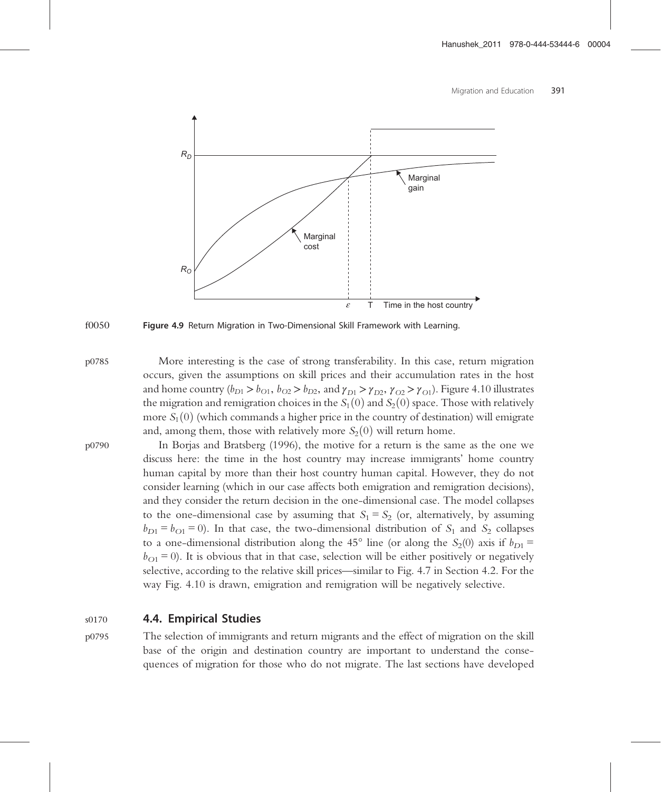Migration and Education 391



f0050 Figure 4.9 Return Migration in Two-Dimensional Skill Framework with Learning.

- p0785 More interesting is the case of strong transferability. In this case, return migration occurs, given the assumptions on skill prices and their accumulation rates in the host and home country ( $b_{D1} > b_{O1}$ ,  $b_{O2} > b_{D2}$ , and  $\gamma_{D1} > \gamma_{D2}$ ,  $\gamma_{O2} > \gamma_{O1}$ ). Figure 4.10 illustrates the migration and remigration choices in the  $S_1(0)$  and  $S_2(0)$  space. Those with relatively more  $S_1(0)$  (which commands a higher price in the country of destination) will emigrate and, among them, those with relatively more  $S_2(0)$  will return home.
- p0790 In Borjas and Bratsberg (1996), the motive for a return is the same as the one we discuss here: the time in the host country may increase immigrants' home country human capital by more than their host country human capital. However, they do not consider learning (which in our case affects both emigration and remigration decisions), and they consider the return decision in the one-dimensional case. The model collapses to the one-dimensional case by assuming that  $S_1 = S_2$  (or, alternatively, by assuming  $b_{D1} = b_{O1} = 0$ ). In that case, the two-dimensional distribution of  $S_1$  and  $S_2$  collapses to a one-dimensional distribution along the 45° line (or along the  $S_2(0)$  axis if  $b_{D1}$  =  $b_{\text{O1}}$  = 0). It is obvious that in that case, selection will be either positively or negatively selective, according to the relative skill prices—similar to Fig. 4.7 in Section 4.2. For the way Fig. 4.10 is drawn, emigration and remigration will be negatively selective.

### s0170 **4.4. Empirical Studies**

p0795 The selection of immigrants and return migrants and the effect of migration on the skill base of the origin and destination country are important to understand the consequences of migration for those who do not migrate. The last sections have developed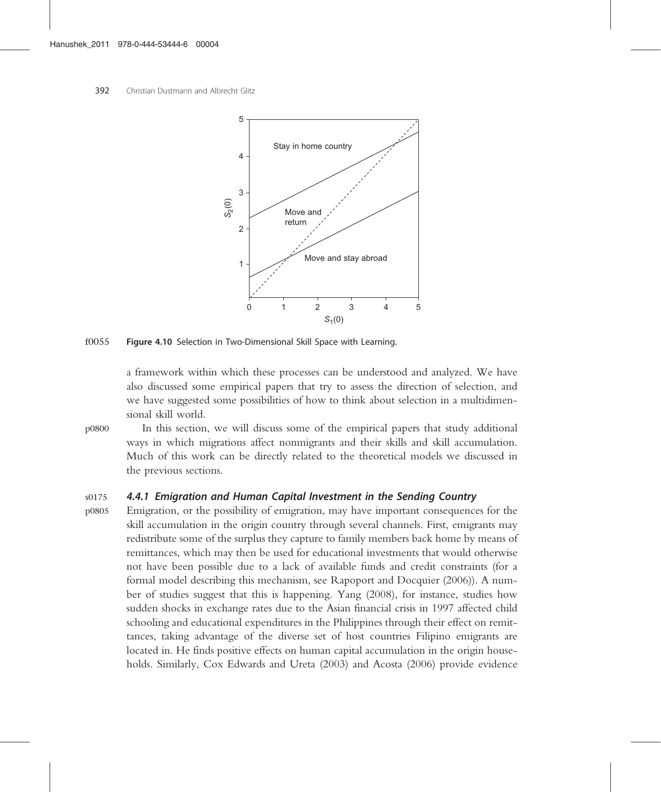

f0055 Figure 4.10 Selection in Two-Dimensional Skill Space with Learning.

a framework within which these processes can be understood and analyzed. We have also discussed some empirical papers that try to assess the direction of selection, and we have suggested some possibilities of how to think about selection in a multidimensional skill world.

p0800 In this section, we will discuss some of the empirical papers that study additional ways in which migrations affect nonmigrants and their skills and skill accumulation. Much of this work can be directly related to the theoretical models we discussed in the previous sections.

# $150175$  4.4.1 Emigration and Human Capital Investment in the Sending Country<br> $10805$  Emigration, or the possibility of emigration, may have important consequence

Emigration, or the possibility of emigration, may have important consequences for the skill accumulation in the origin country through several channels. First, emigrants may redistribute some of the surplus they capture to family members back home by means of remittances, which may then be used for educational investments that would otherwise not have been possible due to a lack of available funds and credit constraints (for a formal model describing this mechanism, see Rapoport and Docquier (2006)). A number of studies suggest that this is happening. Yang (2008), for instance, studies how sudden shocks in exchange rates due to the Asian financial crisis in 1997 affected child schooling and educational expenditures in the Philippines through their effect on remittances, taking advantage of the diverse set of host countries Filipino emigrants are located in. He finds positive effects on human capital accumulation in the origin households. Similarly, Cox Edwards and Ureta (2003) and Acosta (2006) provide evidence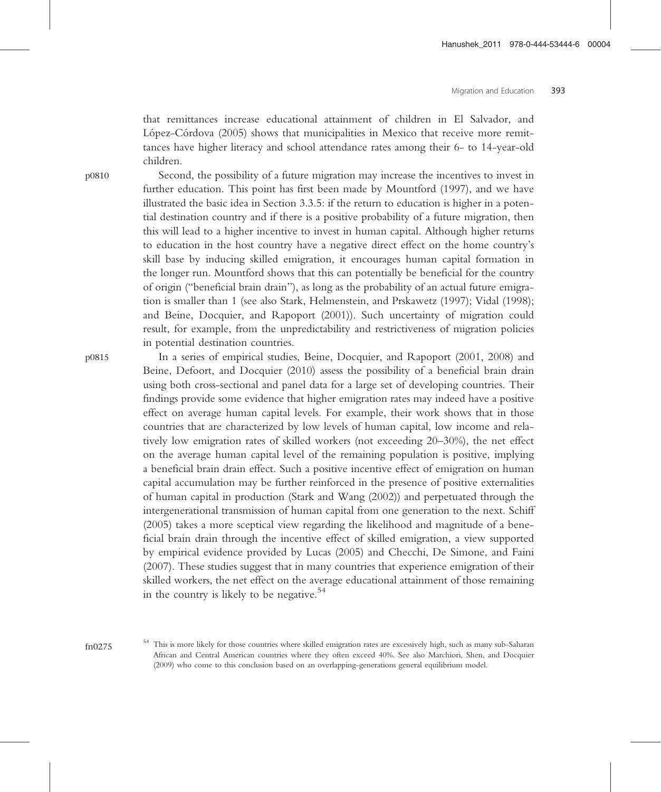that remittances increase educational attainment of children in El Salvador, and López-Córdova (2005) shows that municipalities in Mexico that receive more remittances have higher literacy and school attendance rates among their 6- to 14-year-old children.

p0810 Second, the possibility of a future migration may increase the incentives to invest in further education. This point has first been made by Mountford (1997), and we have illustrated the basic idea in Section 3.3.5: if the return to education is higher in a potential destination country and if there is a positive probability of a future migration, then this will lead to a higher incentive to invest in human capital. Although higher returns to education in the host country have a negative direct effect on the home country's skill base by inducing skilled emigration, it encourages human capital formation in the longer run. Mountford shows that this can potentially be beneficial for the country of origin ("beneficial brain drain"), as long as the probability of an actual future emigration is smaller than 1 (see also Stark, Helmenstein, and Prskawetz (1997); Vidal (1998); and Beine, Docquier, and Rapoport (2001)). Such uncertainty of migration could result, for example, from the unpredictability and restrictiveness of migration policies in potential destination countries.

p0815 In a series of empirical studies, Beine, Docquier, and Rapoport (2001, 2008) and Beine, Defoort, and Docquier (2010) assess the possibility of a beneficial brain drain using both cross-sectional and panel data for a large set of developing countries. Their findings provide some evidence that higher emigration rates may indeed have a positive effect on average human capital levels. For example, their work shows that in those countries that are characterized by low levels of human capital, low income and relatively low emigration rates of skilled workers (not exceeding 20–30%), the net effect on the average human capital level of the remaining population is positive, implying a beneficial brain drain effect. Such a positive incentive effect of emigration on human capital accumulation may be further reinforced in the presence of positive externalities of human capital in production (Stark and Wang (2002)) and perpetuated through the intergenerational transmission of human capital from one generation to the next. Schiff (2005) takes a more sceptical view regarding the likelihood and magnitude of a beneficial brain drain through the incentive effect of skilled emigration, a view supported by empirical evidence provided by Lucas (2005) and Checchi, De Simone, and Faini (2007). These studies suggest that in many countries that experience emigration of their skilled workers, the net effect on the average educational attainment of those remaining in the country is likely to be negative. $54$ 

fn0275 <sup>54</sup> This is more likely for those countries where skilled emigration rates are excessively high, such as many sub-Saharan African and Central American countries where they often exceed 40%. See also Marchiori, Shen, and Docquier (2009) who come to this conclusion based on an overlapping-generations general equilibrium model.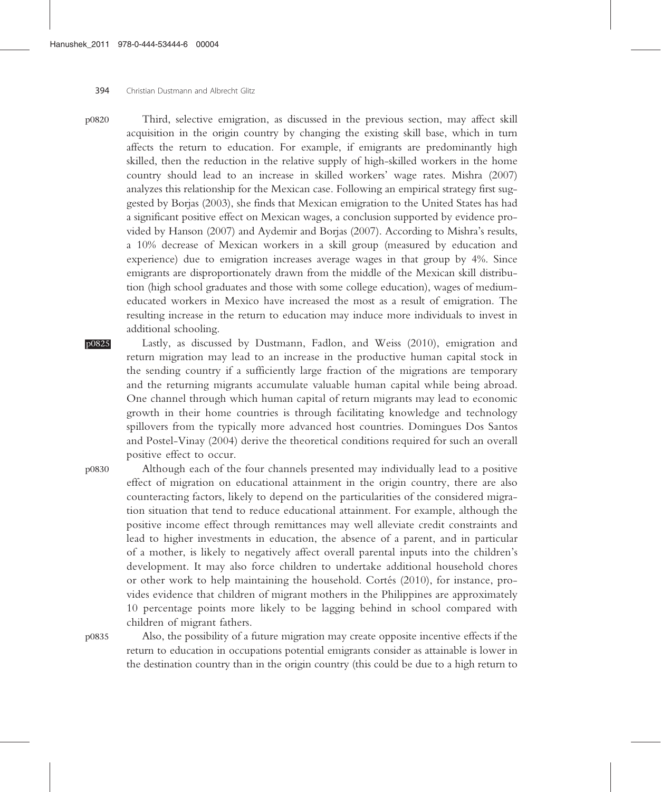p0820 Third, selective emigration, as discussed in the previous section, may affect skill acquisition in the origin country by changing the existing skill base, which in turn affects the return to education. For example, if emigrants are predominantly high skilled, then the reduction in the relative supply of high-skilled workers in the home country should lead to an increase in skilled workers' wage rates. Mishra (2007) analyzes this relationship for the Mexican case. Following an empirical strategy first suggested by Borjas (2003), she finds that Mexican emigration to the United States has had a significant positive effect on Mexican wages, a conclusion supported by evidence provided by Hanson (2007) and Aydemir and Borjas (2007). According to Mishra's results, a 10% decrease of Mexican workers in a skill group (measured by education and experience) due to emigration increases average wages in that group by 4%. Since emigrants are disproportionately drawn from the middle of the Mexican skill distribution (high school graduates and those with some college education), wages of mediumeducated workers in Mexico have increased the most as a result of emigration. The resulting increase in the return to education may induce more individuals to invest in additional schooling.

p0825 Lastly, as discussed by Dustmann, Fadlon, and Weiss (2010), emigration and return migration may lead to an increase in the productive human capital stock in the sending country if a sufficiently large fraction of the migrations are temporary and the returning migrants accumulate valuable human capital while being abroad. One channel through which human capital of return migrants may lead to economic growth in their home countries is through facilitating knowledge and technology spillovers from the typically more advanced host countries. Domingues Dos Santos and Postel-Vinay (2004) derive the theoretical conditions required for such an overall positive effect to occur.

p0830 Although each of the four channels presented may individually lead to a positive effect of migration on educational attainment in the origin country, there are also counteracting factors, likely to depend on the particularities of the considered migration situation that tend to reduce educational attainment. For example, although the positive income effect through remittances may well alleviate credit constraints and lead to higher investments in education, the absence of a parent, and in particular of a mother, is likely to negatively affect overall parental inputs into the children's development. It may also force children to undertake additional household chores or other work to help maintaining the household. Cortés (2010), for instance, provides evidence that children of migrant mothers in the Philippines are approximately 10 percentage points more likely to be lagging behind in school compared with children of migrant fathers.

p0835 Also, the possibility of a future migration may create opposite incentive effects if the return to education in occupations potential emigrants consider as attainable is lower in the destination country than in the origin country (this could be due to a high return to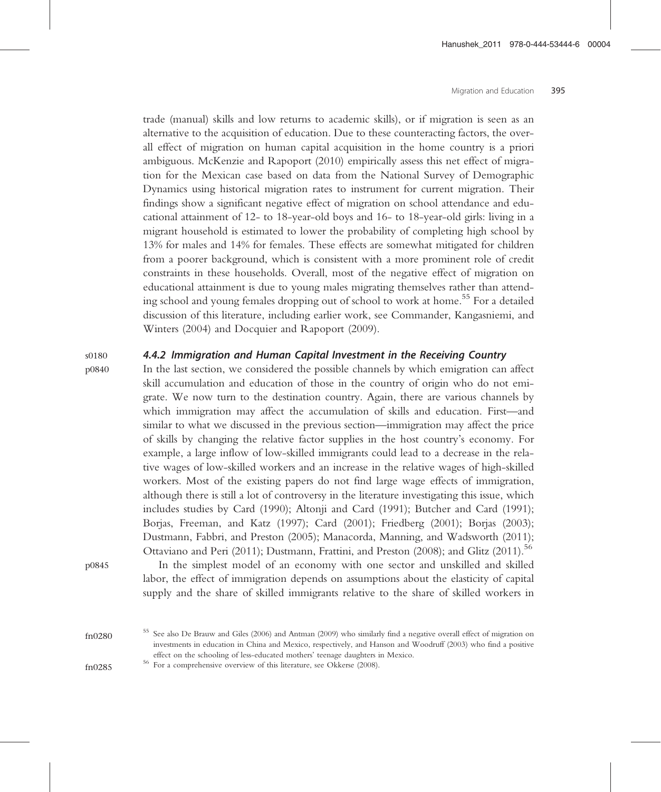trade (manual) skills and low returns to academic skills), or if migration is seen as an alternative to the acquisition of education. Due to these counteracting factors, the overall effect of migration on human capital acquisition in the home country is a priori ambiguous. McKenzie and Rapoport (2010) empirically assess this net effect of migration for the Mexican case based on data from the National Survey of Demographic Dynamics using historical migration rates to instrument for current migration. Their findings show a significant negative effect of migration on school attendance and educational attainment of 12- to 18-year-old boys and 16- to 18-year-old girls: living in a migrant household is estimated to lower the probability of completing high school by 13% for males and 14% for females. These effects are somewhat mitigated for children from a poorer background, which is consistent with a more prominent role of credit constraints in these households. Overall, most of the negative effect of migration on educational attainment is due to young males migrating themselves rather than attending school and young females dropping out of school to work at home.<sup>55</sup> For a detailed discussion of this literature, including earlier work, see Commander, Kangasniemi, and Winters (2004) and Docquier and Rapoport (2009).

## $180$  4.4.2 Immigration and Human Capital Investment in the Receiving Country<br> $100840$  In the last section, we considered the possible channels by which emigration can

In the last section, we considered the possible channels by which emigration can affect skill accumulation and education of those in the country of origin who do not emigrate. We now turn to the destination country. Again, there are various channels by which immigration may affect the accumulation of skills and education. First—and similar to what we discussed in the previous section—immigration may affect the price of skills by changing the relative factor supplies in the host country's economy. For example, a large inflow of low-skilled immigrants could lead to a decrease in the relative wages of low-skilled workers and an increase in the relative wages of high-skilled workers. Most of the existing papers do not find large wage effects of immigration, although there is still a lot of controversy in the literature investigating this issue, which includes studies by Card (1990); Altonji and Card (1991); Butcher and Card (1991); Borjas, Freeman, and Katz (1997); Card (2001); Friedberg (2001); Borjas (2003); Dustmann, Fabbri, and Preston (2005); Manacorda, Manning, and Wadsworth (2011); Ottaviano and Peri (2011); Dustmann, Frattini, and Preston (2008); and Glitz (2011).<sup>56</sup>

p0845 In the simplest model of an economy with one sector and unskilled and skilled labor, the effect of immigration depends on assumptions about the elasticity of capital supply and the share of skilled immigrants relative to the share of skilled workers in

fn0285 <sup>56</sup> For a comprehensive overview of this literature, see Okkerse (2008).

fn0280 <sup>55</sup> See also De Brauw and Giles (2006) and Antman (2009) who similarly find a negative overall effect of migration on investments in education in China and Mexico, respectively, and Hanson and Woodruff (2003) who find a positive effect on the schooling of less-educated mothers' teenage daughters in Mexico.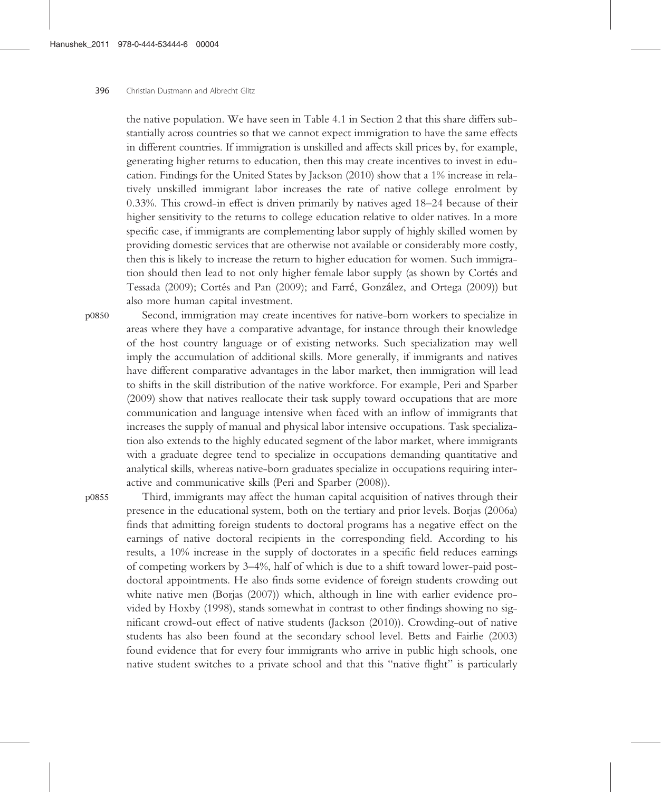the native population. We have seen in Table 4.1 in Section 2 that this share differs substantially across countries so that we cannot expect immigration to have the same effects in different countries. If immigration is unskilled and affects skill prices by, for example, generating higher returns to education, then this may create incentives to invest in education. Findings for the United States by Jackson (2010) show that a 1% increase in relatively unskilled immigrant labor increases the rate of native college enrolment by 0.33%. This crowd-in effect is driven primarily by natives aged 18–24 because of their higher sensitivity to the returns to college education relative to older natives. In a more specific case, if immigrants are complementing labor supply of highly skilled women by providing domestic services that are otherwise not available or considerably more costly, then this is likely to increase the return to higher education for women. Such immigration should then lead to not only higher female labor supply (as shown by Cortés and Tessada (2009); Cortés and Pan (2009); and Farré, González, and Ortega (2009)) but also more human capital investment.

p0850 Second, immigration may create incentives for native-born workers to specialize in areas where they have a comparative advantage, for instance through their knowledge of the host country language or of existing networks. Such specialization may well imply the accumulation of additional skills. More generally, if immigrants and natives have different comparative advantages in the labor market, then immigration will lead to shifts in the skill distribution of the native workforce. For example, Peri and Sparber (2009) show that natives reallocate their task supply toward occupations that are more communication and language intensive when faced with an inflow of immigrants that increases the supply of manual and physical labor intensive occupations. Task specialization also extends to the highly educated segment of the labor market, where immigrants with a graduate degree tend to specialize in occupations demanding quantitative and analytical skills, whereas native-born graduates specialize in occupations requiring interactive and communicative skills (Peri and Sparber (2008)).

p0855 Third, immigrants may affect the human capital acquisition of natives through their presence in the educational system, both on the tertiary and prior levels. Borjas (2006a) finds that admitting foreign students to doctoral programs has a negative effect on the earnings of native doctoral recipients in the corresponding field. According to his results, a 10% increase in the supply of doctorates in a specific field reduces earnings of competing workers by 3–4%, half of which is due to a shift toward lower-paid postdoctoral appointments. He also finds some evidence of foreign students crowding out white native men (Borjas (2007)) which, although in line with earlier evidence provided by Hoxby (1998), stands somewhat in contrast to other findings showing no significant crowd-out effect of native students (Jackson (2010)). Crowding-out of native students has also been found at the secondary school level. Betts and Fairlie (2003) found evidence that for every four immigrants who arrive in public high schools, one native student switches to a private school and that this "native flight" is particularly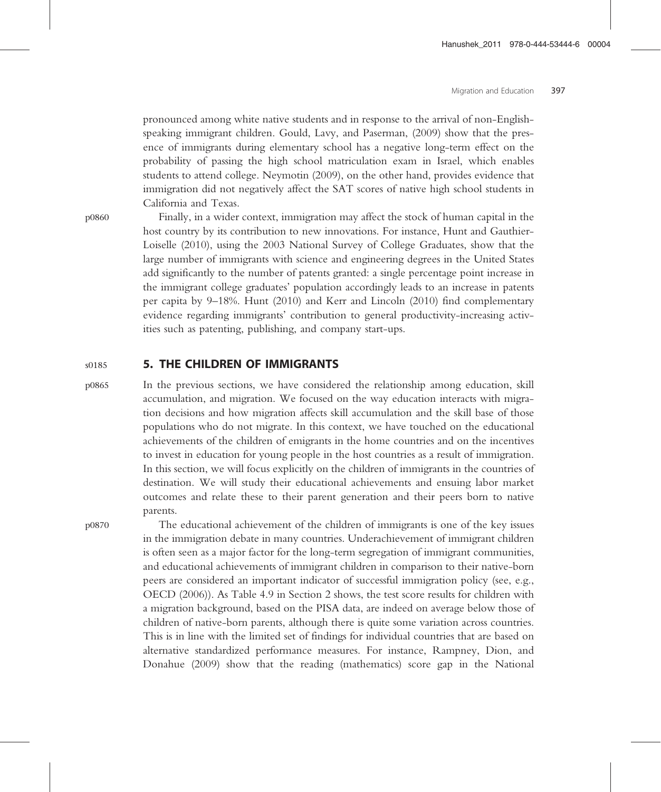pronounced among white native students and in response to the arrival of non-Englishspeaking immigrant children. Gould, Lavy, and Paserman, (2009) show that the presence of immigrants during elementary school has a negative long-term effect on the probability of passing the high school matriculation exam in Israel, which enables students to attend college. Neymotin (2009), on the other hand, provides evidence that immigration did not negatively affect the SAT scores of native high school students in California and Texas.

p0860 Finally, in a wider context, immigration may affect the stock of human capital in the host country by its contribution to new innovations. For instance, Hunt and Gauthier-Loiselle (2010), using the 2003 National Survey of College Graduates, show that the large number of immigrants with science and engineering degrees in the United States add significantly to the number of patents granted: a single percentage point increase in the immigrant college graduates' population accordingly leads to an increase in patents per capita by 9–18%. Hunt (2010) and Kerr and Lincoln (2010) find complementary evidence regarding immigrants' contribution to general productivity-increasing activities such as patenting, publishing, and company start-ups.

### s0185 5. THE CHILDREN OF IMMIGRANTS

p0865 In the previous sections, we have considered the relationship among education, skill accumulation, and migration. We focused on the way education interacts with migration decisions and how migration affects skill accumulation and the skill base of those populations who do not migrate. In this context, we have touched on the educational achievements of the children of emigrants in the home countries and on the incentives to invest in education for young people in the host countries as a result of immigration. In this section, we will focus explicitly on the children of immigrants in the countries of destination. We will study their educational achievements and ensuing labor market outcomes and relate these to their parent generation and their peers born to native parents.

p0870 The educational achievement of the children of immigrants is one of the key issues in the immigration debate in many countries. Underachievement of immigrant children is often seen as a major factor for the long-term segregation of immigrant communities, and educational achievements of immigrant children in comparison to their native-born peers are considered an important indicator of successful immigration policy (see, e.g., OECD (2006)). As Table 4.9 in Section 2 shows, the test score results for children with a migration background, based on the PISA data, are indeed on average below those of children of native-born parents, although there is quite some variation across countries. This is in line with the limited set of findings for individual countries that are based on alternative standardized performance measures. For instance, Rampney, Dion, and Donahue (2009) show that the reading (mathematics) score gap in the National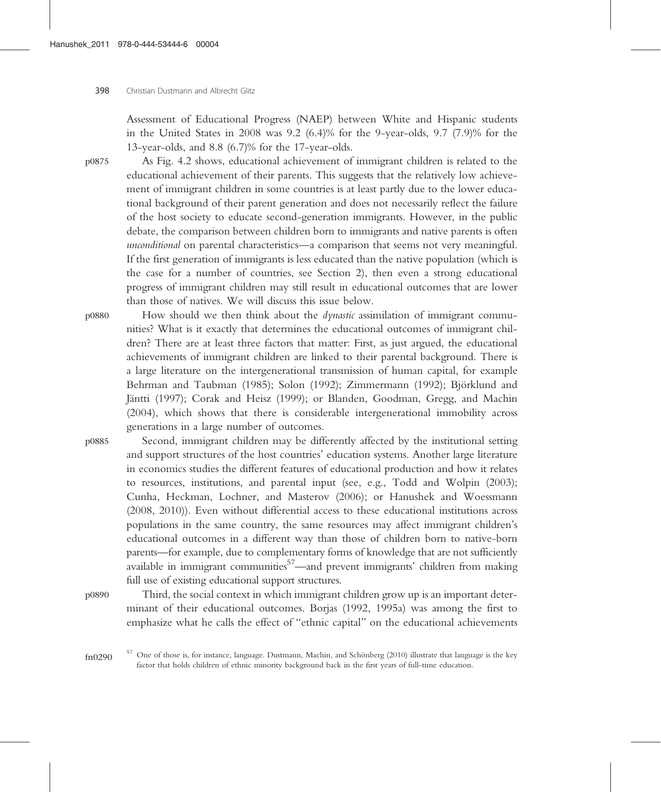Assessment of Educational Progress (NAEP) between White and Hispanic students in the United States in 2008 was 9.2 (6.4)% for the 9-year-olds, 9.7 (7.9)% for the 13-year-olds, and 8.8 (6.7)% for the 17-year-olds.

- 
- p0875 As Fig. 4.2 shows, educational achievement of immigrant children is related to the educational achievement of their parents. This suggests that the relatively low achievement of immigrant children in some countries is at least partly due to the lower educational background of their parent generation and does not necessarily reflect the failure of the host society to educate second-generation immigrants. However, in the public debate, the comparison between children born to immigrants and native parents is often unconditional on parental characteristics—a comparison that seems not very meaningful. If the first generation of immigrants is less educated than the native population (which is the case for a number of countries, see Section 2), then even a strong educational progress of immigrant children may still result in educational outcomes that are lower than those of natives. We will discuss this issue below.
- p0880 How should we then think about the dynastic assimilation of immigrant communities? What is it exactly that determines the educational outcomes of immigrant children? There are at least three factors that matter: First, as just argued, the educational achievements of immigrant children are linked to their parental background. There is a large literature on the intergenerational transmission of human capital, for example Behrman and Taubman (1985); Solon (1992); Zimmermann (1992); Björklund and Jäntti (1997); Corak and Heisz (1999); or Blanden, Goodman, Gregg, and Machin (2004), which shows that there is considerable intergenerational immobility across generations in a large number of outcomes.
- p0885 Second, immigrant children may be differently affected by the institutional setting and support structures of the host countries' education systems. Another large literature in economics studies the different features of educational production and how it relates to resources, institutions, and parental input (see, e.g., Todd and Wolpin (2003); Cunha, Heckman, Lochner, and Masterov (2006); or Hanushek and Woessmann (2008, 2010)). Even without differential access to these educational institutions across populations in the same country, the same resources may affect immigrant children's educational outcomes in a different way than those of children born to native-born parents—for example, due to complementary forms of knowledge that are not sufficiently available in immigrant communities $57$ —and prevent immigrants' children from making full use of existing educational support structures.
- 

p0890 Third, the social context in which immigrant children grow up is an important determinant of their educational outcomes. Borjas (1992, 1995a) was among the first to emphasize what he calls the effect of "ethnic capital" on the educational achievements

fn0290 <sup>57</sup> One of those is, for instance, language. Dustmann, Machin, and Schönberg (2010) illustrate that language is the key factor that holds children of ethnic minority background back in the first years of full-time education.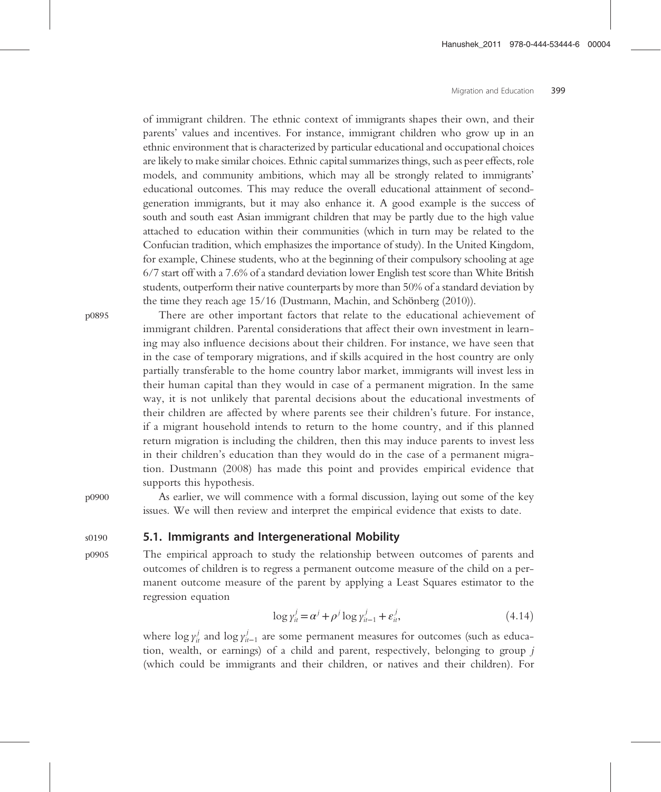of immigrant children. The ethnic context of immigrants shapes their own, and their parents' values and incentives. For instance, immigrant children who grow up in an ethnic environment that is characterized by particular educational and occupational choices are likely to make similar choices. Ethnic capital summarizes things, such as peer effects, role models, and community ambitions, which may all be strongly related to immigrants' educational outcomes. This may reduce the overall educational attainment of secondgeneration immigrants, but it may also enhance it. A good example is the success of south and south east Asian immigrant children that may be partly due to the high value attached to education within their communities (which in turn may be related to the Confucian tradition, which emphasizes the importance of study). In the United Kingdom, for example, Chinese students, who at the beginning of their compulsory schooling at age 6/7 start off with a 7.6% of a standard deviation lower English test score than White British students, outperform their native counterparts by more than 50% of a standard deviation by the time they reach age 15/16 (Dustmann, Machin, and Schönberg (2010)).

p0895 There are other important factors that relate to the educational achievement of immigrant children. Parental considerations that affect their own investment in learning may also influence decisions about their children. For instance, we have seen that in the case of temporary migrations, and if skills acquired in the host country are only partially transferable to the home country labor market, immigrants will invest less in their human capital than they would in case of a permanent migration. In the same way, it is not unlikely that parental decisions about the educational investments of their children are affected by where parents see their children's future. For instance, if a migrant household intends to return to the home country, and if this planned return migration is including the children, then this may induce parents to invest less in their children's education than they would do in the case of a permanent migration. Dustmann (2008) has made this point and provides empirical evidence that supports this hypothesis.

p0900 As earlier, we will commence with a formal discussion, laying out some of the key issues. We will then review and interpret the empirical evidence that exists to date.

### s0190 5.1. Immigrants and Intergenerational Mobility

p0905 The empirical approach to study the relationship between outcomes of parents and outcomes of children is to regress a permanent outcome measure of the child on a permanent outcome measure of the parent by applying a Least Squares estimator to the regression equation

$$
\log \gamma_{it}^{j} = \alpha^{j} + \rho^{j} \log \gamma_{it-1}^{j} + \varepsilon_{it}^{j}, \tag{4.14}
$$

where  $\log y_{it}^j$  and  $\log y_{it-1}^j$  are some permanent measures for outcomes (such as education, wealth, or earnings) of a child and parent, respectively, belonging to group  $j$ (which could be immigrants and their children, or natives and their children). For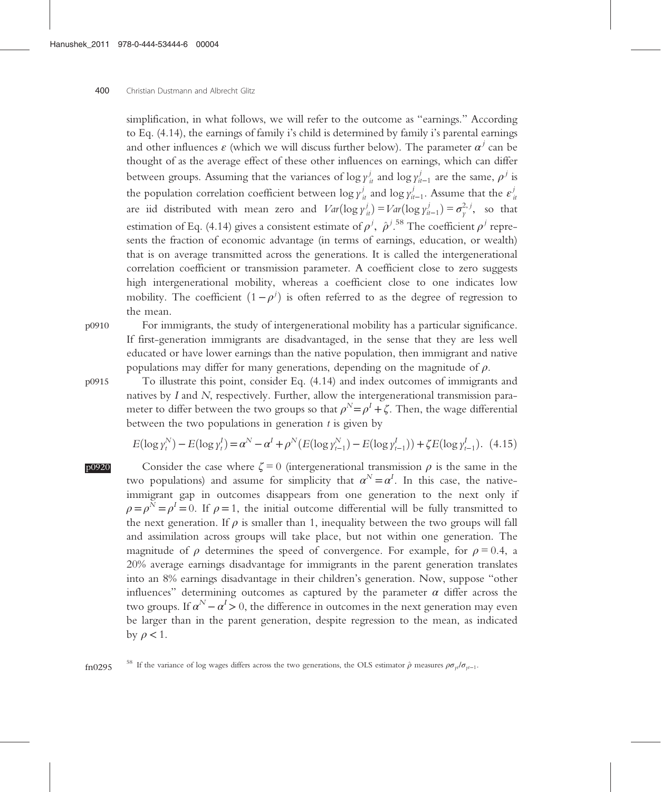simplification, in what follows, we will refer to the outcome as "earnings." According to Eq. (4.14), the earnings of family i's child is determined by family i's parental earnings and other influences  $\varepsilon$  (which we will discuss further below). The parameter  $\alpha^j$  can be thought of as the average effect of these other influences on earnings, which can differ between groups. Assuming that the variances of  $\log y_{it}^j$  and  $\log y_{it-1}^j$  are the same,  $\rho^j$  is the population correlation coefficient between  $\log y_{it}^j$  and  $\log y_{it-1}^j$ . Assume that the  $\varepsilon_{it}^j$ are iid distributed with mean zero and  $Var(\log \gamma_{it}^j) = Var(\log \gamma_{it-1}^j) = \sigma_{\gamma}^{2,j}$ , so that estimation of Eq. (4.14) gives a consistent estimate of  $\rho^j$ ,  $\hat{\rho}^{j}$ .<sup>58</sup> The coefficient  $\rho^j$  represents the fraction of economic advantage (in terms of earnings, education, or wealth) that is on average transmitted across the generations. It is called the intergenerational correlation coefficient or transmission parameter. A coefficient close to zero suggests high intergenerational mobility, whereas a coefficient close to one indicates low mobility. The coefficient  $(1 - \rho^j)$  is often referred to as the degree of regression to the mean.

p0910 For immigrants, the study of intergenerational mobility has a particular significance. If first-generation immigrants are disadvantaged, in the sense that they are less well educated or have lower earnings than the native population, then immigrant and native populations may differ for many generations, depending on the magnitude of  $\rho$ .

p0915 To illustrate this point, consider Eq. (4.14) and index outcomes of immigrants and natives by I and N, respectively. Further, allow the intergenerational transmission parameter to differ between the two groups so that  $\rho^N{=}\rho^I{+}\zeta.$  Then, the wage differential between the two populations in generation  $t$  is given by

$$
E(\log \gamma_t^N) - E(\log \gamma_t^I) = \alpha^N - \alpha^I + \rho^N (E(\log \gamma_{t-1}^N) - E(\log \gamma_{t-1}^I)) + \zeta E(\log \gamma_{t-1}^I). \tag{4.15}
$$

**p0920** Consider the case where  $ζ = 0$  (intergenerational transmission  $ρ$  is the same in the two populations) and assume for simplicity that  $\alpha^N = \alpha^I$ . In this case, the nativeimmigrant gap in outcomes disappears from one generation to the next only if  $\rho = \rho^N = \rho^I = 0$ . If  $\rho = 1$ , the initial outcome differential will be fully transmitted to the next generation. If  $\rho$  is smaller than 1, inequality between the two groups will fall and assimilation across groups will take place, but not within one generation. The magnitude of  $\rho$  determines the speed of convergence. For example, for  $\rho = 0.4$ , a 20% average earnings disadvantage for immigrants in the parent generation translates into an 8% earnings disadvantage in their children's generation. Now, suppose "other influences" determining outcomes as captured by the parameter  $\alpha$  differ across the two groups. If  $\alpha^N - \alpha^I > 0$ , the difference in outcomes in the next generation may even be larger than in the parent generation, despite regression to the mean, as indicated by  $\rho < 1$ .

fn0295 <sup>58</sup> If the variance of log wages differs across the two generations, the OLS estimator  $\hat{\rho}$  measures  $\rho \sigma_{\gamma} / \sigma_{\gamma+1}$ .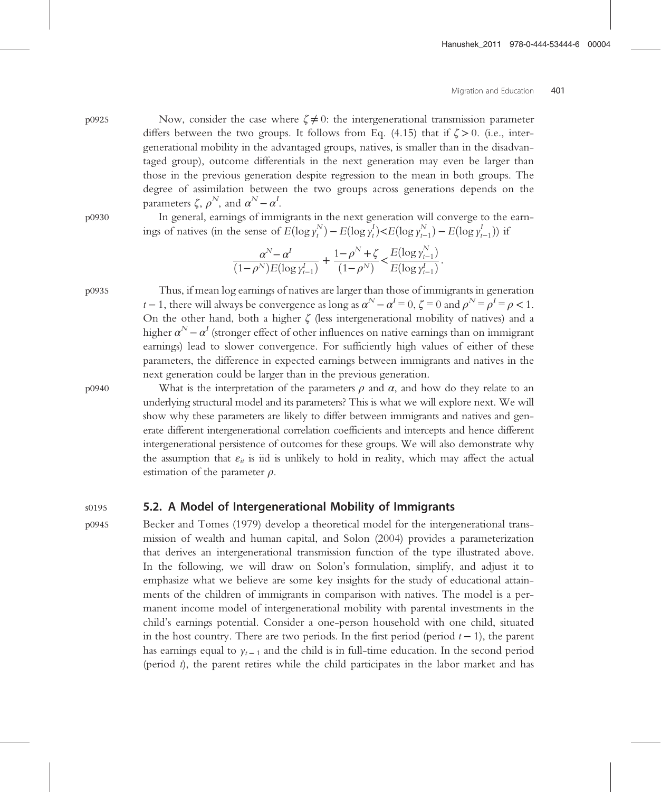p0925 Now, consider the case where  $\zeta \neq 0$ : the intergenerational transmission parameter differs between the two groups. It follows from Eq. (4.15) that if  $\zeta > 0$ . (i.e., intergenerational mobility in the advantaged groups, natives, is smaller than in the disadvantaged group), outcome differentials in the next generation may even be larger than those in the previous generation despite regression to the mean in both groups. The degree of assimilation between the two groups across generations depends on the parameters  $\zeta, \, \rho^N,$  and  $\alpha^N - \alpha^I.$ 

p0930 In general, earnings of immigrants in the next generation will converge to the earnings of natives (in the sense of  $E(\log \gamma_t^N) - E(\log \gamma_t^I) < E(\log \gamma_{t-1}^N) - E(\log \gamma_{t-1}^I)$ ) if

$$
\frac{\alpha^N - \alpha^I}{(1 - \rho^N)E(\log \gamma_{t-1}^I)} + \frac{1 - \rho^N + \zeta}{(1 - \rho^N)} < \frac{E(\log \gamma_{t-1}^N)}{E(\log \gamma_{t-1}^I)}.
$$

- p0935 Thus, if mean log earnings of natives are larger than those of immigrants in generation *t* − 1, there will always be convergence as long as  $\alpha^N - \alpha^I = 0$ ,  $\zeta = 0$  and  $\rho^N = \rho^I = \rho < 1$ . On the other hand, both a higher ζ (less intergenerational mobility of natives) and a higher  $\alpha^N - \alpha^I$  (stronger effect of other influences on native earnings than on immigrant earnings) lead to slower convergence. For sufficiently high values of either of these parameters, the difference in expected earnings between immigrants and natives in the next generation could be larger than in the previous generation.
- 

p0940 What is the interpretation of the parameters  $ρ$  and  $α$ , and how do they relate to an underlying structural model and its parameters? This is what we will explore next. We will show why these parameters are likely to differ between immigrants and natives and generate different intergenerational correlation coefficients and intercepts and hence different intergenerational persistence of outcomes for these groups. We will also demonstrate why the assumption that  $\varepsilon_{it}$  is iid is unlikely to hold in reality, which may affect the actual estimation of the parameter  $\rho$ .

### s0195 5.2. A Model of Intergenerational Mobility of Immigrants

p0945 Becker and Tomes (1979) develop a theoretical model for the intergenerational transmission of wealth and human capital, and Solon (2004) provides a parameterization that derives an intergenerational transmission function of the type illustrated above. In the following, we will draw on Solon's formulation, simplify, and adjust it to emphasize what we believe are some key insights for the study of educational attainments of the children of immigrants in comparison with natives. The model is a permanent income model of intergenerational mobility with parental investments in the child's earnings potential. Consider a one-person household with one child, situated in the host country. There are two periods. In the first period (period  $t - 1$ ), the parent has earnings equal to  $\gamma_{t-1}$  and the child is in full-time education. In the second period (period  $t$ ), the parent retires while the child participates in the labor market and has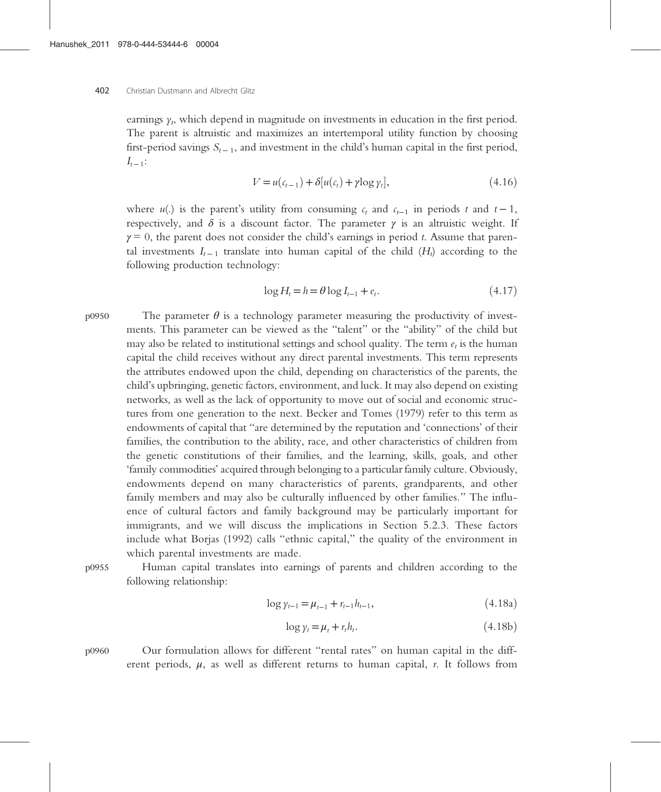earnings  $\gamma_t$ , which depend in magnitude on investments in education in the first period. The parent is altruistic and maximizes an intertemporal utility function by choosing first-period savings  $S_{t-1}$ , and investment in the child's human capital in the first period,  $I_{t-1}$ :

$$
V = u(c_{t-1}) + \delta[u(c_t) + \gamma \log \gamma_t],
$$
\n(4.16)

where  $u(.)$  is the parent's utility from consuming  $c_t$  and  $c_{t-1}$  in periods t and  $t-1$ , respectively, and  $\delta$  is a discount factor. The parameter  $\gamma$  is an altruistic weight. If  $\gamma = 0$ , the parent does not consider the child's earnings in period t. Assume that parental investments  $I_{t-1}$  translate into human capital of the child  $(H_t)$  according to the following production technology:

$$
\log H_t = h = \theta \log I_{t-1} + e_t. \tag{4.17}
$$

- $p0950$  The parameter  $\theta$  is a technology parameter measuring the productivity of investments. This parameter can be viewed as the "talent" or the "ability" of the child but may also be related to institutional settings and school quality. The term  $e_t$  is the human capital the child receives without any direct parental investments. This term represents the attributes endowed upon the child, depending on characteristics of the parents, the child's upbringing, genetic factors, environment, and luck. It may also depend on existing networks, as well as the lack of opportunity to move out of social and economic structures from one generation to the next. Becker and Tomes (1979) refer to this term as endowments of capital that "are determined by the reputation and 'connections' of their families, the contribution to the ability, race, and other characteristics of children from the genetic constitutions of their families, and the learning, skills, goals, and other 'family commodities' acquired through belonging to a particular family culture. Obviously, endowments depend on many characteristics of parents, grandparents, and other family members and may also be culturally influenced by other families." The influence of cultural factors and family background may be particularly important for immigrants, and we will discuss the implications in Section 5.2.3. These factors include what Borjas (1992) calls "ethnic capital," the quality of the environment in which parental investments are made.
- 

p0955 Human capital translates into earnings of parents and children according to the following relationship:

$$
\log \gamma_{t-1} = \mu_{t-1} + r_{t-1} h_{t-1},\tag{4.18a}
$$

$$
\log \gamma_t = \mu_t + r_t h_t. \tag{4.18b}
$$

p0960 Our formulation allows for different "rental rates" on human capital in the different periods,  $\mu$ , as well as different returns to human capital, r. It follows from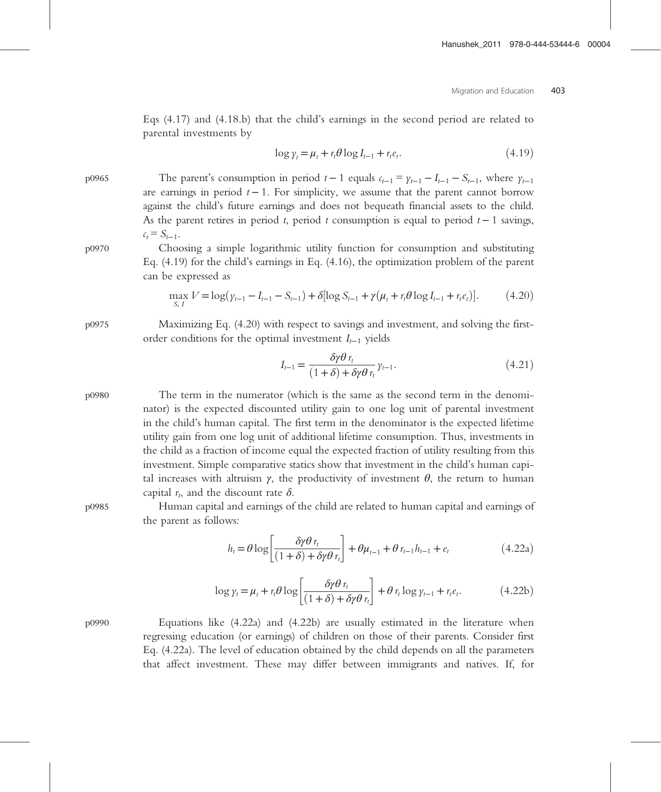Eqs (4.17) and (4.18.b) that the child's earnings in the second period are related to parental investments by

$$
\log \gamma_t = \mu_t + r_t \theta \log I_{t-1} + r_t e_t. \tag{4.19}
$$

p0965 The parent's consumption in period  $t-1$  equals  $c_{t-1} = y_{t-1} - I_{t-1} - S_{t-1}$ , where  $y_{t-1}$ are earnings in period  $t - 1$ . For simplicity, we assume that the parent cannot borrow against the child's future earnings and does not bequeath financial assets to the child. As the parent retires in period t, period t consumption is equal to period  $t - 1$  savings,  $c_t = S_{t-1}.$ 

$$
100 \times 10^{10}
$$

p0970 Choosing a simple logarithmic utility function for consumption and substituting Eq. (4.19) for the child's earnings in Eq. (4.16), the optimization problem of the parent can be expressed as

$$
\max_{S, I} V = \log(\gamma_{t-1} - I_{t-1} - S_{t-1}) + \delta[\log S_{t-1} + \gamma(\mu_t + r_t \theta \log I_{t-1} + r_t e_t)].
$$
\n(4.20)

p0975 Maximizing Eq. (4.20) with respect to savings and investment, and solving the firstorder conditions for the optimal investment  $I_{t-1}$  yields

$$
I_{t-1} = \frac{\delta \gamma \theta r_t}{(1+\delta) + \delta \gamma \theta r_t} \gamma_{t-1}.
$$
\n(4.21)

p0980 The term in the numerator (which is the same as the second term in the denominator) is the expected discounted utility gain to one log unit of parental investment in the child's human capital. The first term in the denominator is the expected lifetime utility gain from one log unit of additional lifetime consumption. Thus, investments in the child as a fraction of income equal the expected fraction of utility resulting from this investment. Simple comparative statics show that investment in the child's human capital increases with altruism  $\gamma$ , the productivity of investment  $\theta$ , the return to human capital  $r_t$ , and the discount rate  $\delta$ .

p0985 Human capital and earnings of the child are related to human capital and earnings of the parent as follows:

$$
h_t = \theta \log \left[ \frac{\delta \gamma \theta r_t}{(1+\delta) + \delta \gamma \theta r_t} \right] + \theta \mu_{t-1} + \theta r_{t-1} h_{t-1} + e_t \tag{4.22a}
$$

$$
\log \gamma_t = \mu_t + r_t \theta \log \left[ \frac{\delta \gamma \theta r_t}{(1 + \delta) + \delta \gamma \theta r_t} \right] + \theta r_t \log \gamma_{t-1} + r_t e_t.
$$
 (4.22b)

p0990 Equations like (4.22a) and (4.22b) are usually estimated in the literature when regressing education (or earnings) of children on those of their parents. Consider first Eq. (4.22a). The level of education obtained by the child depends on all the parameters that affect investment. These may differ between immigrants and natives. If, for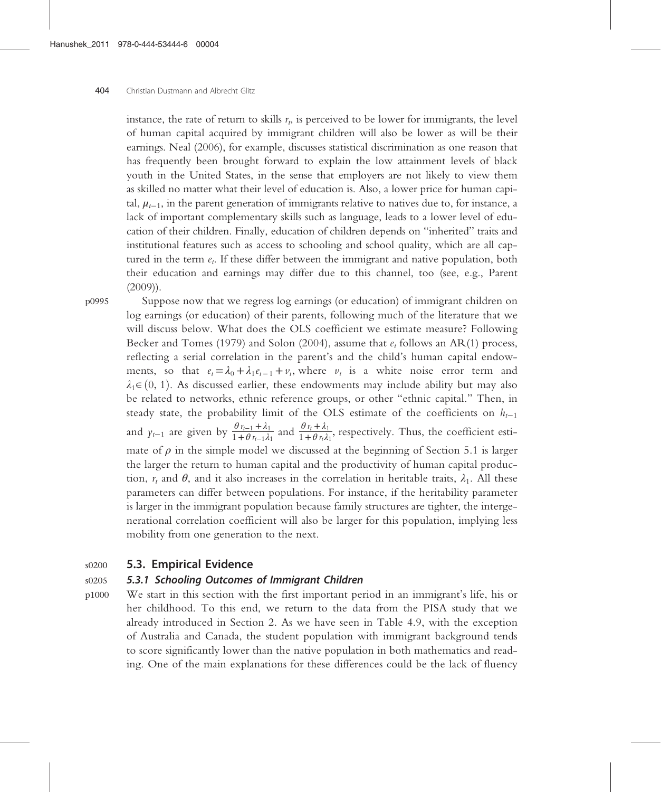instance, the rate of return to skills  $r_t$ , is perceived to be lower for immigrants, the level of human capital acquired by immigrant children will also be lower as will be their earnings. Neal (2006), for example, discusses statistical discrimination as one reason that has frequently been brought forward to explain the low attainment levels of black youth in the United States, in the sense that employers are not likely to view them as skilled no matter what their level of education is. Also, a lower price for human capital,  $\mu_{t-1}$ , in the parent generation of immigrants relative to natives due to, for instance, a lack of important complementary skills such as language, leads to a lower level of education of their children. Finally, education of children depends on "inherited" traits and institutional features such as access to schooling and school quality, which are all captured in the term  $e_t$ . If these differ between the immigrant and native population, both their education and earnings may differ due to this channel, too (see, e.g., Parent  $(2009)$ ).

p0995 Suppose now that we regress log earnings (or education) of immigrant children on log earnings (or education) of their parents, following much of the literature that we will discuss below. What does the OLS coefficient we estimate measure? Following Becker and Tomes (1979) and Solon (2004), assume that  $e_t$  follows an AR(1) process, reflecting a serial correlation in the parent's and the child's human capital endowments, so that  $e_t = \lambda_0 + \lambda_1 e_{t-1} + v_t$ , where  $v_t$  is a white noise error term and  $\lambda_1 \in (0, 1)$ . As discussed earlier, these endowments may include ability but may also be related to networks, ethnic reference groups, or other "ethnic capital." Then, in steady state, the probability limit of the OLS estimate of the coefficients on  $h_{t-1}$ and  $\gamma_{t-1}$  are given by  $\frac{\theta r_{t-1} + \lambda_1}{1 + \theta r_{t-1} \lambda_1}$  and  $\frac{\theta r_t + \lambda_1}{1 + \theta r_t \lambda_1}$ , respectively. Thus, the coefficient estimate of  $\rho$  in the simple model we discussed at the beginning of Section 5.1 is larger the larger the return to human capital and the productivity of human capital production,  $r_t$  and  $\theta$ , and it also increases in the correlation in heritable traits,  $\lambda_1$ . All these parameters can differ between populations. For instance, if the heritability parameter is larger in the immigrant population because family structures are tighter, the intergenerational correlation coefficient will also be larger for this population, implying less mobility from one generation to the next.

# s0200 5.3. Empirical Evidence<br>s0205 5.3.1 Schoolina Outcomes

# s0205 **5.3.1 Schooling Outcomes of Immigrant Children**  $p1000$  We start in this section with the first important per

We start in this section with the first important period in an immigrant's life, his or her childhood. To this end, we return to the data from the PISA study that we already introduced in Section 2. As we have seen in Table 4.9, with the exception of Australia and Canada, the student population with immigrant background tends to score significantly lower than the native population in both mathematics and reading. One of the main explanations for these differences could be the lack of fluency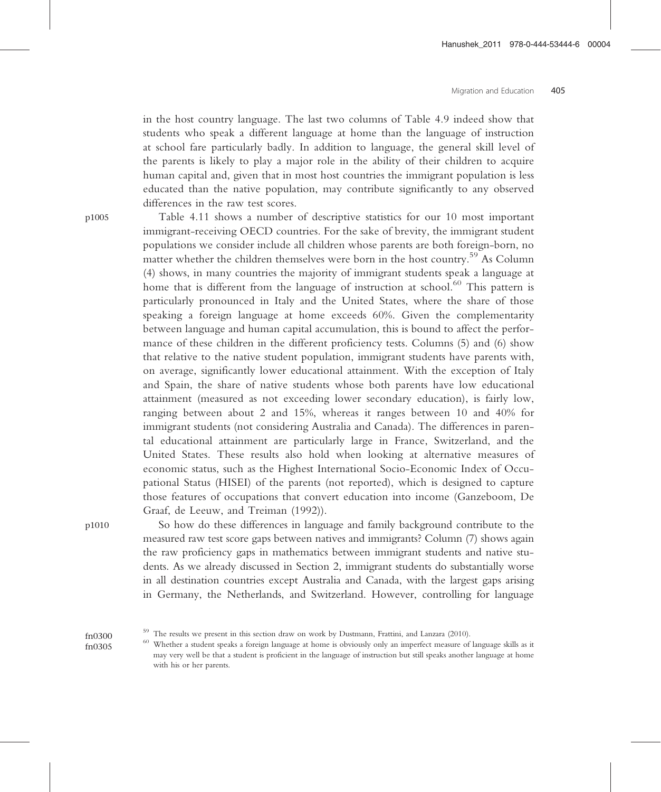in the host country language. The last two columns of Table 4.9 indeed show that students who speak a different language at home than the language of instruction at school fare particularly badly. In addition to language, the general skill level of the parents is likely to play a major role in the ability of their children to acquire human capital and, given that in most host countries the immigrant population is less educated than the native population, may contribute significantly to any observed differences in the raw test scores.

p1005 Table 4.11 shows a number of descriptive statistics for our 10 most important immigrant-receiving OECD countries. For the sake of brevity, the immigrant student populations we consider include all children whose parents are both foreign-born, no matter whether the children themselves were born in the host country.<sup>59</sup> As Column (4) shows, in many countries the majority of immigrant students speak a language at home that is different from the language of instruction at school.<sup>60</sup> This pattern is particularly pronounced in Italy and the United States, where the share of those speaking a foreign language at home exceeds 60%. Given the complementarity between language and human capital accumulation, this is bound to affect the performance of these children in the different proficiency tests. Columns (5) and (6) show that relative to the native student population, immigrant students have parents with, on average, significantly lower educational attainment. With the exception of Italy and Spain, the share of native students whose both parents have low educational attainment (measured as not exceeding lower secondary education), is fairly low, ranging between about 2 and 15%, whereas it ranges between 10 and 40% for immigrant students (not considering Australia and Canada). The differences in parental educational attainment are particularly large in France, Switzerland, and the United States. These results also hold when looking at alternative measures of economic status, such as the Highest International Socio-Economic Index of Occupational Status (HISEI) of the parents (not reported), which is designed to capture those features of occupations that convert education into income (Ganzeboom, De Graaf, de Leeuw, and Treiman (1992)).

p1010 So how do these differences in language and family background contribute to the measured raw test score gaps between natives and immigrants? Column (7) shows again the raw proficiency gaps in mathematics between immigrant students and native students. As we already discussed in Section 2, immigrant students do substantially worse in all destination countries except Australia and Canada, with the largest gaps arising in Germany, the Netherlands, and Switzerland. However, controlling for language

 $f_{\text{D0305}}$   $^{59}$  The results we present in this section draw on work by Dustmann, Frattini, and Lanzara (2010).<br> $f_{\text{D0305}}$   $^{60}$  Whether a student speaks a foreign language at home is obviously only an imperfect m  $60$  Whether a student speaks a foreign language at home is obviously only an imperfect measure of language skills as it may very well be that a student is proficient in the language of instruction but still speaks another language at home with his or her parents.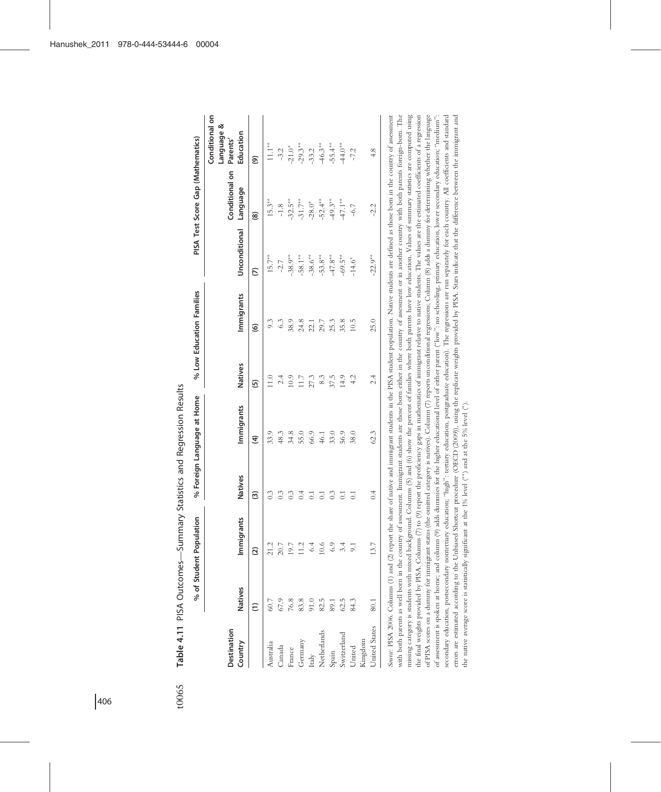|                                                                                                                                    |                   | % of Student Population |            | % Foreign Language at Home                                                                                                                                                                                                                                                                                                                                                                                                                                                                                                                                                                                                                                                                                                                                                                                                                                                      |                | % Low Education Families |               | PISA Test Score Gap (Mathematics) |                                                       |
|------------------------------------------------------------------------------------------------------------------------------------|-------------------|-------------------------|------------|---------------------------------------------------------------------------------------------------------------------------------------------------------------------------------------------------------------------------------------------------------------------------------------------------------------------------------------------------------------------------------------------------------------------------------------------------------------------------------------------------------------------------------------------------------------------------------------------------------------------------------------------------------------------------------------------------------------------------------------------------------------------------------------------------------------------------------------------------------------------------------|----------------|--------------------------|---------------|-----------------------------------|-------------------------------------------------------|
| <b>Destination</b><br>Country                                                                                                      | Natives           | Immigrants              | Natives    | Immigrants                                                                                                                                                                                                                                                                                                                                                                                                                                                                                                                                                                                                                                                                                                                                                                                                                                                                      | Natives        | Immigrants               | Unconditional | Conditional on<br>Language        | Conditional on<br>Language &<br>Education<br>Parents' |
|                                                                                                                                    |                   | ତ୍ର                     | ම          | E                                                                                                                                                                                                                                                                                                                                                                                                                                                                                                                                                                                                                                                                                                                                                                                                                                                                               | 6              | ত্ৰ                      | ε             | @                                 | ම                                                     |
| Australia                                                                                                                          | 60.7              | 21.2                    | 0.3        | 33.9                                                                                                                                                                                                                                                                                                                                                                                                                                                                                                                                                                                                                                                                                                                                                                                                                                                                            | 11.0           | 9.3                      | $15.7**$      | $15.3**$                          | $11.1***$                                             |
| Canada                                                                                                                             | 67.9              | 20.7                    | 0.3        | 48.3                                                                                                                                                                                                                                                                                                                                                                                                                                                                                                                                                                                                                                                                                                                                                                                                                                                                            | 2.4            | 6.3                      | $-2.7$        | $-1.8$                            | $-3.2$                                                |
| France                                                                                                                             | 76.8              | 19.7                    | 0.3        | 34.8                                                                                                                                                                                                                                                                                                                                                                                                                                                                                                                                                                                                                                                                                                                                                                                                                                                                            | 10.9           | 38.9                     | $-38.9***$    | $-32.5***$                        | $-21.0*$                                              |
| Germany                                                                                                                            | 83.8              | 11.2                    | $\vec{c}$  | 55.0                                                                                                                                                                                                                                                                                                                                                                                                                                                                                                                                                                                                                                                                                                                                                                                                                                                                            | $\frac{17}{2}$ | 24.8                     | $-58.1***$    | $-31.7**$                         | $-29.3**$                                             |
| Italy                                                                                                                              | $\frac{0}{21}$    | 6.4                     |            | 66.9                                                                                                                                                                                                                                                                                                                                                                                                                                                                                                                                                                                                                                                                                                                                                                                                                                                                            | 27.3           | 22.1                     | $-38.6***$    | $-28.0*$                          | $-33.2$                                               |
| Netherlands                                                                                                                        | 82.5              | 10.6                    |            | 46.1                                                                                                                                                                                                                                                                                                                                                                                                                                                                                                                                                                                                                                                                                                                                                                                                                                                                            | 8.3            | 29.7                     | $-53.8***$    | $-52.4**$                         | $-46.3**$                                             |
| Spain                                                                                                                              | $-89.1$           | 6.9                     | $\ddot{0}$ | 33.0                                                                                                                                                                                                                                                                                                                                                                                                                                                                                                                                                                                                                                                                                                                                                                                                                                                                            | 37.5           | 25.3                     | $-47.8**$     | $-49.3**$                         | $-55.4***$                                            |
| Switzerland                                                                                                                        | 62.5              | 3.4                     |            | 56.9                                                                                                                                                                                                                                                                                                                                                                                                                                                                                                                                                                                                                                                                                                                                                                                                                                                                            | 14.9           | 35.8                     | $-69.5***$    | $-47.1***$                        | $-44.0**$                                             |
| United                                                                                                                             | 84.3              | 51                      |            | 38.0                                                                                                                                                                                                                                                                                                                                                                                                                                                                                                                                                                                                                                                                                                                                                                                                                                                                            | 4.2            | 10.5                     | $-14.6*$      | $-6.7$                            | $-7.2$                                                |
| Kingdom                                                                                                                            |                   |                         |            |                                                                                                                                                                                                                                                                                                                                                                                                                                                                                                                                                                                                                                                                                                                                                                                                                                                                                 |                |                          |               |                                   |                                                       |
| <b>Jnited States</b>                                                                                                               | $\overline{80.1}$ | 13.7                    | 0.4        | 62.3                                                                                                                                                                                                                                                                                                                                                                                                                                                                                                                                                                                                                                                                                                                                                                                                                                                                            | 2.4            | 25.0                     | $-22.9**$     | $-2.2$                            | 4.8                                                   |
| with both parents as well born<br>of PISA scores on a dummy for<br>missing category is students wi<br>Source: PISA 2006. Columns ( |                   |                         |            | th mixed background. Columns (5) and (6) show the percent of families where both parents have low education. Values of summary statistics are computed using<br>in the country of assessment. Immigrant students are those born either in the country of assessment or in another country with both parents foreign-born. The<br>the final weights provided by PISA. Columns (7) to (9) report the proficiency gaps in mathematics of immigrant relative to native students. The values are the estimated coefficients of a regression<br>l) and (2) report the share of native and immigrant students in the PISA student population. Native students are defined as those born in the country of assessment<br>immigrant status (the omitted category is natives). Column (7) reports unconditional regressions; Column (8) adds a dummy for determining whether the language |                |                          |               |                                   |                                                       |

Table 4.11 PISA Outcomes-Summary Statistics and Regression Results t0065 Table 4.11 PISA Outcomes—Summary Statistics and Regression Results

t0065

of assessment is spoken at home; and column (9) adds dummies for the higher educational level of cither parent ("low": no schooling, primary education, lower secondary education; "medium":<br>secondary education, postsecondar secondary education, postsecondary nontertiary education; "high": tertiary education, postgraduate education). The regressions are run separately for each country. All coefficients and standard errors are estimated according to the Unbiased Shortcut procedure (OECD (2009)), using the replicate weights provided by PISA. Stars indicate that the difference between the immigrant and of assessment is spoken at home; and column (9) adds dummies for the higher educational level of either parent ("low": no schooling, primary education, lower secondary education; "medium": the native average score is statistically significant at the 1% level  $\binom{**}{\cdot}$  and at the 5% level  $\binom{*}{\cdot}$ .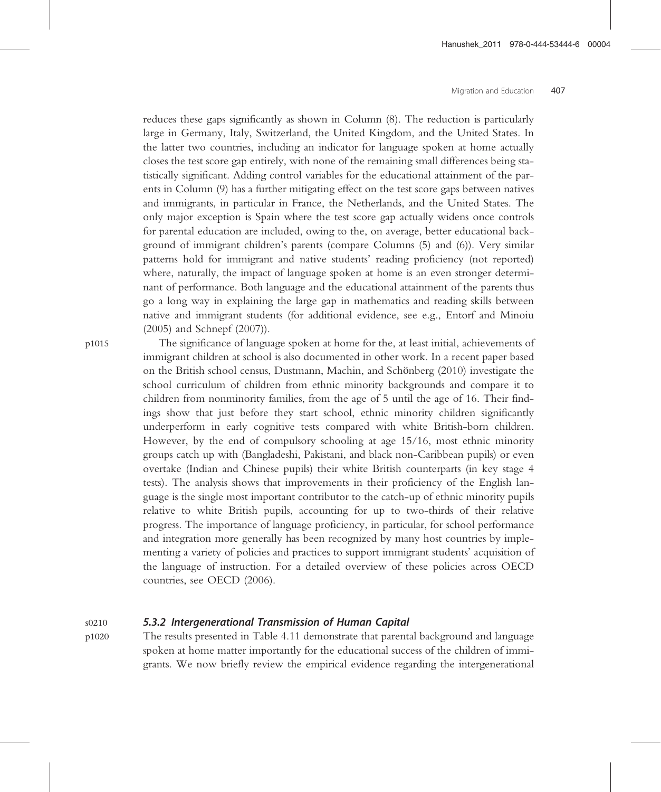reduces these gaps significantly as shown in Column (8). The reduction is particularly large in Germany, Italy, Switzerland, the United Kingdom, and the United States. In the latter two countries, including an indicator for language spoken at home actually closes the test score gap entirely, with none of the remaining small differences being statistically significant. Adding control variables for the educational attainment of the parents in Column (9) has a further mitigating effect on the test score gaps between natives and immigrants, in particular in France, the Netherlands, and the United States. The only major exception is Spain where the test score gap actually widens once controls for parental education are included, owing to the, on average, better educational background of immigrant children's parents (compare Columns (5) and (6)). Very similar patterns hold for immigrant and native students' reading proficiency (not reported) where, naturally, the impact of language spoken at home is an even stronger determinant of performance. Both language and the educational attainment of the parents thus go a long way in explaining the large gap in mathematics and reading skills between native and immigrant students (for additional evidence, see e.g., Entorf and Minoiu (2005) and Schnepf (2007)).

p1015 The significance of language spoken at home for the, at least initial, achievements of immigrant children at school is also documented in other work. In a recent paper based on the British school census, Dustmann, Machin, and Schönberg (2010) investigate the school curriculum of children from ethnic minority backgrounds and compare it to children from nonminority families, from the age of 5 until the age of 16. Their findings show that just before they start school, ethnic minority children significantly underperform in early cognitive tests compared with white British-born children. However, by the end of compulsory schooling at age 15/16, most ethnic minority groups catch up with (Bangladeshi, Pakistani, and black non-Caribbean pupils) or even overtake (Indian and Chinese pupils) their white British counterparts (in key stage 4 tests). The analysis shows that improvements in their proficiency of the English language is the single most important contributor to the catch-up of ethnic minority pupils relative to white British pupils, accounting for up to two-thirds of their relative progress. The importance of language proficiency, in particular, for school performance and integration more generally has been recognized by many host countries by implementing a variety of policies and practices to support immigrant students' acquisition of the language of instruction. For a detailed overview of these policies across OECD countries, see OECD (2006).

# s0210 5.3.2 Intergenerational Transmission of Human Capital<br>p1020 The results presented in Table 4.11 demonstrate that parent.

The results presented in Table 4.11 demonstrate that parental background and language spoken at home matter importantly for the educational success of the children of immigrants. We now briefly review the empirical evidence regarding the intergenerational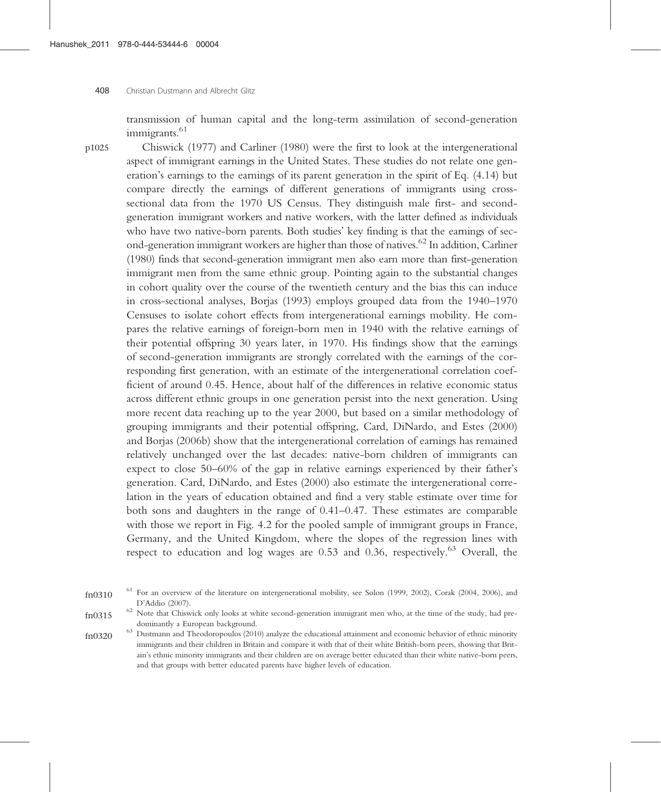transmission of human capital and the long-term assimilation of second-generation immigrants.<sup>61</sup>

p1025 Chiswick (1977) and Carliner (1980) were the first to look at the intergenerational aspect of immigrant earnings in the United States. These studies do not relate one generation's earnings to the earnings of its parent generation in the spirit of Eq. (4.14) but compare directly the earnings of different generations of immigrants using crosssectional data from the 1970 US Census. They distinguish male first- and secondgeneration immigrant workers and native workers, with the latter defined as individuals who have two native-born parents. Both studies' key finding is that the earnings of second-generation immigrant workers are higher than those of natives.62 In addition, Carliner (1980) finds that second-generation immigrant men also earn more than first-generation immigrant men from the same ethnic group. Pointing again to the substantial changes in cohort quality over the course of the twentieth century and the bias this can induce in cross-sectional analyses, Borjas (1993) employs grouped data from the 1940–1970 Censuses to isolate cohort effects from intergenerational earnings mobility. He compares the relative earnings of foreign-born men in 1940 with the relative earnings of their potential offspring 30 years later, in 1970. His findings show that the earnings of second-generation immigrants are strongly correlated with the earnings of the corresponding first generation, with an estimate of the intergenerational correlation coefficient of around 0.45. Hence, about half of the differences in relative economic status across different ethnic groups in one generation persist into the next generation. Using more recent data reaching up to the year 2000, but based on a similar methodology of grouping immigrants and their potential offspring, Card, DiNardo, and Estes (2000) and Borjas (2006b) show that the intergenerational correlation of earnings has remained relatively unchanged over the last decades: native-born children of immigrants can expect to close 50–60% of the gap in relative earnings experienced by their father's generation. Card, DiNardo, and Estes (2000) also estimate the intergenerational correlation in the years of education obtained and find a very stable estimate over time for both sons and daughters in the range of 0.41–0.47. These estimates are comparable with those we report in Fig. 4.2 for the pooled sample of immigrant groups in France, Germany, and the United Kingdom, where the slopes of the regression lines with respect to education and log wages are  $0.53$  and  $0.36$ , respectively.<sup>63</sup> Overall, the

- fn0310 <sup>61</sup> For an overview of the literature on intergenerational mobility, see Solon (1999, 2002), Corak (2004, 2006), and D'Addio (2007).
- 

fn0315<sup>62</sup> Note that Chiswick only looks at white second-generation immigrant men who, at the time of the study, had predominantly a European background.

fn0320 <sup>63</sup> Dustmann and Theodoropoulos (2010) analyze the educational attainment and economic behavior of ethnic minority immigrants and their children in Britain and compare it with that of their white British-born peers, showing that Britain's ethnic minority immigrants and their children are on average better educated than their white native-born peers, and that groups with better educated parents have higher levels of education.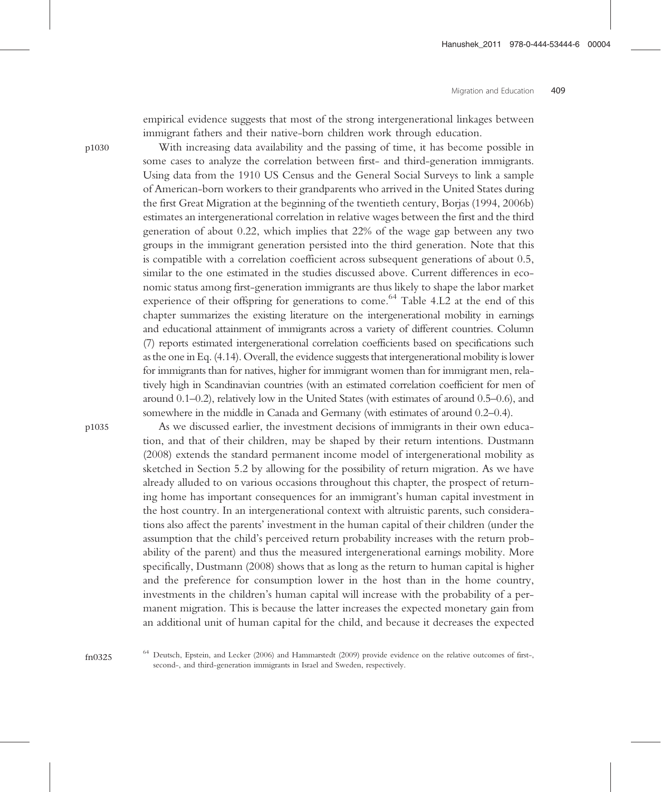empirical evidence suggests that most of the strong intergenerational linkages between immigrant fathers and their native-born children work through education.

p1030 With increasing data availability and the passing of time, it has become possible in some cases to analyze the correlation between first- and third-generation immigrants. Using data from the 1910 US Census and the General Social Surveys to link a sample of American-born workers to their grandparents who arrived in the United States during the first Great Migration at the beginning of the twentieth century, Borjas (1994, 2006b) estimates an intergenerational correlation in relative wages between the first and the third generation of about 0.22, which implies that 22% of the wage gap between any two groups in the immigrant generation persisted into the third generation. Note that this is compatible with a correlation coefficient across subsequent generations of about 0.5, similar to the one estimated in the studies discussed above. Current differences in economic status among first-generation immigrants are thus likely to shape the labor market experience of their offspring for generations to come.<sup>64</sup> Table 4.L2 at the end of this chapter summarizes the existing literature on the intergenerational mobility in earnings and educational attainment of immigrants across a variety of different countries. Column (7) reports estimated intergenerational correlation coefficients based on specifications such as the one in Eq. (4.14). Overall, the evidence suggests that intergenerational mobility is lower for immigrants than for natives, higher for immigrant women than for immigrant men, relatively high in Scandinavian countries (with an estimated correlation coefficient for men of around 0.1–0.2), relatively low in the United States (with estimates of around 0.5–0.6), and somewhere in the middle in Canada and Germany (with estimates of around 0.2–0.4).

p1035 As we discussed earlier, the investment decisions of immigrants in their own education, and that of their children, may be shaped by their return intentions. Dustmann (2008) extends the standard permanent income model of intergenerational mobility as sketched in Section 5.2 by allowing for the possibility of return migration. As we have already alluded to on various occasions throughout this chapter, the prospect of returning home has important consequences for an immigrant's human capital investment in the host country. In an intergenerational context with altruistic parents, such considerations also affect the parents' investment in the human capital of their children (under the assumption that the child's perceived return probability increases with the return probability of the parent) and thus the measured intergenerational earnings mobility. More specifically, Dustmann (2008) shows that as long as the return to human capital is higher and the preference for consumption lower in the host than in the home country, investments in the children's human capital will increase with the probability of a permanent migration. This is because the latter increases the expected monetary gain from an additional unit of human capital for the child, and because it decreases the expected

fn0325 <sup>64</sup> Deutsch, Epstein, and Lecker (2006) and Hammarstedt (2009) provide evidence on the relative outcomes of first-, second-, and third-generation immigrants in Israel and Sweden, respectively.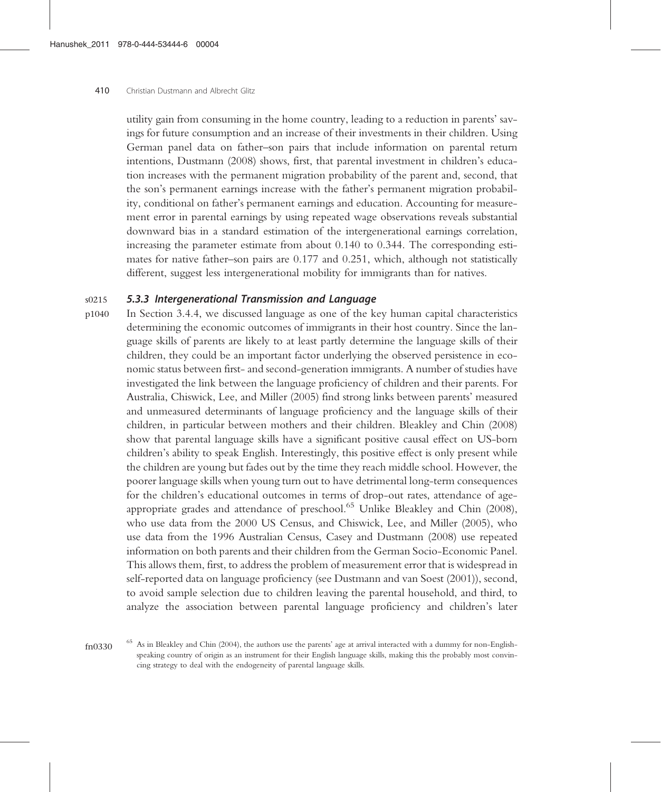utility gain from consuming in the home country, leading to a reduction in parents' savings for future consumption and an increase of their investments in their children. Using German panel data on father–son pairs that include information on parental return intentions, Dustmann (2008) shows, first, that parental investment in children's education increases with the permanent migration probability of the parent and, second, that the son's permanent earnings increase with the father's permanent migration probability, conditional on father's permanent earnings and education. Accounting for measurement error in parental earnings by using repeated wage observations reveals substantial downward bias in a standard estimation of the intergenerational earnings correlation, increasing the parameter estimate from about 0.140 to 0.344. The corresponding estimates for native father–son pairs are 0.177 and 0.251, which, although not statistically different, suggest less intergenerational mobility for immigrants than for natives.

# s0215 **5.3.3 Intergenerational Transmission and Language**<br>p1040 In Section 3.4.4, we discussed language as one of the k

In Section 3.4.4, we discussed language as one of the key human capital characteristics determining the economic outcomes of immigrants in their host country. Since the language skills of parents are likely to at least partly determine the language skills of their children, they could be an important factor underlying the observed persistence in economic status between first- and second-generation immigrants. A number of studies have investigated the link between the language proficiency of children and their parents. For Australia, Chiswick, Lee, and Miller (2005) find strong links between parents' measured and unmeasured determinants of language proficiency and the language skills of their children, in particular between mothers and their children. Bleakley and Chin (2008) show that parental language skills have a significant positive causal effect on US-born children's ability to speak English. Interestingly, this positive effect is only present while the children are young but fades out by the time they reach middle school. However, the poorer language skills when young turn out to have detrimental long-term consequences for the children's educational outcomes in terms of drop-out rates, attendance of ageappropriate grades and attendance of preschool.<sup>65</sup> Unlike Bleakley and Chin (2008), who use data from the 2000 US Census, and Chiswick, Lee, and Miller (2005), who use data from the 1996 Australian Census, Casey and Dustmann (2008) use repeated information on both parents and their children from the German Socio-Economic Panel. This allows them, first, to address the problem of measurement error that is widespread in self-reported data on language proficiency (see Dustmann and van Soest (2001)), second, to avoid sample selection due to children leaving the parental household, and third, to analyze the association between parental language proficiency and children's later

fn0330 <sup>65</sup> As in Bleakley and Chin (2004), the authors use the parents' age at arrival interacted with a dummy for non-Englishspeaking country of origin as an instrument for their English language skills, making this the probably most convincing strategy to deal with the endogeneity of parental language skills.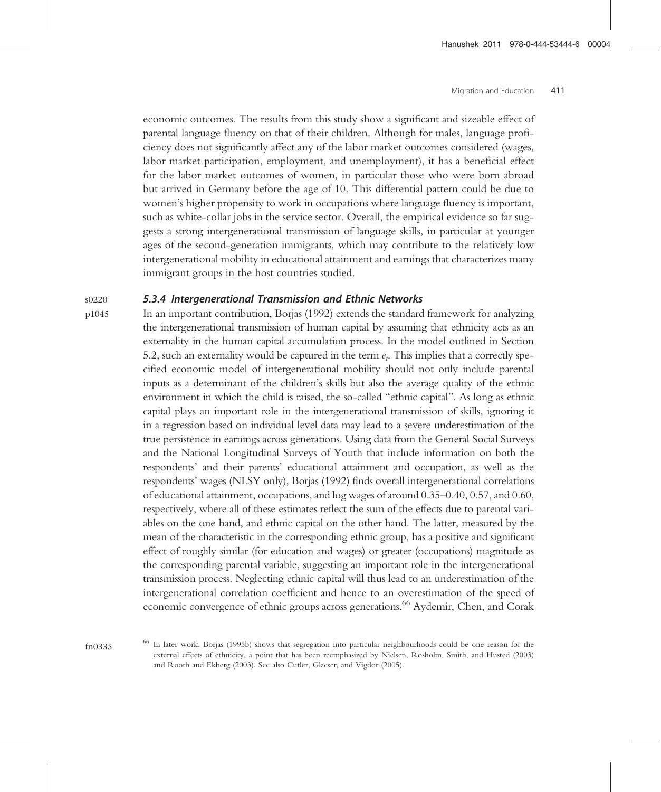economic outcomes. The results from this study show a significant and sizeable effect of parental language fluency on that of their children. Although for males, language proficiency does not significantly affect any of the labor market outcomes considered (wages, labor market participation, employment, and unemployment), it has a beneficial effect for the labor market outcomes of women, in particular those who were born abroad but arrived in Germany before the age of 10. This differential pattern could be due to women's higher propensity to work in occupations where language fluency is important, such as white-collar jobs in the service sector. Overall, the empirical evidence so far suggests a strong intergenerational transmission of language skills, in particular at younger ages of the second-generation immigrants, which may contribute to the relatively low intergenerational mobility in educational attainment and earnings that characterizes many immigrant groups in the host countries studied.

# s0220 5.3.4 Intergenerational Transmission and Ethnic Networks<br>p1045 In an important contribution, Borjas (1992) extends the standard

In an important contribution, Borjas (1992) extends the standard framework for analyzing the intergenerational transmission of human capital by assuming that ethnicity acts as an externality in the human capital accumulation process. In the model outlined in Section 5.2, such an externality would be captured in the term  $e_t$ . This implies that a correctly specified economic model of intergenerational mobility should not only include parental inputs as a determinant of the children's skills but also the average quality of the ethnic environment in which the child is raised, the so-called "ethnic capital". As long as ethnic capital plays an important role in the intergenerational transmission of skills, ignoring it in a regression based on individual level data may lead to a severe underestimation of the true persistence in earnings across generations. Using data from the General Social Surveys and the National Longitudinal Surveys of Youth that include information on both the respondents' and their parents' educational attainment and occupation, as well as the respondents' wages (NLSY only), Borjas (1992) finds overall intergenerational correlations of educational attainment, occupations, and log wages of around 0.35–0.40, 0.57, and 0.60, respectively, where all of these estimates reflect the sum of the effects due to parental variables on the one hand, and ethnic capital on the other hand. The latter, measured by the mean of the characteristic in the corresponding ethnic group, has a positive and significant effect of roughly similar (for education and wages) or greater (occupations) magnitude as the corresponding parental variable, suggesting an important role in the intergenerational transmission process. Neglecting ethnic capital will thus lead to an underestimation of the intergenerational correlation coefficient and hence to an overestimation of the speed of economic convergence of ethnic groups across generations.<sup>66</sup> Aydemir, Chen, and Corak

fn0335 <sup>66</sup> In later work, Borjas (1995b) shows that segregation into particular neighbourhoods could be one reason for the external effects of ethnicity, a point that has been reemphasized by Nielsen, Rosholm, Smith, and Husted (2003) and Rooth and Ekberg (2003). See also Cutler, Glaeser, and Vigdor (2005).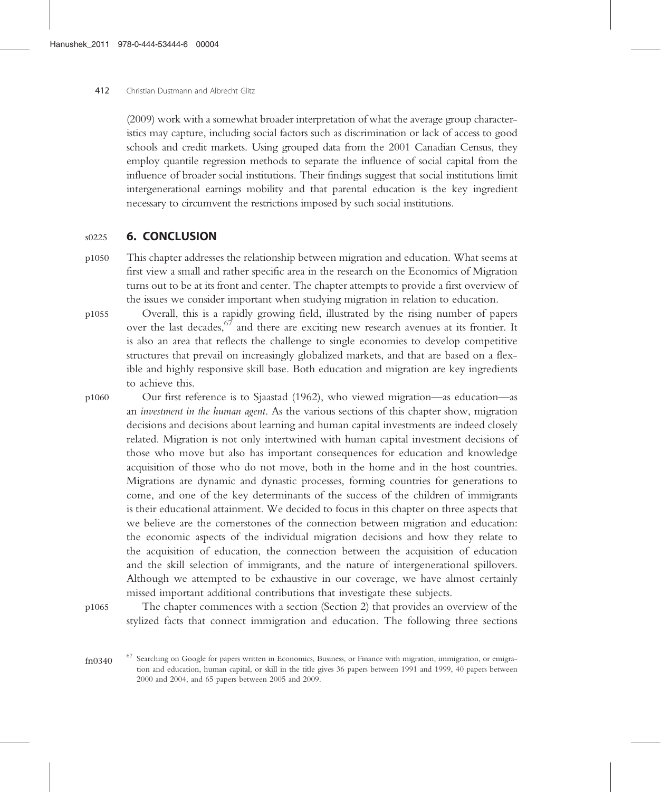(2009) work with a somewhat broader interpretation of what the average group characteristics may capture, including social factors such as discrimination or lack of access to good schools and credit markets. Using grouped data from the 2001 Canadian Census, they employ quantile regression methods to separate the influence of social capital from the influence of broader social institutions. Their findings suggest that social institutions limit intergenerational earnings mobility and that parental education is the key ingredient necessary to circumvent the restrictions imposed by such social institutions.

### s0225 6. CONCLUSION

- p1050 This chapter addresses the relationship between migration and education. What seems at first view a small and rather specific area in the research on the Economics of Migration turns out to be at its front and center. The chapter attempts to provide a first overview of the issues we consider important when studying migration in relation to education.
- p1055 Overall, this is a rapidly growing field, illustrated by the rising number of papers over the last decades,  $67$  and there are exciting new research avenues at its frontier. It is also an area that reflects the challenge to single economies to develop competitive structures that prevail on increasingly globalized markets, and that are based on a flexible and highly responsive skill base. Both education and migration are key ingredients to achieve this.
- p1060 Our first reference is to Sjaastad (1962), who viewed migration—as education—as an investment in the human agent. As the various sections of this chapter show, migration decisions and decisions about learning and human capital investments are indeed closely related. Migration is not only intertwined with human capital investment decisions of those who move but also has important consequences for education and knowledge acquisition of those who do not move, both in the home and in the host countries. Migrations are dynamic and dynastic processes, forming countries for generations to come, and one of the key determinants of the success of the children of immigrants is their educational attainment. We decided to focus in this chapter on three aspects that we believe are the cornerstones of the connection between migration and education: the economic aspects of the individual migration decisions and how they relate to the acquisition of education, the connection between the acquisition of education and the skill selection of immigrants, and the nature of intergenerational spillovers. Although we attempted to be exhaustive in our coverage, we have almost certainly missed important additional contributions that investigate these subjects.

p1065 The chapter commences with a section (Section 2) that provides an overview of the stylized facts that connect immigration and education. The following three sections

fn0340 <sup>67</sup> Searching on Google for papers written in Economics, Business, or Finance with migration, immigration, or emigration and education, human capital, or skill in the title gives 36 papers between 1991 and 1999, 40 papers between 2000 and 2004, and 65 papers between 2005 and 2009.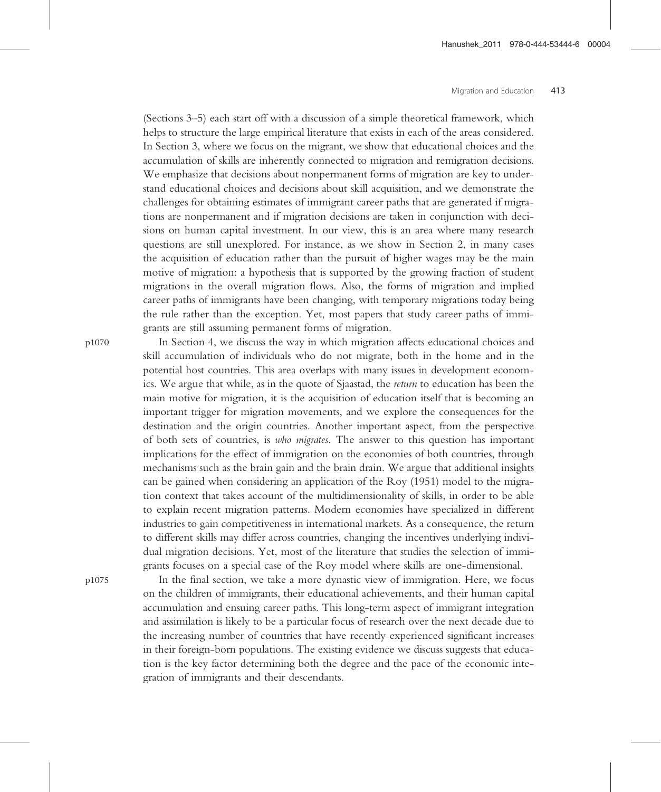(Sections 3–5) each start off with a discussion of a simple theoretical framework, which helps to structure the large empirical literature that exists in each of the areas considered. In Section 3, where we focus on the migrant, we show that educational choices and the accumulation of skills are inherently connected to migration and remigration decisions. We emphasize that decisions about nonpermanent forms of migration are key to understand educational choices and decisions about skill acquisition, and we demonstrate the challenges for obtaining estimates of immigrant career paths that are generated if migrations are nonpermanent and if migration decisions are taken in conjunction with decisions on human capital investment. In our view, this is an area where many research questions are still unexplored. For instance, as we show in Section 2, in many cases the acquisition of education rather than the pursuit of higher wages may be the main motive of migration: a hypothesis that is supported by the growing fraction of student migrations in the overall migration flows. Also, the forms of migration and implied career paths of immigrants have been changing, with temporary migrations today being the rule rather than the exception. Yet, most papers that study career paths of immigrants are still assuming permanent forms of migration.

p1070 In Section 4, we discuss the way in which migration affects educational choices and skill accumulation of individuals who do not migrate, both in the home and in the potential host countries. This area overlaps with many issues in development economics. We argue that while, as in the quote of Sjaastad, the return to education has been the main motive for migration, it is the acquisition of education itself that is becoming an important trigger for migration movements, and we explore the consequences for the destination and the origin countries. Another important aspect, from the perspective of both sets of countries, is who migrates. The answer to this question has important implications for the effect of immigration on the economies of both countries, through mechanisms such as the brain gain and the brain drain. We argue that additional insights can be gained when considering an application of the Roy (1951) model to the migration context that takes account of the multidimensionality of skills, in order to be able to explain recent migration patterns. Modern economies have specialized in different industries to gain competitiveness in international markets. As a consequence, the return to different skills may differ across countries, changing the incentives underlying individual migration decisions. Yet, most of the literature that studies the selection of immigrants focuses on a special case of the Roy model where skills are one-dimensional.

p1075 In the final section, we take a more dynastic view of immigration. Here, we focus on the children of immigrants, their educational achievements, and their human capital accumulation and ensuing career paths. This long-term aspect of immigrant integration and assimilation is likely to be a particular focus of research over the next decade due to the increasing number of countries that have recently experienced significant increases in their foreign-born populations. The existing evidence we discuss suggests that education is the key factor determining both the degree and the pace of the economic integration of immigrants and their descendants.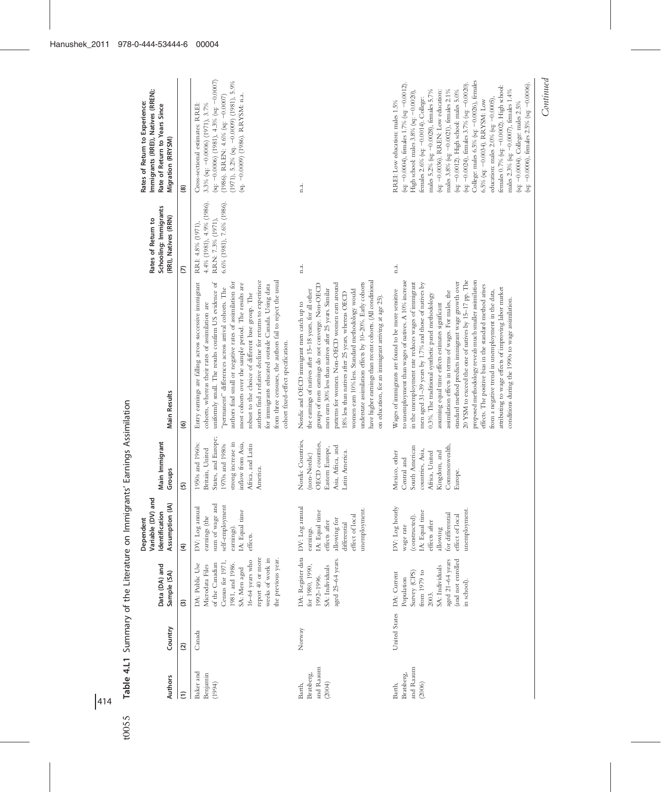| <b>Authors</b>                              | Country        | Data (DA) and<br>Sample (SA)                                                                                                                                                                   | Variable (DV) and<br>Assumption (IA)<br>Identification<br>Dependent                                                                                           | Main Immigrant<br>Groups                                                                                                                                  | <b>Main Results</b>                                                                                                                                                                                                                                                                                                                                                                                                                                                                                                                                                                                                                                                                                                                                                                                     | Schooling: Immigrants<br>(RRI), Natives (RRN)<br>Rates of Return to                              | Immigrants (RREI), Natives (RREN);<br>Rates of Return to Experience:<br>Rate of Return to Years Since<br>Migration (RRYSM)                                                                                                                                                                                                                                                                                                                                                                                                                                                                                                                                                          |
|---------------------------------------------|----------------|------------------------------------------------------------------------------------------------------------------------------------------------------------------------------------------------|---------------------------------------------------------------------------------------------------------------------------------------------------------------|-----------------------------------------------------------------------------------------------------------------------------------------------------------|---------------------------------------------------------------------------------------------------------------------------------------------------------------------------------------------------------------------------------------------------------------------------------------------------------------------------------------------------------------------------------------------------------------------------------------------------------------------------------------------------------------------------------------------------------------------------------------------------------------------------------------------------------------------------------------------------------------------------------------------------------------------------------------------------------|--------------------------------------------------------------------------------------------------|-------------------------------------------------------------------------------------------------------------------------------------------------------------------------------------------------------------------------------------------------------------------------------------------------------------------------------------------------------------------------------------------------------------------------------------------------------------------------------------------------------------------------------------------------------------------------------------------------------------------------------------------------------------------------------------|
| Ξ                                           | $\overline{c}$ | ල                                                                                                                                                                                              | $\widehat{\mathbf{f}}$                                                                                                                                        | ගි                                                                                                                                                        | ত্ৰ                                                                                                                                                                                                                                                                                                                                                                                                                                                                                                                                                                                                                                                                                                                                                                                                     | $\overline{c}$                                                                                   | $\circledg$                                                                                                                                                                                                                                                                                                                                                                                                                                                                                                                                                                                                                                                                         |
| Baker and<br>Benjamin<br>(1994)             | Canada         | report 40 or more<br>weeks of work in<br>the previous year.<br>$16-64$ years who<br>DA: Public Use<br>of the Canadian<br>1981, and 1986.<br>Census for 1971<br>Microdata Files<br>SA: Men aged | sum of wage and<br>self-employment<br>DV: Log annual<br>Equal time<br>earnings (the<br>earnings).<br>effects.<br>$\tilde{\Xi}$                                | States, and Europe;<br>strong increase in<br>inflow from Asia,<br>1950s and 1960s:<br>1970s and 1980s<br>Africa, and Latin<br>Britain, United<br>America. | authors find a relative decline for returns to experience<br>from three censuses, the authors fail to reject the usual<br>uniformly small. The results confirm US evidence of<br>authors find small or negative rates of assimilation for<br>Entry earnings are falling across successive immigrant<br>most cohorts over the sample period. The results are<br>for immigrants educated outside Canada. Using data<br>"permanent" differences across arrival cohorts. The<br>robust to the choice of different base group. The<br>cohorts, whereas their rates of assimilation are<br>cohort fixed-effect specification.                                                                                                                                                                                 | 6.6% (1981), 7.6% (1986).<br>4.4% (1981), 4.9% (1986).<br>RRN: 7.3% (1971),<br>RRI: 4.8% (1971), | $(sq: -0.0006)$ (1981), 4.3% (sq: -0.0007)<br>$(1971)$ , 5.2% (sq. -0.0009) $(1981)$ , 5.9%<br>(sq. -0.0009) (1986). RRYSM: n.a.<br>(1986). RREN: 4.6% (sq: -0.0007)<br>3.3% (sq: -0.0006) (1971), 3.7%<br>Cross-sectional estimates: RREI:                                                                                                                                                                                                                                                                                                                                                                                                                                         |
| and Raaum<br>Bratsberg,<br>Barth,<br>(2004) | Norway         | DA: Register data<br>aged 25-64 years.<br>for 1980, 1990,<br>SA: Individuals<br>1992-1996.                                                                                                     | DV: Log annual<br>unemployment.<br>IA: Equal time<br>effect of local<br>allowing for<br>effects after<br>differential<br>earnings.                            | Nordic Countries,<br>OECD countries,<br>Asia, Africa, and<br>Eastern Europe,<br>Latin America.<br>(non-Nordic)                                            | have higher earnings than recent cohorts. (All conditional<br>understate assimilation effects by 10-20%. Early cohorts<br>patterns for women. Non-OECD women earn around<br>groups of men earnings do not converge. Non-OECD<br>women earn 10% less. Standard methodology would<br>men earn 30% less than natives after 25 years. Similar<br>the earnings of natives after 15-18 years, for all other<br>18% less than natives after 25 years, whereas OECD<br>on education, for an immigrant arriving at age 25)<br>Nordic and OECD immigrant men catch up to                                                                                                                                                                                                                                          | n.a.                                                                                             | n.a.                                                                                                                                                                                                                                                                                                                                                                                                                                                                                                                                                                                                                                                                                |
| and Raaum<br>Bratsberg,<br>Barth,<br>(2006) | United States  | (and not enrolled<br>aged 21-64 years<br>SA: Individuals<br>from 1979 to<br>Survey (CPS)<br>DA: Current<br>Population<br>in school).<br>2003.                                                  | DV: Log hourly<br>unemployment<br>Equal time<br>for differential<br>effect of local<br>(constructed).<br>effects after<br>wage rate<br>$_{\rm allowing}$<br>Ä | Commonwealth,<br>South American<br>countries, Asia,<br>Mexico, other<br>Kingdom, and<br>Africa, United<br>Central and<br>Europe.                          | 20 YSM to exceed the one of natives by 15-17 pp. The<br>proposed methodology reveals much smaller assimilation<br>to unemployment than wages of natives. A 10% increase<br>standard method predicts immigrant wage growth over<br>in the unemployment rate reduces wages of immigrant<br>men aged 31-39 years by 1.7% and those of natives by<br>effects. The positive bias in the standard method arises<br>attributing to wage effects of improving labor market<br>Wages of immigrants are found to be more sensitive<br>assimilation effects in terms of wages. For males, the<br>from a negative trend in unemployment in the data,<br>0.3%. The traditional synthetic panel methodology<br>conditions during the 1990s to wage assimilation.<br>assuming equal time effects estimates significant | n.a.                                                                                             | College: males 6.5% (sq: -0.0026), females<br>(sq: -0.0006), females 2.5% (sq: -0.0006).<br>(sq: -0.0004), females 1.7% (sq: -0.0012).<br>(sq: -0.0024), females 3.7% (sq: -0.0020).<br>females 0.7% (sq: -0.0002). High school:<br>(sq: -0.0036). RREN: Low education:<br>males 3.8% (sq: -0.0021), females 2.1%<br>(sq: -0.0012). High school: males 5.0%<br>males 2.3% (sq: -0.0007), females 1.4%<br>males 5.2% (sq: -0.0028), females 5.7%<br>High school: males 3.8% (sq: -0.0020),<br>females 2.6% (sq: -0.0014). College:<br>6.5% (sq: -0.0034). RRYSM: Low<br>education: males 2.0% (sq: -0.0005)<br>RREI: Low education: males 1.5%<br>(sq: -0.0004). College: males 2.5% |

Continued

 $Continued$ 

t0055 Table 4.L1 Summary of the Literature on Immigrants' Earnings Assimilation t0055 Table 4.L1 Summary of the Literature on Immigrants' Earnings Assimilation

414

Hanushek\_2011 978-0-444-53444-6 00004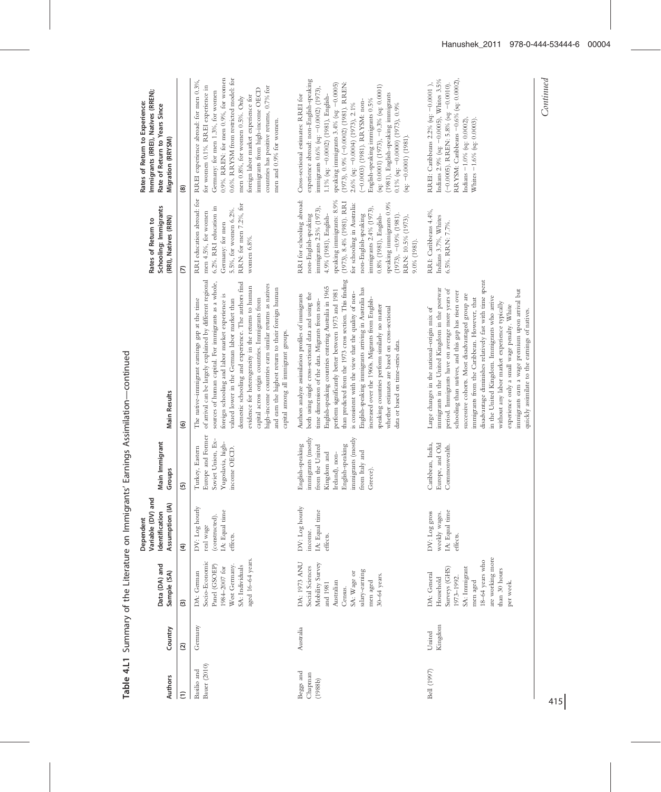| <b>Authors</b>                  | Country           | Data (DA) and<br>Sample (SA)                                                                                                                                | Variable (DV) and<br>Assumption (IA)<br>Identification<br>Dependent         | Main Immigrant<br>Groups                                                                                                                                          | <b>Main Results</b>                                                                                                                                                                                                                                                                                                                                                                                                                                                                                                                                                                                                                                    | Schooling: Immigrants<br>(RRI), Natives (RRN)<br>Rates of Return to                                                                                                                                                                                                                                                                                                     | Immigrants (RREI), Natives (RREN);<br>Rates of Return to Experience:<br>Rate of Return to Years Since<br>Migration (RRYSM)                                                                                                                                                                                                                                                                                                                                                                                        |
|---------------------------------|-------------------|-------------------------------------------------------------------------------------------------------------------------------------------------------------|-----------------------------------------------------------------------------|-------------------------------------------------------------------------------------------------------------------------------------------------------------------|--------------------------------------------------------------------------------------------------------------------------------------------------------------------------------------------------------------------------------------------------------------------------------------------------------------------------------------------------------------------------------------------------------------------------------------------------------------------------------------------------------------------------------------------------------------------------------------------------------------------------------------------------------|-------------------------------------------------------------------------------------------------------------------------------------------------------------------------------------------------------------------------------------------------------------------------------------------------------------------------------------------------------------------------|-------------------------------------------------------------------------------------------------------------------------------------------------------------------------------------------------------------------------------------------------------------------------------------------------------------------------------------------------------------------------------------------------------------------------------------------------------------------------------------------------------------------|
| $\widehat{E}$                   | ତ୍ର               | ල                                                                                                                                                           | $\widehat{f}$                                                               | 6                                                                                                                                                                 | ত্ৰ                                                                                                                                                                                                                                                                                                                                                                                                                                                                                                                                                                                                                                                    | ε                                                                                                                                                                                                                                                                                                                                                                       | මු                                                                                                                                                                                                                                                                                                                                                                                                                                                                                                                |
| Bauer (2010)<br>Basilio and     | Germany           | aged 16-64 years.<br>Socio-Economic<br>Panel (GSOEP)<br>SA: Individuals<br>West Germany<br>1984-2007 for<br>DA: German                                      | DV: Log hourly<br>IA: Equal time<br>(constructed).<br>real wage<br>effects. | Europe and Former<br>Soviet Union, Ex-<br>Yugoslavia, high-<br>Turkey, Eastern<br>income OECD.                                                                    | of arrival can be largely explained by different regional<br>sources of human capital. For immigrants as a whole,<br>domestic schooling and experience. The authors find<br>high-income countries earn similar returns as natives<br>evidence for heterogeneity in the returns to human<br>and earn the highest return to their foreign human<br>foreign schooling and labor market experience is<br>capital across origin countries. Immigrants from<br>The native-immigrant earnings gap at the time<br>valued lower in the German labor market than<br>capital among all immigrant groups.                                                          | RRI education abroad: for<br>RRN: for men 7.2%, for<br>6.2%. RRI education in<br>5.5%, for women 6.2%.<br>men 4.5%, for women<br>Germany: for men<br>women 6.8%.                                                                                                                                                                                                        | 0.6%. RRYSM from restricted model: for<br>0.9%. RREN: for men 0.9%, for women<br>RREI experience abroad: for men 0.3%,<br>for women 0.1%. RREI experience in<br>countries has positive returns, 0.7% for<br>immigrants from high-income OECD<br>Germany: for men 1.3%, for women<br>foreign labor market experience for<br>men 0.8%, for women 0.5%. Only<br>men and 0.9% for women.                                                                                                                              |
| Beggs and<br>Chapman<br>(1988b) | Australia         | DA: 1973 ANU<br>Mobility Survey<br>Social Sciences<br>salary-earning<br>SA: Wage or<br>30-64 years.<br>men aged<br>Australian<br>and 1981<br>Census.        | DV: Log hourly<br>IA: Equal time<br>income.<br>effects.                     | immigrants (mostly<br>immigrants (mostly<br>English-speaking<br>English-speaking<br>from the United<br>from Italy and<br>Kingdom and<br>Ireland), non-<br>Greece) | than predicted from the 1973 cross section. This finding<br>English-speaking countries entering Australia in 1965<br>English-speaking immigrants arriving in Australia has<br>perform significantly better between 1973 and 1981<br>is consistent with the view that the quality of non-<br>both using single cross-sectional data and using the<br>Authors analyze assimilation profiles of immigrants<br>time dimension of the data. Migrants from non-<br>increased over the 1960s. Migrants from English<br>speaking countries perform similarly no matter<br>whether estimates are based on cross-sectional<br>data or based on time-series data. | RRI for schooling abroad:<br>speaking immigrants: 8.9%<br>(1973), 8.4% (1981). RRI<br>speaking immigrants 0.9%<br>for schooling in Australia:<br>immigrants 2.5% (1973),<br>immigrants 2.4% (1973),<br>0.8% (1981), English-<br>4.9% (1981), English-<br>non-English-speaking<br>non-English-speaking<br>$(1973), -0.9\%$ (1981).<br>RRN: 10.5% (1973),<br>9.0% (1981). | experience abroad: non-English-speaking<br>$(1973), 0.9\%$ (-0.0002) (1981). RREN:<br>speaking immigrants 3.4% (sq: -0.0005)<br>(sq: 0.0001) (1973), -0.3% (sq: 0.0001)<br>immigrants 0.6% (sq: -0.0002) (1973),<br>(1981), English-speaking immigrants<br>Cross-sectional estimates: RREI for<br>1.1% (sq: -0.0002) (1981), English-<br>English-speaking immigrants 0.5%<br>(-0.0003) (1981). RRYSM: non-<br>2.6% (sq: -0.0004) (1973), 2.1%<br>$0.1\%$ (sq: -0.0000) (1973), 0.9%<br>$(sq: -0.0001)$ $(1981)$ . |
| Bell (1997)                     | Kingdom<br>United | are working more<br>$18-64$ years who<br>SA: Immigrant<br>Surveys (GHS)<br>than 30 hours<br>DA: General<br>1973-1992.<br>Household<br>men aged<br>per week. | IA: Equal time<br>DV: Log gross<br>weekly wages.<br>effects.                | Europe, and Old<br>Caribbean, India,<br>Commonwealth.                                                                                                             | disadvantage diminishes relatively fast with time spent<br>immigrants in the United Kingdom in the postwar<br>immigrants earn a wage premium upon arrival but<br>period. Immigrants have on average more years of<br>schooling than natives, and this gap has risen over<br>successive cohorts. Most disadvantaged group are<br>in the United Kingdom. Immigrants who arrive<br>immigrants from the Caribbean. However, that<br>without any labor market experience typically<br>experience only a small wage penalty. White<br>Large changes in the national-origin mix of<br>quickly assimilate to the earnings of natives.                          | RRI: Caribbeans 4.4%,<br>Indians 3.7%, Whites<br>6.5%. RRN: 7.7%.                                                                                                                                                                                                                                                                                                       | Indians 2.9% (sq: -0.0005), Whites 3.5%<br>RRYSM: Caribbeans -0.6% (sq: 0.0002),<br>RREI: Caribbeans 2.2% (sq: -0.0001),<br>(-0.0005). RREN: 5.8% (sq: -0.0010).<br>Whites -1.6% (sq: 0.0003).<br>Indians -1.0% (sq: 0.0002),                                                                                                                                                                                                                                                                                     |
|                                 |                   |                                                                                                                                                             |                                                                             |                                                                                                                                                                   |                                                                                                                                                                                                                                                                                                                                                                                                                                                                                                                                                                                                                                                        |                                                                                                                                                                                                                                                                                                                                                                         | Continued                                                                                                                                                                                                                                                                                                                                                                                                                                                                                                         |

Hanushek\_2011 978-0-444-53444-6 00004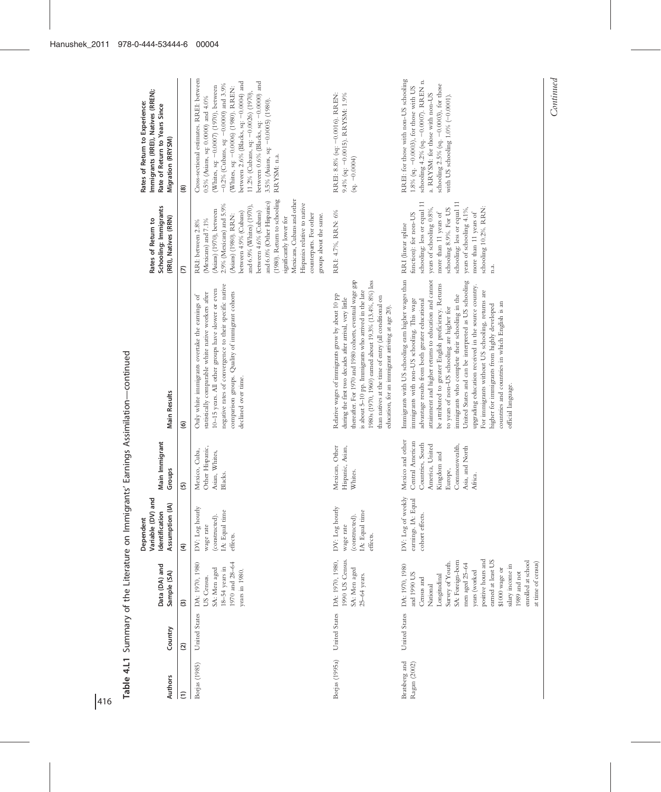| <b>Authors</b>                | Country        | Data (DA) and<br>Sample (SA)                                                                                                                                                                                                                                                                       | Variable (DV) and<br>Assumption (IA)<br>Identification<br>Dependent            | Main Immigrant<br>Groups                                                                                                                             | <b>Main Results</b>                                                                                                                                                                                                                                                                                                                                                                                                                                                                                                                                                                                                                                                | Schooling: Immigrants<br>(RRI), Natives (RRN)<br>Rates of Return to                                                                                                                                                                                                                                                                                                                                                 | Immigrants (RREI), Natives (RREN);<br>Rates of Return to Experience:<br>Rate of Return to Years Since<br>Migration (RRYSM)                                                                                                                                                                                                                                                                |
|-------------------------------|----------------|----------------------------------------------------------------------------------------------------------------------------------------------------------------------------------------------------------------------------------------------------------------------------------------------------|--------------------------------------------------------------------------------|------------------------------------------------------------------------------------------------------------------------------------------------------|--------------------------------------------------------------------------------------------------------------------------------------------------------------------------------------------------------------------------------------------------------------------------------------------------------------------------------------------------------------------------------------------------------------------------------------------------------------------------------------------------------------------------------------------------------------------------------------------------------------------------------------------------------------------|---------------------------------------------------------------------------------------------------------------------------------------------------------------------------------------------------------------------------------------------------------------------------------------------------------------------------------------------------------------------------------------------------------------------|-------------------------------------------------------------------------------------------------------------------------------------------------------------------------------------------------------------------------------------------------------------------------------------------------------------------------------------------------------------------------------------------|
| Ξ                             | $\overline{c}$ | $\overline{3}$                                                                                                                                                                                                                                                                                     | $\widehat{f}$                                                                  | $\overline{5}$                                                                                                                                       | $\widehat{\mathbf{e}}$                                                                                                                                                                                                                                                                                                                                                                                                                                                                                                                                                                                                                                             | $\widehat{\triangleright}$                                                                                                                                                                                                                                                                                                                                                                                          | $\circledR$                                                                                                                                                                                                                                                                                                                                                                               |
| Borjas (1985)                 | United States  | 1970 and 28-64<br>DA: 1970, 1980<br>$18-54$ years in<br>SA: Men aged<br>years in 1980.<br>US Census.                                                                                                                                                                                               | DV: Log hourly<br>IA: Equal time<br>(constructed).<br>wage rate<br>effects.    | Other Hispanic,<br>Mexico, Cuba,<br>Asian, Whites,<br>Blacks.                                                                                        | negative rates of convergence to their specific native<br>10-15 years. All other groups have slower or even<br>comparison groups. Quality of immigrant cohorts<br>statistically comparable white native workers after<br>Only white immigrants overtake the earnings of<br>declined over time.                                                                                                                                                                                                                                                                                                                                                                     | (1980). Return to schooling<br>Mexicans, Cubans and other<br>and 6.0% (Other Hispanics)<br>Hispanics relative to native<br>2.9% (Mexicans) and 5.9%<br>and 6.9% (Whites) (1970),<br>(Asians) (1970), between<br>between 4.6% (Cubans)<br>between 4.9% (Cubans)<br>counterparts. For other<br>(Asians) (1980). RRN:<br>groups about the same.<br>significantly lower for<br>(Mexicans) and 7.1%<br>RRI: between 2.8% | Cross-sectional estimates. RREI: between<br>between 0.6% (Blacks, sq: -0.0000) and<br>between 2.6% (Blacks, sq: -0.0004) and<br>$-0.2\%$ (Cubans, sq: $-0.0000$ ) and 3.9%<br>Whites, sq: -0.0007) (1970), between<br>Whites, sq: -0.0006) (1980). RREN:<br>11.2% (Cubans, sq: -0.0026) (1970),<br>0.5% (Asians, sq: 0.0000) and 4.0%<br>3.5% (Asians, sq: -0.0005) (1980)<br>RRYSM: n.a. |
| Borjas (1995a)                | United States  | 1990 US Census.<br>DA: 1970, 1980,<br>SA: Men aged<br>25-64 years.                                                                                                                                                                                                                                 | DV: Log hourly<br>IA: Equal time<br>(constructed).<br>wage rate<br>Ś.<br>effec | Mexican, Other<br>Hispanic, Asian,<br>Whites.                                                                                                        | thereafter. For 1970 and 1980 cohorts, eventual wage gap<br>980s (1970, 1960) earned about 19.3% (13.4%, 8%) less<br>is about 5-10 pp. Immigrants who arrived in the late<br>Relative wages of immigrants grow by about 10 pp<br>than natives at the time of entry (all conditional on<br>during the first two decades after arrival, very little<br>education, for an immigrant arriving at age 20).                                                                                                                                                                                                                                                              | RRI: 4.7%, RRN: 6%                                                                                                                                                                                                                                                                                                                                                                                                  | RREI: 8.8% (sq: - 0.0016). RREN:<br>9.4% (sq: -0.0015). RRYSM: 1.9%<br>$(sq. -0.0004)$                                                                                                                                                                                                                                                                                                    |
| Bratsberg and<br>Ragan (2002) | United States  | positive hours and<br>earned at least US<br>enrolled at school<br>SA: Foreign-born<br>at time of census)<br>Survey of Youth.<br>men aged 25-64<br>DA: 1970, 1980<br>salary income in<br>\$1000 wage or<br>years (worked<br>$1989$ and not<br>and 1990 US<br>Longitudinal<br>Census and<br>National | DV: Log of weekly<br>earnings. IA: Equal<br>cohort effects.                    | Mexico and other<br>Central American<br>Countries, South<br>America, United<br>Commonwealth,<br>Asia, and North<br>Kingdom and<br>Europe,<br>Africa. | Immigrants with US schooling earn higher wages than<br>attainment and higher returns to education and cannot<br>United States and can be interpreted as US schooling<br>be attributed to greater English proficiency. Returns<br>upgrading education received in the source country.<br>For immigrants without US schooling, returns are<br>immigrants who complete their schooling in the<br>immigrants with non-US schooling. This wage<br>advantage results from both greater educational<br>countries and countries in which English is an<br>higher for immigrants from highly developed<br>to years of non-US schooling are higher for<br>official language. | schooling: less or equal 11<br>schooling: less or equal 11<br>years of schooling 0.8%,<br>schooling 8.9%. For US<br>years of schooling 4.1%,<br>schooling 10.2%. RRN:<br>more than 11 years of<br>more than 11 years of<br>function): for non-US<br>RRI (linear spline<br>n.a.                                                                                                                                      | RREI: for those with non-US schooling<br>schooling 4.2% (sq. -0.0007). RREN n.<br>schooling 2.5% (sq. -0.0003), for those<br>1.8% (sq. -0.0003), for those with US<br>a. RRYSM: for those with non-US<br>with US schooling $1.0\%$ ( $-0.0001$ ).                                                                                                                                         |

416

 $Continued$ Continued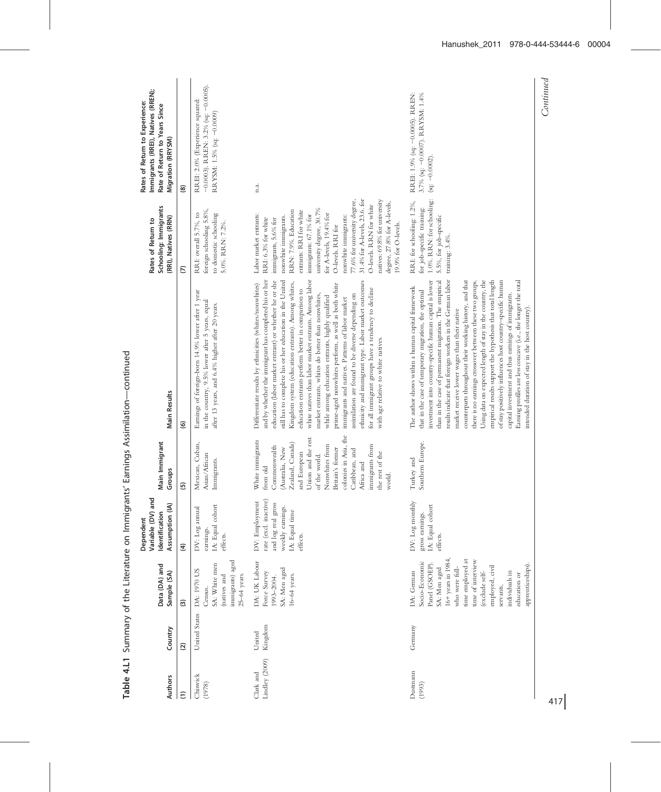| <b>Authors</b>              | Country           | Data (DA) and<br>Sample (SA)                                                                                                                                                                                                                               | Variable (DV) and<br>Assumption (IA)<br>Identification<br>Dependent                                             | Main Immigrant<br>Groups                                                                                                                                                                                                                                                                  | <b>Main Results</b>                                                                                                                                                                                                                                                                                                                                                                                                                                                                                                                                                                                                                                                                                                                                                                                                                      | Schooling: Immigrants<br>(RRI), Natives (RRN)<br>Rates of Return to                                                                                                                                                                                                                                                                                                                                                                                              | Immigrants (RREI), Natives (RREN);<br>Rates of Return to Experience:<br>Rate of Return to Years Since<br>Migration (RRYSM) |
|-----------------------------|-------------------|------------------------------------------------------------------------------------------------------------------------------------------------------------------------------------------------------------------------------------------------------------|-----------------------------------------------------------------------------------------------------------------|-------------------------------------------------------------------------------------------------------------------------------------------------------------------------------------------------------------------------------------------------------------------------------------------|------------------------------------------------------------------------------------------------------------------------------------------------------------------------------------------------------------------------------------------------------------------------------------------------------------------------------------------------------------------------------------------------------------------------------------------------------------------------------------------------------------------------------------------------------------------------------------------------------------------------------------------------------------------------------------------------------------------------------------------------------------------------------------------------------------------------------------------|------------------------------------------------------------------------------------------------------------------------------------------------------------------------------------------------------------------------------------------------------------------------------------------------------------------------------------------------------------------------------------------------------------------------------------------------------------------|----------------------------------------------------------------------------------------------------------------------------|
|                             | G                 | $\overline{3}$                                                                                                                                                                                                                                             | $\widehat{f}$                                                                                                   | 0                                                                                                                                                                                                                                                                                         | ত্ত                                                                                                                                                                                                                                                                                                                                                                                                                                                                                                                                                                                                                                                                                                                                                                                                                                      | E)                                                                                                                                                                                                                                                                                                                                                                                                                                                               | $\circledR$                                                                                                                |
| Chiswick<br>(1978)          | United States     | immigrants) aged<br>SA: White men<br>DA: 1970 US<br>(natives and<br>25-64 years.<br>Census.                                                                                                                                                                | IA: Equal cohort<br>Log annual<br>earnings.<br>effects.<br>DV:                                                  | Mexican, Cuban,<br>Asian/African<br>Immigrants.                                                                                                                                                                                                                                           | Earnings of foreign-born 14.9% lower after 1 year<br>in the country, 9.5% lower after 5 years, equal<br>after 13 years, and 6.4% higher after 20 years.                                                                                                                                                                                                                                                                                                                                                                                                                                                                                                                                                                                                                                                                                  | foreign schooling 5.8%,<br>to domestic schooling<br>RRI: overall 5.7%, to<br>5.0%, RRN: 7.2%.                                                                                                                                                                                                                                                                                                                                                                    | $-0.0003$ ). RREN: 3.2% (sq: $-0.0005$ ).<br>RREI: 2.0% (Experience squared:<br>RRYSM: 1.5% (sq: -0.0009)                  |
| Lindley (2009)<br>Clark and | Kingdom<br>United | DA: UK Labour<br>SA: Men aged<br>Force Survey<br>$16-64$ years.<br>1993-2004.                                                                                                                                                                              | rate (excl. inactive)<br>DV: Employment<br>and log real gross<br>weekly earnings.<br>IA: Equal time<br>effects. | colonies in Asia, the<br>Union and the rest<br>White immigrants<br>Zealand, Canada)<br>Nonwhites from<br>immigrants from<br>Commonwealth<br>(Australia, New<br>Britain's former<br>Caribbean, and<br>the rest of the<br>and European<br>of the world.<br>Africa and<br>from old<br>world. | and by whether the immigrant has completed his or her<br>white natives than labor market entrants. Among labor<br>ethnicity and immigrant type. Labor market outcomes<br>education (labor market entrant) or whether he or she<br>still has to complete his or her education in the United<br>Differentiate results by ethnicities (whites/nonwhites)<br>Kingdom system (education entrants). Among whites,<br>prime-aged nonwhites perform, as well as both white<br>for all immigrant groups have a tendency to decline<br>education entrants perform better in comparison to<br>assimilation are found to be diverse depending on<br>market entrants, whites do better than nonwhites,<br>while among education entrants, highly qualified<br>immigrants and natives. Patterns of labor market<br>with age relative to white natives. | 31.4% for A-levels, 23.6. for<br>natives: 69.8% for university<br>77.6% for university degree,<br>degree, 27.8% for A-levels,<br>O-levels. RRN for white<br>university degree, 30.7%<br>entrants: RRI for white<br>RRN: 7.9%. Education<br>for A-levels, 19.4% for<br>immigrants: 67.1% for<br>Labor market entrants:<br>nonwhite immigrants.<br>nonwhite immigrants:<br>RRI: 6.3% for white<br>immigrants, 5.6% for<br>19.9% for O-levels.<br>O-levels. RRI for | n.a.                                                                                                                       |
| Dustmann<br>(1993)          | Germany           | $16 +$ years in 1984,<br>time employed at<br>time of interview<br>Socio-Economic<br>apprenticeships).<br>Panel (GSOEP)<br>employed, civil<br>who were full-<br>SA: Men aged<br>DA: German<br>(exclude self-<br>individuals in<br>education or<br>servants, | DV: Log monthly<br>IA: Equal cohort<br>gross earnings.<br>effects.                                              | Southern Europe.<br>Turkey and                                                                                                                                                                                                                                                            | investment into country-specific human capital is lower<br>results indicate that foreign workers in the German labor<br>Using data on expected length of stay in the country, the<br>Earning profiles are less concave (i.e., the longer the total<br>than in the case of permanent migration. The empirical<br>empirical results support the hypothesis that total length<br>of stay positively influences host country-specific human<br>counterparts throughout their working history, and that<br>there is no earnings crossover between these two groups.<br>The author shows within a human capital framework<br>that in the case of temporary migration, the optimal<br>capital investment and thus earnings of immigrants.<br>intended duration of stay in the host country).<br>market receive lower wages than their native    | 1.0%. RRN: for schooling:<br>RRI: for schooling: 1.2%,<br>for job-specific training:<br>5.5%, for job-specific<br>training: 3.4%.                                                                                                                                                                                                                                                                                                                                | RREI: 1.9% (sq: -0.0005). RREN:<br>3.7% (sq: -0.0007). RRYSM: 1.4%<br>$(sq: -0.0002)$                                      |
|                             |                   |                                                                                                                                                                                                                                                            |                                                                                                                 |                                                                                                                                                                                                                                                                                           |                                                                                                                                                                                                                                                                                                                                                                                                                                                                                                                                                                                                                                                                                                                                                                                                                                          |                                                                                                                                                                                                                                                                                                                                                                                                                                                                  | Continued                                                                                                                  |

Hanushek\_2011 978-0-444-53444-6 00004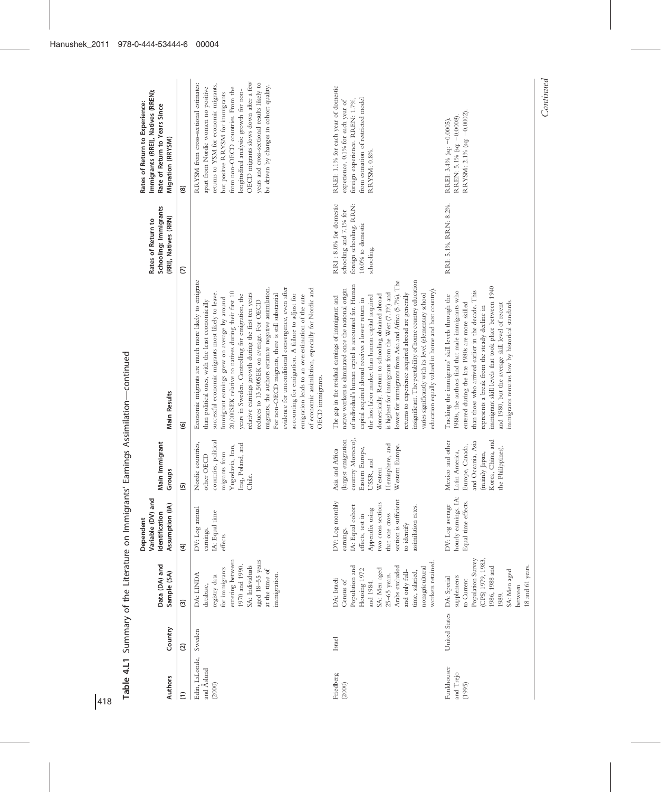| Authors                                | Country        | Data (DA) and<br>Sample (SA)                                                                                                                                                                          | Variable (DV) and<br>Assumption (IA)<br>Identification<br>Dependent                                                                                                                              | Main Immigrant<br>Groups                                                                                                                     | <b>Main Results</b>                                                                                                                                                                                                                                                                                                                                                                                                                                                                                                                                                                                                                                                                                                                                                                   | Schooling: Immigrants<br>(RRI), Natives (RRN)<br>Rates of Return to                                               | Immigrants (RREI), Natives (RREN);<br>Rates of Return to Experience:<br>Rate of Return to Years Since<br>Migration (RRYSM)                                                                                                                                                                                                                                                 |
|----------------------------------------|----------------|-------------------------------------------------------------------------------------------------------------------------------------------------------------------------------------------------------|--------------------------------------------------------------------------------------------------------------------------------------------------------------------------------------------------|----------------------------------------------------------------------------------------------------------------------------------------------|---------------------------------------------------------------------------------------------------------------------------------------------------------------------------------------------------------------------------------------------------------------------------------------------------------------------------------------------------------------------------------------------------------------------------------------------------------------------------------------------------------------------------------------------------------------------------------------------------------------------------------------------------------------------------------------------------------------------------------------------------------------------------------------|-------------------------------------------------------------------------------------------------------------------|----------------------------------------------------------------------------------------------------------------------------------------------------------------------------------------------------------------------------------------------------------------------------------------------------------------------------------------------------------------------------|
|                                        | $\overline{c}$ | $\widehat{\mathfrak{G}}$                                                                                                                                                                              | $\widehat{f}$                                                                                                                                                                                    | 0                                                                                                                                            | ত্ত                                                                                                                                                                                                                                                                                                                                                                                                                                                                                                                                                                                                                                                                                                                                                                                   | $\widehat{\triangleright}$                                                                                        | $\circledast$                                                                                                                                                                                                                                                                                                                                                              |
| Edin, LaLonde,<br>and Åslund<br>(2000) | Sweden         | entering between<br>aged 18-55 years<br>1970 and 1990.<br>SA: Individuals<br>for immigrants<br>at the time of<br>immigration.<br>DA: LINDA<br>registry data<br>database,                              | Log annual<br>IA: Equal time<br>earnings.<br>effects.<br>DV:                                                                                                                                     | countries, political<br>Nordic countries,<br>Iraq, Poland, and<br>Yugoslavia, Iran,<br>migrants from<br>other OECD<br>Chile.                 | Economic migrants are much more likely to emigrate<br>evidence for unconditional convergence, even after<br>of economic assimilation, especially for Nordic and<br>migrants, the authors estimate negative assimilation.<br>20,000SEK relative to natives during their first 10<br>successful economic migrants most likely to leave.<br>relative earnings growth during the first ten years<br>For non-OECD migrants, there is still substantial<br>accounting for emigration. A failure to adjust for<br>years in Sweden. Controlling for emigration, the<br>emigration leads to an overestimation of the rate<br>Immigrant earnings grew on average by around<br>than political ones, with the least economically<br>reduces to 13,500SEK on average. For OECD<br>OECD immigrants. |                                                                                                                   | OECD migrants slows down after a few<br>years and cross-sectional results likely to<br>RRYSM from cross-sectional estimates:<br>returns to YSM for economic migrants,<br>be driven by changes in cohort quality.<br>apart from Nordic women no positive<br>from non-OECD countries. From the<br>longitudinal analysis: growth for non-<br>but positve RRYSM for immigrants |
| Friedberg<br>(2000)                    | Israel         | workers retained<br>Population and<br>Arabs excluded<br>nonagricultural<br>SA: Men aged<br>Housing 1972<br>and only full-<br>time, salaried,<br>25-65 years.<br>DA: Israeli<br>Census of<br>and 1984. | section is sufficient<br>Log monthly<br>two cross sections<br>IA: Equal cohort<br>assimilation rates.<br>Appendix using<br>that one cross<br>effects, test in<br>to identify<br>earnings.<br>DV: | country Morocco),<br>(largest emigration<br>Hemisphere, and<br>Western Europe.<br>Eastern Europe,<br>Asia and Africa<br>USSR, and<br>Western | lowest for immigrants from Asia and Africa (5.7%). The<br>insignificant. The portability of home country education<br>of individual's human capital is accounted for. Human<br>native workers is eliminated once the national origin<br>education equally valued in home and host country)<br>returns to experience acquired abroad are generally<br>is highest for immigrants from the West $(7.1\%)$ and<br>varies significantly with its level (elementary school<br>domestically. Return to schooling obtained abroad<br>The gap in the residual earnings of immigrant and<br>the host labor market than human capital acquired<br>capital acquired abroad receives a lower return in                                                                                             | RRI: 8.0% for domestic<br>foreign schooling, RRN:<br>schooling and 7.1% for<br>$10.0\%$ to domestic<br>schooling. | RREI: 1.1% for each year of domestic<br>from estmation of restricted model<br>foreign experience. RREN: 1.7%,<br>experience, 0.1% for each year of<br>RRYSM: 0.8%.                                                                                                                                                                                                         |
| Funkhouser<br>and Trejo<br>(1995)      | United States  | Population Survey<br>(CPS) 1979, 1983<br>1986, 1988 and<br>18 and 61 years.<br>SA: Men aged<br>supplements<br>DA: Special<br>to Current<br>between<br>1989.                                           | hourly earnings. IA:<br>I time effects.<br>DV: Log average<br>Equal                                                                                                                              | Korea, China, and<br>Mexico and other<br>and Oceania, Asia<br>Europe, Canada,<br>the Philippines).<br>Latin America,<br>(mainly Japan,       | immigrant skill levels that took place between 1940<br>than those who arrived earlier in the decade. This<br>1980s, the authors find that male immigrants who<br>Tracking the immigrants' skill levels through the<br>immigrants remains low by historical standards.<br>entered during the late 1980s are more skilled<br>and 1980, but the average skill level of recent<br>represents a break from the steady decline in                                                                                                                                                                                                                                                                                                                                                           | RRI: 5.1%. RRN: 8.2%.                                                                                             | RRYSM: 2.1% (sq: -0.0002).<br>RREN: 5.1% (sq: -0.0008).<br>RREE: 3.4% (sq: -0.0005).                                                                                                                                                                                                                                                                                       |
|                                        |                |                                                                                                                                                                                                       |                                                                                                                                                                                                  |                                                                                                                                              |                                                                                                                                                                                                                                                                                                                                                                                                                                                                                                                                                                                                                                                                                                                                                                                       |                                                                                                                   | Continued                                                                                                                                                                                                                                                                                                                                                                  |

418

Hanushek\_2011 978-0-444-53444-6 00004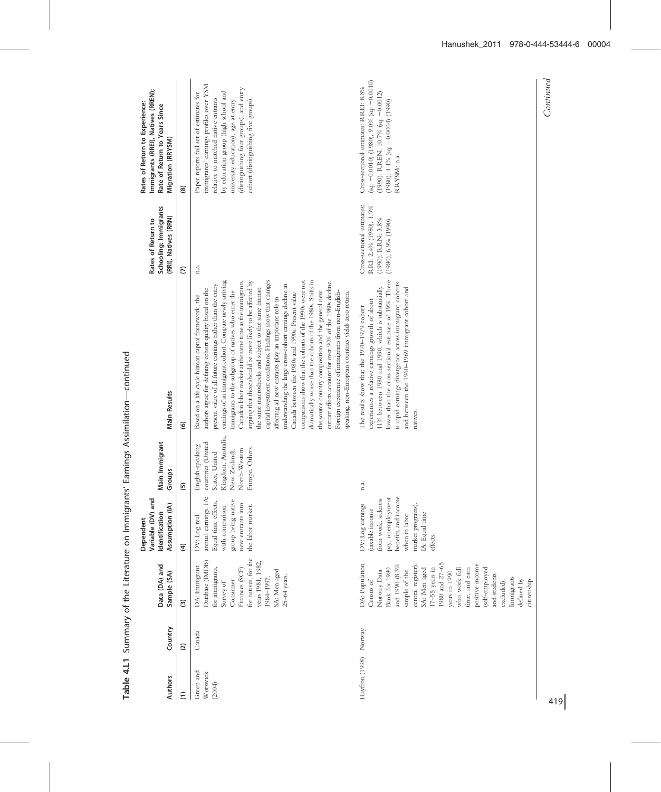| Country<br>Authors                        | Data (DA) and<br>Sample (SA)                                                                                                                                                                                                                                                                                                                  | Variable (DV) and<br>Assumption (IA)<br>Identification<br>Dependent                                                                                                           | Main Immigrant<br>Groups                                                                                                            | Main Results                                                                                                                                                                                                                                                                                                                                                                                                                                                                                                                                                                                                                                                                                                                                                                                                                                                                                                                                                                                                                                                                    | Schooling: Immigrants<br>(RRI), Natives (RRN)<br>Rates of Return to                                   | Immigrants (RREI), Natives (RREN);<br>Rates of Return to Experience:<br>Rate of Return to Years Since<br>Migration (RRYSM)                                                                                                                                                               |
|-------------------------------------------|-----------------------------------------------------------------------------------------------------------------------------------------------------------------------------------------------------------------------------------------------------------------------------------------------------------------------------------------------|-------------------------------------------------------------------------------------------------------------------------------------------------------------------------------|-------------------------------------------------------------------------------------------------------------------------------------|---------------------------------------------------------------------------------------------------------------------------------------------------------------------------------------------------------------------------------------------------------------------------------------------------------------------------------------------------------------------------------------------------------------------------------------------------------------------------------------------------------------------------------------------------------------------------------------------------------------------------------------------------------------------------------------------------------------------------------------------------------------------------------------------------------------------------------------------------------------------------------------------------------------------------------------------------------------------------------------------------------------------------------------------------------------------------------|-------------------------------------------------------------------------------------------------------|------------------------------------------------------------------------------------------------------------------------------------------------------------------------------------------------------------------------------------------------------------------------------------------|
| $\overline{c}$<br>Ξ                       | ම                                                                                                                                                                                                                                                                                                                                             | $\widehat{f}$                                                                                                                                                                 | 0                                                                                                                                   | $\circledcirc$                                                                                                                                                                                                                                                                                                                                                                                                                                                                                                                                                                                                                                                                                                                                                                                                                                                                                                                                                                                                                                                                  | $\overline{c}$                                                                                        | $\circledR$                                                                                                                                                                                                                                                                              |
| Canada<br>Green and<br>Worswick<br>(2004) | for natives, for the<br>Database (IMDB)<br>years 1981, 1982<br>DA: Immigrant<br>for immigrants,<br>Finances (SCF)<br>SA: Men aged<br>25-64 years.<br>1984-1997.<br>Consumer<br>Survey of                                                                                                                                                      | annual earnings. IA:<br>group being native<br>Equal time effects,<br>entrants into<br>with comparison<br>the labor market.<br>DV: Log real<br>new                             | Kingdom, Australia,<br>countries (United<br>English-speaking<br>Europe, Others.<br>North-Western<br>New Zealand),<br>States, United | earnings of an immigrant cohort. Compare newly arriving<br>comparisons show that the cohorts of the 1990s were not<br>capital investment conditions. Findings show that changes<br>dramatically worse than the cohorts of the 1980s. Shifts in<br>Canadian labor market at the same time as the immigrants,<br>arguing that these should be more likely to be affected by<br>entrant effects account for over 90% of the 1980s decline.<br>understanding the large cross-cohort earnings decline in<br>present value of all future earnings rather than the entry<br>the same macroshocks and subject to the same human<br>authors argue for defining cohort quality based on the<br>immigrants to the subgroup of natives who enter the<br>the source country composition and the general new<br>Foreign experience of immigrants from non-English-<br>Canada between the 1980s and 1990s. Present value<br>speaking, non-European countries yields zero return.<br>Based on a life cycle human capital framework, the<br>affecting all new entrants play an important role in | n.a.                                                                                                  | immigrants' earnings profiles over YSM<br>(distinguishing four groups), and entry<br>by education group (high school and<br>Paper reports full set of estimates for<br>relative to matched native entrants<br>university education), age at entry<br>cohort (distinguishing five groups) |
| Hayfron (1998) Norway                     | 1980 and 27-65<br>DA: Population<br>positive income<br>and 1990 (8.3%<br>central register)<br>$17 - 55$ years in<br>(self-employed<br>Bank for 1980<br>SA: Men aged<br>who work full<br>time, and earn<br>sample of the<br>Norway Data<br>years in 1990<br>and students<br>Immigrants<br>defined by<br>citizenship<br>excluded).<br>Census of | benefits, and income<br>unemployment<br>from work, sickness<br>DV: Log eamings<br>market programs).<br>(taxable income<br>IA: Equal time<br>when in labor<br>effects.<br>pay, | n.a.                                                                                                                                | lower than the cross-sectional estimate of 19%. There<br>is rapid earnings divergence across immigrant cohorts<br>11% between 1980 and 1990, which is substantially<br>and between the 1960-1969 immigrant cohort and<br>experiences a relative earnings growth of about<br>The results show that the 1970-1979 cohort<br>natives                                                                                                                                                                                                                                                                                                                                                                                                                                                                                                                                                                                                                                                                                                                                               | Cross-sectional estimates:<br>RRI: 2.4% (1980), 1.9%<br>(1990). RRN: 3.8%<br>$(1980)$ , 6.9% $(1990)$ | $(sq: -0.0010)$ $(1980)$ , $9.0%$ $(sq: -0.0010)$<br>Cross-sectional estimates: RREI: 8.8%<br>(1990). RREN: 10.7% (sq: -0.0012)<br>$(1980)$ , 4.1% $(sq: -0.0004)$ $(1990)$<br>RRYSM: n.a.                                                                                               |

Hanushek\_2011 978-0-444-53444-6 00004

Continued

 $Continued$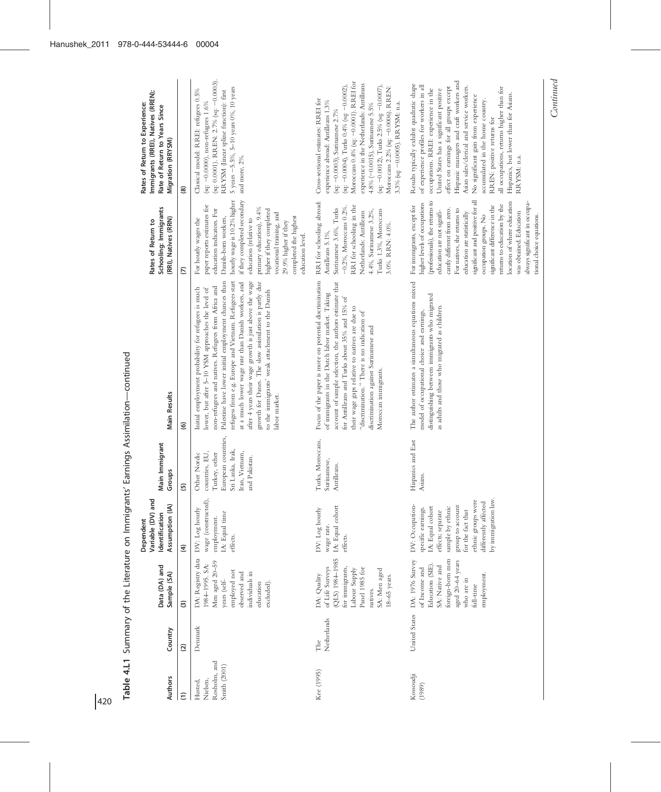| Authors                                             | Country            | Data (DA) and<br>Sample (SA)                                                                                                                                          | Variable (DV) and<br>Assumption (IA)<br>Identification<br>Dependent                                                                                                                                             | Main Immigrant<br>Groups                                                                                                      | <b>Main Results</b>                                                                                                                                                                                                                                                                                                                                                                                                                                                                                                           | Schooling: Immigrants<br>(RRI), Natives (RRN)<br>Rates of Return to                                                                                                                                                                                                                                                                                                                                                                                                          | Immigrants (RREI), Natives (RREN);<br>Rates of Return to Experience:<br>Rate of Return to Years Since<br>Migration (RRYSM)                                                                                                                                                                                                                                                                                                                                                                                                  |
|-----------------------------------------------------|--------------------|-----------------------------------------------------------------------------------------------------------------------------------------------------------------------|-----------------------------------------------------------------------------------------------------------------------------------------------------------------------------------------------------------------|-------------------------------------------------------------------------------------------------------------------------------|-------------------------------------------------------------------------------------------------------------------------------------------------------------------------------------------------------------------------------------------------------------------------------------------------------------------------------------------------------------------------------------------------------------------------------------------------------------------------------------------------------------------------------|------------------------------------------------------------------------------------------------------------------------------------------------------------------------------------------------------------------------------------------------------------------------------------------------------------------------------------------------------------------------------------------------------------------------------------------------------------------------------|-----------------------------------------------------------------------------------------------------------------------------------------------------------------------------------------------------------------------------------------------------------------------------------------------------------------------------------------------------------------------------------------------------------------------------------------------------------------------------------------------------------------------------|
| Ξ                                                   | ତ୍ର                | ම                                                                                                                                                                     | $\widehat{f}$                                                                                                                                                                                                   | 6                                                                                                                             | ত্ৰ                                                                                                                                                                                                                                                                                                                                                                                                                                                                                                                           | ε                                                                                                                                                                                                                                                                                                                                                                                                                                                                            | @                                                                                                                                                                                                                                                                                                                                                                                                                                                                                                                           |
| Rosholm, and<br>Smith (2001)<br>Nielsen,<br>Husted, | Denmark            | DA: Registry data<br>Men aged 20-59<br>1984-1995. SA:<br>employed not<br>individuals in<br>observed and<br>years (self-<br>education<br>excluded).                    | wage (constructed),<br>DV: Log hourly<br>IA: Equal time<br>employment.<br>effects.                                                                                                                              | European countries,<br>Sri Lanka, Irak,<br>Turkey, other<br>Iran, Vietnam,<br>countries, EU,<br>Other Nordic<br>and Pakistan. | after 4 years their wage growth is just above the wage<br>growth for Danes. The slow assimilation is partly due<br>refugess from e.g. Europe and Vietnam. Refugees start<br>at a much lower wage rate than Danish workers, and<br>Palestine have lower initial employment chances than<br>non-refugees and natives. Refugees from Africa and<br>lower, but after 5-10 YSM approaches the level of<br>initial employment probability for refugees is much<br>to the immigrants' weak attachment to the Danish<br>labor market. | hourly wage is 10.2% higher<br>if they completed secondary<br>paper reports estimates for<br>primary education), 9.4%<br>education indicators. For<br>higher if they completed<br>vocational training, and<br>completed the highest<br>Danish-born workers,<br>education (relative to<br>For hourly wages the<br>29.9% higher if they<br>education level.                                                                                                                    | (sq: 0.0001). RREN: 2.7% (sq: -0.0003).<br>5 years -5.5%, 5-10 years 0%, 10 years<br>Classical model: RREI: refugees 0.5%<br>RRYSM (linear spline function): first<br>(sq: -0.0000), non-refugees 1.6%<br>and more, 2%.                                                                                                                                                                                                                                                                                                     |
| Kee (1995)                                          | Netherlands<br>The | (QLS) 1984-1985<br>of Life Surveys<br>for immigrants,<br>Labour Supply<br>Panel 1985 for<br>SA: Men aged<br>DA: Quality<br>18-65 years.<br>natives.                   | IA: Equal cohort<br>DV: Log hourly<br>wage rate.<br>effects.                                                                                                                                                    | Turks, Moroccans,<br>Surinamese,<br>Antilleans.                                                                               | Focus of the paper is more on potential discrimination<br>account of sample selection, the authors estimate that<br>of immigrants in the Dutch labor market. Taking<br>for Antilleans and Turks about 35% and 15% of<br>their wage gaps relative to natives are due to<br>"discrimination." There is no indication of<br>discrimination against Surinamese and<br>Moroccan immigrants.                                                                                                                                        | RRI for schooling abroad:<br>RRI for schooling in the<br>-0.2%, Moroccans 0.2%.<br>Surinamese 3.6%, Turks<br>Turks 1.3%, Moroccans<br>4.4%, Surinamese 3.2%,<br>Netherlands: Antilleans<br>3.0%. RRN: 4.0%.<br>Antilleans 5.1%,                                                                                                                                                                                                                                              | Moroccans 0.4% (sq: -0.0001). RREI for<br>experience in the Netherlands: Antilleans<br>(sq: -0.0004), Turks 0.4% (sq: -0.0002),<br>(sq: -0.0012), Turks 2.5% (sq: -0.0007),<br>Moroccans 2.2% (sq: - 0.0006). RREN:<br>Cross-sectional estimates: RREI for<br>experience abroad: Antilleans 1.3%<br>3.3% (sq: - 0.0005). RRYSM: n.a.<br>4.8% (-0.0015), Surinamese 5.5%<br>(sq: -0.0003), Surinamese 2.7%                                                                                                                   |
| Kossoudji<br>(1989)                                 |                    | foreign-born men<br>United States DA: 1976 Survey<br>aged 20-64 years<br>Education (SIE)<br>SA: Native and<br>of Income and<br>employment.<br>who are in<br>full-time | by immigration law<br>ethnic groups were<br>differently affected<br>DV: Occupation-<br>group to account<br>sample by ethnic<br>IA: Equal cohort<br>specific earnings.<br>for the fact that<br>effects; separate | Hispanics and East<br>Asians.                                                                                                 | The author estimates a simultaneous equations mixed<br>distinguishing between immigrants who migrated<br>as adults and those who migrated as children.<br>model of occupational choice and earnings,                                                                                                                                                                                                                                                                                                                          | significant and positive for all<br>(professionals), the returns to<br>location of where education<br>higher levels of occupations<br>always significant in occupa-<br>returns to education by the<br>For immigrants, except for<br>significant difference in the<br>cantly different from zero.<br>For natives, the returns to<br>education are not signifi-<br>was obtained. Education<br>education are statistically<br>occupation groups. No<br>tional choice equations. | Hispanic managers and craft workers and<br>Results typically exhibit quadratic shape<br>of experience profiles for workers in all<br>effect on earnings for all groups except<br>Asian sales/clerical and service workers.<br>all occupations, returns higher than for<br>occupations. RREI: experience in the<br>United States has a significant positive<br>Hispanics, but lower than for Asians.<br>No significant gain from experience<br>accumulated in the home country.<br>RREN: positive returns for<br>RRYSM: n.a. |

Continued

 $Continued$ 

Table 4.L1 Summary of the Literature on Immigrants' Earnings Assimilation-continued Table 4.L1 Summary of the Literature on Immigrants' Earnings Assimilation—continued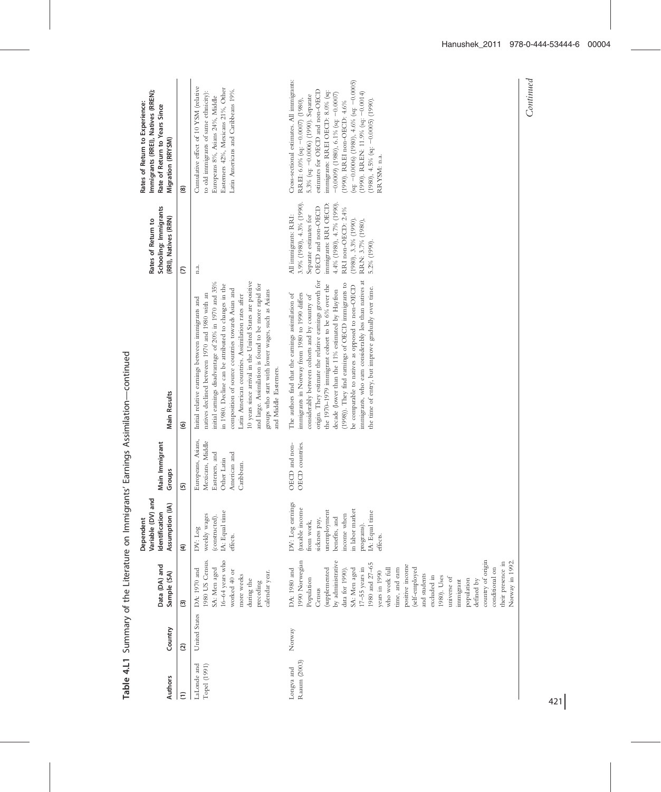| <b>Authors</b>              | Country       | Data (DA) and<br>Sample (SA)                                                                                                                                                                                                                                                                                                                                                                                                                          | Variable (DV) and<br>Assumption (IA)<br>Identification<br>Dependent                                                                                                             | Main Immigrant<br>Groups                                                                              | <b>Main Results</b>                                                                                                                                                                                                                                                                                                                                                                                                                                                                                                                              | Schooling: Immigrants<br>(RRI), Natives (RRN)<br>Rates of Return to                                                                                                                                                                            | Immigrants (RREI), Natives (RREN);<br>Rates of Return to Experience:<br>Rate of Return to Years Since<br>Migration (RRYSM)                                                                                                                                                                                                                                                                                                    |
|-----------------------------|---------------|-------------------------------------------------------------------------------------------------------------------------------------------------------------------------------------------------------------------------------------------------------------------------------------------------------------------------------------------------------------------------------------------------------------------------------------------------------|---------------------------------------------------------------------------------------------------------------------------------------------------------------------------------|-------------------------------------------------------------------------------------------------------|--------------------------------------------------------------------------------------------------------------------------------------------------------------------------------------------------------------------------------------------------------------------------------------------------------------------------------------------------------------------------------------------------------------------------------------------------------------------------------------------------------------------------------------------------|------------------------------------------------------------------------------------------------------------------------------------------------------------------------------------------------------------------------------------------------|-------------------------------------------------------------------------------------------------------------------------------------------------------------------------------------------------------------------------------------------------------------------------------------------------------------------------------------------------------------------------------------------------------------------------------|
| Ξ                           | ତ୍ର           | ම                                                                                                                                                                                                                                                                                                                                                                                                                                                     | E)                                                                                                                                                                              | 0                                                                                                     | $\widehat{\mathbf{e}}$                                                                                                                                                                                                                                                                                                                                                                                                                                                                                                                           | E                                                                                                                                                                                                                                              | $\circledR$                                                                                                                                                                                                                                                                                                                                                                                                                   |
| LaLonde and<br>Topel (1991) | United States | 1980 US Census.<br>$16-64$ years who<br>SA: Men aged<br>DA: 1970 and<br>worked 40 or<br>calendar year.<br>more weeks<br>during the<br>preceding                                                                                                                                                                                                                                                                                                       | IA: Equal time<br>weekly wages<br>(constructed).<br>DV: Log<br>effects.                                                                                                         | Europeans, Asians,<br>Mexicans, Middle<br>Easteners, and<br>American and<br>Other Latin<br>Caribbean. | 10 years since arrival in the United States are positive<br>initial earnings disadvantage of 20% in 1970 and 35%<br>and large. Assimilation is found to be more rapid for<br>in 1980. Decline can be attributed to changes in the<br>composition of source countries towards Asian and<br>groups who start with lower wages, such as Asians<br>natives declined between 1970 and 1980 with an<br>Latin American countries. Assimilation rates after<br>Initial relative earnings between immigrants and<br>and Middle Eastemers.                 | n.a.                                                                                                                                                                                                                                           | Cumulative effect of 10 YSM (relative<br>Easterners 42%, Mexicans 21%, Other<br>Latin Americans and Caribbeans 19%.<br>to old immigrants of same ethnicity):<br>Europeans 8%, Asians 24%, Middle                                                                                                                                                                                                                              |
| Raaum (2003)<br>Longva and  | Norway        | country of origin<br>by administrative<br>Norway in 1992.<br>1990 Norwegian<br>their presence in<br>1980 and 27-65<br>positive income<br>conditional on<br>(supplemented<br>(self-employed<br>$17 - 55$ years in<br>DA: 1980 and<br>SA: Men aged<br>time, and earn<br>who work full<br>data for 1990).<br>years in 1990<br>and students<br>excluded in<br>1980). Uses<br>universe of<br>Population<br>population<br>immigrant<br>defined by<br>Census | DV: Log eamings<br>(taxable income<br>unemployment<br>in labor market<br>IA: Equal time<br>income when<br>benefits, and<br>sickness pay,<br>from work,<br>programs)<br>effects. | OECD countries.<br>OECD and non-                                                                      | immigrants, who earn considerably less than natives at<br>origin. They estimate the relative earnings growth for<br>(1998)). They find earnings of OECD immigrants to<br>the 1970-1979 immigrant cohort to be 6% over the<br>be comparable to natives as opposed to non-OECD<br>the time of entry, but improve gradually over time.<br>decade (lower than the 11% estimated by Hayfron<br>The authors find that the earnings assimilation of<br>immigrants in Norway from 1980 to 1990 differs<br>considerably between cohorts and by country of | 3.9% (1980), 4.3% (1990).<br>4.4% (1980), 4.7% (1990).<br>immigrants: RRI OECD:<br>OECD and non-OECD<br>RRI non-OECD: 2.4%<br>Separate estimates for<br>All immigrants: RRI:<br>$(1980), 3.3\%$ $(1990).$<br>RRN: 3.7% (1980),<br>5.2% (1990). | Cross-sectional estimates. All immigrants:<br>$(sq: -0.0006)$ $(1980)$ , $4.6%$ $(sq: -0.0005)$<br>estimates for OECD and non-OECD<br>immigrants: RREI OECD: 8.0% (sq:<br>(1990). RREN: 11.9% (sq: -0.0014)<br>$-0.0009$ (1980), 6.1% (sq: $-0.0007$ )<br>5.3% (sq: -0.0006) (1990). Separate<br>RREI: 6.0% (sq: -0.0007) (1980),<br>$(1980)$ , 4.5% $(sq: -0.0005)$ $(1990)$ .<br>(1990). RREI non-OECD: 4.6%<br>RRYSM: n.a. |
|                             |               |                                                                                                                                                                                                                                                                                                                                                                                                                                                       |                                                                                                                                                                                 |                                                                                                       |                                                                                                                                                                                                                                                                                                                                                                                                                                                                                                                                                  |                                                                                                                                                                                                                                                | Continued                                                                                                                                                                                                                                                                                                                                                                                                                     |

Hanushek\_2011 978-0-444-53444-6 00004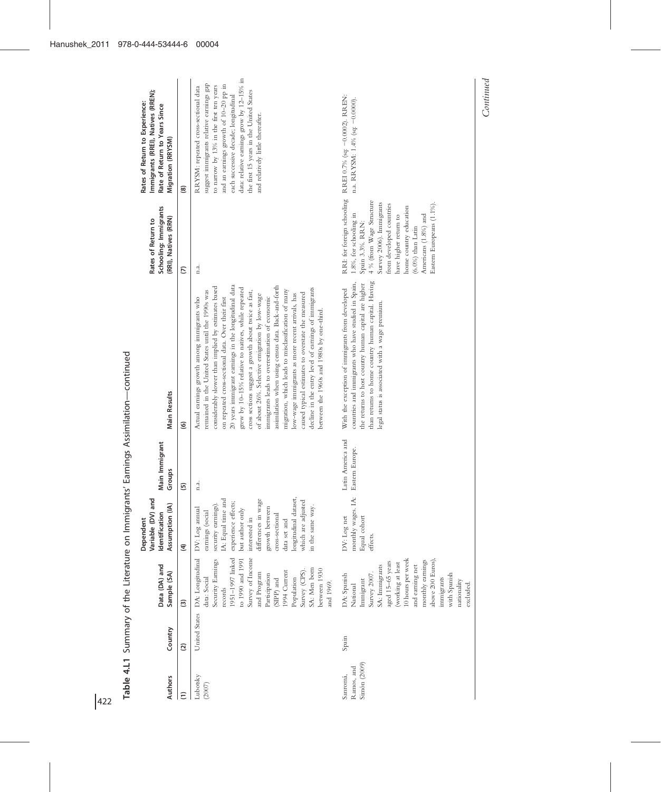| <b>Authors</b>                         | Country        | Data (DA) and<br>Sample (SA)                                                                                                                                                                                                                                                        | Variable (DV) and<br>Assumption (IA)<br>Identification<br>Dependent                                                                                                                                                                                                                                             | Main Immigrant<br>Groups             | <b>Main Results</b>                                                                                                                                                                                                                                                                                                                                                                                                                                                                                                                                                                                                                                                                                                                                                                                                  | Schooling: Immigrants<br>(RRI), Natives (RRN)<br>Rates of Return to                                                                                                                                                                                           | mmigrants (RREI), Natives (RREN);<br>Rates of Return to Experience:<br>Rate of Return to Years Since<br>Migration (RRYSM)                                                                                                                                                                                                                 |
|----------------------------------------|----------------|-------------------------------------------------------------------------------------------------------------------------------------------------------------------------------------------------------------------------------------------------------------------------------------|-----------------------------------------------------------------------------------------------------------------------------------------------------------------------------------------------------------------------------------------------------------------------------------------------------------------|--------------------------------------|----------------------------------------------------------------------------------------------------------------------------------------------------------------------------------------------------------------------------------------------------------------------------------------------------------------------------------------------------------------------------------------------------------------------------------------------------------------------------------------------------------------------------------------------------------------------------------------------------------------------------------------------------------------------------------------------------------------------------------------------------------------------------------------------------------------------|---------------------------------------------------------------------------------------------------------------------------------------------------------------------------------------------------------------------------------------------------------------|-------------------------------------------------------------------------------------------------------------------------------------------------------------------------------------------------------------------------------------------------------------------------------------------------------------------------------------------|
| Ξ                                      | $\overline{c}$ | $\overline{3}$                                                                                                                                                                                                                                                                      | 4                                                                                                                                                                                                                                                                                                               | 0                                    | $\widehat{\mathbf{e}}$                                                                                                                                                                                                                                                                                                                                                                                                                                                                                                                                                                                                                                                                                                                                                                                               | $\widehat{\triangleright}$                                                                                                                                                                                                                                    | @                                                                                                                                                                                                                                                                                                                                         |
| Lubotsky<br>(2007)                     |                | Survey of Income<br>1951-1997 linked<br>United States DA: Longitudinal<br>Security Earnings<br>to 1990 and 1991<br>SA: Men born<br>between 1930<br>Survey (CPS).<br>1994 Current<br>and Program<br>Participation<br>data: Social<br>Population<br>SIPP) and<br>and 1969.<br>records | longitudinal dataset,<br>IA: Equal time and<br>differences in wage<br>which are adjusted<br>experience effects;<br>security earnings)<br>the same way.<br>growth between<br>DV: Log annual<br>but author only<br>eamings (social<br>cross-sectional<br>interested in<br>data set and<br>$\overline{\mathbb{H}}$ | n.a.                                 | 20 years immigrant earnings in the longitudinal data<br>assimilation when using census data. Back-and-forth<br>considerably slower than implied by estimates based<br>grew by 10-15% relative to natives, while repeated<br>decline in the entry level of earnings of immigrants<br>migration, which leads to misclassification of many<br>remained in the United States until the 1990s was<br>cross sections suggest a growth about twice as fast,<br>caused typical estimates to overstate the measured<br>low-wage immigrants as more recent arrivals, has<br>of about 26%. Selective emigration by low-wage<br>immigrants leads to overestimation of economic<br>Actual earnings growth among immigrants who<br>on repeated cross-sectional data. Over their first<br>between the 1960s and 1980s by one-third. | n.a.                                                                                                                                                                                                                                                          | data: relative earnings grow by 12-15% in<br>suggest immigrants relative earnings gap<br>and an earnings growth of 10-20 pp in<br>to narrow by 13% in the first ten years<br>RRYSM: repeated cross-sectional data<br>the first 15 years in the United States<br>each successive decade; longitudinal<br>and relatively little thereafter. |
| Simón (2009)<br>Ramos, and<br>Sanromá, | Spain          | 10 hours per week<br>above 200 Euros)<br>monthly earnings<br>aged 15-65 years<br>working at least<br>and earning net<br>SA: Immigrants<br>Survey 2007.<br>DA: Spanish<br>with Spanish<br>immigrants<br>Immigrant<br>nationality<br>excluded.<br>National                            | monthly wages. IA:<br>DV: Log net<br>Equal cohort<br>effects.                                                                                                                                                                                                                                                   | Latin America and<br>Eastern Europe. | than returns to home country human capital. Having<br>countries and immigrants who have studied in Spain,<br>the returns to host country human capital are higher<br>With the exception of immigrants from developed<br>legal status is associated with a wage premium.                                                                                                                                                                                                                                                                                                                                                                                                                                                                                                                                              | 4 % (from Wage Structure<br>Survey 2006). Immigrants<br>from developed countries<br>Eastern Europeans (1.1%)<br>home country education<br>1.8%, for schooling in<br>Americans (1.8%) and<br>have higher return to<br>Spain 3.3%, RRN:<br>$(6.0\%)$ than Latin | RRI: for foreign schooling RREI 0.7% (sq: -0.0002). RREN:<br>n.a. RRYSM: 1.4% (sq: -0.0000).                                                                                                                                                                                                                                              |
|                                        |                |                                                                                                                                                                                                                                                                                     |                                                                                                                                                                                                                                                                                                                 |                                      |                                                                                                                                                                                                                                                                                                                                                                                                                                                                                                                                                                                                                                                                                                                                                                                                                      |                                                                                                                                                                                                                                                               | Continued                                                                                                                                                                                                                                                                                                                                 |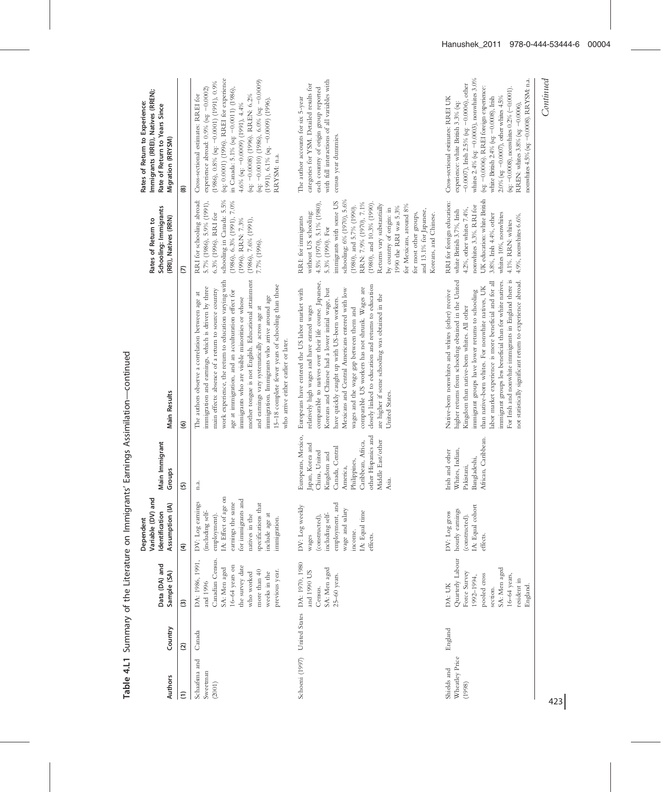| <b>Authors</b>                          | Country       | Data (DA) and<br>Sample (SA)                                                                                                                                           | Variable (DV) and<br>Assumption (IA)<br>Identification<br>Dependent                                                                                                                               | Main Immigrant<br>Groups                                                                                                                                                                         | <b>Main Results</b>                                                                                                                                                                                                                                                                                                                                                                                                                                                                                                                                                                     | Schooling: Immigrants<br>(RRI), Natives (RRN)<br>Rates of Return to                                                                                                                                                                                                                                                                                                                                                                                    | Immigrants (RREI), Natives (RREN);<br>Rates of Return to Experience:<br>Rate of Return to Years Since<br>Migration (RRYSM)                                                                                                                                                                                                                                                                                                                       |
|-----------------------------------------|---------------|------------------------------------------------------------------------------------------------------------------------------------------------------------------------|---------------------------------------------------------------------------------------------------------------------------------------------------------------------------------------------------|--------------------------------------------------------------------------------------------------------------------------------------------------------------------------------------------------|-----------------------------------------------------------------------------------------------------------------------------------------------------------------------------------------------------------------------------------------------------------------------------------------------------------------------------------------------------------------------------------------------------------------------------------------------------------------------------------------------------------------------------------------------------------------------------------------|--------------------------------------------------------------------------------------------------------------------------------------------------------------------------------------------------------------------------------------------------------------------------------------------------------------------------------------------------------------------------------------------------------------------------------------------------------|--------------------------------------------------------------------------------------------------------------------------------------------------------------------------------------------------------------------------------------------------------------------------------------------------------------------------------------------------------------------------------------------------------------------------------------------------|
|                                         | ତ୍ର           | $\overline{3}$                                                                                                                                                         | $\widehat{f}$                                                                                                                                                                                     | 0                                                                                                                                                                                                | ত্ত                                                                                                                                                                                                                                                                                                                                                                                                                                                                                                                                                                                     | E)                                                                                                                                                                                                                                                                                                                                                                                                                                                     | ම                                                                                                                                                                                                                                                                                                                                                                                                                                                |
| Schaafsma and<br>Sweetman<br>(2001)     | Canada        | Canadian Census.<br>DA: 1986, 1991,<br>$16-64$ years on<br>the survey date<br>SA: Men aged<br>more than 40<br>previous year.<br>who worked<br>weeks in the<br>and 1996 | IA: Effect of age on<br>for immigrants and<br>earnings the same<br>DV: Log eamings<br>specifications that<br>(including self-<br>employment).<br>include age at<br>natives in the<br>immigration. | n.a.                                                                                                                                                                                             | mother tongue is not English. Educational attainment<br>work experience, the return to education varying with<br>15-18 complete fewer years of schooling than those<br>immigration and earnings, which is driven by three<br>main effects: absence of a return to source country<br>age at immigration, and an acculturation effect for<br>The authors observe a correlation between age at<br>immigration. Immigrants who arrive around age<br>immigrants who are visible minorities or whose<br>and earnings vary systematically across age at<br>who arrive either earlier or later. | schooling in Canada: 5.5%<br>RRI for schooling abroad:<br>$(1986)$ , 6.3% $(1991)$ , 7.0%<br>5.7% (1986), 5.9% (1991),<br>$6.3\%$ (1996). RRI for<br>(1996). RRN: 7.3%<br>$(1986)$ , 7.6% $(1991)$ ,<br>7.7% (1996).                                                                                                                                                                                                                                   | (sq: 0.0001) (1996). RREI for experience<br>$(sq: -0.0010)$ (1986), 6.0% (sq: -0.0009)<br>$(1986)$ , 0.8% (sq: -0.0001) $(1991)$ , 0.9%<br>experience abroad: 0.9% (sq: -0.0002)<br>in Canada: 5.1% (sq: -0.0011) (1986),<br>Cross-sectional estimates: RREI for<br>(sq: -0.0008) (1996). RREN: 6.2%<br>$(1991)$ , 6.1% $(sq. -0.0009)$ $(1996)$ .<br>$4.6\%$ (sq: -0.0009) (1991), $4.4\%$<br>RRYSM: n.a.                                       |
| Schoeni (1997)                          | United States | DA: 1970, 1980<br>SA: Men aged<br>and 1990 US<br>25-60 years.<br>Census.                                                                                               | employment, and<br>DV: Log weekly<br>wage and salary<br>IA: Equal time<br>including self-<br>(constructed),<br>income.<br>effects.<br>wages                                                       | Europeans, Mexico,<br>other Hispanics and<br>Middle East/other<br>Caribbean, Africa,<br>Japan, Korea and<br>Canada, Central<br>China, United<br>Kingdom and<br>Philippines,<br>America,<br>Asia. | comparable to natives over their life course. Japanese,<br>closely linked to education and returns to education<br>comparable US workers has not shrunk. Wages are<br>Koreans and Chinese had a lower initial wage, but<br>Mexicans and Central Americans entered with low<br>Europeans have entered the US labor market with<br>are higher if some schooling was obtained in the<br>have quickly caught up with US-born workers.<br>relatively high wages and have earned wages<br>wages and the wage gap between them and<br>United States.                                           | schooling: 6% (1970), 5.6%<br>immigrants with some US<br>RRN: 7.9% (1970), 7.1%<br>4.5% (1970), 5.1% (1980),<br>$(1980)$ , and $10.3%$ $(1990)$ .<br>Returns vary substantially<br>$(1980)$ , and $5.7\%$ $(1990)$ .<br>for Mexicans, around 8%<br>1990 the RRI was 5.3%<br>by country of origin: in<br>and 13.1% for Japanese,<br>without US schooling:<br>for most other groups,<br>Koreans, and Chinese.<br>RRI: for immigrants<br>5.3% (1990). For | with full interactions of all variables with<br>categories for YSM. Detailed results for<br>each country of origin group reported<br>The author accounts for six 5-year<br>census year dummies.                                                                                                                                                                                                                                                  |
| Wheatley Price<br>Shields and<br>(1998) | England       | Quarterly Labour<br>SA: Men aged<br>Force Survey<br>pooled cross<br>$16-64$ years,<br>1992-1994,<br>resident in<br>DA: UK<br>England.<br>section.                      | IA: Equal cohort<br>hourly earnings<br>DV: Log gross<br>(constructed).<br>effects.                                                                                                                | African, Caribbean.<br>Whites, Indian,<br>Irish and other<br>Bangladeshi,<br>Pakistani,                                                                                                          | For Irish and nonwhite immigrants in England there is<br>higher returns from schooling obtained in the United<br>not statistically significant return to experience abroad.<br>immigrant groups less beneficial than for white natives.<br>labor market experience is more beneficial and for all<br>than native-born whites. For nonwhite natives, UK<br>Native-born nonwhites and whites (other) receive<br>immigrant groups have lower returns to schooling<br>Kingdom than native-born whites. All other                                                                            | UK education: white British<br>RRI for foreign education:<br>nonwhites 3.3%. RRI for<br>4.2%, other whites 7.4%,<br>white British 3.7%, Irish<br>whites 10%, nonwhites<br>3.8%, Irish 4.4%, other<br>$4.9%$ , nonwhites 6.6%.<br>4.1%. RRN: whites                                                                                                                                                                                                     | whites 2.4% (sq: $-0.0003$ ), nonwhites 3.0%<br>nonwhites 4.5% (sq: -0.0008). RRYSM: n.a.<br>$-0.0007$ , Irish 2.5% (sq: $-0.0006$ ), other<br>(sq: -0.0006). RREI foreign experience:<br>$(sq: -0.0008)$ , nonwhites $0.2\%$ (-0.0001).<br>2.0% (sq: $-0.0007$ ), other whites 4.5%<br>Cross-sectional estimates: RREI UK<br>white British 2.4% (sq: -0.0008), Irish<br>experience: white British 3.3% (sq:<br>RREN: whites 3.8% (sq: -0.0006), |
|                                         |               |                                                                                                                                                                        |                                                                                                                                                                                                   |                                                                                                                                                                                                  |                                                                                                                                                                                                                                                                                                                                                                                                                                                                                                                                                                                         |                                                                                                                                                                                                                                                                                                                                                                                                                                                        | Continued                                                                                                                                                                                                                                                                                                                                                                                                                                        |

Hanushek\_2011 978-0-444-53444-6 00004

 $\begin{vmatrix} 423 \end{vmatrix}$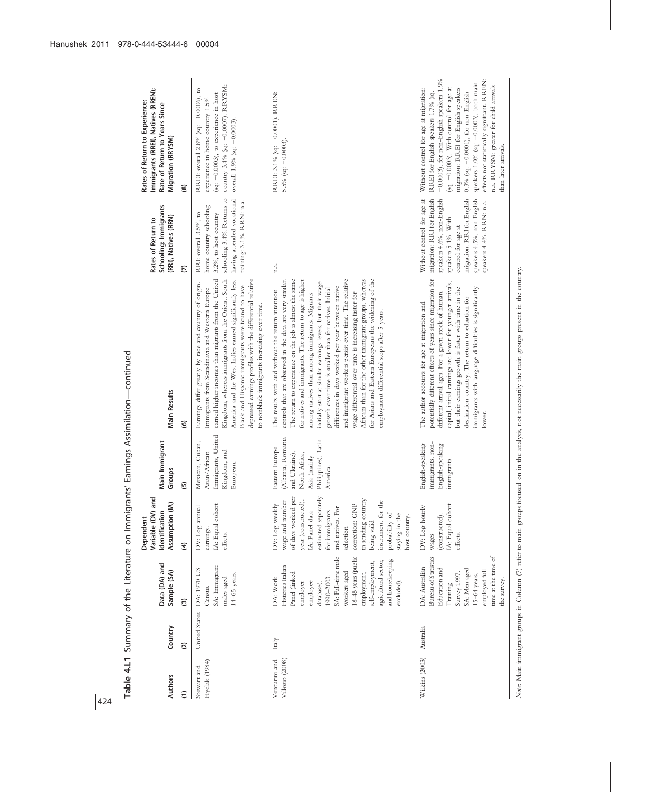| <b>Authors</b>                   | Country        | Data (DA) and<br>Sample (SA)                                                                                                                                                                                                                                 | Variable (DV) and<br>Assumption (IA)<br>Identification<br>Dependent                                                                                                                                                                                                                                               | Main Immigrant<br>Groups                                                                                                 | <b>Main Results</b>                                                                                                                                                                                                                                                                                                                                                                                                                                                                                                                                                                                                                                                                                                                                | Schooling: Immigrants<br>(RRI), Natives (RRN)<br>Rates of Return to                                                                                                                                                         | Immigrants (RREI), Natives (RREN);<br>Rates of Return to Experience:<br>Rate of Return to Years Since<br>Migration (RRYSM)                                                                                                                                                                                                                                                                                         |
|----------------------------------|----------------|--------------------------------------------------------------------------------------------------------------------------------------------------------------------------------------------------------------------------------------------------------------|-------------------------------------------------------------------------------------------------------------------------------------------------------------------------------------------------------------------------------------------------------------------------------------------------------------------|--------------------------------------------------------------------------------------------------------------------------|----------------------------------------------------------------------------------------------------------------------------------------------------------------------------------------------------------------------------------------------------------------------------------------------------------------------------------------------------------------------------------------------------------------------------------------------------------------------------------------------------------------------------------------------------------------------------------------------------------------------------------------------------------------------------------------------------------------------------------------------------|-----------------------------------------------------------------------------------------------------------------------------------------------------------------------------------------------------------------------------|--------------------------------------------------------------------------------------------------------------------------------------------------------------------------------------------------------------------------------------------------------------------------------------------------------------------------------------------------------------------------------------------------------------------|
| Ξ                                | $\overline{c}$ | $\widehat{\mathbf{c}}$                                                                                                                                                                                                                                       | $\widehat{f}$                                                                                                                                                                                                                                                                                                     | $\overline{5}$                                                                                                           | $\widehat{\mathbf{e}}$                                                                                                                                                                                                                                                                                                                                                                                                                                                                                                                                                                                                                                                                                                                             | $\overline{c}$                                                                                                                                                                                                              | $\widehat{\mathbf{B}}$                                                                                                                                                                                                                                                                                                                                                                                             |
| Hyclak (1984)<br>Stewart and     |                | SA: Immigrant<br>United States DA: 1970 US<br>14-65 years.<br>males aged<br>Census.                                                                                                                                                                          | IA: Equal cohort<br>DV: Log annual<br>eamings.<br>effects.                                                                                                                                                                                                                                                        | Immigrants, United<br>Mexican, Cuban,<br>Kingdom, and<br>Asian/African<br>European.                                      | earned higher incomes than migrants from the United<br>Kingdom, whereas immigrants from the Orient, South<br>depressed earnings profiles with the differential relative<br>America and the West Indies earned significantly less.<br>Earnings differ greatly by race and country of origin.<br>Black and Hispanic immigrants were found to have<br>Immigrants from Scandinavia and Western Europe<br>to nonblack immigrants increasing over time.                                                                                                                                                                                                                                                                                                  | schooling 3.4%. Returns to<br>having attended vocational<br>training: 3.1%. RRN: n.a.<br>home country schooling<br>RRI: overall 3.5%, to<br>$3.2\%$ to host country                                                         | country 3.4% (sq: -0.0007). RRYSM:<br>RREI: overall 2.8% (sq: -0.0006), to<br>(sq: -0.0003), to experience in host<br>experience in home country 1.5%<br>overall 1.9% (sq: -0.0003)                                                                                                                                                                                                                                |
| Venturini and<br>Villosio (2008) | Italy          | SA: Full-time male<br>18-45 years (public<br>and housekeeping<br>agricultural sector,<br>self-employment,<br>Histories Italian<br>workers aged<br>employment,<br>Panel (linked<br>1990-2003.<br>DA: Work<br>employee<br>excluded).<br>employer<br>database), | of days worked per<br>estimated separately<br>in sending country<br>wage and number<br>year (constructed).<br>instrument for the<br>DV: Log weekly<br>correction: GNP<br>and natives. For<br>IA: Panel data<br>for immigrants<br>probability of<br>staying in the<br>country.<br>being valid<br>selection<br>host | (Albania, Romania<br>Philippines), Latin<br>Eastern Europe<br>and Ukraine),<br>North Africa,<br>Asia (mainly<br>America. | Africans than for the other immigrant groups, whereas<br>for natives and immigrants. The return to age is higher<br>and immigrant workers persist over time. The relative<br>for Asians and Eastern Europeans the widening of the<br>The return to experience on the job is almost the same<br>controls that are observed in the data are very similar.<br>initially start at similar earnings levels, but their wage<br>differences in days worked per year between native<br>growth over time is smaller than for natives. Initial<br>The results with and without the return intention<br>among natives than among immigrants. Migrants<br>wage differential over time is increasing faster for<br>employment differential stops after 5 years. | n.a.                                                                                                                                                                                                                        | RREI: 3.1% (sq: - 0.0001). RREN:<br>$5.5\%$ (sq: $-0.0003$ ).                                                                                                                                                                                                                                                                                                                                                      |
| Wilkins (2003)                   | Australia      | <b>Bureau</b> of Statistics<br>time at the time of<br>DA: Australian<br>Education and<br>SA: Men aged<br>employed full<br>Survey 1997.<br>15-64 years,<br>the survey.<br>Training                                                                            | IA: Equal cohort<br>DV: Log hourly<br>(constructed).<br>wages<br>effects.                                                                                                                                                                                                                                         | immigrants, non-<br>English-speaking<br>English-speaking<br>inmigrants.                                                  | potentially different effects of years since migration for<br>capital, initial earnings are lower for younger arrivals,<br>but their earnings growth is faster with time in the<br>immigrants with language difficulties is significantly<br>different arrival ages. For a given stock of human<br>destination country. The return to eduation for<br>The author accounts for age at migration and<br>lower.                                                                                                                                                                                                                                                                                                                                       | Without control for age at<br>migration: RRI for English<br>speakers 4.5%, non-English<br>migration: RRI for English<br>speakers 4.6%, non-English<br>speakers 4.4%. RRN: n.a.<br>speakers 5.1%. With<br>control for age at | $-0.0003$ ), for non-English speakers $1.9\%$<br>effects not statistically significant. RREN:<br>speakers 1.0% (sq: -0.0003), both main<br>n.a. RRYSM: greater for child arrivals<br>(sq. -0.0003). With control for age at<br>migration: RREI for English speakers<br>Without control for age at migration:<br>RREI for English speakers 1.7% (sq.<br>0.3% (sq: -0.0001), for non-English<br>than later arrivals. |

424

Note: Main immigrant groups in Column (7) refer to main groups focused on in the analysis, not necessarily the main groups present in the country. Note: Main immigrant groups in Column (7) refer to main groups focused on in the analysis, not necessarily the main groups present in the country.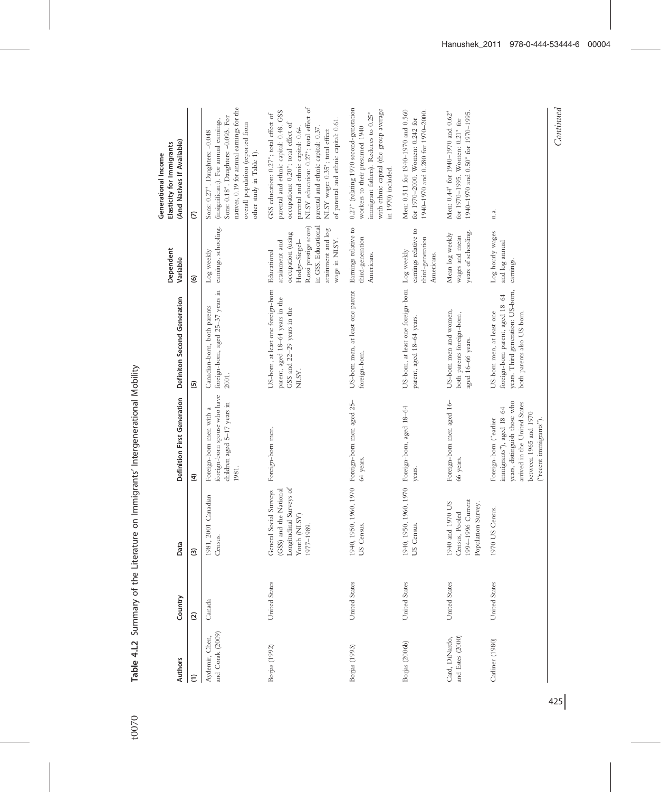| Authors                            | Country        | Data                                                                                                      | Definition First Generation                                                                                                                                           | Definiton Second Generation                                                                                                     | Dependent<br>Variable                                                                                                                                     | (And Natives If Available)<br>Elasticity for Immigrants<br>Generational Income                                                                                                                                                                                                                                          |
|------------------------------------|----------------|-----------------------------------------------------------------------------------------------------------|-----------------------------------------------------------------------------------------------------------------------------------------------------------------------|---------------------------------------------------------------------------------------------------------------------------------|-----------------------------------------------------------------------------------------------------------------------------------------------------------|-------------------------------------------------------------------------------------------------------------------------------------------------------------------------------------------------------------------------------------------------------------------------------------------------------------------------|
| Ξ                                  | $\overline{c}$ | $\widehat{\mathfrak{G}}$                                                                                  | $\widehat{f}$                                                                                                                                                         | 6                                                                                                                               | $\widehat{\mathbf{e}}$                                                                                                                                    | $\widehat{\triangleright}$                                                                                                                                                                                                                                                                                              |
| and Corak (2009)<br>Aydemir, Chen, | Canada         | 1981, 2001 Canadian<br>Census.                                                                            | foreign-born spouse who have<br>children aged 5-17 years in<br>Foreign-born men with a<br>1981.                                                                       | foreign-born, aged 25-37 years in<br>Canadian-born, both parents<br>2001.                                                       | earnings, schooling.<br>Log weekly                                                                                                                        | natives, 0.19 for annual earnings for the<br>Sons: 0.18*. Daughters: -0.093. For<br>(insignificant). For annual earnings,<br>overall population (reported from<br>Sons: 0.27*. Daughters: -0.048<br>other study in Table 1).                                                                                            |
| Borjas (1992)                      | United States  | Longitudinal Surveys of<br>(GSS) and the National<br>General Social Surveys<br>Youth (NLSY)<br>1977–1989. | Foreign-born men.                                                                                                                                                     | US-born, at least one foreign-born<br>parent, aged 18-64 years in the<br>GSS and 22-29 years in the<br>NLSY.                    | Rossi prestige score)<br>in GSS. Educational<br>attainment and log<br>occupation (using<br>Hodge-Siegel-<br>wage in NLSY<br>attainment and<br>Educational | NLSY education: 0.27*; total effect of<br>parental and ethnic capital: 0.48. GSS<br>GSS education: 0.27*; total effect of<br>of parental and ethnic capital: 0.61.<br>occupations: 0.20*; total effect of<br>parental and ethnic capital: 0.64.<br>parental and ethnic capital: 0.37.<br>NLSY wage: 0.35*; total effect |
| Borjas (1993)                      | United States  | 1940, 1950, 1960, 1970<br>US Census.                                                                      | Foreign-born men aged 25-<br>64 years.                                                                                                                                | US-born men, at least one parent<br>foreign-born.                                                                               | Earnings relative to<br>third-generation<br>Americans.                                                                                                    | $0.27$ * (relating 1970 second-generation<br>with ethnic capital (the group average<br>immigrant fathers). Reduces to 0.25*<br>workers to their presumed 1940<br>in 1970) included.                                                                                                                                     |
| Borjas (2006b)                     | United States  | 1940, 1950, 1960, 1970<br>US Census                                                                       | Foreign-born, aged 18-64<br>years.                                                                                                                                    | US-born, at least one foreign-born<br>parent, aged 18-64 years.                                                                 | earnings relative to<br>third-generation<br>Log weekly<br>Americans.                                                                                      | Men: 0.511 for 1940-1970 and 0.560<br>1940-1970 and 0.280 for 1970-2000.<br>for 1970-2000. Women: 0.242 for                                                                                                                                                                                                             |
| and Estes (2000)<br>Card, DiNardo, | United States  | 1994-1996 Current<br>1940 and 1970 US<br>Population Survey.<br>Census, Pooled                             | Foreign-born men aged 16-<br>66 years.                                                                                                                                | US-born men and women,<br>both parents foreign-born,<br>aged 16-66 years.                                                       | years of schooling.<br>Mean log weekly<br>wages and mean                                                                                                  | Men: 0.44* for 1940–1970 and 0.62*<br>1940-1970 and 0.50* for 1970-1995.<br>for 1970-1995. Women: 0.21* for                                                                                                                                                                                                             |
| Carliner (1980)                    | United States  | 1970 US Census.                                                                                           | years, distinguish those who<br>arrived in the United States<br>immigrants"), aged 18-64<br>between 1965 and 1970<br>Foreign-born ("earlier<br>("recent immigrants"). | years. Third generation: US-born,<br>foreign-born parent, aged 18-64<br>US-born men, at least one<br>both parents also US-born. | Log hourly wages<br>and log annual<br>earnings.                                                                                                           | n.a.                                                                                                                                                                                                                                                                                                                    |

Table 4.L2 Summary of the Literature on Immigrants' Intergenerational Mobility t0070 Table 4.L2 Summary of the Literature on Immigrants' Intergenerational Mobility

t0070

Continued

 $Continued$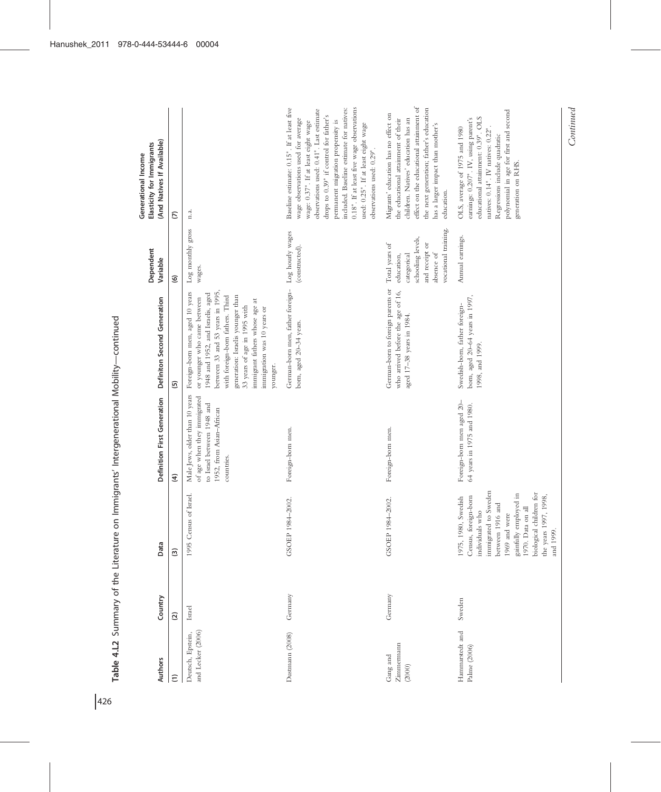| Authors                                | Country        | Data                                                                                                                                                                                                                                       | Definition First Generation                                                                                                          | Definiton Second Generation                                                                                                                                                                                                                                                                                                   | Dependent<br>Variable                                                                                                    | (And Natives If Available)<br>Elasticity for Immigrants<br>Generational Income                                                                                                                                                                                                                                                                                                                                 |
|----------------------------------------|----------------|--------------------------------------------------------------------------------------------------------------------------------------------------------------------------------------------------------------------------------------------|--------------------------------------------------------------------------------------------------------------------------------------|-------------------------------------------------------------------------------------------------------------------------------------------------------------------------------------------------------------------------------------------------------------------------------------------------------------------------------|--------------------------------------------------------------------------------------------------------------------------|----------------------------------------------------------------------------------------------------------------------------------------------------------------------------------------------------------------------------------------------------------------------------------------------------------------------------------------------------------------------------------------------------------------|
|                                        | $\overline{c}$ | ල                                                                                                                                                                                                                                          | €                                                                                                                                    | 6                                                                                                                                                                                                                                                                                                                             | $\widehat{\mathfrak{G}}$                                                                                                 | <b>IC</b>                                                                                                                                                                                                                                                                                                                                                                                                      |
| and Lecker (2006)<br>Deutsch, Epstein, | Israel         | 1995 Census of Israel.                                                                                                                                                                                                                     | Male Jews, older than 10 years<br>of age when they immigrated<br>to Israel between 1948 and<br>1952, from Asian-African<br>countries | between 33 and 53 years in 1995,<br>Foreign-born men, aged 10 years<br>1948 and 1952, and Israelis, aged<br>generation: Israelis younger than<br>with foreign-born fathers. Third<br>or younger who came between<br>immigrant fathers whose age at<br>33 years of age in 1995 with<br>immigration was 10 years or<br>younger. | Log monthly gross<br>wages.                                                                                              | n.a.                                                                                                                                                                                                                                                                                                                                                                                                           |
| Dustmann (2008)                        | Germany        | GSOEP 1984-2002.                                                                                                                                                                                                                           | Foreign-born men.                                                                                                                    | German-born men, father foreign-<br>born, aged 20-34 years.                                                                                                                                                                                                                                                                   | Log hourly wages<br>(constructed).                                                                                       | Baseline estimate: 0.15*. If at least five<br>0.18*. If at least five wage observations<br>included. Baseline estimate for natives:<br>observations used: 0.41*. Last estimate<br>drops to 0.39* if control for father's<br>wage observations used for average<br>permanent migration propensity is<br>wage: 0.37*. If at least eight wage<br>used: 0.25*. If at least eight wage<br>observations used: 0.29*. |
| Zimmermann<br>Gang and<br>(2000)       | Germany        | GSOEP 1984-2002.                                                                                                                                                                                                                           | Foreign-born men.                                                                                                                    | German-born to foreign parents or<br>who arrived before the age of 16,<br>aged 17-38 years in 1984.                                                                                                                                                                                                                           | vocational training.<br>schooling levels,<br>Total years of<br>and receipt or<br>absence of<br>categorical<br>education, | effect on the educational attainment of<br>the next generation; father's education<br>Migrants' education has no effect on<br>children. Natives' education has an<br>the educational attainment of their<br>has a larger impact than mother's<br>education.                                                                                                                                                    |
| Hammarstedt and<br>Palme (2006)        | Sweden         | immigrated to Sweden<br>biological children for<br>gainfully employed in<br>Census, foreign-born<br>the years 1997, 1998,<br>1975, 1980, Swedish<br>between 1916 and<br>1970. Data on all<br>individuals who<br>1969 and were<br>and 1999. | Foreign-born men aged 20-<br>64 years in 1975 and 1980.                                                                              | born, aged 20-64 years in 1997<br>Swedish-born, father foreign-<br>1998, and 1999.                                                                                                                                                                                                                                            | Annual earnings.                                                                                                         | polynomial in age for first and second<br>educational attainment: 0.39*. OLS<br>earnings: 0.207*. IV, using parent's<br>OLS, average of 1975 and 1980<br>natives: 0.14*. IV natives: 0.22*<br>Regressions include quadratic<br>generation on RHS.                                                                                                                                                              |

Table 4.L2 Summary of the Literature on Immigrants' Intergenerational Mobility-continued Table 4.L2 Summary of the Literature on Immigrants' Intergenerational Mobility—continued

426

 $Continued$ Continued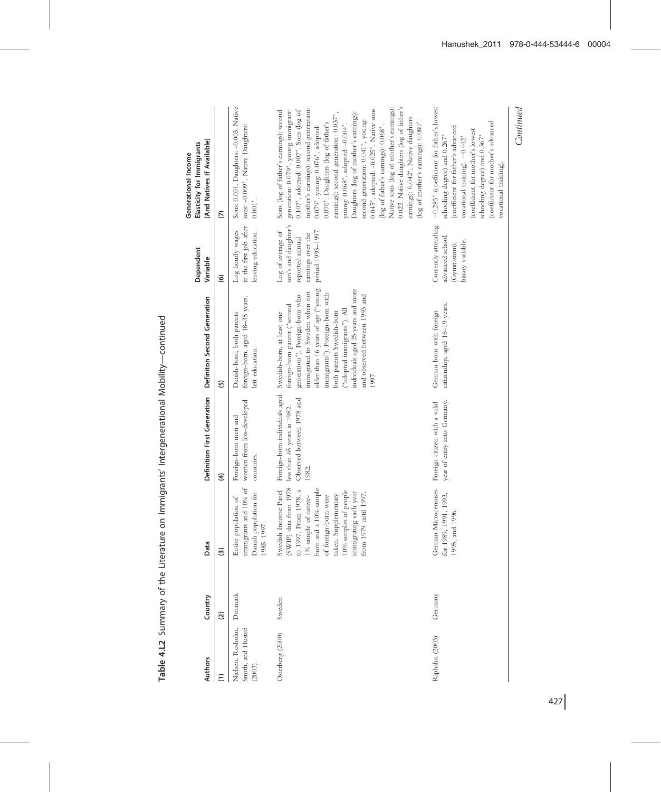| Authors                                           | Country        | Data                                                                                                                                                                                                                                               |                                                                                                    | Definition First Generation Definiton Second Generation                                                                                                                                                                                                                                                                                           | Dependent<br>Variable                                                                                  | (And Natives If Available)<br>Elasticity for Immigrants<br>Generational Income                                                                                                                                                                                                                                                                                                                                                                                                                                                                                                                                                                                                    |
|---------------------------------------------------|----------------|----------------------------------------------------------------------------------------------------------------------------------------------------------------------------------------------------------------------------------------------------|----------------------------------------------------------------------------------------------------|---------------------------------------------------------------------------------------------------------------------------------------------------------------------------------------------------------------------------------------------------------------------------------------------------------------------------------------------------|--------------------------------------------------------------------------------------------------------|-----------------------------------------------------------------------------------------------------------------------------------------------------------------------------------------------------------------------------------------------------------------------------------------------------------------------------------------------------------------------------------------------------------------------------------------------------------------------------------------------------------------------------------------------------------------------------------------------------------------------------------------------------------------------------------|
|                                                   | $\overline{c}$ | $\widehat{\mathbf{c}}$                                                                                                                                                                                                                             | E                                                                                                  | $\overline{5}$                                                                                                                                                                                                                                                                                                                                    | $\circledcirc$                                                                                         | $\overline{C}$                                                                                                                                                                                                                                                                                                                                                                                                                                                                                                                                                                                                                                                                    |
| Nielsen, Rosholm,<br>Smith, and Husted<br>(2003). | Denmark        | immigrants and 10% of<br>Danish population for<br>Entire population of<br>1985-1997.                                                                                                                                                               | women from less-developed<br>Foreign-born men and<br>countries.                                    | foreign-born, aged 18-35 years,<br>Danish-born, both parents<br>left education.                                                                                                                                                                                                                                                                   | in the first job after<br>leaving education.<br>Log hourly wages                                       | Sons: 0.001. Daughters: -0.003. Native<br>sons: -0.009*. Native Daughters:<br>$0.001$ <sup>*</sup> .                                                                                                                                                                                                                                                                                                                                                                                                                                                                                                                                                                              |
| Osterberg (2000)                                  | Sweden         | (SWIP) data from 1978<br>Swedish Income Panel<br>to 1997. From 1978, a<br>born and a 10% sample<br>10% samples of people<br>immigrating each year<br>taken. Supplementary<br>from 1979 until 1997.<br>1% sample of native-<br>of foreign-born were | Foreign-born individuals aged<br>Observed between 1978 and<br>less than 65 years in 1982.<br>1982. | older than 16 years of age ("young<br>individuals aged 25 years and more<br>immigrated to Sweden when not<br>immigrants"). Foreign-born with<br>generation"). Foreign-born who<br>and observed between 1993 and<br>foreign-born parent ("second<br>"adopted immigrants"). All<br>both parents Swedish-born<br>Swedish-born, at least one<br>1997. | son's and daughter's<br>period 1993-1997.<br>Log of average of<br>earnings over the<br>reported annual | 0.022. Native daughters (log of father's<br>Native sons (log of mother's earnings):<br>$0.045^*$ , adopted: $-0.025^*$ . Native sons<br>mother's earnings): second generation:<br>Sons (log of father's earnings): second<br>generation: 0.079*, young immigrant:<br>$0.107$ *, adopted: $0.007$ *. Sons (log of<br>earnings): second generation: 0.037*,<br>Daughters (log of mother's earnings):<br>earnings): 0.042*, Native daughters<br>second generation: 0.041*, young:<br>(log of mother's earnings): 0.080*.<br>young: 0.068*, adopted: -0.004*.<br>0.076*. Daughters (log of father's<br>(log of father's earnings): 0.068*.<br>$0.079^*$ , young: $0.076^*$ , adopted: |
| Riphahn (2003)                                    | Germany        | German Microcensuses<br>for 1989, 1991, 1993,<br>1995, and 1996.                                                                                                                                                                                   | year of entry into Germany.<br>Foreign citizen with a valid                                        | citizenship, aged 16-19 years.<br>German-born with foreign                                                                                                                                                                                                                                                                                        | Currently attending<br>advanced school<br>binary variable.<br>(Gymnasium),                             | -0.285* (coefficient for father's lowest<br>(coefficient for mother's advanced<br>(coefficient for father's advanced<br>(coefficient for mother's lowest<br>schooling degree) and 0.367*<br>vocational training). $-0.442$ <sup>*</sup><br>schooling degree) and 0.267<br>vocational training)                                                                                                                                                                                                                                                                                                                                                                                    |
|                                                   |                |                                                                                                                                                                                                                                                    |                                                                                                    |                                                                                                                                                                                                                                                                                                                                                   |                                                                                                        | Continued                                                                                                                                                                                                                                                                                                                                                                                                                                                                                                                                                                                                                                                                         |

Table 4.L2 Summary of the Literature on Immigrants' Intergenerational Mobility-continued Table 4.L2 Summary of the Literature on Immigrants' Intergenerational Mobility—continued

пиние и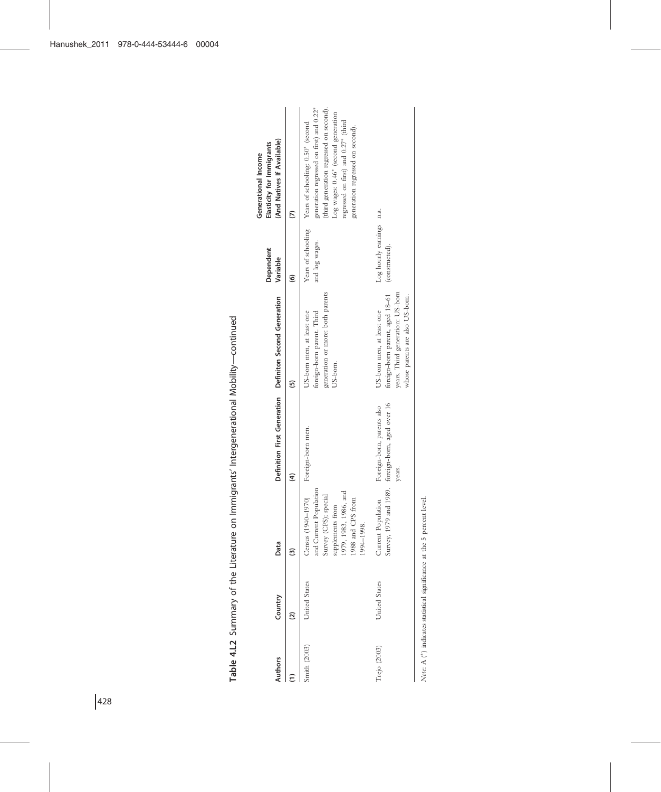| uthors       | Country       | Data                                                                                                                                                      |                                                                                           | Definition First Generation Definiton Second Generation                                                                             | Dependent<br>Variable                      | (And Natives If Available)<br>Elasticity for Immigrants<br>Generational Income                                                                                                                                                                                 |
|--------------|---------------|-----------------------------------------------------------------------------------------------------------------------------------------------------------|-------------------------------------------------------------------------------------------|-------------------------------------------------------------------------------------------------------------------------------------|--------------------------------------------|----------------------------------------------------------------------------------------------------------------------------------------------------------------------------------------------------------------------------------------------------------------|
|              | ์อ            | $\widehat{\mathbf{c}}$                                                                                                                                    | €                                                                                         | 6                                                                                                                                   | <u>මෙ</u>                                  | $\overline{c}$                                                                                                                                                                                                                                                 |
| mith (2003)  | United States | Census $(1940 - 1970)$<br>and Current Population<br>1979, 1983, 1986, and<br>Survey (CPS); special<br>1988 and CPS from<br>supplements from<br>1994-1998. | Foreign-born men.                                                                         | generation or more: both parents<br>US-born men, at least one<br>foreign-born parent. Third<br>US-born.                             | and log wages.                             | (third generation regressed on second).<br>generation regressed on first) and 0.22*<br>Log wages: 0.46* (second generation<br>regressed on first) and 0.27* (third<br>Years of schooling Years of schooling: 0.50* (second<br>generation regressed on second). |
| Trejo (2003) | United States | Current Population                                                                                                                                        | Survey, 1979 and 1989. foreign-born, aged over 16<br>Foreign-born, parents also<br>years. | foreign-born parent, aged 18-61<br>years. Third generation: US-born<br>whose parents are also US-born.<br>US-born men, at least one | Log hourly earnings n.a.<br>(constructed). |                                                                                                                                                                                                                                                                |

| ֞ <b>֝</b><br>$\frac{1}{2}$<br>i                                                                                                                                                                                                                                      |
|-----------------------------------------------------------------------------------------------------------------------------------------------------------------------------------------------------------------------------------------------------------------------|
| ١                                                                                                                                                                                                                                                                     |
| $\frac{1}{2}$<br>J                                                                                                                                                                                                                                                    |
| translated that call the call that if it is computed to the first call of the call of the computed to the first call of the first call of the first call of the first call of the first call of the first call of the first ca<br><b>1 Junie: July 11 Dec 14</b><br>1 |
| i                                                                                                                                                                                                                                                                     |
| Table 4.L2                                                                                                                                                                                                                                                            |

Note: A  $(*)$  indicates statistical significance at the 5 percent level. Note: A (\*) indicates statistical significance at the 5 percent level.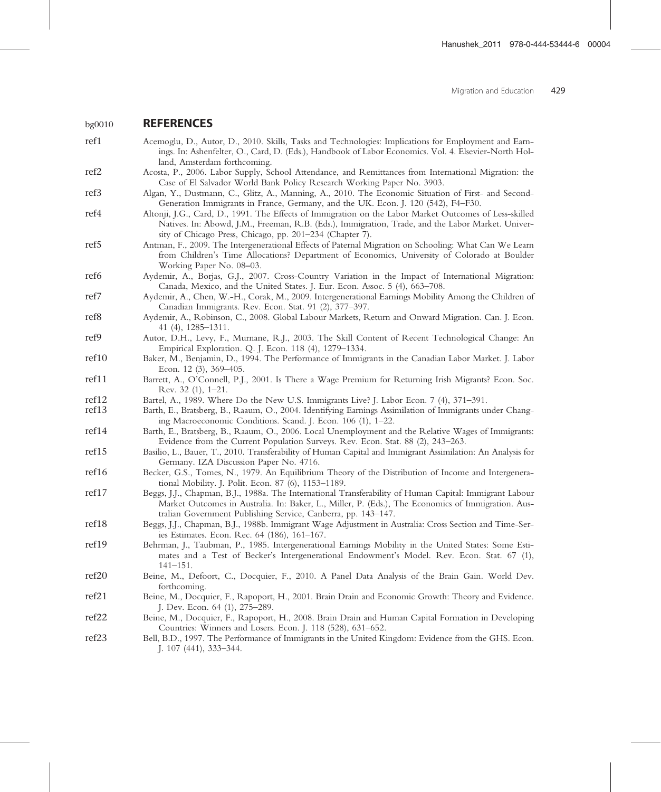# bg0010 **REFERENCES**<br>ref1  $\overline{A}$ cemoglu D  $\overline{A}$ ut

| ref1              | Acemoglu, D., Autor, D., 2010. Skills, Tasks and Technologies: Implications for Employment and Earn-<br>ings. In: Ashenfelter, O., Card, D. (Eds.), Handbook of Labor Economics. Vol. 4. Elsevier-North Hol-<br>land, Amsterdam forthcoming.                                   |
|-------------------|--------------------------------------------------------------------------------------------------------------------------------------------------------------------------------------------------------------------------------------------------------------------------------|
| ref <sub>2</sub>  | Acosta, P., 2006. Labor Supply, School Attendance, and Remittances from International Migration: the<br>Case of El Salvador World Bank Policy Research Working Paper No. 3903.                                                                                                 |
| ref3              | Algan, Y., Dustmann, C., Glitz, A., Manning, A., 2010. The Economic Situation of First- and Second-<br>Generation Immigrants in France, Germany, and the UK. Econ. J. 120 (542), F4-F30.                                                                                       |
| ref4              | Altonji, J.G., Card, D., 1991. The Effects of Immigration on the Labor Market Outcomes of Less-skilled<br>Natives. In: Abowd, J.M., Freeman, R.B. (Eds.), Immigration, Trade, and the Labor Market. Univer-<br>sity of Chicago Press, Chicago, pp. 201–234 (Chapter 7).        |
| ref <sub>5</sub>  | Antman, F., 2009. The Intergenerational Effects of Paternal Migration on Schooling: What Can We Learn<br>from Children's Time Allocations? Department of Economics, University of Colorado at Boulder<br>Working Paper No. 08–03.                                              |
| ref <sub>6</sub>  | Aydemir, A., Borjas, G.J., 2007. Cross-Country Variation in the Impact of International Migration:<br>Canada, Mexico, and the United States. J. Eur. Econ. Assoc. 5 (4), 663–708.                                                                                              |
| ref7              | Aydemir, A., Chen, W.-H., Corak, M., 2009. Intergenerational Earnings Mobility Among the Children of<br>Canadian Immigrants. Rev. Econ. Stat. 91 (2), 377–397.                                                                                                                 |
| ref <sub>8</sub>  | Aydemir, A., Robinson, C., 2008. Global Labour Markets, Return and Onward Migration. Can. J. Econ.<br>41 (4), 1285–1311.                                                                                                                                                       |
| ref9              | Autor, D.H., Levy, F., Murnane, R.J., 2003. The Skill Content of Recent Technological Change: An<br>Empirical Exploration. Q. J. Econ. 118 (4), 1279–1334.                                                                                                                     |
| ref <sub>10</sub> | Baker, M., Benjamin, D., 1994. The Performance of Immigrants in the Canadian Labor Market. J. Labor<br>Econ. $12$ (3), $369-405$ .                                                                                                                                             |
| ref11             | Barrett, A., O'Connell, P.J., 2001. Is There a Wage Premium for Returning Irish Migrants? Econ. Soc.<br>Rev. 32 (1), 1–21.                                                                                                                                                     |
| ref12             | Bartel, A., 1989. Where Do the New U.S. Immigrants Live? J. Labor Econ. 7 (4), 371–391.                                                                                                                                                                                        |
| ref13             | Barth, E., Bratsberg, B., Raaum, O., 2004. Identifying Earnings Assimilation of Immigrants under Chang-<br>ing Macroeconomic Conditions. Scand. J. Econ. 106 (1), 1–22.                                                                                                        |
| ref14             | Barth, E., Bratsberg, B., Raaum, O., 2006. Local Unemployment and the Relative Wages of Immigrants:<br>Evidence from the Current Population Surveys. Rev. Econ. Stat. 88 (2), 243-263.                                                                                         |
| ref15             | Basilio, L., Bauer, T., 2010. Transferability of Human Capital and Immigrant Assimilation: An Analysis for<br>Germany. IZA Discussion Paper No. 4716.                                                                                                                          |
| ref16             | Becker, G.S., Tomes, N., 1979. An Equilibrium Theory of the Distribution of Income and Intergenera-<br>tional Mobility. J. Polit. Econ. 87 (6), 1153–1189.                                                                                                                     |
| ref17             | Beggs, J.J., Chapman, B.J., 1988a. The International Transferability of Human Capital: Immigrant Labour<br>Market Outcomes in Australia. In: Baker, L., Miller, P. (Eds.), The Economics of Immigration. Aus-<br>tralian Government Publishing Service, Canberra, pp. 143–147. |
| ref18             | Beggs, J.J., Chapman, B.J., 1988b. Immigrant Wage Adjustment in Australia: Cross Section and Time-Ser-<br>ies Estimates. Econ. Rec. 64 (186), 161-167.                                                                                                                         |
| ref19             | Behrman, J., Taubman, P., 1985. Intergenerational Earnings Mobility in the United States: Some Esti-<br>mates and a Test of Becker's Intergenerational Endowment's Model. Rev. Econ. Stat. 67 (1),<br>$141 - 151.$                                                             |
| ref <sub>20</sub> | Beine, M., Defoort, C., Docquier, F., 2010. A Panel Data Analysis of the Brain Gain. World Dev.<br>forthcoming.                                                                                                                                                                |
| ref <sub>21</sub> | Beine, M., Docquier, F., Rapoport, H., 2001. Brain Drain and Economic Growth: Theory and Evidence.<br>J. Dev. Econ. 64 (1), 275–289.                                                                                                                                           |
| ref <sub>22</sub> | Beine, M., Docquier, F., Rapoport, H., 2008. Brain Drain and Human Capital Formation in Developing<br>Countries: Winners and Losers. Econ. J. 118 (528), 631–652.                                                                                                              |
| ref23             | Bell, B.D., 1997. The Performance of Immigrants in the United Kingdom: Evidence from the GHS. Econ.<br>J. 107 (441), 333-344.                                                                                                                                                  |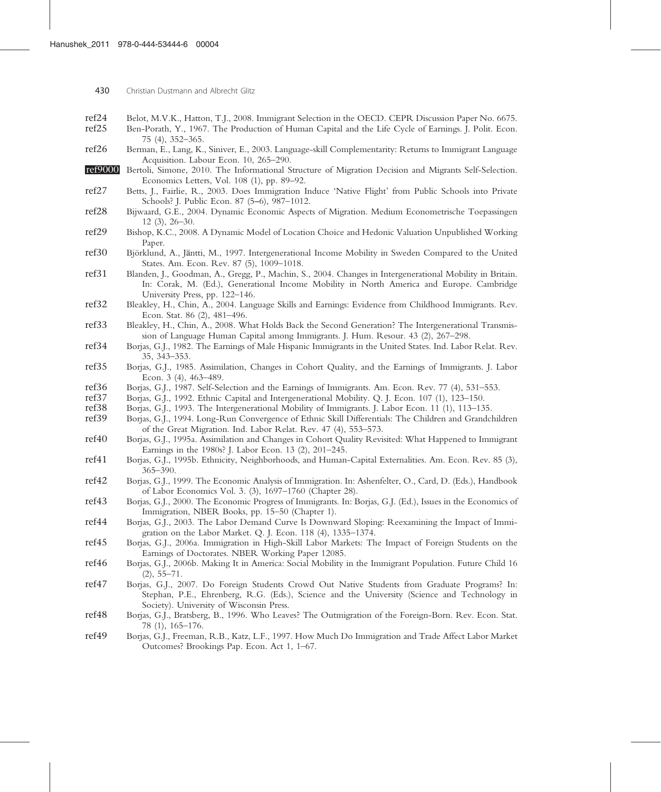- ref24 Belot, M.V.K., Hatton, T.J., 2008. Immigrant Selection in the OECD. CEPR Discussion Paper No. 6675. Ben-Porath, Y., 1967. The Production of Human Capital and the Life Cycle of Earnings. J. Polit. Econ. 75 (4), 352–365.
- ref26 Berman, E., Lang, K., Siniver, E., 2003. Language-skill Complementarity: Returns to Immigrant Language Acquisition. Labour Econ. 10, 265–290.
- ref9000 Bertoli, Simone, 2010. The Informational Structure of Migration Decision and Migrants Self-Selection. Economics Letters, Vol. 108 (1), pp. 89–92.
- ref27 Betts, J., Fairlie, R., 2003. Does Immigration Induce 'Native Flight' from Public Schools into Private Schools? J. Public Econ. 87 (5–6), 987–1012.
- ref28 Bijwaard, G.E., 2004. Dynamic Economic Aspects of Migration. Medium Econometrische Toepassingen  $12(3)$ ,  $26-30$ .
- ref29 Bishop, K.C., 2008. A Dynamic Model of Location Choice and Hedonic Valuation Unpublished Working Paper.
- ref30 Björklund, A., Jäntti, M., 1997. Intergenerational Income Mobility in Sweden Compared to the United States. Am. Econ. Rev. 87 (5), 1009–1018.
- ref31 Blanden, J., Goodman, A., Gregg, P., Machin, S., 2004. Changes in Intergenerational Mobility in Britain. In: Corak, M. (Ed.), Generational Income Mobility in North America and Europe. Cambridge University Press, pp. 122–146.
- ref32 Bleakley, H., Chin, A., 2004. Language Skills and Earnings: Evidence from Childhood Immigrants. Rev. Econ. Stat. 86 (2), 481–496.
- ref33 Bleakley, H., Chin, A., 2008. What Holds Back the Second Generation? The Intergenerational Transmission of Language Human Capital among Immigrants. J. Hum. Resour. 43 (2), 267–298.
- ref34 Borjas, G.J., 1982. The Earnings of Male Hispanic Immigrants in the United States. Ind. Labor Relat. Rev. 35, 343–353.
- ref35 Borjas, G.J., 1985. Assimilation, Changes in Cohort Quality, and the Earnings of Immigrants. J. Labor Econ. 3 (4), 463–489.
- ref36 Borjas, G.J., 1987. Self-Selection and the Earnings of Immigrants. Am. Econ. Rev. 77 (4), 531–553. ref37 Borjas, G.J., 1992. Ethnic Capital and Intergenerational Mobility. Q. J. Econ. 107 (1), 123–150.
- ref37 Borjas, G.J., 1992. Ethnic Capital and Intergenerational Mobility. Q. J. Econ. 107 (1), 123–150.
- ref38 Borjas, G.J., 1993. The Intergenerational Mobility of Immigrants. J. Labor Econ. 11 (1), 113–135.
- Borjas, G.J., 1994. Long-Run Convergence of Ethnic Skill Differentials: The Children and Grandchildren of the Great Migration. Ind. Labor Relat. Rev. 47 (4), 553–573.
- ref40 Borjas, G.J., 1995a. Assimilation and Changes in Cohort Quality Revisited: What Happened to Immigrant Earnings in the 1980s? J. Labor Econ. 13 (2), 201–245.
- ref41 Borjas, G.J., 1995b. Ethnicity, Neighborhoods, and Human-Capital Externalities. Am. Econ. Rev. 85 (3), 365–390.
- ref42 Borjas, G.J., 1999. The Economic Analysis of Immigration. In: Ashenfelter, O., Card, D. (Eds.), Handbook of Labor Economics Vol. 3. (3), 1697–1760 (Chapter 28).
- ref43 Borjas, G.J., 2000. The Economic Progress of Immigrants. In: Borjas, G.J. (Ed.), Issues in the Economics of Immigration, NBER Books, pp. 15–50 (Chapter 1).
- ref44 Borjas, G.J., 2003. The Labor Demand Curve Is Downward Sloping: Reexamining the Impact of Immigration on the Labor Market. Q. J. Econ. 118 (4), 1335–1374.
- ref45 Borjas, G.J., 2006a. Immigration in High-Skill Labor Markets: The Impact of Foreign Students on the Earnings of Doctorates. NBER Working Paper 12085.
- ref46 Borjas, G.J., 2006b. Making It in America: Social Mobility in the Immigrant Population. Future Child 16  $(2), 55 - 71.$
- ref47 Borjas, G.J., 2007. Do Foreign Students Crowd Out Native Students from Graduate Programs? In: Stephan, P.E., Ehrenberg, R.G. (Eds.), Science and the University (Science and Technology in Society). University of Wisconsin Press.
- ref48 Borjas, G.J., Bratsberg, B., 1996. Who Leaves? The Outmigration of the Foreign-Born. Rev. Econ. Stat. 78 (1), 165–176.
- ref49 Borjas, G.J., Freeman, R.B., Katz, L.F., 1997. How Much Do Immigration and Trade Affect Labor Market Outcomes? Brookings Pap. Econ. Act 1, 1–67.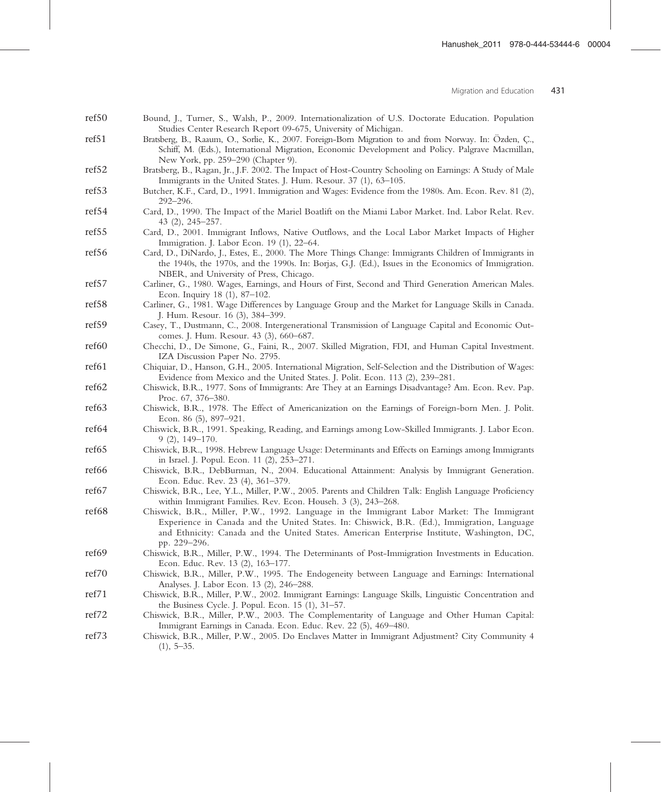| ref50             | Bound, J., Turner, S., Walsh, P., 2009. Internationalization of U.S. Doctorate Education. Population<br>Studies Center Research Report 09-675, University of Michigan.                                                                                                                                  |
|-------------------|---------------------------------------------------------------------------------------------------------------------------------------------------------------------------------------------------------------------------------------------------------------------------------------------------------|
| ref51             | Bratsberg, B., Raaum, O., Sorlie, K., 2007. Foreign-Born Migration to and from Norway. In: Ozden, C.,<br>Schiff, M. (Eds.), International Migration, Economic Development and Policy. Palgrave Macmillan,<br>New York, pp. 259–290 (Chapter 9).                                                         |
| ref52             | Bratsberg, B., Ragan, Jr., J.F. 2002. The Impact of Host-Country Schooling on Earnings: A Study of Male<br>Immigrants in the United States. J. Hum. Resour. 37 (1), 63–105.                                                                                                                             |
| ref53             | Butcher, K.F., Card, D., 1991. Immigration and Wages: Evidence from the 1980s. Am. Econ. Rev. 81 (2),<br>292-296.                                                                                                                                                                                       |
| ref54             | Card, D., 1990. The Impact of the Mariel Boatlift on the Miami Labor Market. Ind. Labor Relat. Rev.<br>$(2), 245 - 257.$                                                                                                                                                                                |
| ref55             | Card, D., 2001. Immigrant Inflows, Native Outflows, and the Local Labor Market Impacts of Higher<br>Immigration. J. Labor Econ. 19 (1), 22–64.                                                                                                                                                          |
| ref56             | Card, D., DiNardo, J., Estes, E., 2000. The More Things Change: Immigrants Children of Immigrants in<br>the 1940s, the 1970s, and the 1990s. In: Borjas, G.J. (Ed.), Issues in the Economics of Immigration.<br>NBER, and University of Press, Chicago.                                                 |
| ref57             | Carliner, G., 1980. Wages, Earnings, and Hours of First, Second and Third Generation American Males.<br>Econ. Inquiry $18(1)$ , $87-102$ .                                                                                                                                                              |
| ref58             | Carliner, G., 1981. Wage Differences by Language Group and the Market for Language Skills in Canada.<br>J. Hum. Resour. 16 (3), 384–399.                                                                                                                                                                |
| ref59             | Casey, T., Dustmann, C., 2008. Intergenerational Transmission of Language Capital and Economic Out-<br>comes. J. Hum. Resour. 43 (3), 660–687.                                                                                                                                                          |
| ref <sub>60</sub> | Checchi, D., De Simone, G., Faini, R., 2007. Skilled Migration, FDI, and Human Capital Investment.<br>IZA Discussion Paper No. 2795.                                                                                                                                                                    |
| ref61             | Chiquiar, D., Hanson, G.H., 2005. International Migration, Self-Selection and the Distribution of Wages:<br>Evidence from Mexico and the United States. J. Polit. Econ. 113 (2), 239–281.                                                                                                               |
| ref62             | Chiswick, B.R., 1977. Sons of Immigrants: Are They at an Earnings Disadvantage? Am. Econ. Rev. Pap.<br>Proc. 67, 376–380.                                                                                                                                                                               |
| ref <sub>63</sub> | Chiswick, B.R., 1978. The Effect of Americanization on the Earnings of Foreign-born Men. J. Polit.<br>Econ. 86 (5), 897–921.                                                                                                                                                                            |
| ref64             | Chiswick, B.R., 1991. Speaking, Reading, and Earnings among Low-Skilled Immigrants. J. Labor Econ.<br>$9(2), 149-170.$                                                                                                                                                                                  |
| ref <sub>65</sub> | Chiswick, B.R., 1998. Hebrew Language Usage: Determinants and Effects on Earnings among Immigrants<br>in Israel. J. Popul. Econ. 11 (2), 253-271.                                                                                                                                                       |
| ref <sub>66</sub> | Chiswick, B.R., DebBurman, N., 2004. Educational Attainment: Analysis by Immigrant Generation.<br>Econ. Educ. Rev. 23 (4), 361–379.                                                                                                                                                                     |
| ref <sub>67</sub> | Chiswick, B.R., Lee, Y.L., Miller, P.W., 2005. Parents and Children Talk: English Language Proficiency<br>within Immigrant Families. Rev. Econ. Househ. 3 (3), 243–268.                                                                                                                                 |
| ref <sub>68</sub> | Chiswick, B.R., Miller, P.W., 1992. Language in the Immigrant Labor Market: The Immigrant<br>Experience in Canada and the United States. In: Chiswick, B.R. (Ed.), Immigration, Language<br>and Ethnicity: Canada and the United States. American Enterprise Institute, Washington, DC,<br>pp. 229–296. |
| ref <sub>69</sub> | Chiswick, B.R., Miller, P.W., 1994. The Determinants of Post-Immigration Investments in Education.<br>Econ. Educ. Rev. 13 (2), 163-177.                                                                                                                                                                 |
| ref70             | Chiswick, B.R., Miller, P.W., 1995. The Endogeneity between Language and Earnings: International<br>Analyses. J. Labor Econ. 13 (2), 246–288.                                                                                                                                                           |
| ref71             | Chiswick, B.R., Miller, P.W., 2002. Immigrant Earnings: Language Skills, Linguistic Concentration and<br>the Business Cycle. J. Popul. Econ. 15 (1), 31–57.                                                                                                                                             |
| ref72             | Chiswick, B.R., Miller, P.W., 2003. The Complementarity of Language and Other Human Capital:<br>Immigrant Earnings in Canada. Econ. Educ. Rev. 22 (5), 469–480.                                                                                                                                         |
| ref <sub>73</sub> | Chiswick, B.R., Miller, P.W., 2005. Do Enclaves Matter in Immigrant Adjustment? City Community 4<br>$(1), 5-35.$                                                                                                                                                                                        |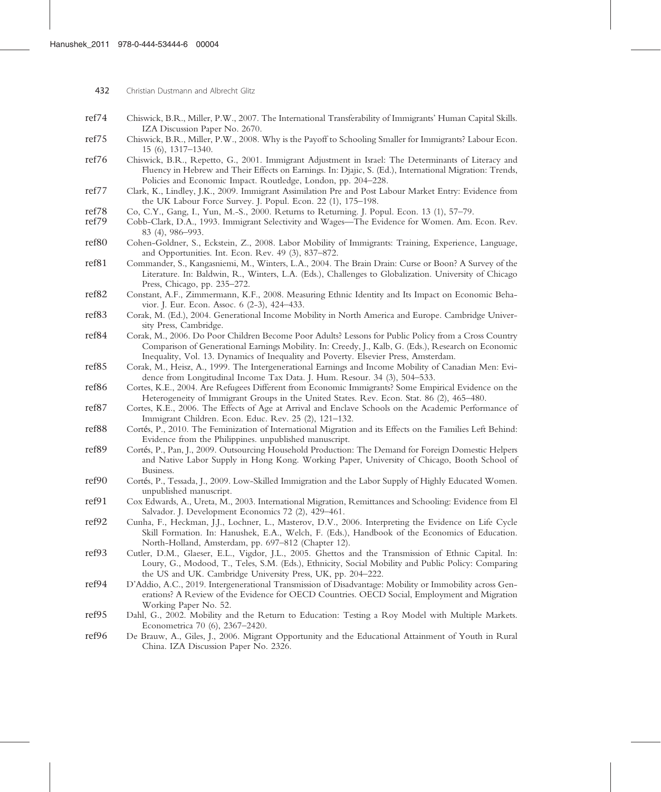- ref74 Chiswick, B.R., Miller, P.W., 2007. The International Transferability of Immigrants' Human Capital Skills. IZA Discussion Paper No. 2670.
- ref75 Chiswick, B.R., Miller, P.W., 2008. Why is the Payoff to Schooling Smaller for Immigrants? Labour Econ. 15 (6), 1317–1340.
- ref76 Chiswick, B.R., Repetto, G., 2001. Immigrant Adjustment in Israel: The Determinants of Literacy and Fluency in Hebrew and Their Effects on Earnings. In: Djajic, S. (Ed.), International Migration: Trends, Policies and Economic Impact. Routledge, London, pp. 204–228.
- ref77 Clark, K., Lindley, J.K., 2009. Immigrant Assimilation Pre and Post Labour Market Entry: Evidence from the UK Labour Force Survey. J. Popul. Econ. 22 (1), 175–198.
- ref78 Co, C.Y., Gang, I., Yun, M.-S., 2000. Returns to Returning. J. Popul. Econ. 13 (1), 57–79.
- Cobb-Clark, D.A., 1993. Immigrant Selectivity and Wages—The Evidence for Women. Am. Econ. Rev. 83 (4), 986–993.
- ref80 Cohen-Goldner, S., Eckstein, Z., 2008. Labor Mobility of Immigrants: Training, Experience, Language, and Opportunities. Int. Econ. Rev. 49 (3), 837–872.
- ref81 Commander, S., Kangasniemi, M., Winters, L.A., 2004. The Brain Drain: Curse or Boon? A Survey of the Literature. In: Baldwin, R., Winters, L.A. (Eds.), Challenges to Globalization. University of Chicago Press, Chicago, pp. 235–272.
- ref82 Constant, A.F., Zimmermann, K.F., 2008. Measuring Ethnic Identity and Its Impact on Economic Behavior. J. Eur. Econ. Assoc. 6 (2-3), 424–433.
- ref83 Corak, M. (Ed.), 2004. Generational Income Mobility in North America and Europe. Cambridge University Press, Cambridge.
- ref84 Corak, M., 2006. Do Poor Children Become Poor Adults? Lessons for Public Policy from a Cross Country Comparison of Generational Earnings Mobility. In: Creedy, J., Kalb, G. (Eds.), Research on Economic Inequality, Vol. 13. Dynamics of Inequality and Poverty. Elsevier Press, Amsterdam.
- ref85 Corak, M., Heisz, A., 1999. The Intergenerational Earnings and Income Mobility of Canadian Men: Evidence from Longitudinal Income Tax Data. J. Hum. Resour. 34 (3), 504–533.
- ref86 Cortes, K.E., 2004. Are Refugees Different from Economic Immigrants? Some Empirical Evidence on the Heterogeneity of Immigrant Groups in the United States. Rev. Econ. Stat. 86 (2), 465–480.
- ref87 Cortes, K.E., 2006. The Effects of Age at Arrival and Enclave Schools on the Academic Performance of Immigrant Children. Econ. Educ. Rev. 25 (2), 121–132.
- ref88 Cortés, P., 2010. The Feminization of International Migration and its Effects on the Families Left Behind: Evidence from the Philippines. unpublished manuscript.
- ref89 Cortés, P., Pan, J., 2009. Outsourcing Household Production: The Demand for Foreign Domestic Helpers and Native Labor Supply in Hong Kong. Working Paper, University of Chicago, Booth School of Business.
- ref90 Cortés, P., Tessada, J., 2009. Low-Skilled Immigration and the Labor Supply of Highly Educated Women. unpublished manuscript.
- ref91 Cox Edwards, A., Ureta, M., 2003. International Migration, Remittances and Schooling: Evidence from El Salvador. J. Development Economics 72 (2), 429–461.
- ref92 Cunha, F., Heckman, J.J., Lochner, L., Masterov, D.V., 2006. Interpreting the Evidence on Life Cycle Skill Formation. In: Hanushek, E.A., Welch, F. (Eds.), Handbook of the Economics of Education. North-Holland, Amsterdam, pp. 697–812 (Chapter 12).
- ref93 Cutler, D.M., Glaeser, E.L., Vigdor, J.L., 2005. Ghettos and the Transmission of Ethnic Capital. In: Loury, G., Modood, T., Teles, S.M. (Eds.), Ethnicity, Social Mobility and Public Policy: Comparing the US and UK. Cambridge University Press, UK, pp. 204–222.
- ref94 <sup>D</sup>'Addio, A.C., 2019. Intergenerational Transmission of Disadvantage: Mobility or Immobility across Generations? A Review of the Evidence for OECD Countries. OECD Social, Employment and Migration Working Paper No. 52.
- ref95 Dahl, G., 2002. Mobility and the Return to Education: Testing a Roy Model with Multiple Markets. Econometrica 70 (6), 2367–2420.
- ref96 De Brauw, A., Giles, J., 2006. Migrant Opportunity and the Educational Attainment of Youth in Rural China. IZA Discussion Paper No. 2326.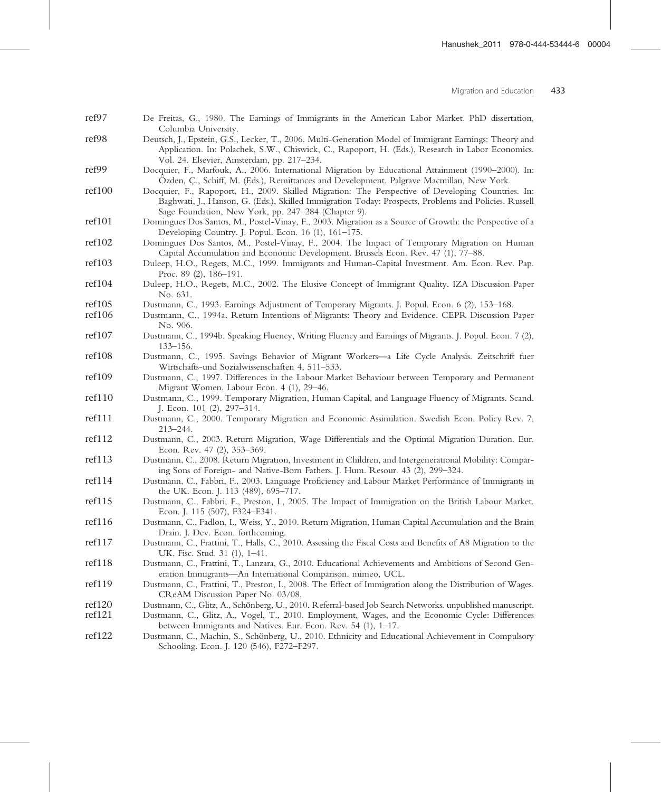| ref97  | De Freitas, G., 1980. The Earnings of Immigrants in the American Labor Market. PhD dissertation,                                                                                                           |
|--------|------------------------------------------------------------------------------------------------------------------------------------------------------------------------------------------------------------|
|        | Columbia University.                                                                                                                                                                                       |
| ref98  | Deutsch, J., Epstein, G.S., Lecker, T., 2006. Multi-Generation Model of Immigrant Earnings: Theory and                                                                                                     |
|        | Application. In: Polachek, S.W., Chiswick, C., Rapoport, H. (Eds.), Research in Labor Economics.                                                                                                           |
|        | Vol. 24. Elsevier, Amsterdam, pp. 217–234.                                                                                                                                                                 |
| ref99  | Docquier, F., Marfouk, A., 2006. International Migration by Educational Attainment (1990–2000). In:                                                                                                        |
| ref100 | Ozden, Ç., Schiff, M. (Eds.), Remittances and Development. Palgrave Macmillan, New York.                                                                                                                   |
|        | Docquier, F., Rapoport, H., 2009. Skilled Migration: The Perspective of Developing Countries. In:<br>Baghwati, J., Hanson, G. (Eds.), Skilled Immigration Today: Prospects, Problems and Policies. Russell |
|        | Sage Foundation, New York, pp. 247-284 (Chapter 9).                                                                                                                                                        |
| ref101 | Domingues Dos Santos, M., Postel-Vinay, F., 2003. Migration as a Source of Growth: the Perspective of a                                                                                                    |
|        | Developing Country. J. Popul. Econ. 16 (1), 161-175.                                                                                                                                                       |
| ref102 | Domingues Dos Santos, M., Postel-Vinay, F., 2004. The Impact of Temporary Migration on Human                                                                                                               |
|        | Capital Accumulation and Economic Development. Brussels Econ. Rev. 47 (1), 77–88.                                                                                                                          |
| ref103 | Duleep, H.O., Regets, M.C., 1999. Immigrants and Human-Capital Investment. Am. Econ. Rev. Pap.                                                                                                             |
|        | Proc. $89(2)$ , $186-191$ .                                                                                                                                                                                |
| ref104 | Duleep, H.O., Regets, M.C., 2002. The Elusive Concept of Immigrant Quality. IZA Discussion Paper                                                                                                           |
|        | No. 631.                                                                                                                                                                                                   |
| ref105 | Dustmann, C., 1993. Earnings Adjustment of Temporary Migrants. J. Popul. Econ. 6 (2), 153–168.                                                                                                             |
| ref106 | Dustmann, C., 1994a. Return Intentions of Migrants: Theory and Evidence. CEPR Discussion Paper                                                                                                             |
|        | No. 906.                                                                                                                                                                                                   |
| ref107 | Dustmann, C., 1994b. Speaking Fluency, Writing Fluency and Earnings of Migrants. J. Popul. Econ. 7 (2),                                                                                                    |
|        | $133 - 156.$                                                                                                                                                                                               |
| ref108 | Dustmann, C., 1995. Savings Behavior of Migrant Workers-a Life Cycle Analysis. Zeitschrift fuer<br>Wirtschafts-und Sozialwissenschaften 4, 511–533.                                                        |
| ref109 | Dustmann, C., 1997. Differences in the Labour Market Behaviour between Temporary and Permanent                                                                                                             |
|        | Migrant Women. Labour Econ. 4 (1), 29–46.                                                                                                                                                                  |
| ref110 | Dustmann, C., 1999. Temporary Migration, Human Capital, and Language Fluency of Migrants. Scand.                                                                                                           |
|        | J. Econ. $101$ (2), $297-314$ .                                                                                                                                                                            |
| ref111 | Dustmann, C., 2000. Temporary Migration and Economic Assimilation. Swedish Econ. Policy Rev. 7,                                                                                                            |
|        | $213 - 244.$                                                                                                                                                                                               |
| ref112 | Dustmann, C., 2003. Return Migration, Wage Differentials and the Optimal Migration Duration. Eur.                                                                                                          |
|        | Econ. Rev. 47 (2), 353–369.                                                                                                                                                                                |
| ref113 | Dustmann, C., 2008. Return Migration, Investment in Children, and Intergenerational Mobility: Compar-                                                                                                      |
|        | ing Sons of Foreign- and Native-Born Fathers. J. Hum. Resour. 43 (2), 299–324.                                                                                                                             |
| ref114 | Dustmann, C., Fabbri, F., 2003. Language Proficiency and Labour Market Performance of Immigrants in<br>the UK. Econ. J. 113 (489), 695–717.                                                                |
| ref115 | Dustmann, C., Fabbri, F., Preston, I., 2005. The Impact of Immigration on the British Labour Market.                                                                                                       |
|        | Econ. J. 115 (507), F324–F341.                                                                                                                                                                             |
| ref116 | Dustmann, C., Fadlon, I., Weiss, Y., 2010. Return Migration, Human Capital Accumulation and the Brain                                                                                                      |
|        | Drain. J. Dev. Econ. forthcoming.                                                                                                                                                                          |
| ref117 | Dustmann, C., Frattini, T., Halls, C., 2010. Assessing the Fiscal Costs and Benefits of A8 Migration to the                                                                                                |
|        | UK. Fisc. Stud. 31 (1), 1–41.                                                                                                                                                                              |
| ref118 | Dustmann, C., Frattini, T., Lanzara, G., 2010. Educational Achievements and Ambitions of Second Gen-                                                                                                       |
|        | eration Immigrants—An International Comparison. mimeo, UCL.                                                                                                                                                |
| ref119 | Dustmann, C., Frattini, T., Preston, I., 2008. The Effect of Immigration along the Distribution of Wages.                                                                                                  |
|        | CReAM Discussion Paper No. 03/08.                                                                                                                                                                          |
| ref120 | Dustmann, C., Glitz, A., Schönberg, U., 2010. Referral-based Job Search Networks. unpublished manuscript.                                                                                                  |
| ref121 | Dustmann, C., Glitz, A., Vogel, T., 2010. Employment, Wages, and the Economic Cycle: Differences<br>between Immigrants and Natives. Eur. Econ. Rev. 54 (1), 1–17.                                          |
| ref122 | Dustmann, C., Machin, S., Schönberg, U., 2010. Ethnicity and Educational Achievement in Compulsory                                                                                                         |
|        | Schooling. Econ. J. 120 (546), F272–F297.                                                                                                                                                                  |
|        |                                                                                                                                                                                                            |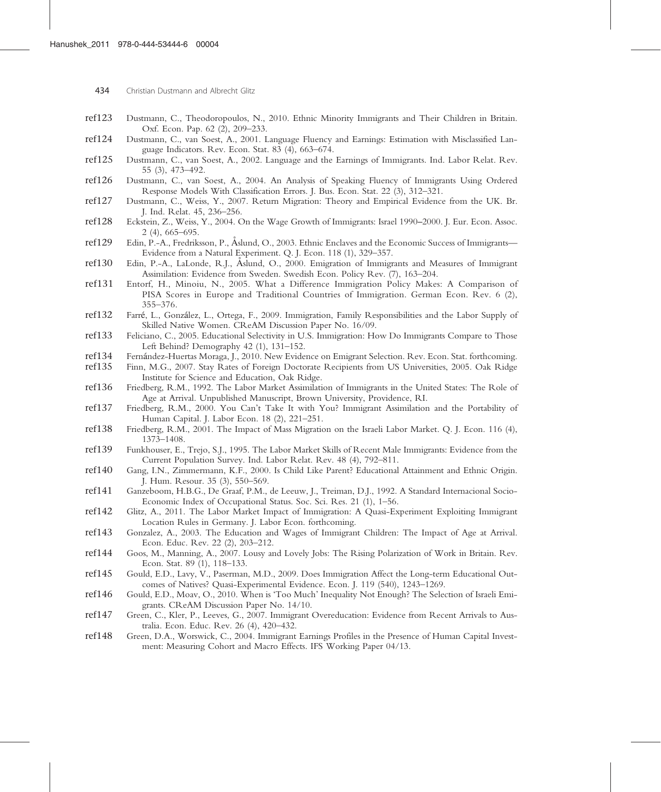- ref123 Dustmann, C., Theodoropoulos, N., 2010. Ethnic Minority Immigrants and Their Children in Britain. Oxf. Econ. Pap. 62 (2), 209–233.
- ref124 Dustmann, C., van Soest, A., 2001. Language Fluency and Earnings: Estimation with Misclassified Language Indicators. Rev. Econ. Stat. 83 (4), 663–674.
- ref125 Dustmann, C., van Soest, A., 2002. Language and the Earnings of Immigrants. Ind. Labor Relat. Rev. 55 (3), 473–492.
- ref126 Dustmann, C., van Soest, A., 2004. An Analysis of Speaking Fluency of Immigrants Using Ordered Response Models With Classification Errors. J. Bus. Econ. Stat. 22 (3), 312–321.
- ref127 Dustmann, C., Weiss, Y., 2007. Return Migration: Theory and Empirical Evidence from the UK. Br. J. Ind. Relat. 45, 236–256.
- ref128 Eckstein, Z., Weiss, Y., 2004. On the Wage Growth of Immigrants: Israel 1990–2000. J. Eur. Econ. Assoc. 2 (4), 665–695.
- ref129 Edin, P.-A., Fredriksson, P., <sup>Å</sup>slund, O., 2003. Ethnic Enclaves and the Economic Success of Immigrants— Evidence from a Natural Experiment. Q. J. Econ. 118 (1), 329–357.
- ref130 Edin, P.-A., LaLonde, R.J., <sup>Å</sup>slund, O., 2000. Emigration of Immigrants and Measures of Immigrant Assimilation: Evidence from Sweden. Swedish Econ. Policy Rev. (7), 163–204.
- ref131 Entorf, H., Minoiu, N., 2005. What a Difference Immigration Policy Makes: A Comparison of PISA Scores in Europe and Traditional Countries of Immigration. German Econ. Rev. 6 (2), 355–376.
- ref132 Farré, L., González, L., Ortega, F., 2009. Immigration, Family Responsibilities and the Labor Supply of Skilled Native Women. CReAM Discussion Paper No. 16/09.
- ref133 Feliciano, C., 2005. Educational Selectivity in U.S. Immigration: How Do Immigrants Compare to Those Left Behind? Demography 42 (1), 131–152.
- ref134 Fernández-Huertas Moraga, J., 2010. New Evidence on Emigrant Selection. Rev. Econ. Stat. forthcoming.<br>
ref135 Finn, M.G., 2007. Stay Rates of Foreign Doctorate Recipients from US Universities, 2005. Oak Ridge
- Finn, M.G., 2007. Stay Rates of Foreign Doctorate Recipients from US Universities, 2005. Oak Ridge Institute for Science and Education, Oak Ridge.
- ref136 Friedberg, R.M., 1992. The Labor Market Assimilation of Immigrants in the United States: The Role of Age at Arrival. Unpublished Manuscript, Brown University, Providence, RI.
- ref137 Friedberg, R.M., 2000. You Can't Take It with You? Immigrant Assimilation and the Portability of Human Capital. J. Labor Econ. 18 (2), 221–251.
- ref138 Friedberg, R.M., 2001. The Impact of Mass Migration on the Israeli Labor Market. Q. J. Econ. 116 (4), 1373–1408.
- ref139 Funkhouser, E., Trejo, S.J., 1995. The Labor Market Skills of Recent Male Immigrants: Evidence from the Current Population Survey. Ind. Labor Relat. Rev. 48 (4), 792–811.
- ref140 Gang, I.N., Zimmermann, K.F., 2000. Is Child Like Parent? Educational Attainment and Ethnic Origin. J. Hum. Resour. 35 (3), 550–569.
- ref141 Ganzeboom, H.B.G., De Graaf, P.M., de Leeuw, J., Treiman, D.J., 1992. A Standard Internacional Socio-Economic Index of Occupational Status. Soc. Sci. Res. 21 (1), 1–56.
- ref142 Glitz, A., 2011. The Labor Market Impact of Immigration: A Quasi-Experiment Exploiting Immigrant Location Rules in Germany. J. Labor Econ. forthcoming.
- ref143 Gonzalez, A., 2003. The Education and Wages of Immigrant Children: The Impact of Age at Arrival. Econ. Educ. Rev. 22 (2), 203–212.
- ref144 Goos, M., Manning, A., 2007. Lousy and Lovely Jobs: The Rising Polarization of Work in Britain. Rev. Econ. Stat. 89 (1), 118–133.
- ref145 Gould, E.D., Lavy, V., Paserman, M.D., 2009. Does Immigration Affect the Long-term Educational Outcomes of Natives? Quasi-Experimental Evidence. Econ. J. 119 (540), 1243–1269.
- ref146 Gould, E.D., Moav, O., 2010. When is 'Too Much' Inequality Not Enough? The Selection of Israeli Emigrants. CReAM Discussion Paper No. 14/10.
- ref147 Green, C., Kler, P., Leeves, G., 2007. Immigrant Overeducation: Evidence from Recent Arrivals to Australia. Econ. Educ. Rev. 26 (4), 420–432.
- ref148 Green, D.A., Worswick, C., 2004. Immigrant Earnings Profiles in the Presence of Human Capital Investment: Measuring Cohort and Macro Effects. IFS Working Paper 04/13.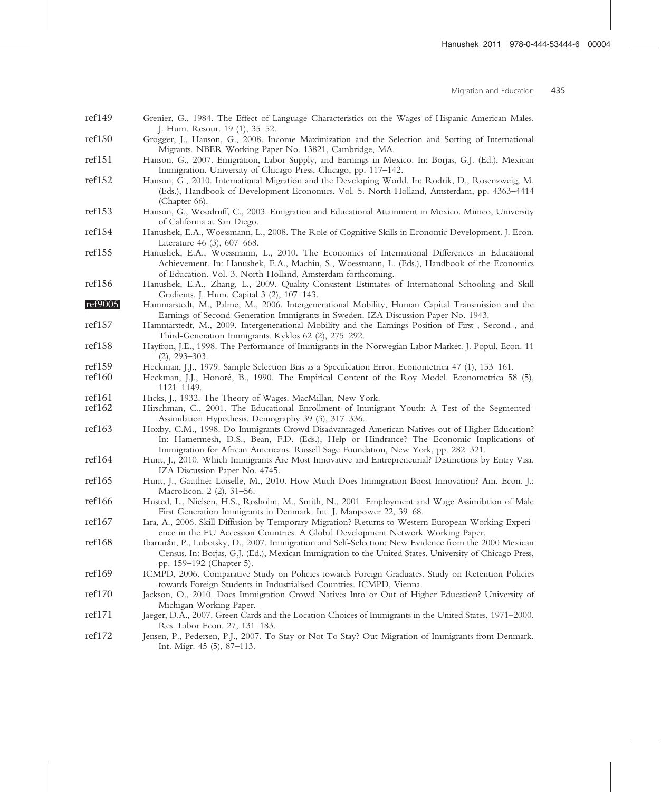| ref149  | Grenier, G., 1984. The Effect of Language Characteristics on the Wages of Hispanic American Males.<br>J. Hum. Resour. 19 (1), 35–52.                                                                                                                                            |
|---------|---------------------------------------------------------------------------------------------------------------------------------------------------------------------------------------------------------------------------------------------------------------------------------|
| ref150  | Grogger, J., Hanson, G., 2008. Income Maximization and the Selection and Sorting of International<br>Migrants. NBER Working Paper No. 13821, Cambridge, MA.                                                                                                                     |
| ref151  | Hanson, G., 2007. Emigration, Labor Supply, and Earnings in Mexico. In: Borjas, G.J. (Ed.), Mexican<br>Immigration. University of Chicago Press, Chicago, pp. 117–142.                                                                                                          |
| ref152  | Hanson, G., 2010. International Migration and the Developing World. In: Rodrik, D., Rosenzweig, M.<br>(Eds.), Handbook of Development Economics. Vol. 5. North Holland, Amsterdam, pp. 4363–4414<br>(Chapter 66).                                                               |
| ref153  | Hanson, G., Woodruff, C., 2003. Emigration and Educational Attainment in Mexico. Mimeo, University<br>of California at San Diego.                                                                                                                                               |
| ref154  | Hanushek, E.A., Woessmann, L., 2008. The Role of Cognitive Skills in Economic Development. J. Econ.<br>Literature 46 (3), 607–668.                                                                                                                                              |
| ref155  | Hanushek, E.A., Woessmann, L., 2010. The Economics of International Differences in Educational<br>Achievement. In: Hanushek, E.A., Machin, S., Woessmann, L. (Eds.), Handbook of the Economics<br>of Education. Vol. 3. North Holland, Amsterdam forthcoming.                   |
| ref156  | Hanushek, E.A., Zhang, L., 2009. Quality-Consistent Estimates of International Schooling and Skill<br>Gradients. J. Hum. Capital 3 (2), 107–143.                                                                                                                                |
| ref9005 | Hammarstedt, M., Palme, M., 2006. Intergenerational Mobility, Human Capital Transmission and the<br>Earnings of Second-Generation Immigrants in Sweden. IZA Discussion Paper No. 1943.                                                                                          |
| ref157  | Hammarstedt, M., 2009. Intergenerational Mobility and the Earnings Position of First-, Second-, and<br>Third-Generation Immigrants. Kyklos 62 (2), 275–292.                                                                                                                     |
| ref158  | Hayfron, J.E., 1998. The Performance of Immigrants in the Norwegian Labor Market. J. Popul. Econ. 11<br>$(2), 293 - 303.$                                                                                                                                                       |
| ref159  | Heckman, J.J., 1979. Sample Selection Bias as a Specification Error. Econometrica 47 (1), 153-161.                                                                                                                                                                              |
| ref160  | Heckman, J.J., Honoré, B., 1990. The Empirical Content of the Roy Model. Econometrica 58 (5),<br>1121-1149.                                                                                                                                                                     |
| ref161  | Hicks, J., 1932. The Theory of Wages. MacMillan, New York.                                                                                                                                                                                                                      |
| ref162  | Hirschman, C., 2001. The Educational Enrollment of Immigrant Youth: A Test of the Segmented-<br>Assimilation Hypothesis. Demography 39 (3), 317–336.                                                                                                                            |
| ref163  | Hoxby, C.M., 1998. Do Immigrants Crowd Disadvantaged American Natives out of Higher Education?<br>In: Hamermesh, D.S., Bean, F.D. (Eds.), Help or Hindrance? The Economic Implications of<br>Immigration for African Americans. Russell Sage Foundation, New York, pp. 282–321. |
| ref164  | Hunt, J., 2010. Which Immigrants Are Most Innovative and Entrepreneurial? Distinctions by Entry Visa.<br>IZA Discussion Paper No. 4745.                                                                                                                                         |
| ref165  | Hunt, J., Gauthier-Loiselle, M., 2010. How Much Does Immigration Boost Innovation? Am. Econ. J.:<br>MacroEcon. 2 (2), 31–56.                                                                                                                                                    |
| ref166  | Husted, L., Nielsen, H.S., Rosholm, M., Smith, N., 2001. Employment and Wage Assimilation of Male<br>First Generation Immigrants in Denmark. Int. J. Manpower 22, 39–68.                                                                                                        |
| ref167  | Iara, A., 2006. Skill Diffusion by Temporary Migration? Returns to Western European Working Experi-<br>ence in the EU Accession Countries. A Global Development Network Working Paper.                                                                                          |
| ref168  | Ibarrarán, P., Lubotsky, D., 2007. Immigration and Self-Selection: New Evidence from the 2000 Mexican<br>Census. In: Borjas, G.J. (Ed.), Mexican Immigration to the United States. University of Chicago Press,<br>pp. 159–192 (Chapter 5).                                     |
| ref169  | ICMPD, 2006. Comparative Study on Policies towards Foreign Graduates. Study on Retention Policies<br>towards Foreign Students in Industrialised Countries. ICMPD, Vienna.                                                                                                       |
| ref170  | Jackson, O., 2010. Does Immigration Crowd Natives Into or Out of Higher Education? University of<br>Michigan Working Paper.                                                                                                                                                     |
| ref171  | Jaeger, D.A., 2007. Green Cards and the Location Choices of Immigrants in the United States, 1971–2000.<br>Res. Labor Econ. 27, 131–183.                                                                                                                                        |
| ref172  | Jensen, P., Pedersen, P.J., 2007. To Stay or Not To Stay? Out-Migration of Immigrants from Denmark.<br>Int. Migr. 45 (5), 87–113.                                                                                                                                               |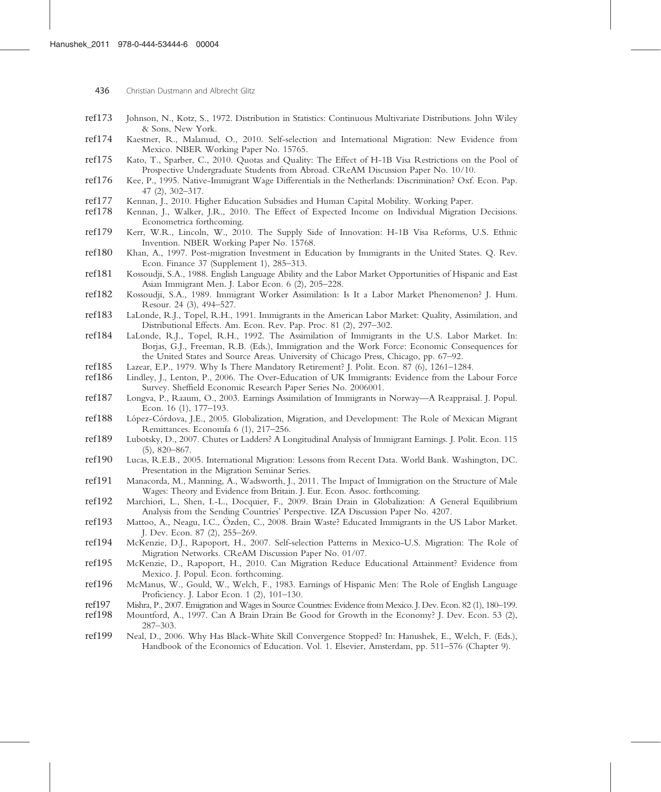436 Christian Dustmann and Albrecht Glitz

- ref173 Johnson, N., Kotz, S., 1972. Distribution in Statistics: Continuous Multivariate Distributions. John Wiley & Sons, New York.
- ref174 Kaestner, R., Malamud, O., 2010. Self-selection and International Migration: New Evidence from Mexico. NBER Working Paper No. 15765.
- ref175 Kato, T., Sparber, C., 2010. Quotas and Quality: The Effect of H-1B Visa Restrictions on the Pool of Prospective Undergraduate Students from Abroad. CReAM Discussion Paper No. 10/10.
- ref176 Kee, P., 1995. Native-Immigrant Wage Differentials in the Netherlands: Discrimination? Oxf. Econ. Pap. 47 (2), 302–317.
- ref177 Kennan, J., 2010. Higher Education Subsidies and Human Capital Mobility. Working Paper.
- ref178 Kennan, J., Walker, J.R., 2010. The Effect of Expected Income on Individual Migration Decisions. Econometrica forthcoming.
- ref179 Kerr, W.R., Lincoln, W., 2010. The Supply Side of Innovation: H-1B Visa Reforms, U.S. Ethnic Invention. NBER Working Paper No. 15768.
- ref180 Khan, A., 1997. Post-migration Investment in Education by Immigrants in the United States. Q. Rev. Econ. Finance 37 (Supplement 1), 285–313.
- ref181 Kossoudji, S.A., 1988. English Language Ability and the Labor Market Opportunities of Hispanic and East Asian Immigrant Men. J. Labor Econ. 6 (2), 205–228.
- ref182 Kossoudji, S.A., 1989. Immigrant Worker Assimilation: Is It a Labor Market Phenomenon? J. Hum. Resour. 24 (3), 494–527.
- ref183 LaLonde, R.J., Topel, R.H., 1991. Immigrants in the American Labor Market: Quality, Assimilation, and Distributional Effects. Am. Econ. Rev. Pap. Proc. 81 (2), 297–302.
- ref184 LaLonde, R.J., Topel, R.H., 1992. The Assimilation of Immigrants in the U.S. Labor Market. In: Borjas, G.J., Freeman, R.B. (Eds.), Immigration and the Work Force: Economic Consequences for the United States and Source Areas. University of Chicago Press, Chicago, pp. 67–92.
- ref185 Lazear, E.P., 1979. Why Is There Mandatory Retirement? J. Polit. Econ. 87 (6), 1261–1284.
- Lindley, J., Lenton, P., 2006. The Over-Education of UK Immigrants: Evidence from the Labour Force Survey. Sheffield Economic Research Paper Series No. 2006001.
- ref187 Longva, P., Raaum, O., 2003. Earnings Assimilation of Immigrants in Norway—A Reappraisal. J. Popul. Econ. 16 (1), 177–193.
- ref188 López-Córdova, J.E., 2005. Globalization, Migration, and Development: The Role of Mexican Migrant Remittances. Economía 6 (1), 217–256.
- ref189 Lubotsky, D., 2007. Chutes or Ladders? A Longitudinal Analysis of Immigrant Earnings. J. Polit. Econ. 115 (5), 820–867.
- ref190 Lucas, R.E.B., 2005. International Migration: Lessons from Recent Data. World Bank. Washington, DC. Presentation in the Migration Seminar Series.
- ref191 Manacorda, M., Manning, A., Wadsworth, J., 2011. The Impact of Immigration on the Structure of Male Wages: Theory and Evidence from Britain. J. Eur. Econ. Assoc. forthcoming.
- ref192 Marchiori, L., Shen, I.-L., Docquier, F., 2009. Brain Drain in Globalization: A General Equilibrium Analysis from the Sending Countries' Perspective. IZA Discussion Paper No. 4207.
- ref193 Mattoo, A., Neagu, I.C., Özden, C., 2008. Brain Waste? Educated Immigrants in the US Labor Market. J. Dev. Econ. 87 (2), 255–269.
- ref194 McKenzie, D.J., Rapoport, H., 2007. Self-selection Patterns in Mexico-U.S. Migration: The Role of Migration Networks. CReAM Discussion Paper No. 01/07.
- ref195 McKenzie, D., Rapoport, H., 2010. Can Migration Reduce Educational Attainment? Evidence from Mexico. J. Popul. Econ. forthcoming.
- ref196 McManus, W., Gould, W., Welch, F., 1983. Earnings of Hispanic Men: The Role of English Language Proficiency. J. Labor Econ. 1 (2), 101–130.
- ref197 Mishra, P., 2007. Emigration and Wages in Source Countries: Evidence from Mexico. J. Dev. Econ. 82 (1), 180–199.
- Mountford, A., 1997. Can A Brain Drain Be Good for Growth in the Economy? J. Dev. Econ. 53 (2),
- 287–303. ref199 Neal, D., 2006. Why Has Black-White Skill Convergence Stopped? In: Hanushek, E., Welch, F. (Eds.), Handbook of the Economics of Education. Vol. 1. Elsevier, Amsterdam, pp. 511–576 (Chapter 9).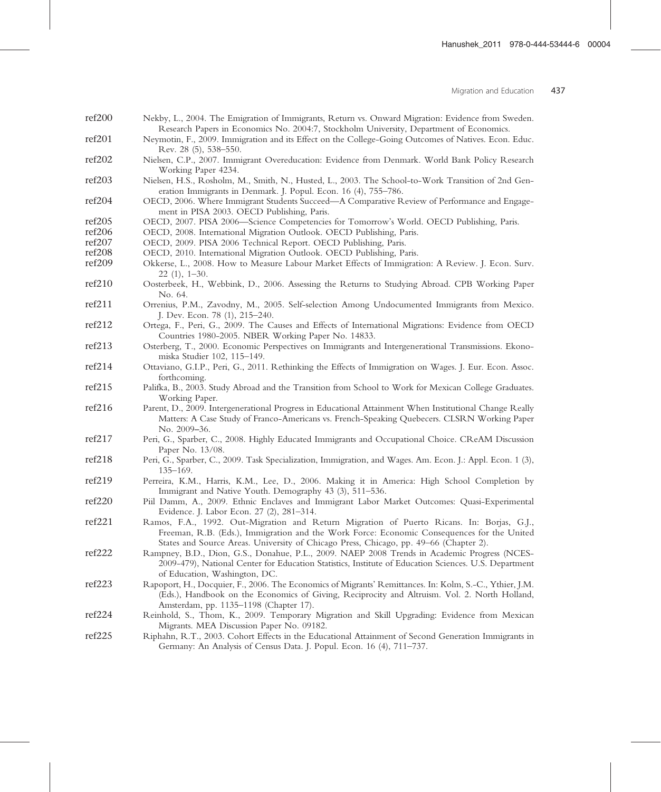| ref200 | Nekby, L., 2004. The Emigration of Immigrants, Return vs. Onward Migration: Evidence from Sweden.<br>Research Papers in Economics No. 2004:7, Stockholm University, Department of Economics.                                                                                     |
|--------|----------------------------------------------------------------------------------------------------------------------------------------------------------------------------------------------------------------------------------------------------------------------------------|
| ref201 | Neymotin, F., 2009. Immigration and its Effect on the College-Going Outcomes of Natives. Econ. Educ.<br>Rev. 28 (5), 538-550.                                                                                                                                                    |
| ref202 | Nielsen, C.P., 2007. Immigrant Overeducation: Evidence from Denmark. World Bank Policy Research<br>Working Paper 4234.                                                                                                                                                           |
| ref203 | Nielsen, H.S., Rosholm, M., Smith, N., Husted, L., 2003. The School-to-Work Transition of 2nd Gen-<br>eration Immigrants in Denmark. J. Popul. Econ. 16 (4), 755–786.                                                                                                            |
| ref204 | OECD, 2006. Where Immigrant Students Succeed—A Comparative Review of Performance and Engage-<br>ment in PISA 2003. OECD Publishing, Paris.                                                                                                                                       |
| ref205 | OECD, 2007. PISA 2006—Science Competencies for Tomorrow's World. OECD Publishing, Paris.                                                                                                                                                                                         |
| ref206 | OECD, 2008. International Migration Outlook. OECD Publishing, Paris.                                                                                                                                                                                                             |
| ref207 | OECD, 2009. PISA 2006 Technical Report. OECD Publishing, Paris.                                                                                                                                                                                                                  |
| ref208 | OECD, 2010. International Migration Outlook. OECD Publishing, Paris.                                                                                                                                                                                                             |
| ref209 |                                                                                                                                                                                                                                                                                  |
|        | Okkerse, L., 2008. How to Measure Labour Market Effects of Immigration: A Review. J. Econ. Surv.<br>$22(1), 1-30.$                                                                                                                                                               |
| ref210 | Oosterbeek, H., Webbink, D., 2006. Assessing the Returns to Studying Abroad. CPB Working Paper<br>No. 64.                                                                                                                                                                        |
| ref211 | Orrenius, P.M., Zavodny, M., 2005. Self-selection Among Undocumented Immigrants from Mexico.<br>J. Dev. Econ. 78 (1), 215–240.                                                                                                                                                   |
| ref212 | Ortega, F., Peri, G., 2009. The Causes and Effects of International Migrations: Evidence from OECD<br>Countries 1980-2005. NBER Working Paper No. 14833.                                                                                                                         |
| ref213 | Osterberg, T., 2000. Economic Perspectives on Immigrants and Intergenerational Transmissions. Ekono-<br>miska Studier 102, 115–149.                                                                                                                                              |
| ref214 | Ottaviano, G.I.P., Peri, G., 2011. Rethinking the Effects of Immigration on Wages. J. Eur. Econ. Assoc.<br>forthcoming.                                                                                                                                                          |
| ref215 | Palifka, B., 2003. Study Abroad and the Transition from School to Work for Mexican College Graduates.<br>Working Paper.                                                                                                                                                          |
| ref216 | Parent, D., 2009. Intergenerational Progress in Educational Attainment When Institutional Change Really<br>Matters: A Case Study of Franco-Americans vs. French-Speaking Quebecers. CLSRN Working Paper<br>No. 2009–36.                                                          |
| ref217 | Peri, G., Sparber, C., 2008. Highly Educated Immigrants and Occupational Choice. CReAM Discussion<br>Paper No. 13/08.                                                                                                                                                            |
| ref218 | Peri, G., Sparber, C., 2009. Task Specialization, Immigration, and Wages. Am. Econ. J.: Appl. Econ. 1 (3),<br>$135 - 169.$                                                                                                                                                       |
| ref219 | Perreira, K.M., Harris, K.M., Lee, D., 2006. Making it in America: High School Completion by<br>Immigrant and Native Youth. Demography 43 (3), 511–536.                                                                                                                          |
| ref220 | Piil Damm, A., 2009. Ethnic Enclaves and Immigrant Labor Market Outcomes: Quasi-Experimental<br>Evidence. J. Labor Econ. 27 (2), 281–314.                                                                                                                                        |
| ref221 | Ramos, F.A., 1992. Out-Migration and Return Migration of Puerto Ricans. In: Borjas, G.J.,<br>Freeman, R.B. (Eds.), Immigration and the Work Force: Economic Consequences for the United<br>States and Source Areas. University of Chicago Press, Chicago, pp. 49–66 (Chapter 2). |
| ref222 | Rampney, B.D., Dion, G.S., Donahue, P.L., 2009. NAEP 2008 Trends in Academic Progress (NCES-<br>2009-479), National Center for Education Statistics, Institute of Education Sciences. U.S. Department<br>of Education, Washington, DC.                                           |
| ref223 | Rapoport, H., Docquier, F., 2006. The Economics of Migrants' Remittances. In: Kolm, S.-C., Ythier, J.M.<br>(Eds.), Handbook on the Economics of Giving, Reciprocity and Altruism. Vol. 2. North Holland,<br>Amsterdam, pp. 1135–1198 (Chapter 17).                               |
| ref224 | Reinhold, S., Thom, K., 2009. Temporary Migration and Skill Upgrading: Evidence from Mexican<br>Migrants. MEA Discussion Paper No. 09182.                                                                                                                                        |
|        |                                                                                                                                                                                                                                                                                  |

ref225 Riphahn, R.T., 2003. Cohort Effects in the Educational Attainment of Second Generation Immigrants in Germany: An Analysis of Census Data. J. Popul. Econ. 16 (4), 711–737.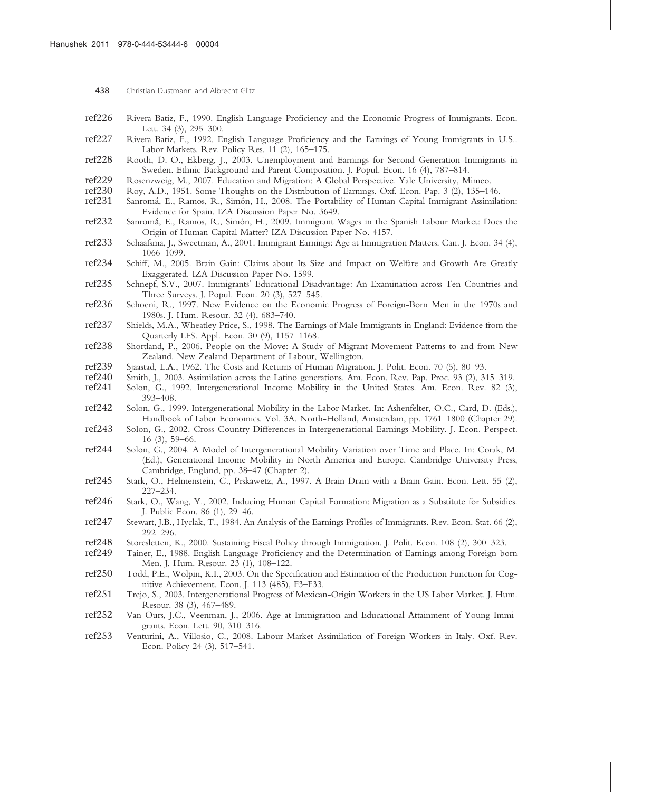438 Christian Dustmann and Albrecht Glitz

- ref226 Rivera-Batiz, F., 1990. English Language Proficiency and the Economic Progress of Immigrants. Econ. Lett. 34 (3), 295–300.
- ref227 Rivera-Batiz, F., 1992. English Language Proficiency and the Earnings of Young Immigrants in U.S.. Labor Markets. Rev. Policy Res. 11 (2), 165–175.
- ref228 Rooth, D.-O., Ekberg, J., 2003. Unemployment and Earnings for Second Generation Immigrants in Sweden. Ethnic Background and Parent Composition. J. Popul. Econ. 16 (4), 787–814.
- ref229 Rosenzweig, M., 2007. Education and Migration: A Global Perspective. Yale University, Mimeo.<br>ref230 Roy, A.D., 1951. Some Thoughts on the Distribution of Earnings. Oxf. Econ. Pap. 3 (2), 135–14
- ref230 Roy, A.D., 1951. Some Thoughts on the Distribution of Earnings. Oxf. Econ. Pap. 3 (2), 135–146.
- Sanromá, E., Ramos, R., Simón, H., 2008. The Portability of Human Capital Immigrant Assimilation: Evidence for Spain. IZA Discussion Paper No. 3649.
- ref232 Sanromá, E., Ramos, R., Simón, H., 2009. Immigrant Wages in the Spanish Labour Market: Does the Origin of Human Capital Matter? IZA Discussion Paper No. 4157.
- ref233 Schaafsma, J., Sweetman, A., 2001. Immigrant Earnings: Age at Immigration Matters. Can. J. Econ. 34 (4), 1066–1099.
- ref234 Schiff, M., 2005. Brain Gain: Claims about Its Size and Impact on Welfare and Growth Are Greatly Exaggerated. IZA Discussion Paper No. 1599.
- ref235 Schnepf, S.V., 2007. Immigrants' Educational Disadvantage: An Examination across Ten Countries and Three Surveys. J. Popul. Econ. 20 (3), 527–545.
- ref236 Schoeni, R., 1997. New Evidence on the Economic Progress of Foreign-Born Men in the 1970s and 1980s. J. Hum. Resour. 32 (4), 683–740.
- ref237 Shields, M.A., Wheatley Price, S., 1998. The Earnings of Male Immigrants in England: Evidence from the Quarterly LFS. Appl. Econ. 30 (9), 1157–1168.
- ref238 Shortland, P., 2006. People on the Move: A Study of Migrant Movement Patterns to and from New Zealand. New Zealand Department of Labour, Wellington.
- ref239 Sjaastad, L.A., 1962. The Costs and Returns of Human Migration. J. Polit. Econ. 70 (5), 80–93.
- 
- ref240 Smith, J., 2003. Assimilation across the Latino generations. Am. Econ. Rev. Pap. Proc. 93 (2), 315–319. Solon, G., 1992. Intergenerational Income Mobility in the United States. Am. Econ. Rev. 82 (3), 393–408.
- ref242 Solon, G., 1999. Intergenerational Mobility in the Labor Market. In: Ashenfelter, O.C., Card, D. (Eds.), Handbook of Labor Economics. Vol. 3A. North-Holland, Amsterdam, pp. 1761–1800 (Chapter 29).
- ref243 Solon, G., 2002. Cross-Country Differences in Intergenerational Earnings Mobility. J. Econ. Perspect. 16 (3), 59–66.
- ref244 Solon, G., 2004. A Model of Intergenerational Mobility Variation over Time and Place. In: Corak, M. (Ed.), Generational Income Mobility in North America and Europe. Cambridge University Press, Cambridge, England, pp. 38–47 (Chapter 2).
- ref245 Stark, O., Helmenstein, C., Prskawetz, A., 1997. A Brain Drain with a Brain Gain. Econ. Lett. 55 (2), 227–234.
- ref246 Stark, O., Wang, Y., 2002. Inducing Human Capital Formation: Migration as a Substitute for Subsidies. J. Public Econ. 86 (1), 29–46.
- ref247 Stewart, J.B., Hyclak, T., 1984. An Analysis of the Earnings Profiles of Immigrants. Rev. Econ. Stat. 66 (2), 292–296.
- ref248 Storesletten, K., 2000. Sustaining Fiscal Policy through Immigration. J. Polit. Econ. 108 (2), 300–323.<br>
ref249 Tainer, E., 1988. English Language Proficiency and the Determination of Earnings among Foreign-be
- Tainer, E., 1988. English Language Proficiency and the Determination of Earnings among Foreign-born Men. J. Hum. Resour. 23 (1), 108–122.
- ref250 Todd, P.E., Wolpin, K.I., 2003. On the Specification and Estimation of the Production Function for Cognitive Achievement. Econ. J. 113 (485), F3–F33.
- ref251 Trejo, S., 2003. Intergenerational Progress of Mexican-Origin Workers in the US Labor Market. J. Hum. Resour. 38 (3), 467–489.
- ref252 Van Ours, J.C., Veenman, J., 2006. Age at Immigration and Educational Attainment of Young Immigrants. Econ. Lett. 90, 310–316.
- ref253 Venturini, A., Villosio, C., 2008. Labour-Market Assimilation of Foreign Workers in Italy. Oxf. Rev. Econ. Policy 24 (3), 517–541.